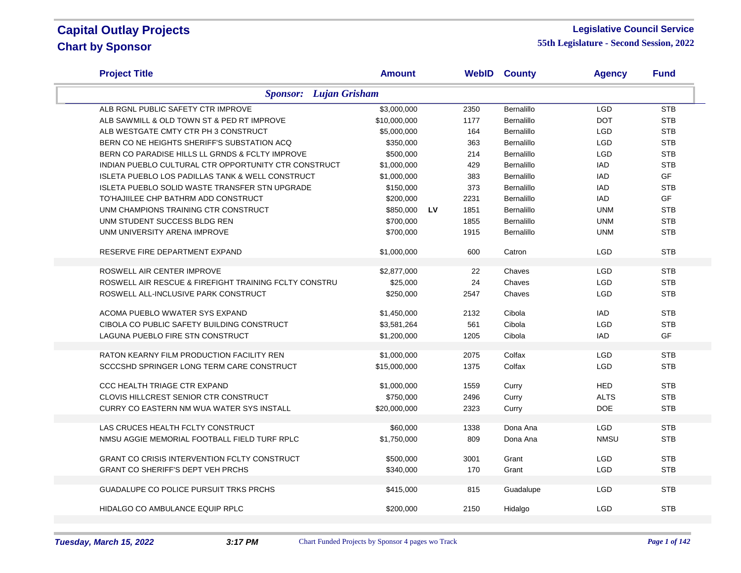#### **Legislative Council Service**

| <b>Project Title</b>                                        | <b>Amount</b> |           |      | <b>WebID County</b> | <b>Agency</b> | <b>Fund</b> |  |  |
|-------------------------------------------------------------|---------------|-----------|------|---------------------|---------------|-------------|--|--|
| <b>Sponsor:</b> Lujan Grisham                               |               |           |      |                     |               |             |  |  |
| ALB RGNL PUBLIC SAFETY CTR IMPROVE                          | \$3,000,000   |           | 2350 | Bernalillo          | <b>LGD</b>    | <b>STB</b>  |  |  |
| ALB SAWMILL & OLD TOWN ST & PED RT IMPROVE                  | \$10,000,000  |           | 1177 | <b>Bernalillo</b>   | <b>DOT</b>    | <b>STB</b>  |  |  |
| ALB WESTGATE CMTY CTR PH 3 CONSTRUCT                        | \$5,000,000   |           | 164  | Bernalillo          | <b>LGD</b>    | <b>STB</b>  |  |  |
| BERN CO NE HEIGHTS SHERIFF'S SUBSTATION ACQ                 | \$350,000     |           | 363  | <b>Bernalillo</b>   | <b>LGD</b>    | <b>STB</b>  |  |  |
| BERN CO PARADISE HILLS LL GRNDS & FCLTY IMPROVE             | \$500,000     |           | 214  | <b>Bernalillo</b>   | <b>LGD</b>    | <b>STB</b>  |  |  |
| INDIAN PUEBLO CULTURAL CTR OPPORTUNITY CTR CONSTRUCT        | \$1,000,000   |           | 429  | Bernalillo          | <b>IAD</b>    | <b>STB</b>  |  |  |
| <b>ISLETA PUEBLO LOS PADILLAS TANK &amp; WELL CONSTRUCT</b> | \$1,000,000   |           | 383  | Bernalillo          | <b>IAD</b>    | GF          |  |  |
| <b>ISLETA PUEBLO SOLID WASTE TRANSFER STN UPGRADE</b>       | \$150,000     |           | 373  | <b>Bernalillo</b>   | <b>IAD</b>    | <b>STB</b>  |  |  |
| TO'HAJIILEE CHP BATHRM ADD CONSTRUCT                        | \$200,000     |           | 2231 | <b>Bernalillo</b>   | <b>IAD</b>    | <b>GF</b>   |  |  |
| UNM CHAMPIONS TRAINING CTR CONSTRUCT                        | \$850,000     | <b>LV</b> | 1851 | <b>Bernalillo</b>   | <b>UNM</b>    | <b>STB</b>  |  |  |
| UNM STUDENT SUCCESS BLDG REN                                | \$700,000     |           | 1855 | <b>Bernalillo</b>   | <b>UNM</b>    | <b>STB</b>  |  |  |
| UNM UNIVERSITY ARENA IMPROVE                                | \$700,000     |           | 1915 | <b>Bernalillo</b>   | <b>UNM</b>    | <b>STB</b>  |  |  |
|                                                             |               |           |      |                     |               |             |  |  |
| RESERVE FIRE DEPARTMENT EXPAND                              | \$1,000,000   |           | 600  | Catron              | <b>LGD</b>    | <b>STB</b>  |  |  |
|                                                             |               |           |      |                     |               |             |  |  |
| ROSWELL AIR CENTER IMPROVE                                  | \$2,877,000   |           | 22   | Chaves              | <b>LGD</b>    | <b>STB</b>  |  |  |
| ROSWELL AIR RESCUE & FIREFIGHT TRAINING FCLTY CONSTRU       | \$25,000      |           | 24   | Chaves              | <b>LGD</b>    | <b>STB</b>  |  |  |
| ROSWELL ALL-INCLUSIVE PARK CONSTRUCT                        | \$250,000     |           | 2547 | Chaves              | <b>LGD</b>    | <b>STB</b>  |  |  |
| ACOMA PUEBLO WWATER SYS EXPAND                              | \$1,450,000   |           | 2132 | Cibola              | <b>IAD</b>    | <b>STB</b>  |  |  |
| CIBOLA CO PUBLIC SAFETY BUILDING CONSTRUCT                  | \$3,581,264   |           | 561  | Cibola              | <b>LGD</b>    | <b>STB</b>  |  |  |
| LAGUNA PUEBLO FIRE STN CONSTRUCT                            |               |           | 1205 | Cibola              | <b>IAD</b>    | GF          |  |  |
|                                                             | \$1,200,000   |           |      |                     |               |             |  |  |
| RATON KEARNY FILM PRODUCTION FACILITY REN                   | \$1,000,000   |           | 2075 | Colfax              | <b>LGD</b>    | <b>STB</b>  |  |  |
| SCCCSHD SPRINGER LONG TERM CARE CONSTRUCT                   | \$15,000,000  |           | 1375 | Colfax              | LGD           | <b>STB</b>  |  |  |
|                                                             |               |           |      |                     |               |             |  |  |
| CCC HEALTH TRIAGE CTR EXPAND                                | \$1,000,000   |           | 1559 | Curry               | <b>HED</b>    | <b>STB</b>  |  |  |
| <b>CLOVIS HILLCREST SENIOR CTR CONSTRUCT</b>                | \$750,000     |           | 2496 | Curry               | <b>ALTS</b>   | <b>STB</b>  |  |  |
| CURRY CO EASTERN NM WUA WATER SYS INSTALL                   | \$20,000,000  |           | 2323 | Curry               | <b>DOE</b>    | <b>STB</b>  |  |  |
|                                                             |               |           |      |                     |               |             |  |  |
| LAS CRUCES HEALTH FCLTY CONSTRUCT                           | \$60,000      |           | 1338 | Dona Ana            | <b>LGD</b>    | <b>STB</b>  |  |  |
| NMSU AGGIE MEMORIAL FOOTBALL FIELD TURF RPLC                | \$1,750,000   |           | 809  | Dona Ana            | <b>NMSU</b>   | <b>STB</b>  |  |  |
|                                                             |               |           |      |                     |               |             |  |  |
| <b>GRANT CO CRISIS INTERVENTION FCLTY CONSTRUCT</b>         | \$500,000     |           | 3001 | Grant               | <b>LGD</b>    | <b>STB</b>  |  |  |
| <b>GRANT CO SHERIFF'S DEPT VEH PRCHS</b>                    | \$340,000     |           | 170  | Grant               | <b>LGD</b>    | <b>STB</b>  |  |  |
| <b>GUADALUPE CO POLICE PURSUIT TRKS PRCHS</b>               | \$415,000     |           | 815  | Guadalupe           | <b>LGD</b>    | <b>STB</b>  |  |  |
|                                                             |               |           |      |                     |               |             |  |  |
| HIDALGO CO AMBULANCE EQUIP RPLC                             | \$200,000     |           | 2150 | Hidalgo             | <b>LGD</b>    | <b>STB</b>  |  |  |
|                                                             |               |           |      |                     |               |             |  |  |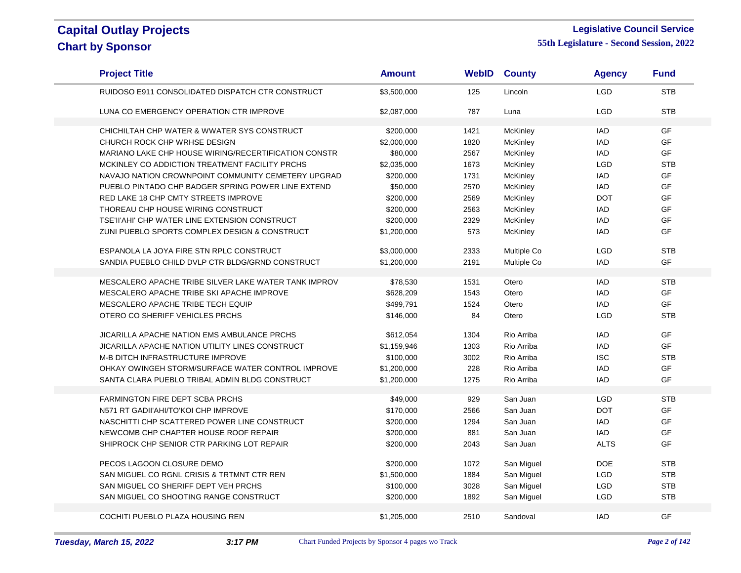#### **Legislative Council Service**

| <b>Project Title</b>                                 | <b>Amount</b> | <b>WebID</b> | <b>County</b> | <b>Agency</b> | <b>Fund</b>     |
|------------------------------------------------------|---------------|--------------|---------------|---------------|-----------------|
| RUIDOSO E911 CONSOLIDATED DISPATCH CTR CONSTRUCT     | \$3,500,000   | 125          | Lincoln       | <b>LGD</b>    | <b>STB</b>      |
| LUNA CO EMERGENCY OPERATION CTR IMPROVE              | \$2,087,000   | 787          | Luna          | <b>LGD</b>    | <b>STB</b>      |
| CHICHILTAH CHP WATER & WWATER SYS CONSTRUCT          | \$200,000     | 1421         | McKinley      | <b>IAD</b>    | GF              |
| CHURCH ROCK CHP WRHSE DESIGN                         | \$2,000,000   | 1820         | McKinley      | <b>IAD</b>    | GF              |
| MARIANO LAKE CHP HOUSE WIRING/RECERTIFICATION CONSTR | \$80,000      | 2567         | McKinley      | IAD           | <b>GF</b>       |
| MCKINLEY CO ADDICTION TREATMENT FACILITY PRCHS       | \$2,035,000   | 1673         | McKinley      | <b>LGD</b>    | <b>STB</b>      |
| NAVAJO NATION CROWNPOINT COMMUNITY CEMETERY UPGRAD   | \$200,000     | 1731         | McKinley      | <b>IAD</b>    | GF              |
| PUEBLO PINTADO CHP BADGER SPRING POWER LINE EXTEND   | \$50,000      | 2570         | McKinley      | <b>IAD</b>    | GF              |
| RED LAKE 18 CHP CMTY STREETS IMPROVE                 | \$200,000     | 2569         | McKinley      | <b>DOT</b>    | <b>GF</b>       |
| THOREAU CHP HOUSE WIRING CONSTRUCT                   | \$200,000     | 2563         | McKinley      | <b>IAD</b>    | GF              |
| TSE'II'AHI' CHP WATER LINE EXTENSION CONSTRUCT       | \$200,000     | 2329         | McKinley      | IAD           | GF              |
| ZUNI PUEBLO SPORTS COMPLEX DESIGN & CONSTRUCT        | \$1,200,000   | 573          | McKinley      | <b>IAD</b>    | GF              |
| ESPANOLA LA JOYA FIRE STN RPLC CONSTRUCT             | \$3,000,000   | 2333         | Multiple Co   | <b>LGD</b>    | <b>STB</b>      |
| SANDIA PUEBLO CHILD DVLP CTR BLDG/GRND CONSTRUCT     | \$1,200,000   | 2191         | Multiple Co   | <b>IAD</b>    | <b>GF</b>       |
|                                                      |               |              |               |               |                 |
| MESCALERO APACHE TRIBE SILVER LAKE WATER TANK IMPROV | \$78,530      | 1531         | Otero         | <b>IAD</b>    | <b>STB</b>      |
| MESCALERO APACHE TRIBE SKI APACHE IMPROVE            | \$628,209     | 1543         | Otero         | <b>IAD</b>    | GF              |
| MESCALERO APACHE TRIBE TECH EQUIP                    | \$499,791     | 1524         | Otero         | <b>IAD</b>    | GF              |
| OTERO CO SHERIFF VEHICLES PRCHS                      | \$146,000     | 84           | Otero         | <b>LGD</b>    | <b>STB</b>      |
| JICARILLA APACHE NATION EMS AMBULANCE PRCHS          | \$612,054     | 1304         | Rio Arriba    | IAD           | <b>GF</b>       |
| JICARILLA APACHE NATION UTILITY LINES CONSTRUCT      | \$1,159,946   | 1303         | Rio Arriba    | <b>IAD</b>    | GF              |
| M-B DITCH INFRASTRUCTURE IMPROVE                     | \$100,000     | 3002         | Rio Arriba    | <b>ISC</b>    | <b>STB</b>      |
| OHKAY OWINGEH STORM/SURFACE WATER CONTROL IMPROVE    | \$1,200,000   | 228          | Rio Arriba    | <b>IAD</b>    | <b>GF</b>       |
| SANTA CLARA PUEBLO TRIBAL ADMIN BLDG CONSTRUCT       | \$1,200,000   | 1275         | Rio Arriba    | <b>IAD</b>    | <b>GF</b>       |
|                                                      |               |              |               |               |                 |
| FARMINGTON FIRE DEPT SCBA PRCHS                      | \$49,000      | 929          | San Juan      | <b>LGD</b>    | <b>STB</b>      |
| N571 RT GADII'AHI/TO'KOI CHP IMPROVE                 | \$170,000     | 2566         | San Juan      | <b>DOT</b>    | GF<br>GF        |
| NASCHITTI CHP SCATTERED POWER LINE CONSTRUCT         | \$200,000     | 1294         | San Juan      | <b>IAD</b>    |                 |
| NEWCOMB CHP CHAPTER HOUSE ROOF REPAIR                | \$200,000     | 881          | San Juan      | <b>IAD</b>    | <b>GF</b><br>GF |
| SHIPROCK CHP SENIOR CTR PARKING LOT REPAIR           | \$200,000     | 2043         | San Juan      | <b>ALTS</b>   |                 |
| PECOS LAGOON CLOSURE DEMO                            | \$200,000     | 1072         | San Miguel    | <b>DOE</b>    | <b>STB</b>      |
| SAN MIGUEL CO RGNL CRISIS & TRTMNT CTR REN           | \$1,500,000   | 1884         | San Miguel    | <b>LGD</b>    | <b>STB</b>      |
| SAN MIGUEL CO SHERIFF DEPT VEH PRCHS                 | \$100,000     | 3028         | San Miguel    | LGD           | <b>STB</b>      |
| SAN MIGUEL CO SHOOTING RANGE CONSTRUCT               | \$200,000     | 1892         | San Miguel    | <b>LGD</b>    | <b>STB</b>      |
|                                                      |               |              |               |               |                 |
| COCHITI PUEBLO PLAZA HOUSING REN                     | \$1,205,000   | 2510         | Sandoval      | <b>IAD</b>    | GF              |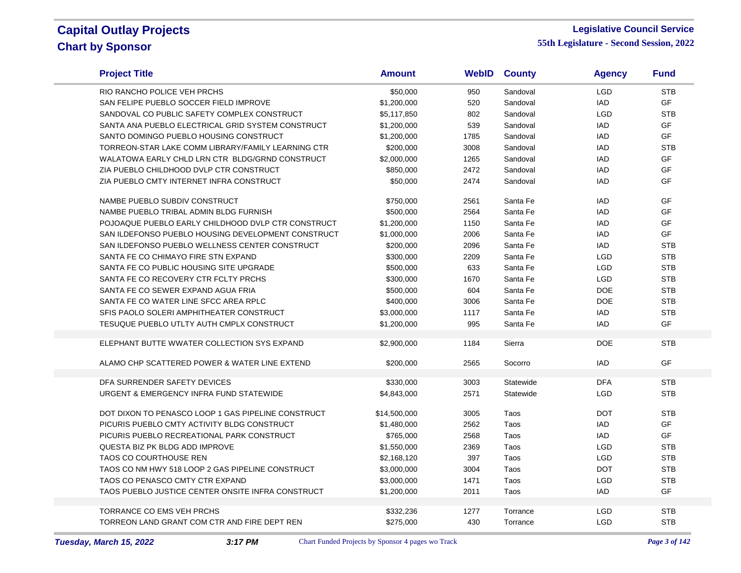÷

#### **Legislative Council Service**

| <b>Project Title</b>                               | <b>Amount</b> |      | <b>WebID County</b> | <b>Agency</b> | <b>Fund</b> |
|----------------------------------------------------|---------------|------|---------------------|---------------|-------------|
| RIO RANCHO POLICE VEH PRCHS                        | \$50,000      | 950  | Sandoval            | <b>LGD</b>    | <b>STB</b>  |
| SAN FELIPE PUEBLO SOCCER FIELD IMPROVE             | \$1,200,000   | 520  | Sandoval            | <b>IAD</b>    | <b>GF</b>   |
| SANDOVAL CO PUBLIC SAFETY COMPLEX CONSTRUCT        | \$5,117,850   | 802  | Sandoval            | <b>LGD</b>    | <b>STB</b>  |
| SANTA ANA PUEBLO ELECTRICAL GRID SYSTEM CONSTRUCT  | \$1,200,000   | 539  | Sandoval            | <b>IAD</b>    | GF          |
| SANTO DOMINGO PUEBLO HOUSING CONSTRUCT             | \$1,200,000   | 1785 | Sandoval            | <b>IAD</b>    | <b>GF</b>   |
| TORREON-STAR LAKE COMM LIBRARY/FAMILY LEARNING CTR | \$200,000     | 3008 | Sandoval            | <b>IAD</b>    | <b>STB</b>  |
| WALATOWA EARLY CHLD LRN CTR BLDG/GRND CONSTRUCT    | \$2,000,000   | 1265 | Sandoval            | <b>IAD</b>    | GF          |
| ZIA PUEBLO CHILDHOOD DVLP CTR CONSTRUCT            | \$850,000     | 2472 | Sandoval            | <b>IAD</b>    | GF          |
| ZIA PUEBLO CMTY INTERNET INFRA CONSTRUCT           | \$50,000      | 2474 | Sandoval            | <b>IAD</b>    | <b>GF</b>   |
| NAMBE PUEBLO SUBDIV CONSTRUCT                      | \$750,000     | 2561 | Santa Fe            | <b>IAD</b>    | GF          |
| NAMBE PUEBLO TRIBAL ADMIN BLDG FURNISH             | \$500,000     | 2564 | Santa Fe            | <b>IAD</b>    | <b>GF</b>   |
| POJOAQUE PUEBLO EARLY CHILDHOOD DVLP CTR CONSTRUCT | \$1,200,000   | 1150 | Santa Fe            | <b>IAD</b>    | <b>GF</b>   |
| SAN ILDEFONSO PUEBLO HOUSING DEVELOPMENT CONSTRUCT | \$1,000,000   | 2006 | Santa Fe            | IAD           | GF          |
| SAN ILDEFONSO PUEBLO WELLNESS CENTER CONSTRUCT     | \$200,000     | 2096 | Santa Fe            | <b>IAD</b>    | <b>STB</b>  |
| SANTA FE CO CHIMAYO FIRE STN EXPAND                | \$300,000     | 2209 | Santa Fe            | <b>LGD</b>    | <b>STB</b>  |
| SANTA FE CO PUBLIC HOUSING SITE UPGRADE            | \$500,000     | 633  | Santa Fe            | <b>LGD</b>    | <b>STB</b>  |
| SANTA FE CO RECOVERY CTR FCLTY PRCHS               | \$300,000     | 1670 | Santa Fe            | <b>LGD</b>    | <b>STB</b>  |
| SANTA FE CO SEWER EXPAND AGUA FRIA                 | \$500,000     | 604  | Santa Fe            | <b>DOE</b>    | <b>STB</b>  |
| SANTA FE CO WATER LINE SFCC AREA RPLC              | \$400,000     | 3006 | Santa Fe            | <b>DOE</b>    | <b>STB</b>  |
| SFIS PAOLO SOLERI AMPHITHEATER CONSTRUCT           | \$3,000,000   | 1117 | Santa Fe            | <b>IAD</b>    | <b>STB</b>  |
| TESUQUE PUEBLO UTLTY AUTH CMPLX CONSTRUCT          | \$1,200,000   | 995  | Santa Fe            | <b>IAD</b>    | <b>GF</b>   |
| ELEPHANT BUTTE WWATER COLLECTION SYS EXPAND        | \$2,900,000   | 1184 | Sierra              | <b>DOE</b>    | <b>STB</b>  |
| ALAMO CHP SCATTERED POWER & WATER LINE EXTEND      | \$200.000     | 2565 | Socorro             | <b>IAD</b>    | GF          |
| DFA SURRENDER SAFETY DEVICES                       | \$330,000     | 3003 | Statewide           | <b>DFA</b>    | <b>STB</b>  |
| URGENT & EMERGENCY INFRA FUND STATEWIDE            | \$4,843,000   | 2571 | Statewide           | <b>LGD</b>    | <b>STB</b>  |
| DOT DIXON TO PENASCO LOOP 1 GAS PIPELINE CONSTRUCT | \$14,500,000  | 3005 | Taos                | <b>DOT</b>    | <b>STB</b>  |
| PICURIS PUEBLO CMTY ACTIVITY BLDG CONSTRUCT        | \$1,480,000   | 2562 | Taos                | <b>IAD</b>    | GF          |
| PICURIS PUEBLO RECREATIONAL PARK CONSTRUCT         | \$765,000     | 2568 | Taos                | <b>IAD</b>    | GF          |
| QUESTA BIZ PK BLDG ADD IMPROVE                     | \$1,550,000   | 2369 | Taos                | <b>LGD</b>    | <b>STB</b>  |
| TAOS CO COURTHOUSE REN                             | \$2,168,120   | 397  | Taos                | <b>LGD</b>    | <b>STB</b>  |
| TAOS CO NM HWY 518 LOOP 2 GAS PIPELINE CONSTRUCT   | \$3,000,000   | 3004 | Taos                | <b>DOT</b>    | <b>STB</b>  |
| TAOS CO PENASCO CMTY CTR EXPAND                    | \$3,000,000   | 1471 | Taos                | LGD           | <b>STB</b>  |
| TAOS PUEBLO JUSTICE CENTER ONSITE INFRA CONSTRUCT  | \$1,200,000   | 2011 | Taos                | <b>IAD</b>    | <b>GF</b>   |
|                                                    |               |      |                     |               |             |
| <b>TORRANCE CO EMS VEH PRCHS</b>                   | \$332,236     | 1277 | Torrance            | <b>LGD</b>    | <b>STB</b>  |
| TORREON LAND GRANT COM CTR AND FIRE DEPT REN       | \$275,000     | 430  | Torrance            | <b>LGD</b>    | <b>STB</b>  |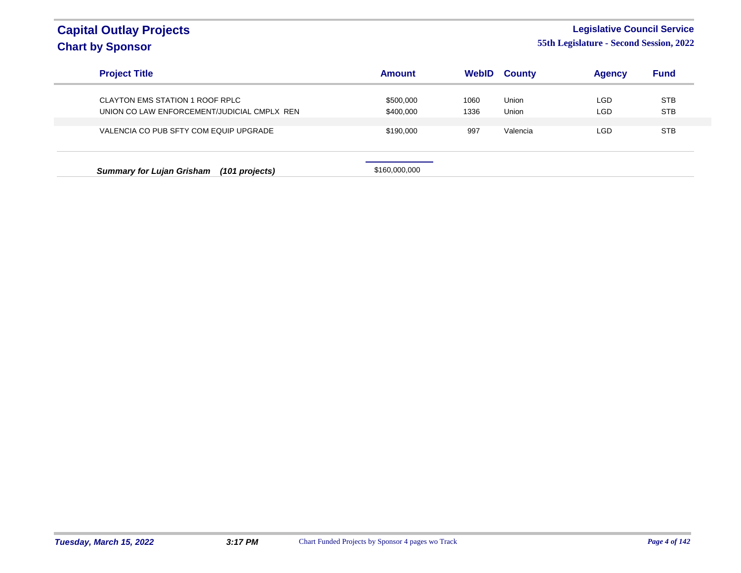#### **Legislative Council Service**

| <b>Project Title</b>                               | <b>Amount</b> | WebID | <b>County</b> | <b>Agency</b> | <b>Fund</b> |
|----------------------------------------------------|---------------|-------|---------------|---------------|-------------|
| CLAYTON EMS STATION 1 ROOF RPLC                    | \$500,000     | 1060  | Union         | LGD           | <b>STB</b>  |
| UNION CO LAW ENFORCEMENT/JUDICIAL CMPLX REN        | \$400,000     | 1336  | Union         | LGD           | <b>STB</b>  |
| VALENCIA CO PUB SFTY COM EQUIP UPGRADE             | \$190,000     | 997   | Valencia      | LGD           | <b>STB</b>  |
| <b>Summary for Lujan Grisham</b><br>(101 projects) | \$160,000,000 |       |               |               |             |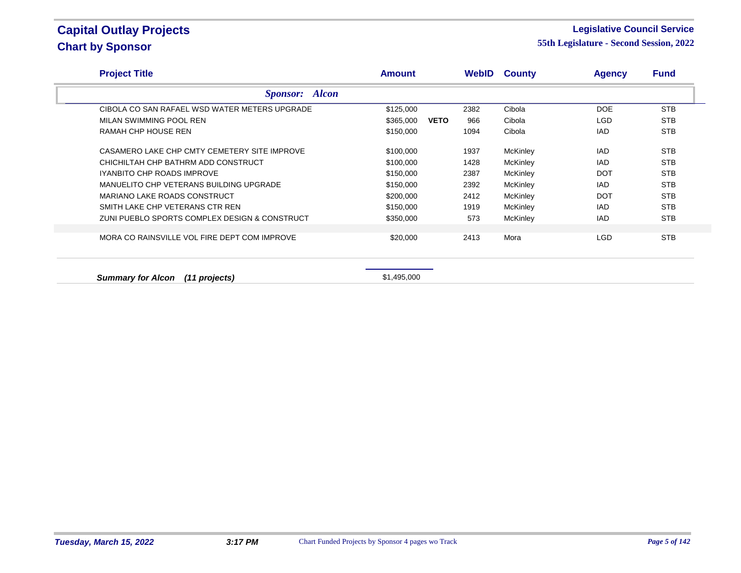#### **Legislative Council Service**

**55th Legislature - Second Session, 2022**

| <b>Project Title</b>                          | Amount      |             |      | <b>WebID County</b> | <b>Agency</b> | <b>Fund</b> |
|-----------------------------------------------|-------------|-------------|------|---------------------|---------------|-------------|
| <b>Sponsor:</b> Alcon                         |             |             |      |                     |               |             |
| CIBOLA CO SAN RAFAEL WSD WATER METERS UPGRADE | \$125,000   |             | 2382 | Cibola              | <b>DOE</b>    | <b>STB</b>  |
| MILAN SWIMMING POOL REN                       | \$365,000   | <b>VETO</b> | 966  | Cibola              | LGD.          | <b>STB</b>  |
| RAMAH CHP HOUSE REN                           | \$150,000   |             | 1094 | Cibola              | IAD           | <b>STB</b>  |
| CASAMERO LAKE CHP CMTY CEMETERY SITE IMPROVE  | \$100,000   |             | 1937 | McKinley            | IAD           | <b>STB</b>  |
| CHICHILTAH CHP BATHRM ADD CONSTRUCT           | \$100,000   |             | 1428 | McKinley            | IAD           | <b>STB</b>  |
| <b>IYANBITO CHP ROADS IMPROVE</b>             | \$150,000   |             | 2387 | McKinley            | <b>DOT</b>    | <b>STB</b>  |
| MANUELITO CHP VETERANS BUILDING UPGRADE       | \$150,000   |             | 2392 | McKinley            | IAD.          | <b>STB</b>  |
| MARIANO LAKE ROADS CONSTRUCT                  | \$200,000   |             | 2412 | McKinley            | <b>DOT</b>    | <b>STB</b>  |
| SMITH LAKE CHP VETERANS CTR REN               | \$150,000   |             | 1919 | McKinley            | IAD           | <b>STB</b>  |
| ZUNI PUEBLO SPORTS COMPLEX DESIGN & CONSTRUCT | \$350,000   |             | 573  | McKinley            | IAD           | <b>STB</b>  |
| MORA CO RAINSVILLE VOL FIRE DEPT COM IMPROVE  | \$20,000    |             | 2413 | Mora                | LGD           | <b>STB</b>  |
| <b>Summary for Alcon</b><br>(11 projects)     | \$1,495,000 |             |      |                     |               |             |

**Tuesday, March 15, 2022 3:17 PM** Chart Funded Projects by Sponsor 4 pages wo Track *Page 5 of 142*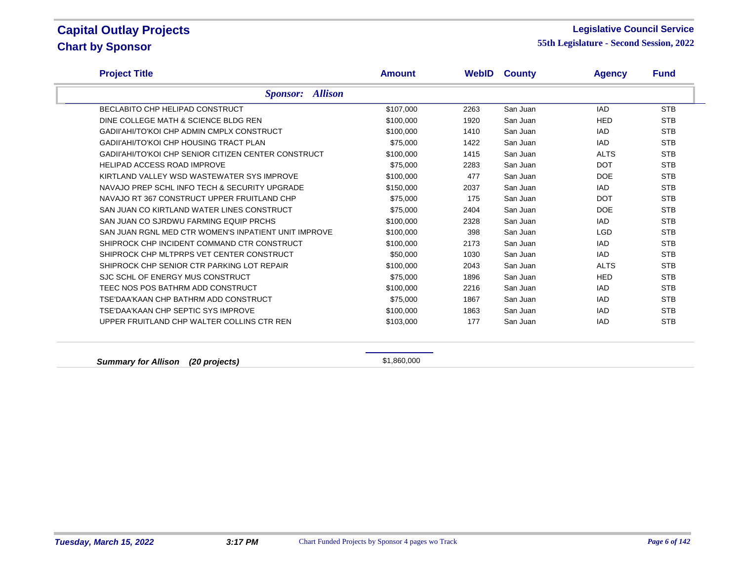#### **Legislative Council Service**

**55th Legislature - Second Session, 2022**

| <b>Project Title</b>                                 | <b>Amount</b> |      | <b>WebID County</b> | <b>Agency</b> | <b>Fund</b> |
|------------------------------------------------------|---------------|------|---------------------|---------------|-------------|
| <b>Sponsor:</b> Allison                              |               |      |                     |               |             |
| BECLABITO CHP HELIPAD CONSTRUCT                      | \$107,000     | 2263 | San Juan            | <b>IAD</b>    | <b>STB</b>  |
| DINE COLLEGE MATH & SCIENCE BLDG REN                 | \$100,000     | 1920 | San Juan            | <b>HED</b>    | <b>STB</b>  |
| GADII'AHI/TO'KOI CHP ADMIN CMPLX CONSTRUCT           | \$100,000     | 1410 | San Juan            | <b>IAD</b>    | <b>STB</b>  |
| <b>GADII'AHI/TO'KOI CHP HOUSING TRACT PLAN</b>       | \$75,000      | 1422 | San Juan            | <b>IAD</b>    | <b>STB</b>  |
| GADII'AHI/TO'KOI CHP SENIOR CITIZEN CENTER CONSTRUCT | \$100,000     | 1415 | San Juan            | <b>ALTS</b>   | <b>STB</b>  |
| <b>HELIPAD ACCESS ROAD IMPROVE</b>                   | \$75,000      | 2283 | San Juan            | <b>DOT</b>    | <b>STB</b>  |
| KIRTLAND VALLEY WSD WASTEWATER SYS IMPROVE           | \$100,000     | 477  | San Juan            | <b>DOE</b>    | <b>STB</b>  |
| NAVAJO PREP SCHL INFO TECH & SECURITY UPGRADE        | \$150.000     | 2037 | San Juan            | <b>IAD</b>    | <b>STB</b>  |
| NAVAJO RT 367 CONSTRUCT UPPER FRUITLAND CHP          | \$75,000      | 175  | San Juan            | <b>DOT</b>    | <b>STB</b>  |
| SAN JUAN CO KIRTLAND WATER LINES CONSTRUCT           | \$75,000      | 2404 | San Juan            | <b>DOE</b>    | <b>STB</b>  |
| SAN JUAN CO SJRDWU FARMING EQUIP PRCHS               | \$100,000     | 2328 | San Juan            | <b>IAD</b>    | <b>STB</b>  |
| SAN JUAN RGNL MED CTR WOMEN'S INPATIENT UNIT IMPROVE | \$100,000     | 398  | San Juan            | <b>LGD</b>    | <b>STB</b>  |
| SHIPROCK CHP INCIDENT COMMAND CTR CONSTRUCT          | \$100,000     | 2173 | San Juan            | <b>IAD</b>    | <b>STB</b>  |
| SHIPROCK CHP MLTPRPS VET CENTER CONSTRUCT            | \$50,000      | 1030 | San Juan            | <b>IAD</b>    | <b>STB</b>  |
| SHIPROCK CHP SENIOR CTR PARKING LOT REPAIR           | \$100,000     | 2043 | San Juan            | <b>ALTS</b>   | <b>STB</b>  |
| SJC SCHL OF ENERGY MUS CONSTRUCT                     | \$75,000      | 1896 | San Juan            | <b>HED</b>    | <b>STB</b>  |
| TEEC NOS POS BATHRM ADD CONSTRUCT                    | \$100,000     | 2216 | San Juan            | <b>IAD</b>    | <b>STB</b>  |
| TSE'DAA'KAAN CHP BATHRM ADD CONSTRUCT                | \$75,000      | 1867 | San Juan            | <b>IAD</b>    | <b>STB</b>  |
| TSE'DAA'KAAN CHP SEPTIC SYS IMPROVE                  | \$100,000     | 1863 | San Juan            | <b>IAD</b>    | <b>STB</b>  |
| UPPER FRUITLAND CHP WALTER COLLINS CTR REN           | \$103,000     | 177  | San Juan            | <b>IAD</b>    | <b>STB</b>  |

**Summary for Allison** (20 projects) **\$1,860,000**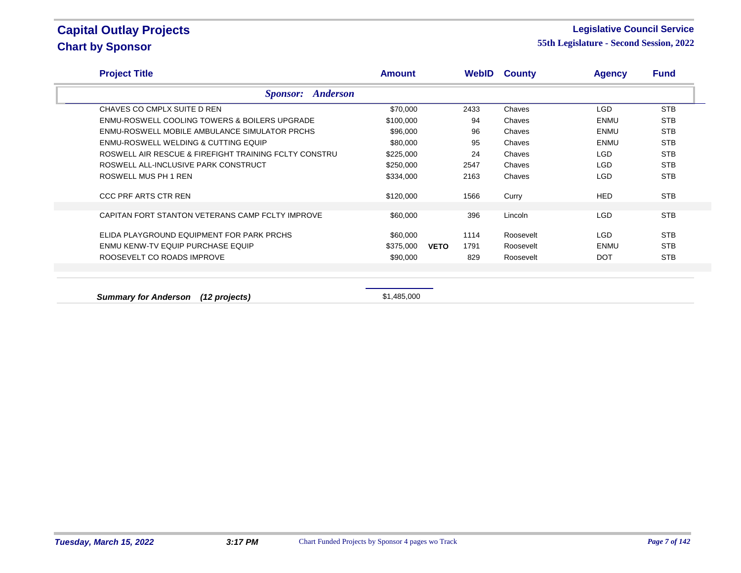#### **Legislative Council Service**

**55th Legislature - Second Session, 2022**

| <b>Project Title</b>                                     | <b>Amount</b>            |             |      | <b>WebID County</b> | <b>Agency</b> | <b>Fund</b> |
|----------------------------------------------------------|--------------------------|-------------|------|---------------------|---------------|-------------|
|                                                          | <b>Sponsor:</b> Anderson |             |      |                     |               |             |
| CHAVES CO CMPLX SUITE D REN                              | \$70,000                 |             | 2433 | Chaves              | LGD           | <b>STB</b>  |
| <b>ENMU-ROSWELL COOLING TOWERS &amp; BOILERS UPGRADE</b> | \$100,000                |             | 94   | Chaves              | ENMU          | <b>STB</b>  |
| <b>ENMU-ROSWELL MOBILE AMBULANCE SIMULATOR PRCHS</b>     | \$96,000                 |             | 96   | Chaves              | ENMU          | <b>STB</b>  |
| ENMU-ROSWELL WELDING & CUTTING EQUIP                     | \$80,000                 |             | 95   | Chaves              | ENMU          | <b>STB</b>  |
| ROSWELL AIR RESCUE & FIREFIGHT TRAINING FCLTY CONSTRU    | \$225,000                |             | 24   | Chaves              | LGD           | <b>STB</b>  |
| ROSWELL ALL-INCLUSIVE PARK CONSTRUCT                     | \$250,000                |             | 2547 | Chaves              | LGD           | <b>STB</b>  |
| ROSWELL MUS PH 1 REN                                     | \$334,000                |             | 2163 | Chaves              | LGD           | <b>STB</b>  |
| <b>CCC PRF ARTS CTR REN</b>                              | \$120,000                |             | 1566 | Curry               | <b>HED</b>    | <b>STB</b>  |
| CAPITAN FORT STANTON VETERANS CAMP FCLTY IMPROVE         | \$60,000                 |             | 396  | Lincoln             | LGD           | <b>STB</b>  |
| ELIDA PLAYGROUND EQUIPMENT FOR PARK PRCHS                | \$60,000                 |             | 1114 | Roosevelt           | LGD           | <b>STB</b>  |
| ENMU KENW-TV EQUIP PURCHASE EQUIP                        | \$375,000                | <b>VETO</b> | 1791 | Roosevelt           | ENMU          | <b>STB</b>  |
| ROOSEVELT CO ROADS IMPROVE                               | \$90,000                 |             | 829  | Roosevelt           | <b>DOT</b>    | <b>STB</b>  |
|                                                          |                          |             |      |                     |               |             |
|                                                          |                          |             |      |                     |               |             |

**Summary for Anderson (12 projects) Summary for Anderson (12 projects) \$1,485,000**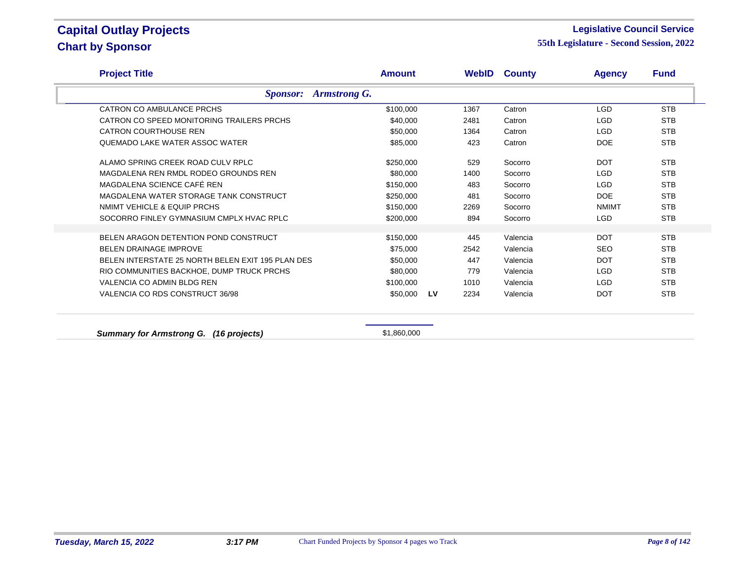#### **Legislative Council Service**

| <b>Project Title</b>                              | <b>Amount</b>  |      | <b>WebID County</b> | <b>Agency</b> | <b>Fund</b> |
|---------------------------------------------------|----------------|------|---------------------|---------------|-------------|
| <b>Sponsor:</b> Armstrong G.                      |                |      |                     |               |             |
| CATRON CO AMBULANCE PRCHS                         | \$100.000      | 1367 | Catron              | <b>LGD</b>    | <b>STB</b>  |
| CATRON CO SPEED MONITORING TRAILERS PRCHS         | \$40,000       | 2481 | Catron              | <b>LGD</b>    | <b>STB</b>  |
| <b>CATRON COURTHOUSE REN</b>                      | \$50,000       | 1364 | Catron              | <b>LGD</b>    | <b>STB</b>  |
| QUEMADO LAKE WATER ASSOC WATER                    | \$85,000       | 423  | Catron              | <b>DOE</b>    | <b>STB</b>  |
| ALAMO SPRING CREEK ROAD CULV RPLC                 | \$250,000      | 529  | Socorro             | <b>DOT</b>    | <b>STB</b>  |
| MAGDALENA REN RMDL RODEO GROUNDS REN              | \$80,000       | 1400 | Socorro             | <b>LGD</b>    | <b>STB</b>  |
| MAGDALENA SCIENCE CAFÉ REN                        | \$150,000      | 483  | Socorro             | <b>LGD</b>    | <b>STB</b>  |
| MAGDALENA WATER STORAGE TANK CONSTRUCT            | \$250,000      | 481  | Socorro             | <b>DOE</b>    | <b>STB</b>  |
| NMIMT VEHICLE & EQUIP PRCHS                       | \$150,000      | 2269 | Socorro             | <b>NMIMT</b>  | <b>STB</b>  |
| SOCORRO FINLEY GYMNASIUM CMPLX HVAC RPLC          | \$200,000      | 894  | Socorro             | <b>LGD</b>    | <b>STB</b>  |
| BELEN ARAGON DETENTION POND CONSTRUCT             | \$150,000      | 445  | Valencia            | <b>DOT</b>    | <b>STB</b>  |
| <b>BELEN DRAINAGE IMPROVE</b>                     | \$75,000       | 2542 | Valencia            | <b>SEO</b>    | <b>STB</b>  |
| BELEN INTERSTATE 25 NORTH BELEN EXIT 195 PLAN DES | \$50,000       | 447  | Valencia            | <b>DOT</b>    | <b>STB</b>  |
| RIO COMMUNITIES BACKHOE, DUMP TRUCK PRCHS         | \$80,000       | 779  | Valencia            | <b>LGD</b>    | <b>STB</b>  |
| VALENCIA CO ADMIN BLDG REN                        | \$100,000      | 1010 | Valencia            | <b>LGD</b>    | <b>STB</b>  |
| VALENCIA CO RDS CONSTRUCT 36/98                   | \$50,000<br>LV | 2234 | Valencia            | <b>DOT</b>    | <b>STB</b>  |
|                                                   |                |      |                     |               |             |
| <b>Summary for Armstrong G.</b><br>(16 projects)  | \$1,860,000    |      |                     |               |             |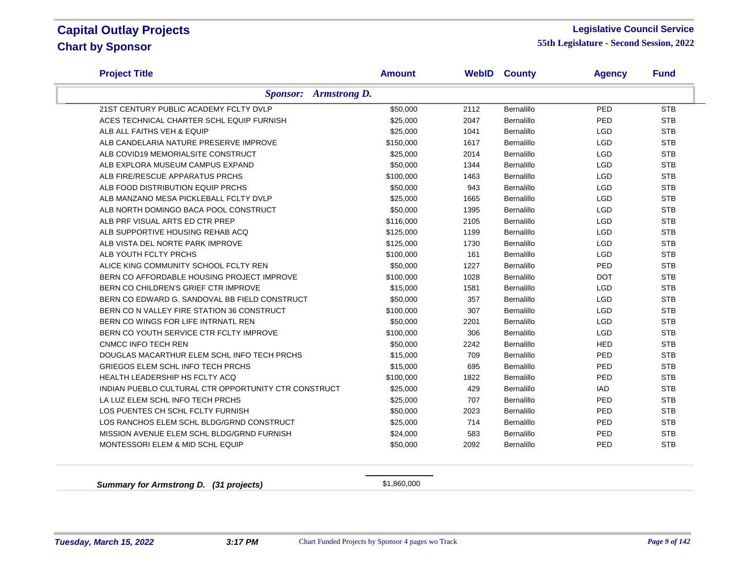#### **Legislative Council Service**

**55th Legislature - Second Session, 2022**

| <b>Project Title</b>                                 | <b>Amount</b> | WebID | <b>County</b> | <b>Agency</b> | <b>Fund</b> |
|------------------------------------------------------|---------------|-------|---------------|---------------|-------------|
| <b>Sponsor:</b> Armstrong D.                         |               |       |               |               |             |
| 21ST CENTURY PUBLIC ACADEMY FCLTY DVLP               | \$50,000      | 2112  | Bernalillo    | PED           | <b>STB</b>  |
| ACES TECHNICAL CHARTER SCHL EQUIP FURNISH            | \$25,000      | 2047  | Bernalillo    | PED           | <b>STB</b>  |
| ALB ALL FAITHS VEH & EQUIP                           | \$25,000      | 1041  | Bernalillo    | <b>LGD</b>    | <b>STB</b>  |
| ALB CANDELARIA NATURE PRESERVE IMPROVE               | \$150,000     | 1617  | Bernalillo    | <b>LGD</b>    | <b>STB</b>  |
| ALB COVID19 MEMORIALSITE CONSTRUCT                   | \$25,000      | 2014  | Bernalillo    | <b>LGD</b>    | <b>STB</b>  |
| ALB EXPLORA MUSEUM CAMPUS EXPAND                     | \$50,000      | 1344  | Bernalillo    | <b>LGD</b>    | <b>STB</b>  |
| ALB FIRE/RESCUE APPARATUS PRCHS                      | \$100,000     | 1463  | Bernalillo    | <b>LGD</b>    | <b>STB</b>  |
| ALB FOOD DISTRIBUTION EQUIP PRCHS                    | \$50,000      | 943   | Bernalillo    | LGD           | <b>STB</b>  |
| ALB MANZANO MESA PICKLEBALL FCLTY DVLP               | \$25,000      | 1665  | Bernalillo    | <b>LGD</b>    | <b>STB</b>  |
| ALB NORTH DOMINGO BACA POOL CONSTRUCT                | \$50,000      | 1395  | Bernalillo    | <b>LGD</b>    | <b>STB</b>  |
| ALB PRF VISUAL ARTS ED CTR PREP                      | \$116,000     | 2105  | Bernalillo    | LGD           | <b>STB</b>  |
| ALB SUPPORTIVE HOUSING REHAB ACQ                     | \$125,000     | 1199  | Bernalillo    | LGD           | <b>STB</b>  |
| ALB VISTA DEL NORTE PARK IMPROVE                     | \$125,000     | 1730  | Bernalillo    | <b>LGD</b>    | <b>STB</b>  |
| ALB YOUTH FCLTY PRCHS                                | \$100,000     | 161   | Bernalillo    | <b>LGD</b>    | <b>STB</b>  |
| ALICE KING COMMUNITY SCHOOL FCLTY REN                | \$50,000      | 1227  | Bernalillo    | PED           | <b>STB</b>  |
| BERN CO AFFORDABLE HOUSING PROJECT IMPROVE           | \$100,000     | 1028  | Bernalillo    | <b>DOT</b>    | <b>STB</b>  |
| BERN CO CHILDREN'S GRIEF CTR IMPROVE                 | \$15,000      | 1581  | Bernalillo    | <b>LGD</b>    | <b>STB</b>  |
| BERN CO EDWARD G. SANDOVAL BB FIELD CONSTRUCT        | \$50,000      | 357   | Bernalillo    | <b>LGD</b>    | <b>STB</b>  |
| BERN CO N VALLEY FIRE STATION 36 CONSTRUCT           | \$100,000     | 307   | Bernalillo    | <b>LGD</b>    | <b>STB</b>  |
| BERN CO WINGS FOR LIFE INTRNATL REN                  | \$50,000      | 2201  | Bernalillo    | <b>LGD</b>    | <b>STB</b>  |
| BERN CO YOUTH SERVICE CTR FCLTY IMPROVE              | \$100,000     | 306   | Bernalillo    | <b>LGD</b>    | <b>STB</b>  |
| <b>CNMCC INFO TECH REN</b>                           | \$50,000      | 2242  | Bernalillo    | <b>HED</b>    | <b>STB</b>  |
| DOUGLAS MACARTHUR ELEM SCHL INFO TECH PRCHS          | \$15,000      | 709   | Bernalillo    | <b>PED</b>    | <b>STB</b>  |
| GRIEGOS ELEM SCHL INFO TECH PRCHS                    | \$15,000      | 695   | Bernalillo    | PED           | <b>STB</b>  |
| HEALTH LEADERSHIP HS FCLTY ACQ                       | \$100,000     | 1822  | Bernalillo    | PED           | <b>STB</b>  |
| INDIAN PUEBLO CULTURAL CTR OPPORTUNITY CTR CONSTRUCT | \$25,000      | 429   | Bernalillo    | <b>IAD</b>    | <b>STB</b>  |
| LA LUZ ELEM SCHL INFO TECH PRCHS                     | \$25,000      | 707   | Bernalillo    | <b>PED</b>    | <b>STB</b>  |
| LOS PUENTES CH SCHL FCLTY FURNISH                    | \$50,000      | 2023  | Bernalillo    | PED           | <b>STB</b>  |
| LOS RANCHOS ELEM SCHL BLDG/GRND CONSTRUCT            | \$25,000      | 714   | Bernalillo    | PED           | <b>STB</b>  |
| MISSION AVENUE ELEM SCHL BLDG/GRND FURNISH           | \$24,000      | 583   | Bernalillo    | PED           | <b>STB</b>  |
| MONTESSORI ELEM & MID SCHL EQUIP                     | \$50,000      | 2092  | Bernalillo    | PED           | <b>STB</b>  |

**Summary for Armstrong D. (31 projects)** \$1,860,000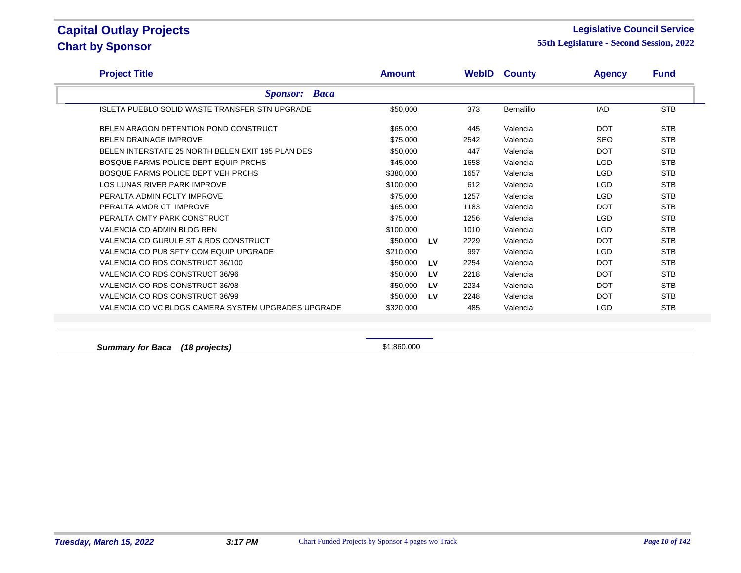#### **Legislative Council Service**

**55th Legislature - Second Session, 2022**

| <b>Project Title</b>                                  | Amount    |           |      | <b>WebID County</b> | <b>Agency</b> | <b>Fund</b> |
|-------------------------------------------------------|-----------|-----------|------|---------------------|---------------|-------------|
| <b>Sponsor:</b> Baca                                  |           |           |      |                     |               |             |
| <b>ISLETA PUEBLO SOLID WASTE TRANSFER STN UPGRADE</b> | \$50,000  |           | 373  | Bernalillo          | <b>IAD</b>    | <b>STB</b>  |
| BELEN ARAGON DETENTION POND CONSTRUCT                 | \$65,000  |           | 445  | Valencia            | <b>DOT</b>    | <b>STB</b>  |
| <b>BELEN DRAINAGE IMPROVE</b>                         | \$75,000  |           | 2542 | Valencia            | <b>SEO</b>    | <b>STB</b>  |
| BELEN INTERSTATE 25 NORTH BELEN EXIT 195 PLAN DES     | \$50,000  |           | 447  | Valencia            | <b>DOT</b>    | <b>STB</b>  |
| BOSQUE FARMS POLICE DEPT EQUIP PRCHS                  | \$45,000  |           | 1658 | Valencia            | <b>LGD</b>    | <b>STB</b>  |
| BOSQUE FARMS POLICE DEPT VEH PRCHS                    | \$380,000 |           | 1657 | Valencia            | <b>LGD</b>    | <b>STB</b>  |
| LOS LUNAS RIVER PARK IMPROVE                          | \$100,000 |           | 612  | Valencia            | <b>LGD</b>    | <b>STB</b>  |
| PERALTA ADMIN FCLTY IMPROVE                           | \$75,000  |           | 1257 | Valencia            | <b>LGD</b>    | <b>STB</b>  |
| PERALTA AMOR CT IMPROVE                               | \$65,000  |           | 1183 | Valencia            | <b>DOT</b>    | <b>STB</b>  |
| PERALTA CMTY PARK CONSTRUCT                           | \$75,000  |           | 1256 | Valencia            | <b>LGD</b>    | <b>STB</b>  |
| VALENCIA CO ADMIN BLDG REN                            | \$100,000 |           | 1010 | Valencia            | <b>LGD</b>    | <b>STB</b>  |
| VALENCIA CO GURULE ST & RDS CONSTRUCT                 | \$50,000  | <b>LV</b> | 2229 | Valencia            | <b>DOT</b>    | <b>STB</b>  |
| VALENCIA CO PUB SFTY COM EQUIP UPGRADE                | \$210,000 |           | 997  | Valencia            | <b>LGD</b>    | <b>STB</b>  |
| VALENCIA CO RDS CONSTRUCT 36/100                      | \$50,000  | LV        | 2254 | Valencia            | <b>DOT</b>    | <b>STB</b>  |
| VALENCIA CO RDS CONSTRUCT 36/96                       | \$50,000  | LV        | 2218 | Valencia            | <b>DOT</b>    | <b>STB</b>  |
| VALENCIA CO RDS CONSTRUCT 36/98                       | \$50,000  | LV        | 2234 | Valencia            | <b>DOT</b>    | <b>STB</b>  |
| VALENCIA CO RDS CONSTRUCT 36/99                       | \$50,000  | <b>LV</b> | 2248 | Valencia            | <b>DOT</b>    | <b>STB</b>  |
| VALENCIA CO VC BLDGS CAMERA SYSTEM UPGRADES UPGRADE   | \$320,000 |           | 485  | Valencia            | <b>LGD</b>    | <b>STB</b>  |

**Summary for Baca (18 projects)**  $$1,860,000$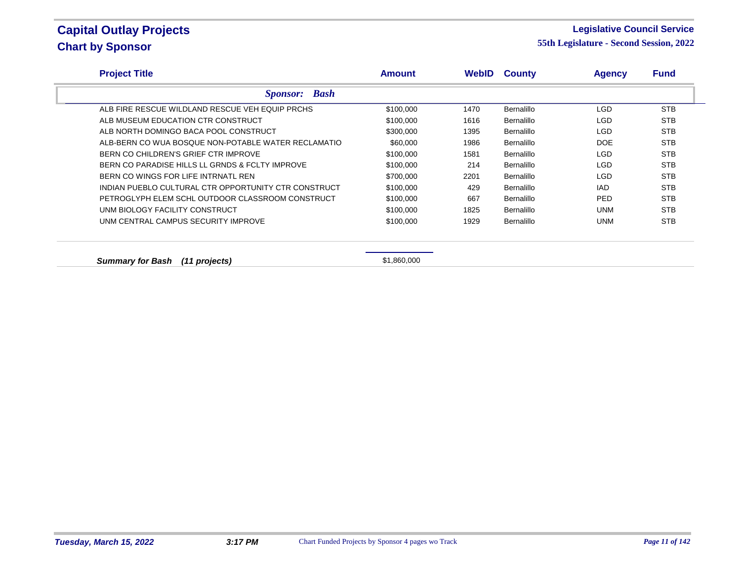#### **Legislative Council Service**

**55th Legislature - Second Session, 2022**

| <b>Project Title</b>                                 | Amount    | WebID | <b>County</b>     | <b>Agency</b> | <b>Fund</b> |
|------------------------------------------------------|-----------|-------|-------------------|---------------|-------------|
| <b>Bash</b><br><i>Sponsor:</i>                       |           |       |                   |               |             |
| ALB FIRE RESCUE WILDLAND RESCUE VEH EQUIP PRCHS      | \$100,000 | 1470  | Bernalillo        | <b>LGD</b>    | <b>STB</b>  |
| ALB MUSEUM EDUCATION CTR CONSTRUCT                   | \$100,000 | 1616  | <b>Bernalillo</b> | LGD.          | <b>STB</b>  |
| ALB NORTH DOMINGO BACA POOL CONSTRUCT                | \$300,000 | 1395  | <b>Bernalillo</b> | LGD.          | <b>STB</b>  |
| ALB-BERN CO WUA BOSQUE NON-POTABLE WATER RECLAMATIO  | \$60,000  | 1986  | Bernalillo        | <b>DOE</b>    | <b>STB</b>  |
| BERN CO CHILDREN'S GRIEF CTR IMPROVE                 | \$100,000 | 1581  | <b>Bernalillo</b> | LGD.          | <b>STB</b>  |
| BERN CO PARADISE HILLS LL GRNDS & FCLTY IMPROVE      | \$100,000 | 214   | <b>Bernalillo</b> | LGD.          | <b>STB</b>  |
| BERN CO WINGS FOR LIFE INTRNATL REN                  | \$700,000 | 2201  | <b>Bernalillo</b> | LGD.          | <b>STB</b>  |
| INDIAN PUEBLO CULTURAL CTR OPPORTUNITY CTR CONSTRUCT | \$100,000 | 429   | <b>Bernalillo</b> | IAD.          | <b>STB</b>  |
| PETROGLYPH ELEM SCHL OUTDOOR CLASSROOM CONSTRUCT     | \$100,000 | 667   | <b>Bernalillo</b> | PED.          | <b>STB</b>  |
| UNM BIOLOGY FACILITY CONSTRUCT                       | \$100,000 | 1825  | <b>Bernalillo</b> | <b>UNM</b>    | <b>STB</b>  |
| UNM CENTRAL CAMPUS SECURITY IMPROVE                  | \$100,000 | 1929  | <b>Bernalillo</b> | <b>UNM</b>    | <b>STB</b>  |

**Summary for Bash (11 projects)**  $$1,860,000$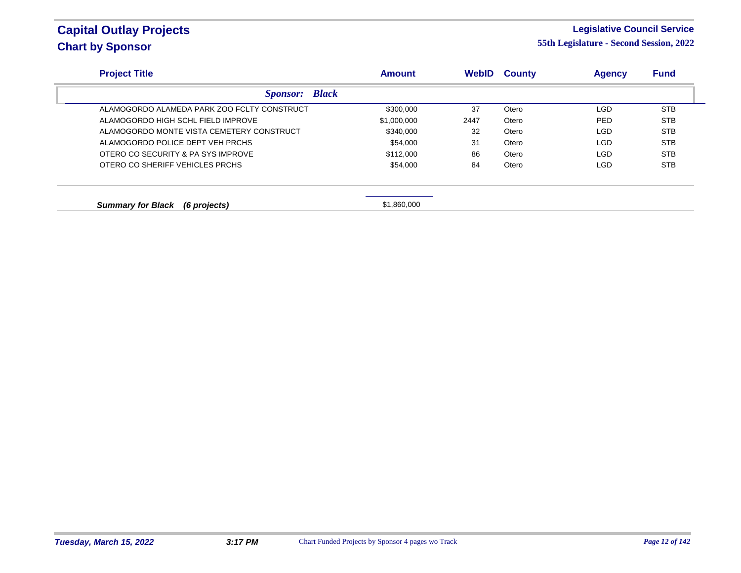#### **Legislative Council Service**

| <b>Project Title</b>                        | <b>Amount</b> | <b>WebID</b> | <b>County</b> | <b>Agency</b> | <b>Fund</b> |
|---------------------------------------------|---------------|--------------|---------------|---------------|-------------|
| <b>Sponsor:</b> Black                       |               |              |               |               |             |
| ALAMOGORDO ALAMEDA PARK ZOO FCLTY CONSTRUCT | \$300,000     | 37           | Otero         | LGD           | <b>STB</b>  |
| ALAMOGORDO HIGH SCHL FIELD IMPROVE          | \$1,000,000   | 2447         | Otero         | <b>PED</b>    | <b>STB</b>  |
| ALAMOGORDO MONTE VISTA CEMETERY CONSTRUCT   | \$340,000     | 32           | Otero         | <b>LGD</b>    | STB         |
| ALAMOGORDO POLICE DEPT VEH PRCHS            | \$54,000      | 31           | Otero         | <b>LGD</b>    | <b>STB</b>  |
| OTERO CO SECURITY & PA SYS IMPROVE          | \$112,000     | 86           | Otero         | LGD           | <b>STB</b>  |
| OTERO CO SHERIFF VEHICLES PRCHS             | \$54,000      | 84           | Otero         | <b>LGD</b>    | STB         |
|                                             |               |              |               |               |             |
| <b>Summary for Black</b><br>(6 projects)    | \$1,860,000   |              |               |               |             |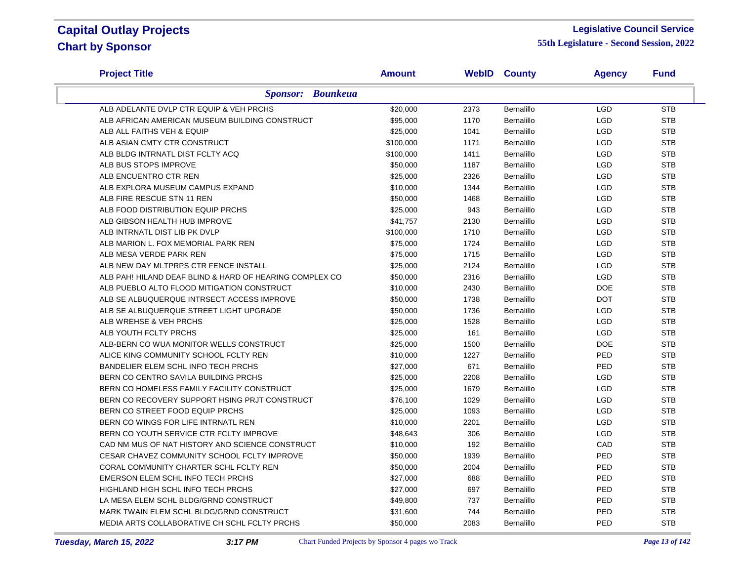#### **Legislative Council Service**

| <b>Project Title</b>                                    | <b>Amount</b> |      | <b>WebID County</b> | <b>Agency</b> | <b>Fund</b> |
|---------------------------------------------------------|---------------|------|---------------------|---------------|-------------|
| <b>Sponsor: Bounkeua</b>                                |               |      |                     |               |             |
| ALB ADELANTE DVLP CTR EQUIP & VEH PRCHS                 | \$20,000      | 2373 | Bernalillo          | <b>LGD</b>    | <b>STB</b>  |
| ALB AFRICAN AMERICAN MUSEUM BUILDING CONSTRUCT          | \$95,000      | 1170 | Bernalillo          | LGD           | <b>STB</b>  |
| ALB ALL FAITHS VEH & EQUIP                              | \$25,000      | 1041 | Bernalillo          | <b>LGD</b>    | <b>STB</b>  |
| ALB ASIAN CMTY CTR CONSTRUCT                            | \$100,000     | 1171 | Bernalillo          | <b>LGD</b>    | <b>STB</b>  |
| ALB BLDG INTRNATL DIST FCLTY ACQ                        | \$100,000     | 1411 | Bernalillo          | <b>LGD</b>    | <b>STB</b>  |
| ALB BUS STOPS IMPROVE                                   | \$50,000      | 1187 | Bernalillo          | <b>LGD</b>    | <b>STB</b>  |
| ALB ENCUENTRO CTR REN                                   | \$25,000      | 2326 | Bernalillo          | <b>LGD</b>    | <b>STB</b>  |
| ALB EXPLORA MUSEUM CAMPUS EXPAND                        | \$10,000      | 1344 | Bernalillo          | <b>LGD</b>    | <b>STB</b>  |
| ALB FIRE RESCUE STN 11 REN                              | \$50,000      | 1468 | Bernalillo          | <b>LGD</b>    | <b>STB</b>  |
| ALB FOOD DISTRIBUTION EQUIP PRCHS                       | \$25,000      | 943  | Bernalillo          | <b>LGD</b>    | <b>STB</b>  |
| ALB GIBSON HEALTH HUB IMPROVE                           | \$41,757      | 2130 | Bernalillo          | LGD           | <b>STB</b>  |
| ALB INTRNATL DIST LIB PK DVLP                           | \$100,000     | 1710 | Bernalillo          | <b>LGD</b>    | <b>STB</b>  |
| ALB MARION L. FOX MEMORIAL PARK REN                     | \$75,000      | 1724 | Bernalillo          | <b>LGD</b>    | <b>STB</b>  |
| ALB MESA VERDE PARK REN                                 | \$75,000      | 1715 | Bernalillo          | LGD           | <b>STB</b>  |
| ALB NEW DAY MLTPRPS CTR FENCE INSTALL                   | \$25,000      | 2124 | Bernalillo          | <b>LGD</b>    | <b>STB</b>  |
| ALB PAH! HILAND DEAF BLIND & HARD OF HEARING COMPLEX CO | \$50,000      | 2316 | Bernalillo          | <b>LGD</b>    | <b>STB</b>  |
| ALB PUEBLO ALTO FLOOD MITIGATION CONSTRUCT              | \$10,000      | 2430 | Bernalillo          | <b>DOE</b>    | <b>STB</b>  |
| ALB SE ALBUQUERQUE INTRSECT ACCESS IMPROVE              | \$50,000      | 1738 | Bernalillo          | <b>DOT</b>    | <b>STB</b>  |
| ALB SE ALBUQUERQUE STREET LIGHT UPGRADE                 | \$50,000      | 1736 | Bernalillo          | <b>LGD</b>    | <b>STB</b>  |
| ALB WREHSE & VEH PRCHS                                  | \$25,000      | 1528 | Bernalillo          | <b>LGD</b>    | <b>STB</b>  |
| ALB YOUTH FCLTY PRCHS                                   | \$25,000      | 161  | Bernalillo          | <b>LGD</b>    | <b>STB</b>  |
| ALB-BERN CO WUA MONITOR WELLS CONSTRUCT                 | \$25,000      | 1500 | Bernalillo          | <b>DOE</b>    | <b>STB</b>  |
| ALICE KING COMMUNITY SCHOOL FCLTY REN                   | \$10,000      | 1227 | Bernalillo          | PED           | <b>STB</b>  |
| BANDELIER ELEM SCHL INFO TECH PRCHS                     | \$27,000      | 671  | Bernalillo          | PED           | <b>STB</b>  |
| BERN CO CENTRO SAVILA BUILDING PRCHS                    | \$25,000      | 2208 | Bernalillo          | LGD           | <b>STB</b>  |
| BERN CO HOMELESS FAMILY FACILITY CONSTRUCT              | \$25,000      | 1679 | Bernalillo          | <b>LGD</b>    | <b>STB</b>  |
| BERN CO RECOVERY SUPPORT HSING PRJT CONSTRUCT           | \$76,100      | 1029 | Bernalillo          | <b>LGD</b>    | <b>STB</b>  |
| BERN CO STREET FOOD EQUIP PRCHS                         | \$25,000      | 1093 | Bernalillo          | <b>LGD</b>    | <b>STB</b>  |
| BERN CO WINGS FOR LIFE INTRNATL REN                     | \$10,000      | 2201 | Bernalillo          | <b>LGD</b>    | <b>STB</b>  |
| BERN CO YOUTH SERVICE CTR FCLTY IMPROVE                 | \$48,643      | 306  | Bernalillo          | <b>LGD</b>    | <b>STB</b>  |
| CAD NM MUS OF NAT HISTORY AND SCIENCE CONSTRUCT         | \$10,000      | 192  | Bernalillo          | CAD           | <b>STB</b>  |
| CESAR CHAVEZ COMMUNITY SCHOOL FCLTY IMPROVE             | \$50,000      | 1939 | Bernalillo          | <b>PED</b>    | <b>STB</b>  |
| CORAL COMMUNITY CHARTER SCHL FCLTY REN                  | \$50,000      | 2004 | Bernalillo          | PED           | <b>STB</b>  |
| EMERSON ELEM SCHL INFO TECH PRCHS                       | \$27,000      | 688  | Bernalillo          | PED           | <b>STB</b>  |
| HIGHLAND HIGH SCHL INFO TECH PRCHS                      | \$27,000      | 697  | Bernalillo          | PED           | <b>STB</b>  |
| LA MESA ELEM SCHL BLDG/GRND CONSTRUCT                   | \$49,800      | 737  | Bernalillo          | PED           | <b>STB</b>  |
| MARK TWAIN ELEM SCHL BLDG/GRND CONSTRUCT                | \$31,600      | 744  | Bernalillo          | PED           | <b>STB</b>  |
| MEDIA ARTS COLLABORATIVE CH SCHL FCLTY PRCHS            | \$50,000      | 2083 | Bernalillo          | PED           | <b>STB</b>  |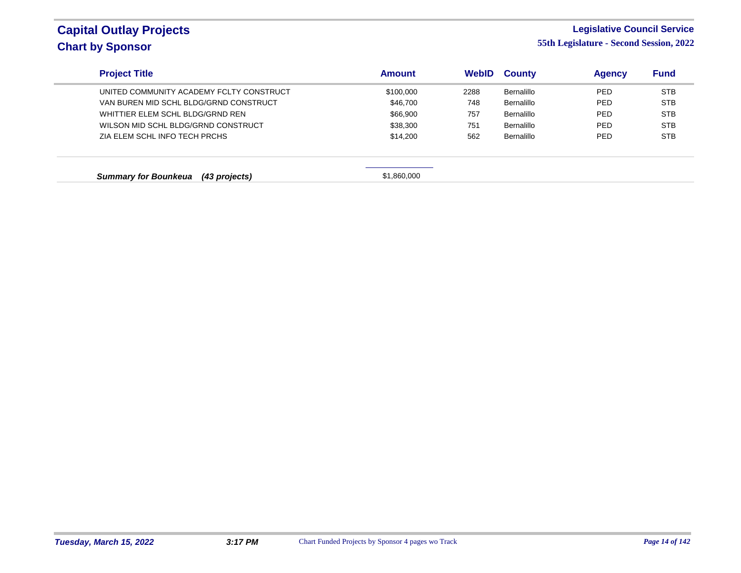#### **Legislative Council Service**

| <b>Project Title</b>                         | <b>Amount</b> | WebID | <b>County</b> | <b>Agency</b> | <b>Fund</b> |
|----------------------------------------------|---------------|-------|---------------|---------------|-------------|
| UNITED COMMUNITY ACADEMY FCLTY CONSTRUCT     | \$100,000     | 2288  | Bernalillo    | <b>PED</b>    | <b>STB</b>  |
| VAN BUREN MID SCHL BLDG/GRND CONSTRUCT       | \$46,700      | 748   | Bernalillo    | <b>PED</b>    | <b>STB</b>  |
| WHITTIER ELEM SCHL BLDG/GRND REN             | \$66,900      | 757   | Bernalillo    | <b>PED</b>    | <b>STB</b>  |
| WILSON MID SCHL BLDG/GRND CONSTRUCT          | \$38,300      | 751   | Bernalillo    | <b>PED</b>    | <b>STB</b>  |
| ZIA ELEM SCHL INFO TECH PRCHS                | \$14,200      | 562   | Bernalillo    | <b>PED</b>    | <b>STB</b>  |
| <b>Summary for Bounkeua</b><br>(43 projects) | \$1,860,000   |       |               |               |             |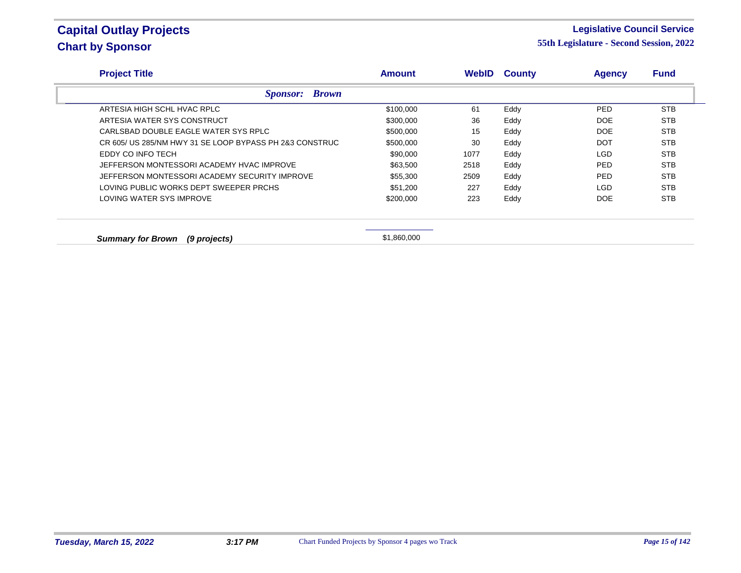#### **Legislative Council Service**

| <b>Project Title</b>                                    | <b>Amount</b> | <b>WebID</b> | <b>County</b> | <b>Agency</b> | <b>Fund</b> |
|---------------------------------------------------------|---------------|--------------|---------------|---------------|-------------|
| <b>Sponsor: Brown</b>                                   |               |              |               |               |             |
| ARTESIA HIGH SCHL HVAC RPLC                             | \$100,000     | 61           | Eddy          | <b>PED</b>    | <b>STB</b>  |
| ARTESIA WATER SYS CONSTRUCT                             | \$300,000     | 36           | Eddy          | DOE           | <b>STB</b>  |
| CARLSBAD DOUBLE EAGLE WATER SYS RPLC                    | \$500,000     | 15           | Eddy          | DOE           | <b>STB</b>  |
| CR 605/ US 285/NM HWY 31 SE LOOP BYPASS PH 2&3 CONSTRUC | \$500,000     | 30           | Eddy          | <b>DOT</b>    | <b>STB</b>  |
| EDDY CO INFO TECH                                       | \$90,000      | 1077         | Eddy          | <b>LGD</b>    | <b>STB</b>  |
| JEFFERSON MONTESSORI ACADEMY HVAC IMPROVE               | \$63,500      | 2518         | Eddy          | <b>PED</b>    | <b>STB</b>  |
| JEFFERSON MONTESSORI ACADEMY SECURITY IMPROVE           | \$55,300      | 2509         | Eddy          | <b>PED</b>    | <b>STB</b>  |
| LOVING PUBLIC WORKS DEPT SWEEPER PRCHS                  | \$51,200      | 227          | Eddy          | LGD           | <b>STB</b>  |
| LOVING WATER SYS IMPROVE                                | \$200,000     | 223          | Eddy          | DOE           | <b>STB</b>  |
|                                                         |               |              |               |               |             |
| <b>Summary for Brown</b><br>(9 projects)                | \$1,860,000   |              |               |               |             |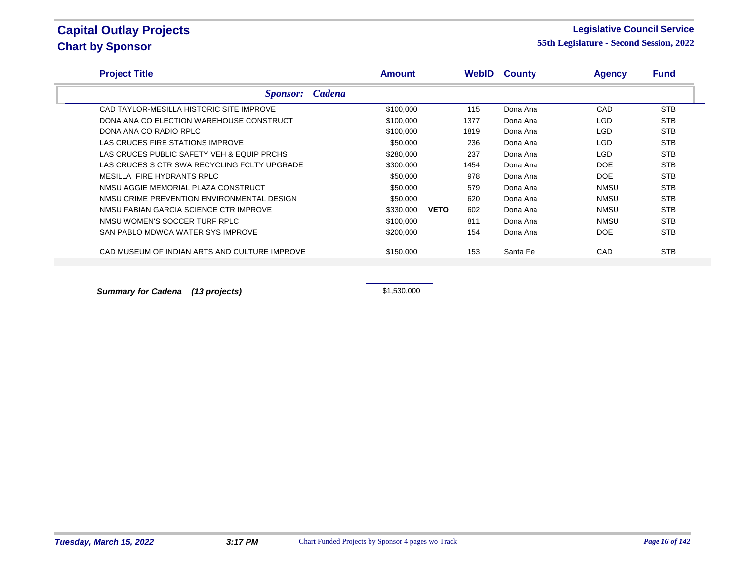#### **Legislative Council Service**

**55th Legislature - Second Session, 2022**

| <b>Project Title</b>                          | Amount    |                    | <b>WebID County</b> | <b>Agency</b> | <b>Fund</b> |
|-----------------------------------------------|-----------|--------------------|---------------------|---------------|-------------|
| <b>Sponsor:</b> Cadena                        |           |                    |                     |               |             |
| CAD TAYLOR-MESILLA HISTORIC SITE IMPROVE      | \$100,000 | 115                | Dona Ana            | CAD           | <b>STB</b>  |
| DONA ANA CO ELECTION WAREHOUSE CONSTRUCT      | \$100,000 | 1377               | Dona Ana            | LGD.          | <b>STB</b>  |
| DONA ANA CO RADIO RPLC                        | \$100,000 | 1819               | Dona Ana            | LGD           | <b>STB</b>  |
| LAS CRUCES FIRE STATIONS IMPROVE              | \$50,000  | 236                | Dona Ana            | LGD.          | <b>STB</b>  |
| LAS CRUCES PUBLIC SAFETY VEH & EQUIP PRCHS    | \$280,000 | 237                | Dona Ana            | LGD.          | <b>STB</b>  |
| LAS CRUCES S CTR SWA RECYCLING FCLTY UPGRADE  | \$300,000 | 1454               | Dona Ana            | <b>DOE</b>    | <b>STB</b>  |
| MESILLA FIRE HYDRANTS RPLC                    | \$50,000  | 978                | Dona Ana            | DOE           | <b>STB</b>  |
| NMSU AGGIE MEMORIAL PLAZA CONSTRUCT           | \$50,000  | 579                | Dona Ana            | <b>NMSU</b>   | <b>STB</b>  |
| NMSU CRIME PREVENTION ENVIRONMENTAL DESIGN    | \$50,000  | 620                | Dona Ana            | <b>NMSU</b>   | <b>STB</b>  |
| NMSU FABIAN GARCIA SCIENCE CTR IMPROVE        | \$330,000 | 602<br><b>VETO</b> | Dona Ana            | <b>NMSU</b>   | <b>STB</b>  |
| NMSU WOMEN'S SOCCER TURF RPLC                 | \$100,000 | 811                | Dona Ana            | <b>NMSU</b>   | <b>STB</b>  |
| SAN PABLO MDWCA WATER SYS IMPROVE             | \$200,000 | 154                | Dona Ana            | DOE           | <b>STB</b>  |
| CAD MUSEUM OF INDIAN ARTS AND CULTURE IMPROVE | \$150,000 | 153                | Santa Fe            | CAD           | <b>STB</b>  |
|                                               |           |                    |                     |               |             |
|                                               |           |                    |                     |               |             |

**Summary for Cadena** (13 projects) **\$1,530,000**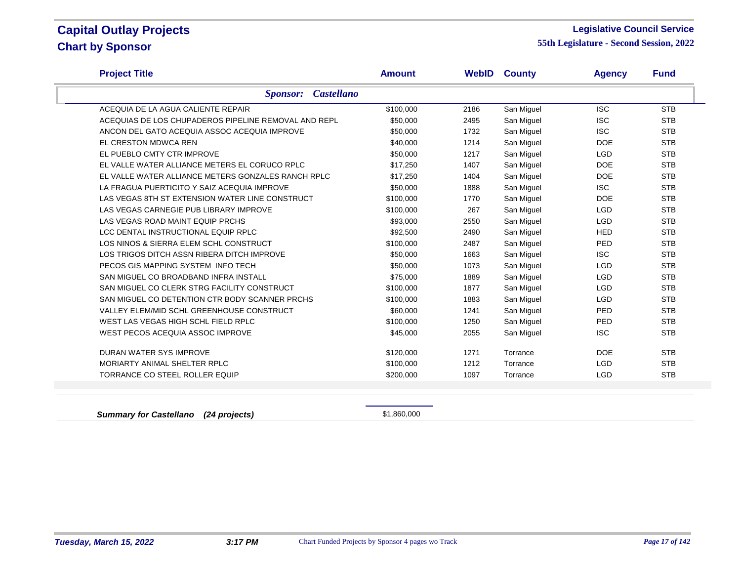#### **Legislative Council Service**

**55th Legislature - Second Session, 2022**

| <b>Project Title</b>                                 | <b>Amount</b> | WebID | <b>County</b> | <b>Agency</b> | <b>Fund</b> |
|------------------------------------------------------|---------------|-------|---------------|---------------|-------------|
| <b>Castellano</b><br><b>Sponsor:</b>                 |               |       |               |               |             |
| ACEQUIA DE LA AGUA CALIENTE REPAIR                   | \$100,000     | 2186  | San Miguel    | <b>ISC</b>    | <b>STB</b>  |
| ACEQUIAS DE LOS CHUPADEROS PIPELINE REMOVAL AND REPL | \$50,000      | 2495  | San Miguel    | <b>ISC</b>    | <b>STB</b>  |
| ANCON DEL GATO ACEQUIA ASSOC ACEQUIA IMPROVE         | \$50,000      | 1732  | San Miguel    | <b>ISC</b>    | <b>STB</b>  |
| EL CRESTON MDWCA REN                                 | \$40,000      | 1214  | San Miguel    | <b>DOE</b>    | <b>STB</b>  |
| EL PUEBLO CMTY CTR IMPROVE                           | \$50,000      | 1217  | San Miguel    | <b>LGD</b>    | <b>STB</b>  |
| EL VALLE WATER ALLIANCE METERS EL CORUCO RPLC        | \$17,250      | 1407  | San Miguel    | <b>DOE</b>    | <b>STB</b>  |
| EL VALLE WATER ALLIANCE METERS GONZALES RANCH RPLC   | \$17,250      | 1404  | San Miguel    | <b>DOE</b>    | <b>STB</b>  |
| LA FRAGUA PUERTICITO Y SAIZ ACEQUIA IMPROVE          | \$50,000      | 1888  | San Miguel    | <b>ISC</b>    | <b>STB</b>  |
| LAS VEGAS 8TH ST EXTENSION WATER LINE CONSTRUCT      | \$100,000     | 1770  | San Miguel    | <b>DOE</b>    | <b>STB</b>  |
| LAS VEGAS CARNEGIE PUB LIBRARY IMPROVE               | \$100,000     | 267   | San Miguel    | <b>LGD</b>    | <b>STB</b>  |
| LAS VEGAS ROAD MAINT EQUIP PRCHS                     | \$93,000      | 2550  | San Miguel    | <b>LGD</b>    | <b>STB</b>  |
| LCC DENTAL INSTRUCTIONAL EQUIP RPLC                  | \$92,500      | 2490  | San Miguel    | <b>HED</b>    | <b>STB</b>  |
| LOS NINOS & SIERRA ELEM SCHL CONSTRUCT               | \$100,000     | 2487  | San Miguel    | PED           | <b>STB</b>  |
| LOS TRIGOS DITCH ASSN RIBERA DITCH IMPROVE           | \$50,000      | 1663  | San Miguel    | <b>ISC</b>    | <b>STB</b>  |
| PECOS GIS MAPPING SYSTEM INFO TECH                   | \$50,000      | 1073  | San Miguel    | <b>LGD</b>    | <b>STB</b>  |
| SAN MIGUEL CO BROADBAND INFRA INSTALL                | \$75,000      | 1889  | San Miguel    | <b>LGD</b>    | <b>STB</b>  |
| SAN MIGUEL CO CLERK STRG FACILITY CONSTRUCT          | \$100,000     | 1877  | San Miguel    | <b>LGD</b>    | <b>STB</b>  |
| SAN MIGUEL CO DETENTION CTR BODY SCANNER PRCHS       | \$100,000     | 1883  | San Miguel    | <b>LGD</b>    | <b>STB</b>  |
| VALLEY ELEM/MID SCHL GREENHOUSE CONSTRUCT            | \$60,000      | 1241  | San Miguel    | <b>PED</b>    | <b>STB</b>  |
| WEST LAS VEGAS HIGH SCHL FIELD RPLC                  | \$100,000     | 1250  | San Miguel    | PED           | <b>STB</b>  |
| WEST PECOS ACEQUIA ASSOC IMPROVE                     | \$45,000      | 2055  | San Miguel    | <b>ISC</b>    | <b>STB</b>  |
| DURAN WATER SYS IMPROVE                              | \$120,000     | 1271  | Torrance      | <b>DOE</b>    | <b>STB</b>  |
| MORIARTY ANIMAL SHELTER RPLC                         | \$100,000     | 1212  | Torrance      | <b>LGD</b>    | <b>STB</b>  |
| TORRANCE CO STEEL ROLLER EQUIP                       | \$200,000     | 1097  | Torrance      | <b>LGD</b>    | <b>STB</b>  |

**Summary for Castellano** (24 projects) **1,860,000** \$1,860,000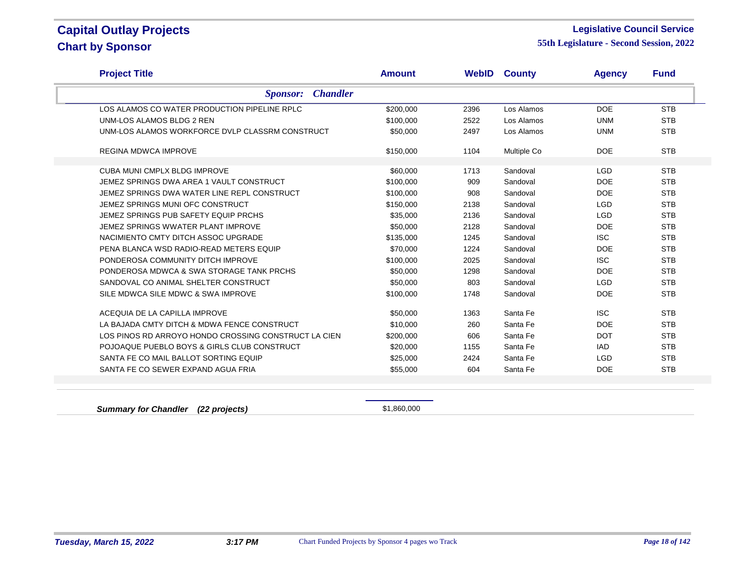#### **Legislative Council Service**

**55th Legislature - Second Session, 2022**

| <b>Project Title</b>                                 | <b>Amount</b> |      | <b>WebID County</b> | <b>Agency</b> | <b>Fund</b> |  |
|------------------------------------------------------|---------------|------|---------------------|---------------|-------------|--|
| <b>Chandler</b><br><i>Sponsor:</i>                   |               |      |                     |               |             |  |
| LOS ALAMOS CO WATER PRODUCTION PIPELINE RPLC         | \$200,000     | 2396 | Los Alamos          | <b>DOE</b>    | <b>STB</b>  |  |
| UNM-LOS ALAMOS BLDG 2 REN                            | \$100,000     | 2522 | Los Alamos          | <b>UNM</b>    | <b>STB</b>  |  |
| UNM-LOS ALAMOS WORKFORCE DVLP CLASSRM CONSTRUCT      | \$50,000      | 2497 | Los Alamos          | <b>UNM</b>    | <b>STB</b>  |  |
| <b>REGINA MDWCA IMPROVE</b>                          | \$150,000     | 1104 | Multiple Co         | <b>DOE</b>    | <b>STB</b>  |  |
| CUBA MUNI CMPLX BLDG IMPROVE                         | \$60,000      | 1713 | Sandoval            | <b>LGD</b>    | <b>STB</b>  |  |
| JEMEZ SPRINGS DWA AREA 1 VAULT CONSTRUCT             | \$100,000     | 909  | Sandoval            | <b>DOE</b>    | <b>STB</b>  |  |
| JEMEZ SPRINGS DWA WATER LINE REPL CONSTRUCT          | \$100,000     | 908  | Sandoval            | <b>DOE</b>    | <b>STB</b>  |  |
| JEMEZ SPRINGS MUNI OFC CONSTRUCT                     | \$150,000     | 2138 | Sandoval            | <b>LGD</b>    | <b>STB</b>  |  |
| JEMEZ SPRINGS PUB SAFETY EQUIP PRCHS                 | \$35,000      | 2136 | Sandoval            | <b>LGD</b>    | <b>STB</b>  |  |
| JEMEZ SPRINGS WWATER PLANT IMPROVE                   | \$50,000      | 2128 | Sandoval            | <b>DOE</b>    | <b>STB</b>  |  |
| NACIMIENTO CMTY DITCH ASSOC UPGRADE                  | \$135,000     | 1245 | Sandoval            | <b>ISC</b>    | <b>STB</b>  |  |
| PENA BLANCA WSD RADIO-READ METERS EQUIP              | \$70.000      | 1224 | Sandoval            | <b>DOE</b>    | <b>STB</b>  |  |
| PONDEROSA COMMUNITY DITCH IMPROVE                    | \$100,000     | 2025 | Sandoval            | <b>ISC</b>    | <b>STB</b>  |  |
| PONDEROSA MDWCA & SWA STORAGE TANK PRCHS             | \$50,000      | 1298 | Sandoval            | <b>DOE</b>    | <b>STB</b>  |  |
| SANDOVAL CO ANIMAL SHELTER CONSTRUCT                 | \$50,000      | 803  | Sandoval            | <b>LGD</b>    | <b>STB</b>  |  |
| SILE MDWCA SILE MDWC & SWA IMPROVE                   | \$100,000     | 1748 | Sandoval            | <b>DOE</b>    | <b>STB</b>  |  |
| ACEQUIA DE LA CAPILLA IMPROVE                        | \$50,000      | 1363 | Santa Fe            | <b>ISC</b>    | <b>STB</b>  |  |
| LA BAJADA CMTY DITCH & MDWA FENCE CONSTRUCT          | \$10,000      | 260  | Santa Fe            | <b>DOE</b>    | <b>STB</b>  |  |
| LOS PINOS RD ARROYO HONDO CROSSING CONSTRUCT LA CIEN | \$200,000     | 606  | Santa Fe            | <b>DOT</b>    | <b>STB</b>  |  |
| POJOAQUE PUEBLO BOYS & GIRLS CLUB CONSTRUCT          | \$20,000      | 1155 | Santa Fe            | <b>IAD</b>    | <b>STB</b>  |  |
| SANTA FE CO MAIL BALLOT SORTING EQUIP                | \$25,000      | 2424 | Santa Fe            | <b>LGD</b>    | <b>STB</b>  |  |
| SANTA FE CO SEWER EXPAND AGUA FRIA                   | \$55,000      | 604  | Santa Fe            | <b>DOE</b>    | <b>STB</b>  |  |
|                                                      |               |      |                     |               |             |  |

**Summary for Chandler (22 projects)**  $$1,860,000$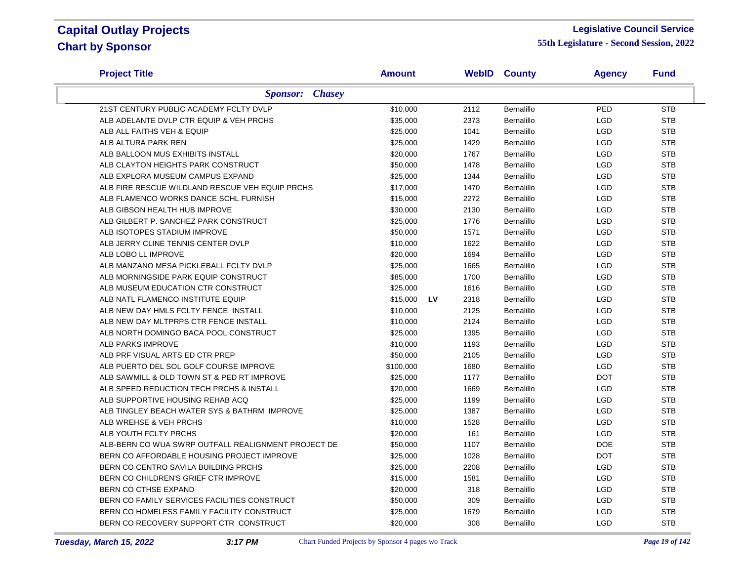#### **Legislative Council Service**

| <b>Project Title</b>                                | Amount    |           |      | <b>WebID County</b> | <b>Agency</b> | <b>Fund</b> |
|-----------------------------------------------------|-----------|-----------|------|---------------------|---------------|-------------|
| <b>Sponsor:</b> Chasey                              |           |           |      |                     |               |             |
| 21ST CENTURY PUBLIC ACADEMY FCLTY DVLP              | \$10,000  |           | 2112 | Bernalillo          | PED           | <b>STB</b>  |
| ALB ADELANTE DVLP CTR EQUIP & VEH PRCHS             | \$35,000  |           | 2373 | Bernalillo          | <b>LGD</b>    | <b>STB</b>  |
| ALB ALL FAITHS VEH & EQUIP                          | \$25,000  |           | 1041 | <b>Bernalillo</b>   | <b>LGD</b>    | <b>STB</b>  |
| ALB ALTURA PARK REN                                 | \$25,000  |           | 1429 | Bernalillo          | <b>LGD</b>    | <b>STB</b>  |
| ALB BALLOON MUS EXHIBITS INSTALL                    | \$20,000  |           | 1767 | Bernalillo          | LGD           | <b>STB</b>  |
| ALB CLAYTON HEIGHTS PARK CONSTRUCT                  | \$50,000  |           | 1478 | Bernalillo          | LGD           | <b>STB</b>  |
| ALB EXPLORA MUSEUM CAMPUS EXPAND                    | \$25,000  |           | 1344 | Bernalillo          | <b>LGD</b>    | <b>STB</b>  |
| ALB FIRE RESCUE WILDLAND RESCUE VEH EQUIP PRCHS     | \$17,000  |           | 1470 | Bernalillo          | LGD           | <b>STB</b>  |
| ALB FLAMENCO WORKS DANCE SCHL FURNISH               | \$15,000  |           | 2272 | Bernalillo          | <b>LGD</b>    | <b>STB</b>  |
| ALB GIBSON HEALTH HUB IMPROVE                       | \$30,000  |           | 2130 | Bernalillo          | <b>LGD</b>    | <b>STB</b>  |
| ALB GILBERT P. SANCHEZ PARK CONSTRUCT               | \$25,000  |           | 1776 | Bernalillo          | <b>LGD</b>    | <b>STB</b>  |
| ALB ISOTOPES STADIUM IMPROVE                        | \$50,000  |           | 1571 | Bernalillo          | <b>LGD</b>    | <b>STB</b>  |
| ALB JERRY CLINE TENNIS CENTER DVLP                  | \$10,000  |           | 1622 | Bernalillo          | <b>LGD</b>    | <b>STB</b>  |
| ALB LOBO LL IMPROVE                                 | \$20,000  |           | 1694 | Bernalillo          | <b>LGD</b>    | <b>STB</b>  |
| ALB MANZANO MESA PICKLEBALL FCLTY DVLP              | \$25,000  |           | 1665 | Bernalillo          | <b>LGD</b>    | <b>STB</b>  |
| ALB MORNINGSIDE PARK EQUIP CONSTRUCT                | \$85,000  |           | 1700 | Bernalillo          | <b>LGD</b>    | <b>STB</b>  |
| ALB MUSEUM EDUCATION CTR CONSTRUCT                  | \$25,000  |           | 1616 | Bernalillo          | LGD           | <b>STB</b>  |
| ALB NATL FLAMENCO INSTITUTE EQUIP                   | \$15,000  | <b>LV</b> | 2318 | <b>Bernalillo</b>   | LGD           | <b>STB</b>  |
| ALB NEW DAY HMLS FCLTY FENCE INSTALL                | \$10,000  |           | 2125 | Bernalillo          | LGD           | <b>STB</b>  |
| ALB NEW DAY MLTPRPS CTR FENCE INSTALL               | \$10,000  |           | 2124 | Bernalillo          | <b>LGD</b>    | <b>STB</b>  |
| ALB NORTH DOMINGO BACA POOL CONSTRUCT               | \$25,000  |           | 1395 | Bernalillo          | LGD           | <b>STB</b>  |
| ALB PARKS IMPROVE                                   | \$10,000  |           | 1193 | Bernalillo          | LGD           | <b>STB</b>  |
| ALB PRF VISUAL ARTS ED CTR PREP                     | \$50,000  |           | 2105 | Bernalillo          | <b>LGD</b>    | <b>STB</b>  |
| ALB PUERTO DEL SOL GOLF COURSE IMPROVE              | \$100,000 |           | 1680 | Bernalillo          | <b>LGD</b>    | <b>STB</b>  |
| ALB SAWMILL & OLD TOWN ST & PED RT IMPROVE          | \$25,000  |           | 1177 | Bernalillo          | <b>DOT</b>    | <b>STB</b>  |
| ALB SPEED REDUCTION TECH PRCHS & INSTALL            | \$20,000  |           | 1669 | Bernalillo          | LGD           | <b>STB</b>  |
| ALB SUPPORTIVE HOUSING REHAB ACQ                    | \$25,000  |           | 1199 | Bernalillo          | <b>LGD</b>    | <b>STB</b>  |
| ALB TINGLEY BEACH WATER SYS & BATHRM IMPROVE        | \$25,000  |           | 1387 | <b>Bernalillo</b>   | <b>LGD</b>    | <b>STB</b>  |
| ALB WREHSE & VEH PRCHS                              | \$10,000  |           | 1528 | Bernalillo          | <b>LGD</b>    | <b>STB</b>  |
| ALB YOUTH FCLTY PRCHS                               | \$20,000  |           | 161  | Bernalillo          | LGD           | <b>STB</b>  |
| ALB-BERN CO WUA SWRP OUTFALL REALIGNMENT PROJECT DE | \$50,000  |           | 1107 | Bernalillo          | <b>DOE</b>    | <b>STB</b>  |
| BERN CO AFFORDABLE HOUSING PROJECT IMPROVE          | \$25,000  |           | 1028 | Bernalillo          | <b>DOT</b>    | <b>STB</b>  |
| BERN CO CENTRO SAVILA BUILDING PRCHS                | \$25,000  |           | 2208 | Bernalillo          | LGD           | <b>STB</b>  |
| BERN CO CHILDREN'S GRIEF CTR IMPROVE                | \$15,000  |           | 1581 | Bernalillo          | LGD           | <b>STB</b>  |
| BERN CO CTHSE EXPAND                                | \$20,000  |           | 318  | Bernalillo          | <b>LGD</b>    | <b>STB</b>  |
| BERN CO FAMILY SERVICES FACILITIES CONSTRUCT        | \$50,000  |           | 309  | Bernalillo          | <b>LGD</b>    | <b>STB</b>  |
| BERN CO HOMELESS FAMILY FACILITY CONSTRUCT          | \$25,000  |           | 1679 | Bernalillo          | <b>LGD</b>    | <b>STB</b>  |
| BERN CO RECOVERY SUPPORT CTR CONSTRUCT              | \$20,000  |           | 308  | Bernalillo          | <b>LGD</b>    | <b>STB</b>  |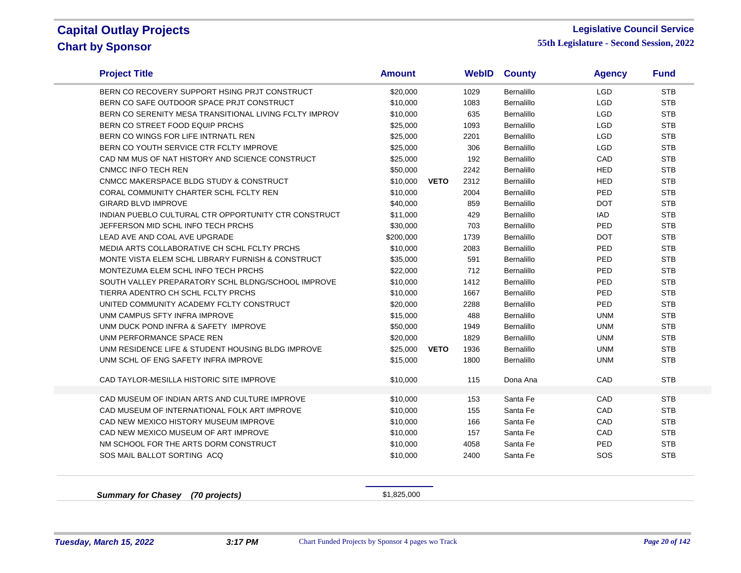$\sim$ 

#### **Legislative Council Service**

| BERN CO RECOVERY SUPPORT HSING PRJT CONSTRUCT<br>BERN CO SAFE OUTDOOR SPACE PRJT CONSTRUCT<br>BERN CO SERENITY MESA TRANSITIONAL LIVING FCLTY IMPROV<br>BERN CO STREET FOOD EQUIP PRCHS<br>BERN CO WINGS FOR LIFE INTRNATL REN<br>BERN CO YOUTH SERVICE CTR FCLTY IMPROVE<br>CAD NM MUS OF NAT HISTORY AND SCIENCE CONSTRUCT | \$20,000<br>\$10,000<br>\$10,000<br>\$25,000<br>\$25,000<br>\$25,000<br>\$25,000 |             | 1029<br>1083<br>635<br>1093<br>2201 | Bernalillo<br>Bernalillo<br>Bernalillo<br>Bernalillo | <b>LGD</b><br><b>LGD</b><br><b>LGD</b><br><b>LGD</b> | <b>STB</b><br><b>STB</b><br><b>STB</b> |
|------------------------------------------------------------------------------------------------------------------------------------------------------------------------------------------------------------------------------------------------------------------------------------------------------------------------------|----------------------------------------------------------------------------------|-------------|-------------------------------------|------------------------------------------------------|------------------------------------------------------|----------------------------------------|
|                                                                                                                                                                                                                                                                                                                              |                                                                                  |             |                                     |                                                      |                                                      |                                        |
|                                                                                                                                                                                                                                                                                                                              |                                                                                  |             |                                     |                                                      |                                                      |                                        |
|                                                                                                                                                                                                                                                                                                                              |                                                                                  |             |                                     |                                                      |                                                      |                                        |
|                                                                                                                                                                                                                                                                                                                              |                                                                                  |             |                                     |                                                      |                                                      | <b>STB</b>                             |
|                                                                                                                                                                                                                                                                                                                              |                                                                                  |             |                                     | Bernalillo                                           | <b>LGD</b>                                           | <b>STB</b>                             |
|                                                                                                                                                                                                                                                                                                                              |                                                                                  |             | 306                                 | <b>Bernalillo</b>                                    | <b>LGD</b>                                           | <b>STB</b>                             |
|                                                                                                                                                                                                                                                                                                                              |                                                                                  |             | 192                                 | <b>Bernalillo</b>                                    | CAD                                                  | <b>STB</b>                             |
| CNMCC INFO TECH REN                                                                                                                                                                                                                                                                                                          | \$50,000                                                                         |             | 2242                                | Bernalillo                                           | <b>HED</b>                                           | <b>STB</b>                             |
| CNMCC MAKERSPACE BLDG STUDY & CONSTRUCT                                                                                                                                                                                                                                                                                      | \$10,000                                                                         | <b>VETO</b> | 2312                                | Bernalillo                                           | HED                                                  | <b>STB</b>                             |
| CORAL COMMUNITY CHARTER SCHL FCLTY REN                                                                                                                                                                                                                                                                                       | \$10,000                                                                         |             | 2004                                | Bernalillo                                           | PED                                                  | <b>STB</b>                             |
| <b>GIRARD BLVD IMPROVE</b>                                                                                                                                                                                                                                                                                                   | \$40,000                                                                         |             | 859                                 | Bernalillo                                           | <b>DOT</b>                                           | <b>STB</b>                             |
| INDIAN PUEBLO CULTURAL CTR OPPORTUNITY CTR CONSTRUCT                                                                                                                                                                                                                                                                         | \$11,000                                                                         |             | 429                                 | Bernalillo                                           | <b>IAD</b>                                           | <b>STB</b>                             |
| JEFFERSON MID SCHL INFO TECH PRCHS                                                                                                                                                                                                                                                                                           | \$30,000                                                                         |             | 703                                 | Bernalillo                                           | <b>PED</b>                                           | <b>STB</b>                             |
| LEAD AVE AND COAL AVE UPGRADE                                                                                                                                                                                                                                                                                                | \$200,000                                                                        |             | 1739                                | Bernalillo                                           | <b>DOT</b>                                           | <b>STB</b>                             |
| MEDIA ARTS COLLABORATIVE CH SCHL FCLTY PRCHS                                                                                                                                                                                                                                                                                 | \$10,000                                                                         |             | 2083                                | <b>Bernalillo</b>                                    | PED                                                  | <b>STB</b>                             |
| MONTE VISTA ELEM SCHL LIBRARY FURNISH & CONSTRUCT                                                                                                                                                                                                                                                                            | \$35,000                                                                         |             | 591                                 | Bernalillo                                           | PED                                                  | <b>STB</b>                             |
| MONTEZUMA ELEM SCHL INFO TECH PRCHS                                                                                                                                                                                                                                                                                          | \$22,000                                                                         |             | 712                                 | <b>Bernalillo</b>                                    | PED                                                  | <b>STB</b>                             |
| SOUTH VALLEY PREPARATORY SCHL BLDNG/SCHOOL IMPROVE                                                                                                                                                                                                                                                                           | \$10,000                                                                         |             | 1412                                | Bernalillo                                           | PED                                                  | <b>STB</b>                             |
| TIERRA ADENTRO CH SCHL FCLTY PRCHS                                                                                                                                                                                                                                                                                           | \$10,000                                                                         |             | 1667                                | Bernalillo                                           | PED                                                  | <b>STB</b>                             |
| UNITED COMMUNITY ACADEMY FCLTY CONSTRUCT                                                                                                                                                                                                                                                                                     | \$20,000                                                                         |             | 2288                                | Bernalillo                                           | PED                                                  | <b>STB</b>                             |
| UNM CAMPUS SFTY INFRA IMPROVE                                                                                                                                                                                                                                                                                                | \$15,000                                                                         |             | 488                                 | <b>Bernalillo</b>                                    | <b>UNM</b>                                           | <b>STB</b>                             |
| UNM DUCK POND INFRA & SAFETY IMPROVE                                                                                                                                                                                                                                                                                         | \$50,000                                                                         |             | 1949                                | Bernalillo                                           | <b>UNM</b>                                           | <b>STB</b>                             |
| UNM PERFORMANCE SPACE REN                                                                                                                                                                                                                                                                                                    | \$20,000                                                                         |             | 1829                                | <b>Bernalillo</b>                                    | <b>UNM</b>                                           | <b>STB</b>                             |
| UNM RESIDENCE LIFE & STUDENT HOUSING BLDG IMPROVE                                                                                                                                                                                                                                                                            | \$25,000                                                                         | <b>VETO</b> | 1936                                | Bernalillo                                           | <b>UNM</b>                                           | <b>STB</b>                             |
| UNM SCHL OF ENG SAFETY INFRA IMPROVE                                                                                                                                                                                                                                                                                         | \$15,000                                                                         |             | 1800                                | Bernalillo                                           | <b>UNM</b>                                           | <b>STB</b>                             |
| CAD TAYLOR-MESILLA HISTORIC SITE IMPROVE                                                                                                                                                                                                                                                                                     | \$10,000                                                                         |             | 115                                 | Dona Ana                                             | CAD                                                  | <b>STB</b>                             |
| CAD MUSEUM OF INDIAN ARTS AND CULTURE IMPROVE                                                                                                                                                                                                                                                                                | \$10,000                                                                         |             | 153                                 | Santa Fe                                             | CAD                                                  | <b>STB</b>                             |
| CAD MUSEUM OF INTERNATIONAL FOLK ART IMPROVE                                                                                                                                                                                                                                                                                 | \$10,000                                                                         |             | 155                                 | Santa Fe                                             | CAD                                                  | <b>STB</b>                             |
| CAD NEW MEXICO HISTORY MUSEUM IMPROVE                                                                                                                                                                                                                                                                                        | \$10,000                                                                         |             | 166                                 | Santa Fe                                             | CAD                                                  | <b>STB</b>                             |
| CAD NEW MEXICO MUSEUM OF ART IMPROVE                                                                                                                                                                                                                                                                                         | \$10,000                                                                         |             | 157                                 | Santa Fe                                             | CAD                                                  | <b>STB</b>                             |
| NM SCHOOL FOR THE ARTS DORM CONSTRUCT                                                                                                                                                                                                                                                                                        | \$10,000                                                                         |             | 4058                                | Santa Fe                                             | PED                                                  | <b>STB</b>                             |
| SOS MAIL BALLOT SORTING ACQ                                                                                                                                                                                                                                                                                                  | \$10,000                                                                         |             | 2400                                | Santa Fe                                             | SOS                                                  | <b>STB</b>                             |
| <b>Summary for Chasey</b><br>(70 projects)                                                                                                                                                                                                                                                                                   | \$1,825,000                                                                      |             |                                     |                                                      |                                                      |                                        |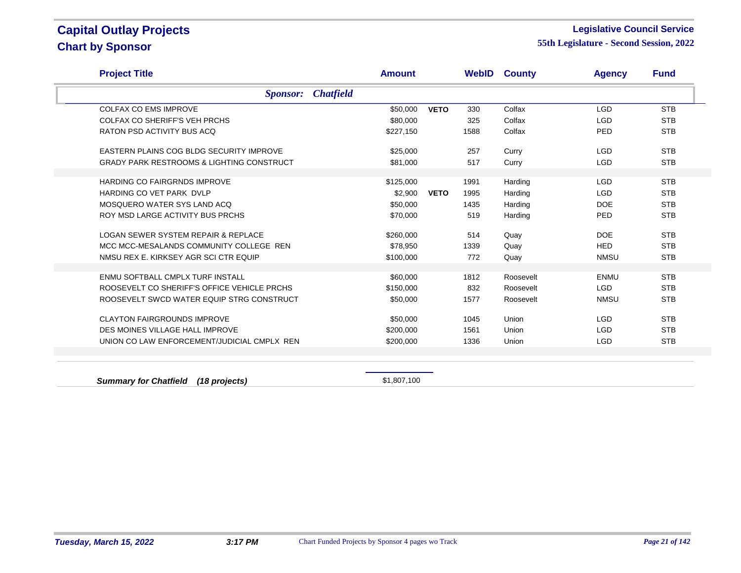#### **Legislative Council Service**

| <b>Project Title</b>                                 | <b>Amount</b>    |             |      | <b>WebID County</b> | <b>Agency</b> | <b>Fund</b> |
|------------------------------------------------------|------------------|-------------|------|---------------------|---------------|-------------|
| <b>Sponsor:</b>                                      | <b>Chatfield</b> |             |      |                     |               |             |
| <b>COLFAX CO EMS IMPROVE</b>                         | \$50,000         | <b>VETO</b> | 330  | Colfax              | <b>LGD</b>    | <b>STB</b>  |
| <b>COLFAX CO SHERIFF'S VEH PRCHS</b>                 | \$80,000         |             | 325  | Colfax              | <b>LGD</b>    | <b>STB</b>  |
| RATON PSD ACTIVITY BUS ACQ                           | \$227,150        |             | 1588 | Colfax              | <b>PED</b>    | <b>STB</b>  |
| EASTERN PLAINS COG BLDG SECURITY IMPROVE             | \$25,000         |             | 257  | Curry               | <b>LGD</b>    | <b>STB</b>  |
| <b>GRADY PARK RESTROOMS &amp; LIGHTING CONSTRUCT</b> | \$81.000         |             | 517  | Curry               | <b>LGD</b>    | <b>STB</b>  |
| HARDING CO FAIRGRNDS IMPROVE                         | \$125,000        |             | 1991 | Harding             | <b>LGD</b>    | <b>STB</b>  |
| HARDING CO VET PARK DVLP                             | \$2,900          | <b>VETO</b> | 1995 | Harding             | <b>LGD</b>    | <b>STB</b>  |
| MOSQUERO WATER SYS LAND ACQ                          | \$50,000         |             | 1435 | Harding             | <b>DOE</b>    | <b>STB</b>  |
| ROY MSD LARGE ACTIVITY BUS PRCHS                     | \$70,000         |             | 519  | Harding             | PED           | <b>STB</b>  |
| <b>LOGAN SEWER SYSTEM REPAIR &amp; REPLACE</b>       | \$260,000        |             | 514  | Quay                | <b>DOE</b>    | <b>STB</b>  |
| MCC MCC-MESALANDS COMMUNITY COLLEGE REN              | \$78,950         |             | 1339 | Quay                | <b>HED</b>    | <b>STB</b>  |
| NMSU REX E. KIRKSEY AGR SCI CTR EQUIP                | \$100,000        |             | 772  | Quay                | <b>NMSU</b>   | <b>STB</b>  |
| ENMU SOFTBALL CMPLX TURF INSTALL                     | \$60,000         |             | 1812 | Roosevelt           | <b>ENMU</b>   | <b>STB</b>  |
| ROOSEVELT CO SHERIFF'S OFFICE VEHICLE PRCHS          | \$150,000        |             | 832  | Roosevelt           | LGD           | <b>STB</b>  |
| ROOSEVELT SWCD WATER EQUIP STRG CONSTRUCT            | \$50,000         |             | 1577 | Roosevelt           | <b>NMSU</b>   | <b>STB</b>  |
| <b>CLAYTON FAIRGROUNDS IMPROVE</b>                   | \$50,000         |             | 1045 | Union               | <b>LGD</b>    | <b>STB</b>  |
| DES MOINES VILLAGE HALL IMPROVE                      | \$200,000        |             | 1561 | Union               | <b>LGD</b>    | <b>STB</b>  |
| UNION CO LAW ENFORCEMENT/JUDICIAL CMPLX REN          | \$200,000        |             | 1336 | Union               | <b>LGD</b>    | <b>STB</b>  |
|                                                      |                  |             |      |                     |               |             |
|                                                      |                  |             |      |                     |               |             |
| <b>Summary for Chatfield</b><br>(18 projects)        | \$1,807,100      |             |      |                     |               |             |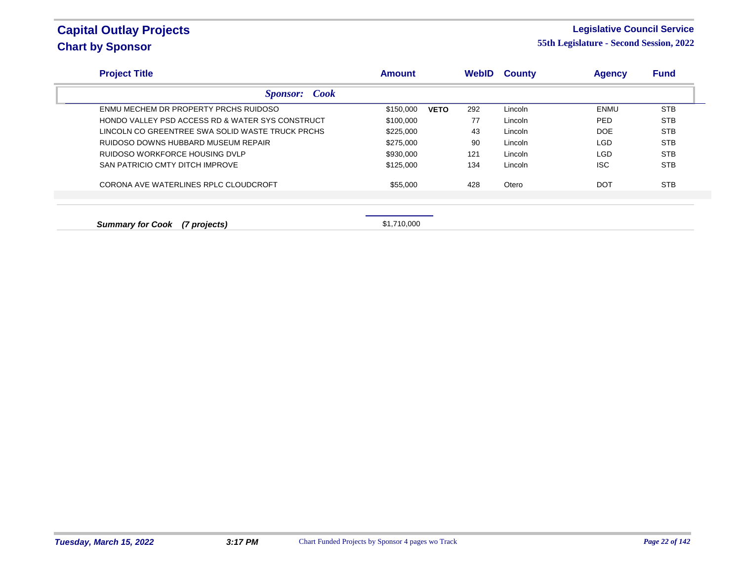#### **Legislative Council Service**

| <b>Project Title</b>                                        | <b>Amount</b>            | <b>WebID</b> | <b>County</b> | <b>Agency</b> | <b>Fund</b> |
|-------------------------------------------------------------|--------------------------|--------------|---------------|---------------|-------------|
| <b>Sponsor:</b> Cook                                        |                          |              |               |               |             |
| ENMU MECHEM DR PROPERTY PRCHS RUIDOSO                       | \$150,000<br><b>VETO</b> | 292          | Lincoln       | ENMU          | STB         |
| <b>HONDO VALLEY PSD ACCESS RD &amp; WATER SYS CONSTRUCT</b> | \$100,000                | 77           | Lincoln       | <b>PED</b>    | <b>STB</b>  |
| LINCOLN CO GREENTREE SWA SOLID WASTE TRUCK PRCHS            | \$225,000                | 43           | Lincoln       | DOE           | <b>STB</b>  |
| RUIDOSO DOWNS HUBBARD MUSEUM REPAIR                         | \$275,000                | 90           | Lincoln       | <b>LGD</b>    | <b>STB</b>  |
| RUIDOSO WORKFORCE HOUSING DVLP                              | \$930,000                | 121          | Lincoln       | <b>LGD</b>    | <b>STB</b>  |
| SAN PATRICIO CMTY DITCH IMPROVE                             | \$125,000                | 134          | Lincoln       | <b>ISC</b>    | <b>STB</b>  |
| CORONA AVE WATERLINES RPLC CLOUDCROFT                       | \$55,000                 | 428          | Otero         | <b>DOT</b>    | <b>STB</b>  |
|                                                             |                          |              |               |               |             |
| <b>Summary for Cook</b><br>(7 projects)                     | \$1.710.000              |              |               |               |             |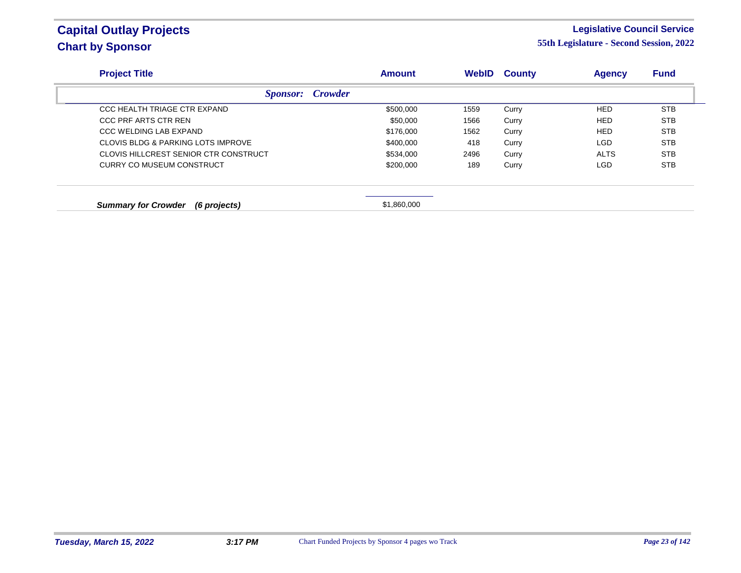#### **Legislative Council Service**

| <b>Project Title</b>                       | <b>Amount</b> | <b>WebID</b> | <b>County</b> | <b>Agency</b> | <b>Fund</b> |
|--------------------------------------------|---------------|--------------|---------------|---------------|-------------|
| <b>Crowder</b><br><i>Sponsor:</i>          |               |              |               |               |             |
| CCC HEALTH TRIAGE CTR EXPAND               | \$500,000     | 1559         | Curry         | <b>HED</b>    | <b>STB</b>  |
| CCC PRF ARTS CTR REN                       | \$50,000      | 1566         | Curry         | <b>HED</b>    | <b>STB</b>  |
| CCC WELDING LAB EXPAND                     | \$176,000     | 1562         | Curry         | <b>HED</b>    | <b>STB</b>  |
| CLOVIS BLDG & PARKING LOTS IMPROVE         | \$400,000     | 418          | Curry         | LGD           | <b>STB</b>  |
| CLOVIS HILLCREST SENIOR CTR CONSTRUCT      | \$534,000     | 2496         | Curry         | <b>ALTS</b>   | <b>STB</b>  |
| CURRY CO MUSEUM CONSTRUCT                  | \$200,000     | 189          | Curry         | LGD           | <b>STB</b>  |
| <b>Summary for Crowder</b><br>(6 projects) | \$1,860,000   |              |               |               |             |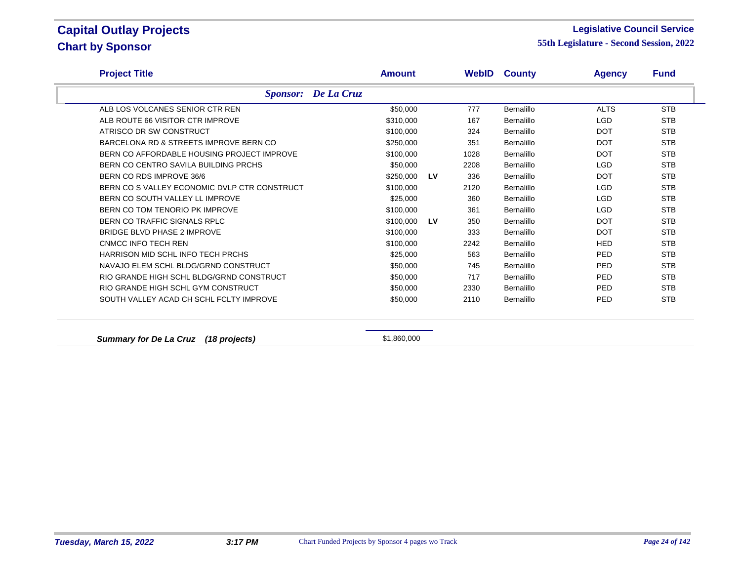#### **Legislative Council Service**

| <b>Project Title</b>                           | <b>Amount</b>              |    |      | <b>WebID County</b> | <b>Agency</b> | <b>Fund</b> |
|------------------------------------------------|----------------------------|----|------|---------------------|---------------|-------------|
|                                                | <b>Sponsor:</b> De La Cruz |    |      |                     |               |             |
| ALB LOS VOLCANES SENIOR CTR REN                | \$50,000                   |    | 777  | <b>Bernalillo</b>   | <b>ALTS</b>   | <b>STB</b>  |
| ALB ROUTE 66 VISITOR CTR IMPROVE               | \$310,000                  |    | 167  | Bernalillo          | <b>LGD</b>    | <b>STB</b>  |
| ATRISCO DR SW CONSTRUCT                        | \$100,000                  |    | 324  | Bernalillo          | <b>DOT</b>    | <b>STB</b>  |
| BARCELONA RD & STREETS IMPROVE BERN CO         | \$250,000                  |    | 351  | Bernalillo          | <b>DOT</b>    | <b>STB</b>  |
| BERN CO AFFORDABLE HOUSING PROJECT IMPROVE     | \$100,000                  |    | 1028 | Bernalillo          | <b>DOT</b>    | <b>STB</b>  |
| BERN CO CENTRO SAVILA BUILDING PRCHS           | \$50,000                   |    | 2208 | Bernalillo          | <b>LGD</b>    | <b>STB</b>  |
| BERN CO RDS IMPROVE 36/6                       | \$250,000                  | LV | 336  | Bernalillo          | <b>DOT</b>    | <b>STB</b>  |
| BERN CO S VALLEY ECONOMIC DVLP CTR CONSTRUCT   | \$100,000                  |    | 2120 | Bernalillo          | <b>LGD</b>    | <b>STB</b>  |
| BERN CO SOUTH VALLEY LL IMPROVE                | \$25,000                   |    | 360  | Bernalillo          | <b>LGD</b>    | <b>STB</b>  |
| BERN CO TOM TENORIO PK IMPROVE                 | \$100,000                  |    | 361  | Bernalillo          | <b>LGD</b>    | <b>STB</b>  |
| BERN CO TRAFFIC SIGNALS RPLC                   | \$100,000                  | LV | 350  | Bernalillo          | <b>DOT</b>    | <b>STB</b>  |
| <b>BRIDGE BLVD PHASE 2 IMPROVE</b>             | \$100,000                  |    | 333  | Bernalillo          | <b>DOT</b>    | <b>STB</b>  |
| CNMCC INFO TECH REN                            | \$100,000                  |    | 2242 | Bernalillo          | <b>HED</b>    | <b>STB</b>  |
| HARRISON MID SCHL INFO TECH PRCHS              | \$25,000                   |    | 563  | Bernalillo          | PED           | <b>STB</b>  |
| NAVAJO ELEM SCHL BLDG/GRND CONSTRUCT           | \$50,000                   |    | 745  | Bernalillo          | PED           | <b>STB</b>  |
| RIO GRANDE HIGH SCHL BLDG/GRND CONSTRUCT       | \$50,000                   |    | 717  | Bernalillo          | PED           | <b>STB</b>  |
| RIO GRANDE HIGH SCHL GYM CONSTRUCT             | \$50,000                   |    | 2330 | Bernalillo          | PED           | <b>STB</b>  |
| SOUTH VALLEY ACAD CH SCHL FCLTY IMPROVE        | \$50,000                   |    | 2110 | Bernalillo          | PED           | <b>STB</b>  |
| <b>Summary for De La Cruz</b><br>(18 projects) | \$1,860,000                |    |      |                     |               |             |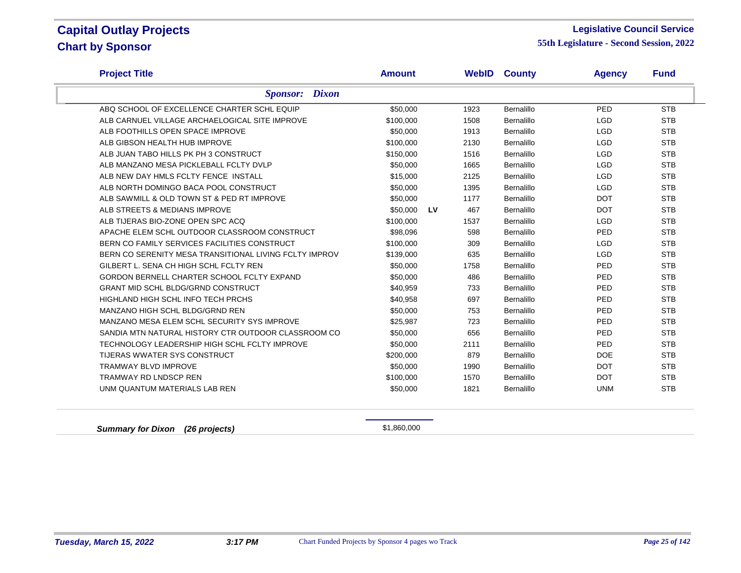#### **Legislative Council Service**

**55th Legislature - Second Session, 2022**

| <b>Project Title</b>                                   | <b>Amount</b> |           |      | <b>WebID County</b> | <b>Agency</b> | <b>Fund</b> |
|--------------------------------------------------------|---------------|-----------|------|---------------------|---------------|-------------|
| <b>Sponsor:</b> Dixon                                  |               |           |      |                     |               |             |
| ABQ SCHOOL OF EXCELLENCE CHARTER SCHL EQUIP            | \$50,000      |           | 1923 | Bernalillo          | <b>PED</b>    | <b>STB</b>  |
| ALB CARNUEL VILLAGE ARCHAELOGICAL SITE IMPROVE         | \$100,000     |           | 1508 | Bernalillo          | <b>LGD</b>    | <b>STB</b>  |
| ALB FOOTHILLS OPEN SPACE IMPROVE                       | \$50,000      |           | 1913 | Bernalillo          | <b>LGD</b>    | <b>STB</b>  |
| ALB GIBSON HEALTH HUB IMPROVE                          | \$100,000     |           | 2130 | Bernalillo          | <b>LGD</b>    | <b>STB</b>  |
| ALB JUAN TABO HILLS PK PH 3 CONSTRUCT                  | \$150,000     |           | 1516 | Bernalillo          | <b>LGD</b>    | <b>STB</b>  |
| ALB MANZANO MESA PICKLEBALL FCLTY DVLP                 | \$50,000      |           | 1665 | Bernalillo          | <b>LGD</b>    | <b>STB</b>  |
| ALB NEW DAY HMLS FCLTY FENCE INSTALL                   | \$15,000      |           | 2125 | Bernalillo          | <b>LGD</b>    | <b>STB</b>  |
| ALB NORTH DOMINGO BACA POOL CONSTRUCT                  | \$50,000      |           | 1395 | Bernalillo          | <b>LGD</b>    | <b>STB</b>  |
| ALB SAWMILL & OLD TOWN ST & PED RT IMPROVE             | \$50,000      |           | 1177 | Bernalillo          | <b>DOT</b>    | <b>STB</b>  |
| ALB STREETS & MEDIANS IMPROVE                          | \$50,000      | <b>LV</b> | 467  | Bernalillo          | <b>DOT</b>    | <b>STB</b>  |
| ALB TIJERAS BIO-ZONE OPEN SPC ACQ                      | \$100,000     |           | 1537 | Bernalillo          | <b>LGD</b>    | <b>STB</b>  |
| APACHE ELEM SCHL OUTDOOR CLASSROOM CONSTRUCT           | \$98,096      |           | 598  | Bernalillo          | PED           | <b>STB</b>  |
| BERN CO FAMILY SERVICES FACILITIES CONSTRUCT           | \$100,000     |           | 309  | Bernalillo          | <b>LGD</b>    | <b>STB</b>  |
| BERN CO SERENITY MESA TRANSITIONAL LIVING FCLTY IMPROV | \$139,000     |           | 635  | Bernalillo          | <b>LGD</b>    | <b>STB</b>  |
| GILBERT L. SENA CH HIGH SCHL FCLTY REN                 | \$50,000      |           | 1758 | Bernalillo          | PED           | <b>STB</b>  |
| GORDON BERNELL CHARTER SCHOOL FCLTY EXPAND             | \$50,000      |           | 486  | Bernalillo          | PED           | <b>STB</b>  |
| <b>GRANT MID SCHL BLDG/GRND CONSTRUCT</b>              | \$40,959      |           | 733  | Bernalillo          | PED           | <b>STB</b>  |
| HIGHLAND HIGH SCHL INFO TECH PRCHS                     | \$40,958      |           | 697  | Bernalillo          | PED           | <b>STB</b>  |
| MANZANO HIGH SCHL BLDG/GRND REN                        | \$50,000      |           | 753  | Bernalillo          | PED           | <b>STB</b>  |
| MANZANO MESA ELEM SCHL SECURITY SYS IMPROVE            | \$25,987      |           | 723  | Bernalillo          | PED           | <b>STB</b>  |
| SANDIA MTN NATURAL HISTORY CTR OUTDOOR CLASSROOM CO    | \$50,000      |           | 656  | Bernalillo          | <b>PED</b>    | <b>STB</b>  |
| TECHNOLOGY LEADERSHIP HIGH SCHL FCLTY IMPROVE          | \$50,000      |           | 2111 | Bernalillo          | PED           | <b>STB</b>  |
| TIJERAS WWATER SYS CONSTRUCT                           | \$200,000     |           | 879  | Bernalillo          | <b>DOE</b>    | <b>STB</b>  |
| <b>TRAMWAY BLVD IMPROVE</b>                            | \$50,000      |           | 1990 | Bernalillo          | <b>DOT</b>    | <b>STB</b>  |
| <b>TRAMWAY RD LNDSCP REN</b>                           | \$100,000     |           | 1570 | Bernalillo          | <b>DOT</b>    | <b>STB</b>  |
| UNM QUANTUM MATERIALS LAB REN                          | \$50,000      |           | 1821 | Bernalillo          | <b>UNM</b>    | <b>STB</b>  |

**Summary for Dixon (26 projects) Summary for Dixon (26 projects) \$1,860,000**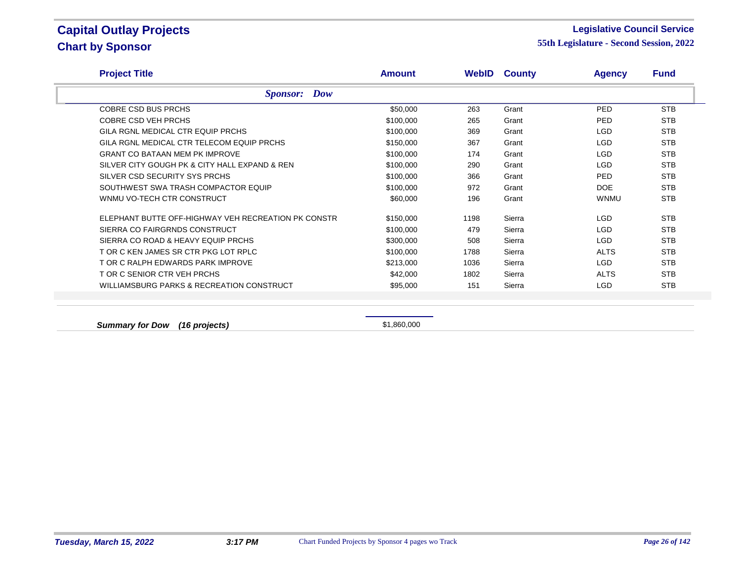#### **Legislative Council Service**

**55th Legislature - Second Session, 2022**

| <b>Sponsor:</b> Dow<br><b>COBRE CSD BUS PRCHS</b><br>COBRE CSD VEH PRCHS<br>GILA RGNL MEDICAL CTR EQUIP PRCHS<br>GILA RGNL MEDICAL CTR TELECOM EQUIP PRCHS<br><b>GRANT CO BATAAN MEM PK IMPROVE</b><br>SILVER CITY GOUGH PK & CITY HALL EXPAND & REN | \$50,000<br>\$100,000<br>\$100,000<br>\$150,000<br>\$100,000<br>\$100,000 | 263<br>265<br>369<br>367<br>174 | Grant<br>Grant<br>Grant<br>Grant<br>Grant | <b>PED</b><br><b>PED</b><br><b>LGD</b><br><b>LGD</b> | <b>STB</b><br><b>STB</b><br><b>STB</b><br><b>STB</b> |
|------------------------------------------------------------------------------------------------------------------------------------------------------------------------------------------------------------------------------------------------------|---------------------------------------------------------------------------|---------------------------------|-------------------------------------------|------------------------------------------------------|------------------------------------------------------|
|                                                                                                                                                                                                                                                      |                                                                           |                                 |                                           |                                                      |                                                      |
|                                                                                                                                                                                                                                                      |                                                                           |                                 |                                           |                                                      |                                                      |
|                                                                                                                                                                                                                                                      |                                                                           |                                 |                                           |                                                      |                                                      |
|                                                                                                                                                                                                                                                      |                                                                           |                                 |                                           |                                                      |                                                      |
|                                                                                                                                                                                                                                                      |                                                                           |                                 |                                           |                                                      |                                                      |
|                                                                                                                                                                                                                                                      |                                                                           |                                 |                                           | <b>LGD</b>                                           | <b>STB</b>                                           |
|                                                                                                                                                                                                                                                      |                                                                           | 290                             | Grant                                     | <b>LGD</b>                                           | <b>STB</b>                                           |
| SILVER CSD SECURITY SYS PRCHS                                                                                                                                                                                                                        | \$100,000                                                                 | 366                             | Grant                                     | PED.                                                 | <b>STB</b>                                           |
| SOUTHWEST SWA TRASH COMPACTOR EQUIP                                                                                                                                                                                                                  | \$100,000                                                                 | 972                             | Grant                                     | DOE                                                  | <b>STB</b>                                           |
| WNMU VO-TECH CTR CONSTRUCT                                                                                                                                                                                                                           | \$60,000                                                                  | 196                             | Grant                                     | <b>WNMU</b>                                          | <b>STB</b>                                           |
| ELEPHANT BUTTE OFF-HIGHWAY VEH RECREATION PK CONSTR                                                                                                                                                                                                  | \$150,000                                                                 | 1198                            | Sierra                                    | <b>LGD</b>                                           | <b>STB</b>                                           |
| SIERRA CO FAIRGRNDS CONSTRUCT                                                                                                                                                                                                                        | \$100,000                                                                 | 479                             | Sierra                                    | LGD                                                  | <b>STB</b>                                           |
| SIERRA CO ROAD & HEAVY EQUIP PRCHS                                                                                                                                                                                                                   | \$300,000                                                                 | 508                             | Sierra                                    | LGD                                                  | <b>STB</b>                                           |
| T OR C KEN JAMES SR CTR PKG LOT RPLC                                                                                                                                                                                                                 | \$100,000                                                                 | 1788                            | Sierra                                    | <b>ALTS</b>                                          | <b>STB</b>                                           |
| T OR C RALPH EDWARDS PARK IMPROVE                                                                                                                                                                                                                    | \$213,000                                                                 | 1036                            | Sierra                                    | <b>LGD</b>                                           | <b>STB</b>                                           |
| T OR C SENIOR CTR VEH PRCHS                                                                                                                                                                                                                          | \$42,000                                                                  | 1802                            | Sierra                                    | <b>ALTS</b>                                          | <b>STB</b>                                           |
| WILLIAMSBURG PARKS & RECREATION CONSTRUCT                                                                                                                                                                                                            | \$95,000                                                                  | 151                             | Sierra                                    | LGD.                                                 | <b>STB</b>                                           |

**Summary for Dow (16 projects) Summary for Dow (16 projects) \$1,860,000**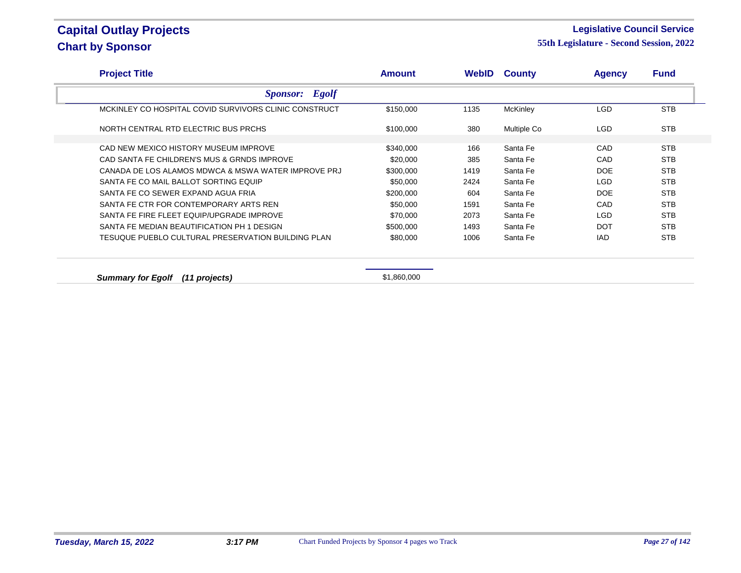#### **Legislative Council Service**

| <b>Project Title</b>                                  | <b>Amount</b> | WebID | <b>County</b>   | <b>Agency</b> | <b>Fund</b> |
|-------------------------------------------------------|---------------|-------|-----------------|---------------|-------------|
| <b>Sponsor:</b> Egolf                                 |               |       |                 |               |             |
| MCKINLEY CO HOSPITAL COVID SURVIVORS CLINIC CONSTRUCT | \$150,000     | 1135  | <b>McKinley</b> | LGD.          | <b>STB</b>  |
| NORTH CENTRAL RTD ELECTRIC BUS PRCHS                  | \$100,000     | 380   | Multiple Co     | LGD.          | <b>STB</b>  |
| CAD NEW MEXICO HISTORY MUSEUM IMPROVE                 | \$340,000     | 166   | Santa Fe        | CAD           | <b>STB</b>  |
| CAD SANTA FE CHILDREN'S MUS & GRNDS IMPROVE           | \$20,000      | 385   | Santa Fe        | CAD           | <b>STB</b>  |
| CANADA DE LOS ALAMOS MDWCA & MSWA WATER IMPROVE PRJ   | \$300,000     | 1419  | Santa Fe        | DOE           | <b>STB</b>  |
| SANTA FE CO MAIL BALLOT SORTING EQUIP                 | \$50,000      | 2424  | Santa Fe        | LGD           | <b>STB</b>  |
| SANTA FE CO SEWER EXPAND AGUA FRIA                    | \$200,000     | 604   | Santa Fe        | DOE           | <b>STB</b>  |
| SANTA FE CTR FOR CONTEMPORARY ARTS REN                | \$50,000      | 1591  | Santa Fe        | CAD           | <b>STB</b>  |
| SANTA FE FIRE FLEET EQUIP/UPGRADE IMPROVE             | \$70,000      | 2073  | Santa Fe        | LGD           | <b>STB</b>  |
| SANTA FE MEDIAN BEAUTIFICATION PH 1 DESIGN            | \$500,000     | 1493  | Santa Fe        | <b>DOT</b>    | <b>STB</b>  |
| TESUQUE PUEBLO CULTURAL PRESERVATION BUILDING PLAN    | \$80,000      | 1006  | Santa Fe        | <b>IAD</b>    | <b>STB</b>  |
|                                                       |               |       |                 |               |             |
| <b>Summary for Egolf</b><br>(11 projects)             | \$1,860,000   |       |                 |               |             |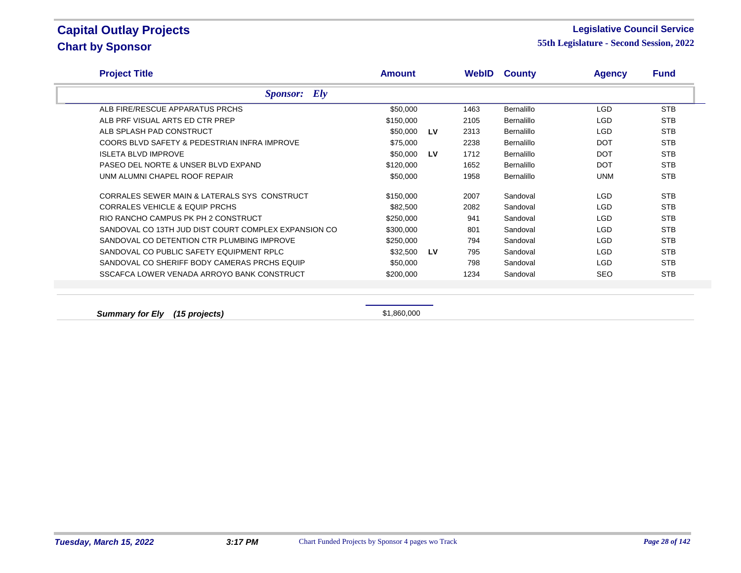#### **Legislative Council Service**

**55th Legislature - Second Session, 2022**

| <b>Project Title</b>                                 | <b>Amount</b> |           | <b>WebID</b> | <b>County</b>     | <b>Agency</b> | <b>Fund</b> |
|------------------------------------------------------|---------------|-----------|--------------|-------------------|---------------|-------------|
| <b>Sponsor:</b> Ely                                  |               |           |              |                   |               |             |
| ALB FIRE/RESCUE APPARATUS PRCHS                      | \$50,000      |           | 1463         | <b>Bernalillo</b> | LGD.          | <b>STB</b>  |
| ALB PRF VISUAL ARTS ED CTR PREP                      | \$150,000     |           | 2105         | <b>Bernalillo</b> | LGD           | <b>STB</b>  |
| ALB SPLASH PAD CONSTRUCT                             | \$50,000      | LV        | 2313         | <b>Bernalillo</b> | LGD           | <b>STB</b>  |
| COORS BLVD SAFETY & PEDESTRIAN INFRA IMPROVE         | \$75,000      |           | 2238         | <b>Bernalillo</b> | <b>DOT</b>    | <b>STB</b>  |
| <b>ISLETA BLVD IMPROVE</b>                           | \$50.000      | <b>LV</b> | 1712         | <b>Bernalillo</b> | <b>DOT</b>    | <b>STB</b>  |
| PASEO DEL NORTE & UNSER BLVD EXPAND                  | \$120,000     |           | 1652         | <b>Bernalillo</b> | <b>DOT</b>    | <b>STB</b>  |
| UNM ALUMNI CHAPEL ROOF REPAIR                        | \$50,000      |           | 1958         | <b>Bernalillo</b> | <b>UNM</b>    | <b>STB</b>  |
| CORRALES SEWER MAIN & LATERALS SYS CONSTRUCT         | \$150,000     |           | 2007         | Sandoval          | LGD           | <b>STB</b>  |
| <b>CORRALES VEHICLE &amp; EQUIP PRCHS</b>            | \$82,500      |           | 2082         | Sandoval          | LGD           | <b>STB</b>  |
| RIO RANCHO CAMPUS PK PH 2 CONSTRUCT                  | \$250,000     |           | 941          | Sandoval          | LGD.          | <b>STB</b>  |
| SANDOVAL CO 13TH JUD DIST COURT COMPLEX EXPANSION CO | \$300,000     |           | 801          | Sandoval          | LGD.          | <b>STB</b>  |
| SANDOVAL CO DETENTION CTR PLUMBING IMPROVE           | \$250,000     |           | 794          | Sandoval          | LGD           | <b>STB</b>  |
| SANDOVAL CO PUBLIC SAFETY EQUIPMENT RPLC             | \$32,500      | LV        | 795          | Sandoval          | LGD.          | <b>STB</b>  |
| SANDOVAL CO SHERIFF BODY CAMERAS PRCHS EQUIP         | \$50,000      |           | 798          | Sandoval          | LGD           | <b>STB</b>  |
| SSCAFCA LOWER VENADA ARROYO BANK CONSTRUCT           | \$200,000     |           | 1234         | Sandoval          | <b>SEO</b>    | <b>STB</b>  |

**Summary for Ely (15 projects)**  $$1,860,000$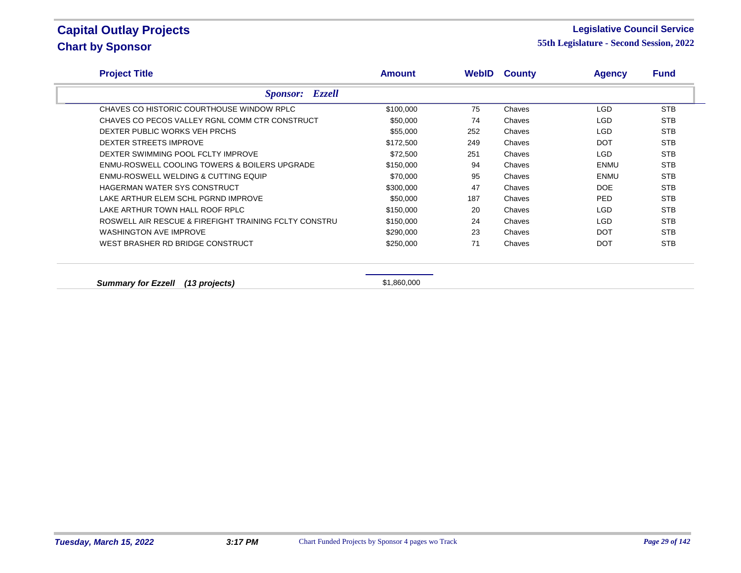#### **Legislative Council Service**

| <b>Project Title</b>                                     | <b>Amount</b> |     | <b>WebID County</b> | <b>Agency</b> | <b>Fund</b> |
|----------------------------------------------------------|---------------|-----|---------------------|---------------|-------------|
| <b>Sponsor:</b> Ezzell                                   |               |     |                     |               |             |
| CHAVES CO HISTORIC COURTHOUSE WINDOW RPLC                | \$100,000     | 75  | Chaves              | <b>LGD</b>    | <b>STB</b>  |
| CHAVES CO PECOS VALLEY RGNL COMM CTR CONSTRUCT           | \$50,000      | 74  | Chaves              | LGD           | <b>STB</b>  |
| DEXTER PUBLIC WORKS VEH PRCHS                            | \$55,000      | 252 | Chaves              | <b>LGD</b>    | <b>STB</b>  |
| DEXTER STREETS IMPROVE                                   | \$172,500     | 249 | Chaves              | <b>DOT</b>    | <b>STB</b>  |
| DEXTER SWIMMING POOL FCLTY IMPROVE                       | \$72,500      | 251 | Chaves              | <b>LGD</b>    | <b>STB</b>  |
| <b>ENMU-ROSWELL COOLING TOWERS &amp; BOILERS UPGRADE</b> | \$150,000     | 94  | Chaves              | <b>ENMU</b>   | <b>STB</b>  |
| <b>ENMU-ROSWELL WELDING &amp; CUTTING EQUIP</b>          | \$70,000      | 95  | Chaves              | <b>ENMU</b>   | <b>STB</b>  |
| HAGERMAN WATER SYS CONSTRUCT                             | \$300,000     | 47  | Chaves              | DOE           | <b>STB</b>  |
| LAKE ARTHUR ELEM SCHL PGRND IMPROVE                      | \$50,000      | 187 | Chaves              | <b>PED</b>    | <b>STB</b>  |
| LAKE ARTHUR TOWN HALL ROOF RPLC                          | \$150,000     | 20  | Chaves              | <b>LGD</b>    | <b>STB</b>  |
| ROSWELL AIR RESCUE & FIREFIGHT TRAINING FCLTY CONSTRU    | \$150,000     | 24  | Chaves              | <b>LGD</b>    | <b>STB</b>  |
| <b>WASHINGTON AVE IMPROVE</b>                            | \$290,000     | 23  | Chaves              | <b>DOT</b>    | <b>STB</b>  |
| WEST BRASHER RD BRIDGE CONSTRUCT                         | \$250,000     | 71  | Chaves              | <b>DOT</b>    | <b>STB</b>  |
|                                                          |               |     |                     |               |             |
|                                                          |               |     |                     |               |             |
| (13 projects)<br><b>Summary for Ezzell</b>               | \$1,860,000   |     |                     |               |             |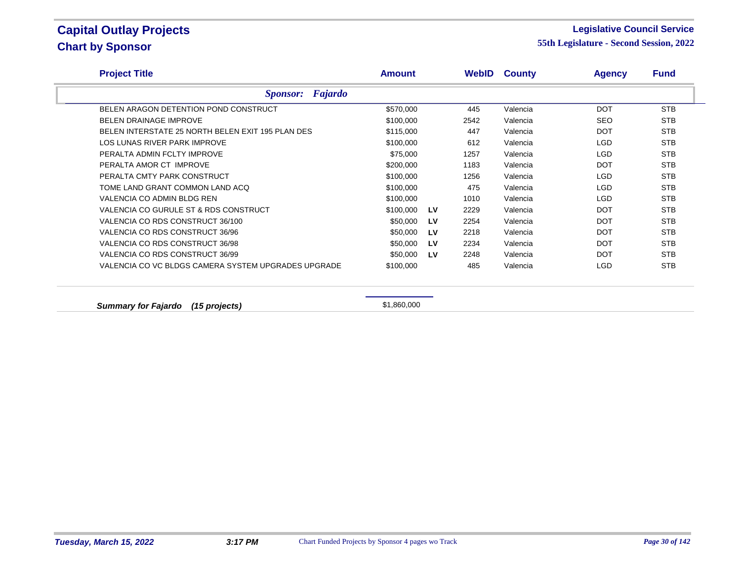#### **Legislative Council Service**

**55th Legislature - Second Session, 2022**

| <b>Project Title</b>                                | <b>Amount</b> |    | <b>WebID</b> | <b>County</b> | <b>Agency</b> | <b>Fund</b> |  |
|-----------------------------------------------------|---------------|----|--------------|---------------|---------------|-------------|--|
| <b>Sponsor:</b> Fajardo                             |               |    |              |               |               |             |  |
| BELEN ARAGON DETENTION POND CONSTRUCT               | \$570,000     |    | 445          | Valencia      | <b>DOT</b>    | <b>STB</b>  |  |
| <b>BELEN DRAINAGE IMPROVE</b>                       | \$100,000     |    | 2542         | Valencia      | <b>SEO</b>    | <b>STB</b>  |  |
| BELEN INTERSTATE 25 NORTH BELEN EXIT 195 PLAN DES   | \$115,000     |    | 447          | Valencia      | <b>DOT</b>    | <b>STB</b>  |  |
| LOS LUNAS RIVER PARK IMPROVE                        | \$100,000     |    | 612          | Valencia      | <b>LGD</b>    | <b>STB</b>  |  |
| PERALTA ADMIN FCLTY IMPROVE                         | \$75,000      |    | 1257         | Valencia      | <b>LGD</b>    | <b>STB</b>  |  |
| PERALTA AMOR CT IMPROVE                             | \$200,000     |    | 1183         | Valencia      | <b>DOT</b>    | <b>STB</b>  |  |
| PERALTA CMTY PARK CONSTRUCT                         | \$100,000     |    | 1256         | Valencia      | <b>LGD</b>    | <b>STB</b>  |  |
| TOME LAND GRANT COMMON LAND ACO                     | \$100,000     |    | 475          | Valencia      | <b>LGD</b>    | <b>STB</b>  |  |
| VALENCIA CO ADMIN BLDG REN                          | \$100,000     |    | 1010         | Valencia      | <b>LGD</b>    | <b>STB</b>  |  |
| VALENCIA CO GURULE ST & RDS CONSTRUCT               | \$100,000     | LV | 2229         | Valencia      | <b>DOT</b>    | <b>STB</b>  |  |
| VALENCIA CO RDS CONSTRUCT 36/100                    | \$50,000      | LV | 2254         | Valencia      | <b>DOT</b>    | <b>STB</b>  |  |
| VALENCIA CO RDS CONSTRUCT 36/96                     | \$50,000      | LV | 2218         | Valencia      | <b>DOT</b>    | <b>STB</b>  |  |
| VALENCIA CO RDS CONSTRUCT 36/98                     | \$50,000      | LV | 2234         | Valencia      | <b>DOT</b>    | <b>STB</b>  |  |
| VALENCIA CO RDS CONSTRUCT 36/99                     | \$50,000      | LV | 2248         | Valencia      | <b>DOT</b>    | <b>STB</b>  |  |
| VALENCIA CO VC BLDGS CAMERA SYSTEM UPGRADES UPGRADE | \$100,000     |    | 485          | Valencia      | <b>LGD</b>    | <b>STB</b>  |  |

**Summary for Fajardo** (15 projects) **51,860,000**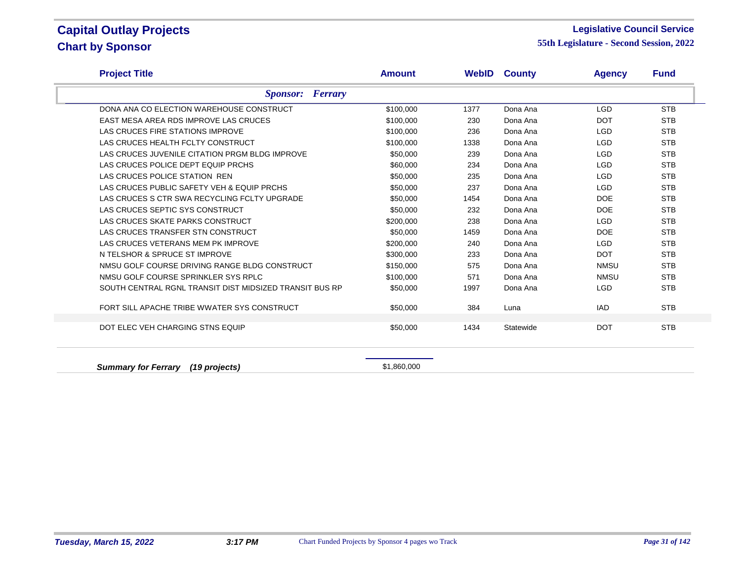#### **Legislative Council Service**

**55th Legislature - Second Session, 2022**

| <b>Project Title</b>                                    | <b>Amount</b> | WebID | <b>County</b> | <b>Agency</b> | <b>Fund</b> |
|---------------------------------------------------------|---------------|-------|---------------|---------------|-------------|
| <b>Sponsor:</b> Ferrary                                 |               |       |               |               |             |
| DONA ANA CO ELECTION WAREHOUSE CONSTRUCT                | \$100,000     | 1377  | Dona Ana      | <b>LGD</b>    | <b>STB</b>  |
| EAST MESA AREA RDS IMPROVE LAS CRUCES                   | \$100,000     | 230   | Dona Ana      | <b>DOT</b>    | <b>STB</b>  |
| LAS CRUCES FIRE STATIONS IMPROVE                        | \$100,000     | 236   | Dona Ana      | <b>LGD</b>    | <b>STB</b>  |
| LAS CRUCES HEALTH FCLTY CONSTRUCT                       | \$100,000     | 1338  | Dona Ana      | <b>LGD</b>    | <b>STB</b>  |
| LAS CRUCES JUVENILE CITATION PRGM BLDG IMPROVE          | \$50,000      | 239   | Dona Ana      | <b>LGD</b>    | <b>STB</b>  |
| LAS CRUCES POLICE DEPT EQUIP PRCHS                      | \$60,000      | 234   | Dona Ana      | <b>LGD</b>    | <b>STB</b>  |
| LAS CRUCES POLICE STATION REN                           | \$50,000      | 235   | Dona Ana      | <b>LGD</b>    | <b>STB</b>  |
| LAS CRUCES PUBLIC SAFETY VEH & EQUIP PRCHS              | \$50,000      | 237   | Dona Ana      | <b>LGD</b>    | <b>STB</b>  |
| LAS CRUCES S CTR SWA RECYCLING FCLTY UPGRADE            | \$50,000      | 1454  | Dona Ana      | <b>DOE</b>    | <b>STB</b>  |
| LAS CRUCES SEPTIC SYS CONSTRUCT                         | \$50,000      | 232   | Dona Ana      | <b>DOE</b>    | <b>STB</b>  |
| LAS CRUCES SKATE PARKS CONSTRUCT                        | \$200,000     | 238   | Dona Ana      | <b>LGD</b>    | <b>STB</b>  |
| LAS CRUCES TRANSFER STN CONSTRUCT                       | \$50,000      | 1459  | Dona Ana      | <b>DOE</b>    | <b>STB</b>  |
| LAS CRUCES VETERANS MEM PK IMPROVE                      | \$200,000     | 240   | Dona Ana      | <b>LGD</b>    | <b>STB</b>  |
| N TELSHOR & SPRUCE ST IMPROVE                           | \$300,000     | 233   | Dona Ana      | <b>DOT</b>    | <b>STB</b>  |
| NMSU GOLF COURSE DRIVING RANGE BLDG CONSTRUCT           | \$150,000     | 575   | Dona Ana      | NMSU          | <b>STB</b>  |
| NMSU GOLF COURSE SPRINKLER SYS RPLC                     | \$100,000     | 571   | Dona Ana      | NMSU          | <b>STB</b>  |
| SOUTH CENTRAL RGNL TRANSIT DIST MIDSIZED TRANSIT BUS RP | \$50,000      | 1997  | Dona Ana      | <b>LGD</b>    | <b>STB</b>  |
| FORT SILL APACHE TRIBE WWATER SYS CONSTRUCT             | \$50,000      | 384   | Luna          | <b>IAD</b>    | <b>STB</b>  |
| DOT ELEC VEH CHARGING STNS EQUIP                        | \$50,000      | 1434  | Statewide     | <b>DOT</b>    | <b>STB</b>  |

**Summary for Ferrary (19 projects) Summary 60 and S1,860,000**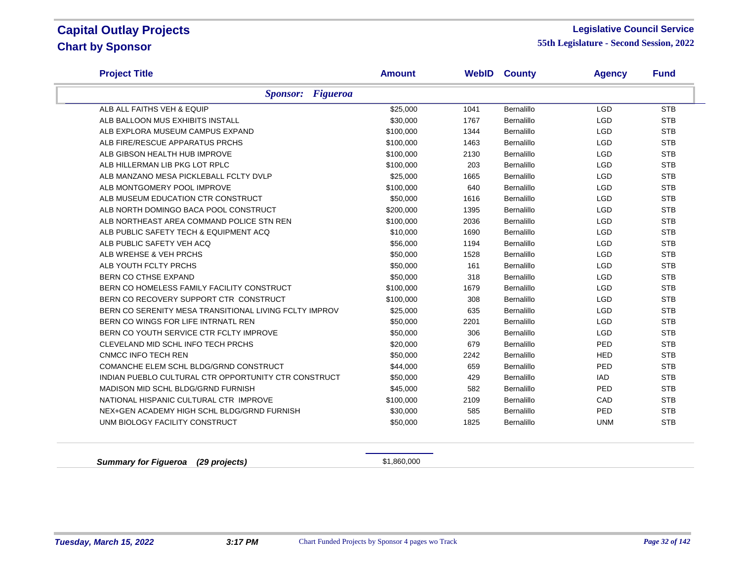#### **Legislative Council Service**

**55th Legislature - Second Session, 2022**

| <b>Project Title</b>                                   | <b>Amount</b> | WebID | <b>County</b>     | <b>Agency</b> | <b>Fund</b> |
|--------------------------------------------------------|---------------|-------|-------------------|---------------|-------------|
| <b>Sponsor:</b> Figueroa                               |               |       |                   |               |             |
| ALB ALL FAITHS VEH & EQUIP                             | \$25,000      | 1041  | Bernalillo        | <b>LGD</b>    | <b>STB</b>  |
| ALB BALLOON MUS EXHIBITS INSTALL                       | \$30,000      | 1767  | <b>Bernalillo</b> | <b>LGD</b>    | <b>STB</b>  |
| ALB EXPLORA MUSEUM CAMPUS EXPAND                       | \$100,000     | 1344  | <b>Bernalillo</b> | <b>LGD</b>    | <b>STB</b>  |
| ALB FIRE/RESCUE APPARATUS PRCHS                        | \$100,000     | 1463  | Bernalillo        | <b>LGD</b>    | <b>STB</b>  |
| ALB GIBSON HEALTH HUB IMPROVE                          | \$100,000     | 2130  | <b>Bernalillo</b> | <b>LGD</b>    | <b>STB</b>  |
| ALB HILLERMAN LIB PKG LOT RPLC                         | \$100,000     | 203   | Bernalillo        | <b>LGD</b>    | <b>STB</b>  |
| ALB MANZANO MESA PICKLEBALL FCLTY DVLP                 | \$25,000      | 1665  | Bernalillo        | <b>LGD</b>    | <b>STB</b>  |
| ALB MONTGOMERY POOL IMPROVE                            | \$100,000     | 640   | Bernalillo        | <b>LGD</b>    | <b>STB</b>  |
| ALB MUSEUM EDUCATION CTR CONSTRUCT                     | \$50,000      | 1616  | Bernalillo        | <b>LGD</b>    | <b>STB</b>  |
| ALB NORTH DOMINGO BACA POOL CONSTRUCT                  | \$200,000     | 1395  | Bernalillo        | <b>LGD</b>    | <b>STB</b>  |
| ALB NORTHEAST AREA COMMAND POLICE STN REN              | \$100,000     | 2036  | Bernalillo        | <b>LGD</b>    | <b>STB</b>  |
| ALB PUBLIC SAFETY TECH & EQUIPMENT ACQ                 | \$10,000      | 1690  | Bernalillo        | <b>LGD</b>    | <b>STB</b>  |
| ALB PUBLIC SAFETY VEH ACQ                              | \$56,000      | 1194  | <b>Bernalillo</b> | <b>LGD</b>    | <b>STB</b>  |
| ALB WREHSE & VEH PRCHS                                 | \$50,000      | 1528  | <b>Bernalillo</b> | <b>LGD</b>    | <b>STB</b>  |
| ALB YOUTH FCLTY PRCHS                                  | \$50,000      | 161   | Bernalillo        | <b>LGD</b>    | <b>STB</b>  |
| BERN CO CTHSE EXPAND                                   | \$50,000      | 318   | Bernalillo        | <b>LGD</b>    | <b>STB</b>  |
| BERN CO HOMELESS FAMILY FACILITY CONSTRUCT             | \$100,000     | 1679  | <b>Bernalillo</b> | <b>LGD</b>    | <b>STB</b>  |
| BERN CO RECOVERY SUPPORT CTR CONSTRUCT                 | \$100,000     | 308   | Bernalillo        | <b>LGD</b>    | <b>STB</b>  |
| BERN CO SERENITY MESA TRANSITIONAL LIVING FCLTY IMPROV | \$25,000      | 635   | Bernalillo        | <b>LGD</b>    | <b>STB</b>  |
| BERN CO WINGS FOR LIFE INTRNATL REN                    | \$50,000      | 2201  | <b>Bernalillo</b> | <b>LGD</b>    | <b>STB</b>  |
| BERN CO YOUTH SERVICE CTR FCLTY IMPROVE                | \$50,000      | 306   | Bernalillo        | <b>LGD</b>    | <b>STB</b>  |
| CLEVELAND MID SCHL INFO TECH PRCHS                     | \$20,000      | 679   | Bernalillo        | PED           | <b>STB</b>  |
| <b>CNMCC INFO TECH REN</b>                             | \$50,000      | 2242  | Bernalillo        | <b>HED</b>    | <b>STB</b>  |
| COMANCHE ELEM SCHL BLDG/GRND CONSTRUCT                 | \$44,000      | 659   | Bernalillo        | PED           | <b>STB</b>  |
| INDIAN PUEBLO CULTURAL CTR OPPORTUNITY CTR CONSTRUCT   | \$50,000      | 429   | <b>Bernalillo</b> | <b>IAD</b>    | <b>STB</b>  |
| MADISON MID SCHL BLDG/GRND FURNISH                     | \$45,000      | 582   | <b>Bernalillo</b> | PED           | <b>STB</b>  |
| NATIONAL HISPANIC CULTURAL CTR IMPROVE                 | \$100,000     | 2109  | Bernalillo        | CAD           | <b>STB</b>  |
| NEX+GEN ACADEMY HIGH SCHL BLDG/GRND FURNISH            | \$30,000      | 585   | Bernalillo        | PED           | <b>STB</b>  |
| UNM BIOLOGY FACILITY CONSTRUCT                         | \$50,000      | 1825  | Bernalillo        | <b>UNM</b>    | <b>STB</b>  |

**Summary for Figueroa** (29 projects) **51,860,000** \$1,860,000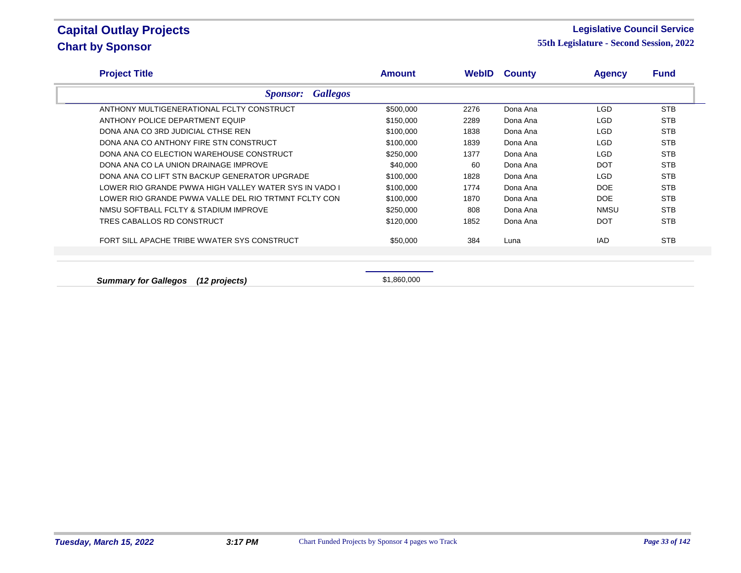#### **Legislative Council Service**

**55th Legislature - Second Session, 2022**

| <b>Project Title</b>                                  | <b>Amount</b> | WebID | <b>County</b> | <b>Agency</b> | <b>Fund</b> |
|-------------------------------------------------------|---------------|-------|---------------|---------------|-------------|
| <b>Gallegos</b><br><b>Sponsor:</b>                    |               |       |               |               |             |
| ANTHONY MULTIGENERATIONAL FCLTY CONSTRUCT             | \$500,000     | 2276  | Dona Ana      | <b>LGD</b>    | <b>STB</b>  |
| ANTHONY POLICE DEPARTMENT EQUIP                       | \$150,000     | 2289  | Dona Ana      | LGD.          | <b>STB</b>  |
| DONA ANA CO 3RD JUDICIAL CTHSE REN                    | \$100,000     | 1838  | Dona Ana      | LGD.          | <b>STB</b>  |
| DONA ANA CO ANTHONY FIRE STN CONSTRUCT                | \$100,000     | 1839  | Dona Ana      | <b>LGD</b>    | <b>STB</b>  |
| DONA ANA CO ELECTION WAREHOUSE CONSTRUCT              | \$250,000     | 1377  | Dona Ana      | <b>LGD</b>    | <b>STB</b>  |
| DONA ANA CO LA UNION DRAINAGE IMPROVE                 | \$40,000      | 60    | Dona Ana      | DOT           | <b>STB</b>  |
| DONA ANA CO LIFT STN BACKUP GENERATOR UPGRADE         | \$100,000     | 1828  | Dona Ana      | <b>LGD</b>    | <b>STB</b>  |
| LOWER RIO GRANDE PWWA HIGH VALLEY WATER SYS IN VADO I | \$100,000     | 1774  | Dona Ana      | <b>DOE</b>    | <b>STB</b>  |
| LOWER RIO GRANDE PWWA VALLE DEL RIO TRTMNT FCLTY CON  | \$100,000     | 1870  | Dona Ana      | <b>DOE</b>    | <b>STB</b>  |
| NMSU SOFTBALL FCLTY & STADIUM IMPROVE                 | \$250,000     | 808   | Dona Ana      | <b>NMSU</b>   | <b>STB</b>  |
| TRES CABALLOS RD CONSTRUCT                            | \$120,000     | 1852  | Dona Ana      | <b>DOT</b>    | <b>STB</b>  |
| FORT SILL APACHE TRIBE WWATER SYS CONSTRUCT           | \$50,000      | 384   | Luna          | <b>IAD</b>    | <b>STB</b>  |
|                                                       |               |       |               |               |             |

**Summary for Gallegos (12 projects)** \$1,860,000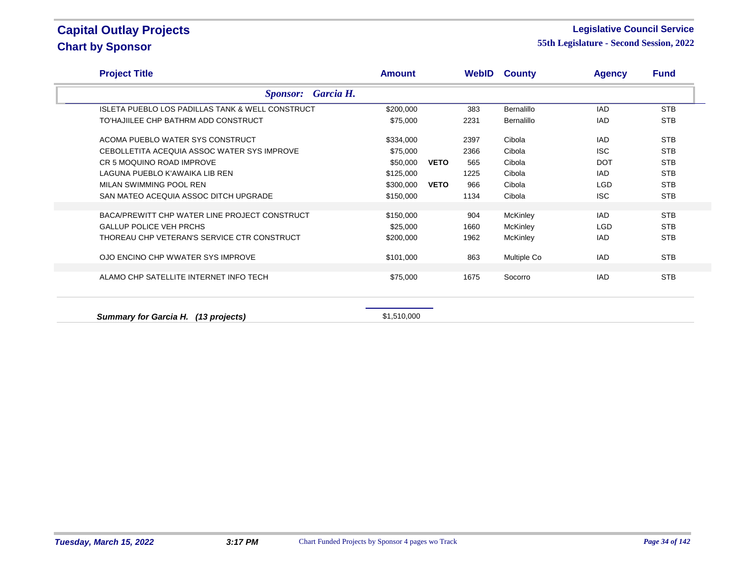#### **Legislative Council Service**

| <b>Project Title</b>                                        | <b>Amount</b> |             |      | <b>WebID County</b> | <b>Agency</b> | <b>Fund</b> |  |
|-------------------------------------------------------------|---------------|-------------|------|---------------------|---------------|-------------|--|
| Garcia H.<br><b>Sponsor:</b>                                |               |             |      |                     |               |             |  |
| <b>ISLETA PUEBLO LOS PADILLAS TANK &amp; WELL CONSTRUCT</b> | \$200,000     |             | 383  | <b>Bernalillo</b>   | IAD           | <b>STB</b>  |  |
| TO'HAJIILEE CHP BATHRM ADD CONSTRUCT                        | \$75,000      |             | 2231 | <b>Bernalillo</b>   | IAD           | <b>STB</b>  |  |
| ACOMA PUEBLO WATER SYS CONSTRUCT                            | \$334,000     |             | 2397 | Cibola              | IAD.          | <b>STB</b>  |  |
| CEBOLLETITA ACEQUIA ASSOC WATER SYS IMPROVE                 | \$75,000      |             | 2366 | Cibola              | <b>ISC</b>    | <b>STB</b>  |  |
| CR 5 MOQUINO ROAD IMPROVE                                   | \$50,000      | <b>VETO</b> | 565  | Cibola              | <b>DOT</b>    | <b>STB</b>  |  |
| LAGUNA PUEBLO K'AWAIKA LIB REN                              | \$125,000     |             | 1225 | Cibola              | IAD           | <b>STB</b>  |  |
| MILAN SWIMMING POOL REN                                     | \$300,000     | <b>VETO</b> | 966  | Cibola              | <b>LGD</b>    | <b>STB</b>  |  |
| SAN MATEO ACEQUIA ASSOC DITCH UPGRADE                       | \$150,000     |             | 1134 | Cibola              | <b>ISC</b>    | <b>STB</b>  |  |
|                                                             |               |             |      |                     |               |             |  |
| BACA/PREWITT CHP WATER LINE PROJECT CONSTRUCT               | \$150,000     |             | 904  | McKinley            | IAD.          | <b>STB</b>  |  |
| <b>GALLUP POLICE VEH PRCHS</b>                              | \$25,000      |             | 1660 | McKinley            | <b>LGD</b>    | <b>STB</b>  |  |
| THOREAU CHP VETERAN'S SERVICE CTR CONSTRUCT                 | \$200,000     |             | 1962 | <b>McKinley</b>     | IAD           | <b>STB</b>  |  |
| OJO ENCINO CHP WWATER SYS IMPROVE                           | \$101,000     |             | 863  | Multiple Co         | IAD.          | <b>STB</b>  |  |
| ALAMO CHP SATELLITE INTERNET INFO TECH                      | \$75,000      |             | 1675 | Socorro             | IAD           | <b>STB</b>  |  |
| Summary for Garcia H. (13 projects)                         | \$1,510,000   |             |      |                     |               |             |  |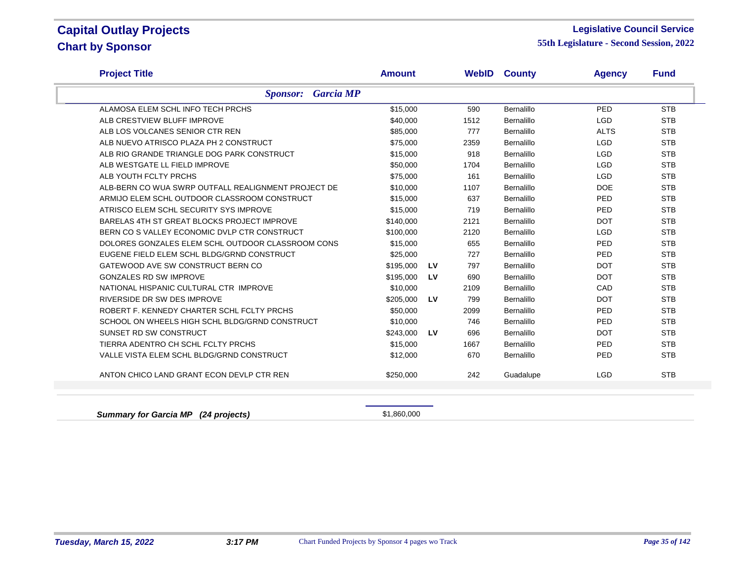#### **Legislative Council Service**

**55th Legislature - Second Session, 2022**

| <b>Project Title</b>                                | <b>Amount</b> |    |      | <b>WebID County</b> | <b>Agency</b> | <b>Fund</b> |
|-----------------------------------------------------|---------------|----|------|---------------------|---------------|-------------|
| <b>Garcia MP</b><br><b>Sponsor:</b>                 |               |    |      |                     |               |             |
| ALAMOSA ELEM SCHL INFO TECH PRCHS                   | \$15,000      |    | 590  | Bernalillo          | PED           | <b>STB</b>  |
| ALB CRESTVIEW BLUFF IMPROVE                         | \$40,000      |    | 1512 | <b>Bernalillo</b>   | <b>LGD</b>    | <b>STB</b>  |
| ALB LOS VOLCANES SENIOR CTR REN                     | \$85,000      |    | 777  | Bernalillo          | <b>ALTS</b>   | <b>STB</b>  |
| ALB NUEVO ATRISCO PLAZA PH 2 CONSTRUCT              | \$75,000      |    | 2359 | <b>Bernalillo</b>   | <b>LGD</b>    | <b>STB</b>  |
| ALB RIO GRANDE TRIANGLE DOG PARK CONSTRUCT          | \$15,000      |    | 918  | <b>Bernalillo</b>   | <b>LGD</b>    | <b>STB</b>  |
| ALB WESTGATE LL FIELD IMPROVE                       | \$50,000      |    | 1704 | <b>Bernalillo</b>   | <b>LGD</b>    | <b>STB</b>  |
| ALB YOUTH FCLTY PRCHS                               | \$75,000      |    | 161  | Bernalillo          | <b>LGD</b>    | <b>STB</b>  |
| ALB-BERN CO WUA SWRP OUTFALL REALIGNMENT PROJECT DE | \$10,000      |    | 1107 | <b>Bernalillo</b>   | <b>DOE</b>    | <b>STB</b>  |
| ARMIJO ELEM SCHL OUTDOOR CLASSROOM CONSTRUCT        | \$15,000      |    | 637  | Bernalillo          | PED           | <b>STB</b>  |
| ATRISCO ELEM SCHL SECURITY SYS IMPROVE              | \$15,000      |    | 719  | Bernalillo          | PED           | <b>STB</b>  |
| BARELAS 4TH ST GREAT BLOCKS PROJECT IMPROVE         | \$140,000     |    | 2121 | <b>Bernalillo</b>   | <b>DOT</b>    | <b>STB</b>  |
| BERN CO S VALLEY ECONOMIC DVLP CTR CONSTRUCT        | \$100,000     |    | 2120 | Bernalillo          | <b>LGD</b>    | <b>STB</b>  |
| DOLORES GONZALES ELEM SCHL OUTDOOR CLASSROOM CONS   | \$15,000      |    | 655  | Bernalillo          | PED           | <b>STB</b>  |
| EUGENE FIELD ELEM SCHL BLDG/GRND CONSTRUCT          | \$25,000      |    | 727  | Bernalillo          | PED           | <b>STB</b>  |
| GATEWOOD AVE SW CONSTRUCT BERN CO                   | \$195,000     | LV | 797  | Bernalillo          | <b>DOT</b>    | <b>STB</b>  |
| <b>GONZALES RD SW IMPROVE</b>                       | \$195,000     | LV | 690  | Bernalillo          | <b>DOT</b>    | <b>STB</b>  |
| NATIONAL HISPANIC CULTURAL CTR IMPROVE              | \$10,000      |    | 2109 | Bernalillo          | CAD           | <b>STB</b>  |
| RIVERSIDE DR SW DES IMPROVE                         | \$205,000     | LV | 799  | Bernalillo          | <b>DOT</b>    | <b>STB</b>  |
| ROBERT F. KENNEDY CHARTER SCHL FCLTY PRCHS          | \$50,000      |    | 2099 | Bernalillo          | PED           | <b>STB</b>  |
| SCHOOL ON WHEELS HIGH SCHL BLDG/GRND CONSTRUCT      | \$10,000      |    | 746  | Bernalillo          | PED           | <b>STB</b>  |
| SUNSET RD SW CONSTRUCT                              | \$243,000     | LV | 696  | Bernalillo          | <b>DOT</b>    | <b>STB</b>  |
| TIERRA ADENTRO CH SCHL FCLTY PRCHS                  | \$15,000      |    | 1667 | Bernalillo          | PED           | <b>STB</b>  |
| VALLE VISTA ELEM SCHL BLDG/GRND CONSTRUCT           | \$12,000      |    | 670  | Bernalillo          | PED           | <b>STB</b>  |
| ANTON CHICO LAND GRANT ECON DEVLP CTR REN           | \$250,000     |    | 242  | Guadalupe           | <b>LGD</b>    | <b>STB</b>  |
|                                                     |               |    |      |                     |               |             |
|                                                     |               |    |      |                     |               |             |

**Summary for Garcia MP (24 projects) Summary for Garcia MP** (24 projects)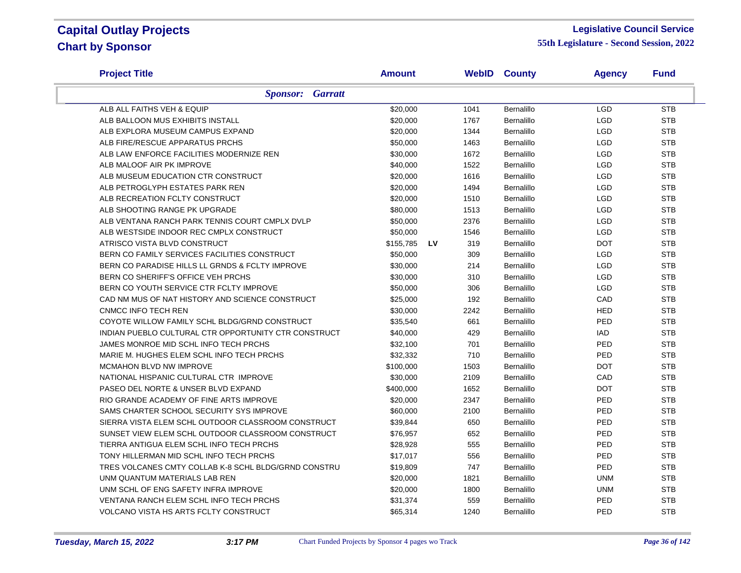#### **Legislative Council Service**

| <b>Project Title</b>                                 | <b>Amount</b> |    |      | <b>WebID County</b> | <b>Agency</b> | <b>Fund</b> |
|------------------------------------------------------|---------------|----|------|---------------------|---------------|-------------|
| <b>Sponsor:</b> Garratt                              |               |    |      |                     |               |             |
| ALB ALL FAITHS VEH & EQUIP                           | \$20,000      |    | 1041 | Bernalillo          | <b>LGD</b>    | <b>STB</b>  |
| ALB BALLOON MUS EXHIBITS INSTALL                     | \$20,000      |    | 1767 | Bernalillo          | <b>LGD</b>    | <b>STB</b>  |
| ALB EXPLORA MUSEUM CAMPUS EXPAND                     | \$20,000      |    | 1344 | Bernalillo          | <b>LGD</b>    | <b>STB</b>  |
| ALB FIRE/RESCUE APPARATUS PRCHS                      | \$50,000      |    | 1463 | <b>Bernalillo</b>   | LGD           | <b>STB</b>  |
| ALB LAW ENFORCE FACILITIES MODERNIZE REN             | \$30,000      |    | 1672 | Bernalillo          | <b>LGD</b>    | <b>STB</b>  |
| ALB MALOOF AIR PK IMPROVE                            | \$40,000      |    | 1522 | <b>Bernalillo</b>   | <b>LGD</b>    | <b>STB</b>  |
| ALB MUSEUM EDUCATION CTR CONSTRUCT                   | \$20,000      |    | 1616 | Bernalillo          | <b>LGD</b>    | <b>STB</b>  |
| ALB PETROGLYPH ESTATES PARK REN                      | \$20,000      |    | 1494 | <b>Bernalillo</b>   | <b>LGD</b>    | <b>STB</b>  |
| ALB RECREATION FCLTY CONSTRUCT                       | \$20,000      |    | 1510 | <b>Bernalillo</b>   | LGD           | <b>STB</b>  |
| ALB SHOOTING RANGE PK UPGRADE                        | \$80,000      |    | 1513 | <b>Bernalillo</b>   | <b>LGD</b>    | <b>STB</b>  |
| ALB VENTANA RANCH PARK TENNIS COURT CMPLX DVLP       | \$50,000      |    | 2376 | <b>Bernalillo</b>   | <b>LGD</b>    | <b>STB</b>  |
| ALB WESTSIDE INDOOR REC CMPLX CONSTRUCT              | \$50,000      |    | 1546 | Bernalillo          | <b>LGD</b>    | <b>STB</b>  |
| ATRISCO VISTA BLVD CONSTRUCT                         | \$155,785     | LV | 319  | Bernalillo          | <b>DOT</b>    | <b>STB</b>  |
| BERN CO FAMILY SERVICES FACILITIES CONSTRUCT         | \$50,000      |    | 309  | <b>Bernalillo</b>   | <b>LGD</b>    | <b>STB</b>  |
| BERN CO PARADISE HILLS LL GRNDS & FCLTY IMPROVE      | \$30,000      |    | 214  | <b>Bernalillo</b>   | <b>LGD</b>    | <b>STB</b>  |
| BERN CO SHERIFF'S OFFICE VEH PRCHS                   | \$30,000      |    | 310  | <b>Bernalillo</b>   | <b>LGD</b>    | <b>STB</b>  |
| BERN CO YOUTH SERVICE CTR FCLTY IMPROVE              | \$50,000      |    | 306  | Bernalillo          | <b>LGD</b>    | <b>STB</b>  |
| CAD NM MUS OF NAT HISTORY AND SCIENCE CONSTRUCT      | \$25,000      |    | 192  | <b>Bernalillo</b>   | CAD           | <b>STB</b>  |
| CNMCC INFO TECH REN                                  | \$30,000      |    | 2242 | Bernalillo          | <b>HED</b>    | <b>STB</b>  |
| COYOTE WILLOW FAMILY SCHL BLDG/GRND CONSTRUCT        | \$35,540      |    | 661  | <b>Bernalillo</b>   | PED           | <b>STB</b>  |
| INDIAN PUEBLO CULTURAL CTR OPPORTUNITY CTR CONSTRUCT | \$40,000      |    | 429  | <b>Bernalillo</b>   | <b>IAD</b>    | <b>STB</b>  |
| JAMES MONROE MID SCHL INFO TECH PRCHS                | \$32,100      |    | 701  | <b>Bernalillo</b>   | PED           | <b>STB</b>  |
| MARIE M. HUGHES ELEM SCHL INFO TECH PRCHS            | \$32,332      |    | 710  | <b>Bernalillo</b>   | PED           | <b>STB</b>  |
| <b>MCMAHON BLVD NW IMPROVE</b>                       | \$100,000     |    | 1503 | <b>Bernalillo</b>   | <b>DOT</b>    | <b>STB</b>  |
| NATIONAL HISPANIC CULTURAL CTR IMPROVE               | \$30,000      |    | 2109 | <b>Bernalillo</b>   | CAD           | <b>STB</b>  |
| PASEO DEL NORTE & UNSER BLVD EXPAND                  | \$400,000     |    | 1652 | Bernalillo          | <b>DOT</b>    | <b>STB</b>  |
| RIO GRANDE ACADEMY OF FINE ARTS IMPROVE              | \$20,000      |    | 2347 | Bernalillo          | PED           | <b>STB</b>  |
| SAMS CHARTER SCHOOL SECURITY SYS IMPROVE             | \$60,000      |    | 2100 | <b>Bernalillo</b>   | PED           | <b>STB</b>  |
| SIERRA VISTA ELEM SCHL OUTDOOR CLASSROOM CONSTRUCT   | \$39,844      |    | 650  | <b>Bernalillo</b>   | PED           | <b>STB</b>  |
| SUNSET VIEW ELEM SCHL OUTDOOR CLASSROOM CONSTRUCT    | \$76,957      |    | 652  | <b>Bernalillo</b>   | PED           | <b>STB</b>  |
| TIERRA ANTIGUA ELEM SCHL INFO TECH PRCHS             | \$28,928      |    | 555  | <b>Bernalillo</b>   | PED           | <b>STB</b>  |
| TONY HILLERMAN MID SCHL INFO TECH PRCHS              | \$17,017      |    | 556  | Bernalillo          | PED           | <b>STB</b>  |
| TRES VOLCANES CMTY COLLAB K-8 SCHL BLDG/GRND CONSTRU | \$19,809      |    | 747  | Bernalillo          | PED           | <b>STB</b>  |
| UNM QUANTUM MATERIALS LAB REN                        | \$20,000      |    | 1821 | <b>Bernalillo</b>   | <b>UNM</b>    | <b>STB</b>  |
| UNM SCHL OF ENG SAFETY INFRA IMPROVE                 | \$20,000      |    | 1800 | Bernalillo          | <b>UNM</b>    | <b>STB</b>  |
| VENTANA RANCH ELEM SCHL INFO TECH PRCHS              | \$31,374      |    | 559  | Bernalillo          | PED           | <b>STB</b>  |
| <b>VOLCANO VISTA HS ARTS FCLTY CONSTRUCT</b>         | \$65,314      |    | 1240 | <b>Bernalillo</b>   | PED           | <b>STB</b>  |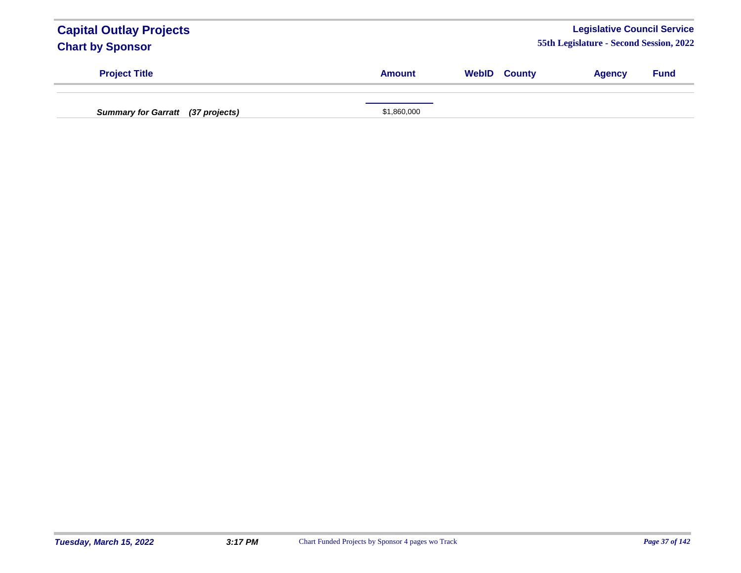| <b>Capital Outlay Projects</b><br><b>Chart by Sponsor</b> |               |                     | <b>Legislative Council Service</b><br>55th Legislature - Second Session, 2022 |             |
|-----------------------------------------------------------|---------------|---------------------|-------------------------------------------------------------------------------|-------------|
| <b>Project Title</b>                                      | <b>Amount</b> | <b>WebID County</b> | <b>Agency</b>                                                                 | <b>Fund</b> |
| <b>Summary for Garratt</b> (37 projects)                  | \$1,860,000   |                     |                                                                               |             |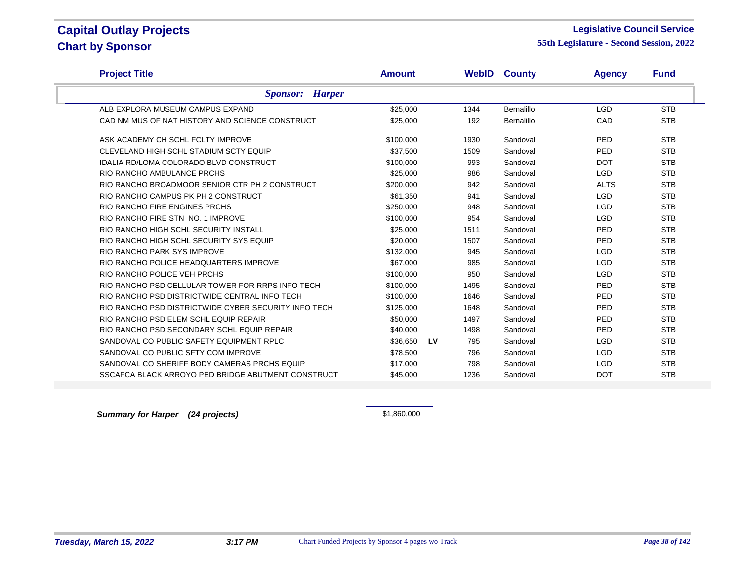### **Legislative Council Service**

**55th Legislature - Second Session, 2022**

| <b>Project Title</b>                                 | <b>Amount</b> |    | WebID | <b>County</b>     | <b>Agency</b> | <b>Fund</b> |
|------------------------------------------------------|---------------|----|-------|-------------------|---------------|-------------|
| <b>Sponsor:</b> Harper                               |               |    |       |                   |               |             |
| ALB EXPLORA MUSEUM CAMPUS EXPAND                     | \$25,000      |    | 1344  | <b>Bernalillo</b> | <b>LGD</b>    | <b>STB</b>  |
| CAD NM MUS OF NAT HISTORY AND SCIENCE CONSTRUCT      | \$25,000      |    | 192   | <b>Bernalillo</b> | CAD           | <b>STB</b>  |
| ASK ACADEMY CH SCHL FCLTY IMPROVE                    | \$100,000     |    | 1930  | Sandoval          | <b>PED</b>    | <b>STB</b>  |
| CLEVELAND HIGH SCHL STADIUM SCTY EQUIP               | \$37,500      |    | 1509  | Sandoval          | PED           | <b>STB</b>  |
| <b>IDALIA RD/LOMA COLORADO BLVD CONSTRUCT</b>        | \$100,000     |    | 993   | Sandoval          | <b>DOT</b>    | <b>STB</b>  |
| RIO RANCHO AMBULANCE PRCHS                           | \$25,000      |    | 986   | Sandoval          | <b>LGD</b>    | <b>STB</b>  |
| RIO RANCHO BROADMOOR SENIOR CTR PH 2 CONSTRUCT       | \$200,000     |    | 942   | Sandoval          | <b>ALTS</b>   | <b>STB</b>  |
| RIO RANCHO CAMPUS PK PH 2 CONSTRUCT                  | \$61.350      |    | 941   | Sandoval          | <b>LGD</b>    | <b>STB</b>  |
| RIO RANCHO FIRE ENGINES PRCHS                        | \$250,000     |    | 948   | Sandoval          | <b>LGD</b>    | <b>STB</b>  |
| RIO RANCHO FIRE STN NO. 1 IMPROVE                    | \$100,000     |    | 954   | Sandoval          | <b>LGD</b>    | <b>STB</b>  |
| RIO RANCHO HIGH SCHL SECURITY INSTALL                | \$25,000      |    | 1511  | Sandoval          | PED           | <b>STB</b>  |
| RIO RANCHO HIGH SCHL SECURITY SYS EQUIP              | \$20,000      |    | 1507  | Sandoval          | <b>PED</b>    | <b>STB</b>  |
| RIO RANCHO PARK SYS IMPROVE                          | \$132,000     |    | 945   | Sandoval          | <b>LGD</b>    | <b>STB</b>  |
| RIO RANCHO POLICE HEADQUARTERS IMPROVE               | \$67,000      |    | 985   | Sandoval          | <b>LGD</b>    | <b>STB</b>  |
| RIO RANCHO POLICE VEH PRCHS                          | \$100,000     |    | 950   | Sandoval          | <b>LGD</b>    | <b>STB</b>  |
| RIO RANCHO PSD CELLULAR TOWER FOR RRPS INFO TECH     | \$100,000     |    | 1495  | Sandoval          | PED           | <b>STB</b>  |
| RIO RANCHO PSD DISTRICTWIDE CENTRAL INFO TECH        | \$100,000     |    | 1646  | Sandoval          | <b>PED</b>    | <b>STB</b>  |
| RIO RANCHO PSD DISTRICTWIDE CYBER SECURITY INFO TECH | \$125,000     |    | 1648  | Sandoval          | <b>PED</b>    | <b>STB</b>  |
| RIO RANCHO PSD ELEM SCHL EQUIP REPAIR                | \$50,000      |    | 1497  | Sandoval          | PED           | <b>STB</b>  |
| RIO RANCHO PSD SECONDARY SCHL EQUIP REPAIR           | \$40,000      |    | 1498  | Sandoval          | <b>PED</b>    | <b>STB</b>  |
| SANDOVAL CO PUBLIC SAFETY EQUIPMENT RPLC             | \$36,650      | LV | 795   | Sandoval          | <b>LGD</b>    | <b>STB</b>  |
| SANDOVAL CO PUBLIC SFTY COM IMPROVE                  | \$78.500      |    | 796   | Sandoval          | <b>LGD</b>    | <b>STB</b>  |
| SANDOVAL CO SHERIFF BODY CAMERAS PRCHS EQUIP         | \$17,000      |    | 798   | Sandoval          | <b>LGD</b>    | <b>STB</b>  |
| SSCAFCA BLACK ARROYO PED BRIDGE ABUTMENT CONSTRUCT   | \$45,000      |    | 1236  | Sandoval          | <b>DOT</b>    | <b>STB</b>  |
|                                                      |               |    |       |                   |               |             |

**Summary for Harper (24 projects) Summary for Harper** (24 projects)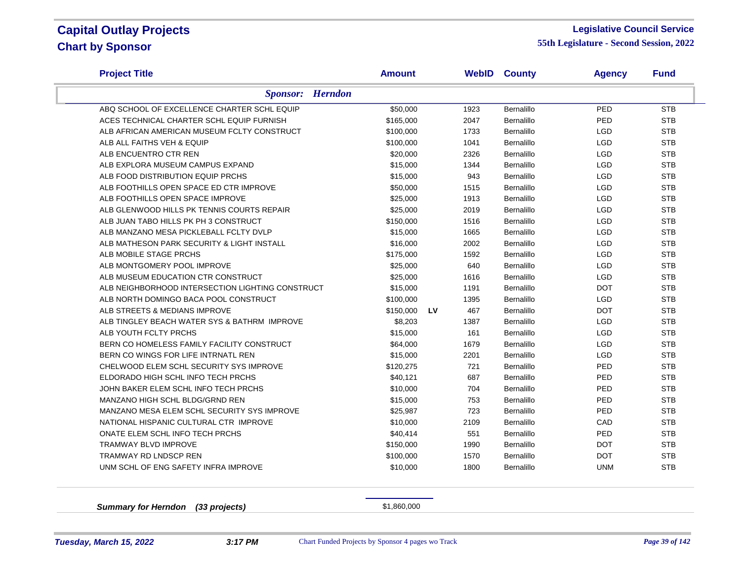### **Legislative Council Service**

**55th Legislature - Second Session, 2022**

| <b>Project Title</b>                             | <b>Amount</b> | <b>WebID</b> | <b>County</b>     | <b>Agency</b> | <b>Fund</b> |
|--------------------------------------------------|---------------|--------------|-------------------|---------------|-------------|
| <b>Sponsor:</b> Herndon                          |               |              |                   |               |             |
| ABQ SCHOOL OF EXCELLENCE CHARTER SCHL EQUIP      | \$50,000      | 1923         | Bernalillo        | PED           | <b>STB</b>  |
| ACES TECHNICAL CHARTER SCHL EQUIP FURNISH        | \$165,000     | 2047         | Bernalillo        | PED           | <b>STB</b>  |
| ALB AFRICAN AMERICAN MUSEUM FCLTY CONSTRUCT      | \$100,000     | 1733         | Bernalillo        | <b>LGD</b>    | <b>STB</b>  |
| ALB ALL FAITHS VEH & EQUIP                       | \$100,000     | 1041         | Bernalillo        | <b>LGD</b>    | <b>STB</b>  |
| ALB ENCUENTRO CTR REN                            | \$20,000      | 2326         | Bernalillo        | <b>LGD</b>    | <b>STB</b>  |
| ALB EXPLORA MUSEUM CAMPUS EXPAND                 | \$15,000      | 1344         | <b>Bernalillo</b> | <b>LGD</b>    | <b>STB</b>  |
| ALB FOOD DISTRIBUTION EQUIP PRCHS                | \$15,000      | 943          | <b>Bernalillo</b> | <b>LGD</b>    | <b>STB</b>  |
| ALB FOOTHILLS OPEN SPACE ED CTR IMPROVE          | \$50,000      | 1515         | Bernalillo        | <b>LGD</b>    | <b>STB</b>  |
| ALB FOOTHILLS OPEN SPACE IMPROVE                 | \$25,000      | 1913         | <b>Bernalillo</b> | <b>LGD</b>    | <b>STB</b>  |
| ALB GLENWOOD HILLS PK TENNIS COURTS REPAIR       | \$25,000      | 2019         | <b>Bernalillo</b> | <b>LGD</b>    | <b>STB</b>  |
| ALB JUAN TABO HILLS PK PH 3 CONSTRUCT            | \$150,000     | 1516         | Bernalillo        | <b>LGD</b>    | <b>STB</b>  |
| ALB MANZANO MESA PICKLEBALL FCLTY DVLP           | \$15,000      | 1665         | <b>Bernalillo</b> | <b>LGD</b>    | <b>STB</b>  |
| ALB MATHESON PARK SECURITY & LIGHT INSTALL       | \$16,000      | 2002         | <b>Bernalillo</b> | <b>LGD</b>    | <b>STB</b>  |
| ALB MOBILE STAGE PRCHS                           | \$175,000     | 1592         | Bernalillo        | <b>LGD</b>    | <b>STB</b>  |
| ALB MONTGOMERY POOL IMPROVE                      | \$25,000      | 640          | Bernalillo        | <b>LGD</b>    | <b>STB</b>  |
| ALB MUSEUM EDUCATION CTR CONSTRUCT               | \$25,000      | 1616         | Bernalillo        | <b>LGD</b>    | <b>STB</b>  |
| ALB NEIGHBORHOOD INTERSECTION LIGHTING CONSTRUCT | \$15,000      | 1191         | Bernalillo        | <b>DOT</b>    | <b>STB</b>  |
| ALB NORTH DOMINGO BACA POOL CONSTRUCT            | \$100,000     | 1395         | <b>Bernalillo</b> | <b>LGD</b>    | <b>STB</b>  |
| ALB STREETS & MEDIANS IMPROVE                    | \$150,000     | 467<br>LV    | Bernalillo        | <b>DOT</b>    | <b>STB</b>  |
| ALB TINGLEY BEACH WATER SYS & BATHRM IMPROVE     | \$8,203       | 1387         | Bernalillo        | <b>LGD</b>    | <b>STB</b>  |
| ALB YOUTH FCLTY PRCHS                            | \$15,000      | 161          | Bernalillo        | LGD           | <b>STB</b>  |
| BERN CO HOMELESS FAMILY FACILITY CONSTRUCT       | \$64,000      | 1679         | Bernalillo        | <b>LGD</b>    | <b>STB</b>  |
| BERN CO WINGS FOR LIFE INTRNATL REN              | \$15,000      | 2201         | Bernalillo        | <b>LGD</b>    | <b>STB</b>  |
| CHELWOOD ELEM SCHL SECURITY SYS IMPROVE          | \$120,275     | 721          | Bernalillo        | PED           | <b>STB</b>  |
| ELDORADO HIGH SCHL INFO TECH PRCHS               | \$40,121      | 687          | Bernalillo        | PED           | <b>STB</b>  |
| JOHN BAKER ELEM SCHL INFO TECH PRCHS             | \$10,000      | 704          | <b>Bernalillo</b> | PED           | <b>STB</b>  |
| MANZANO HIGH SCHL BLDG/GRND REN                  | \$15,000      | 753          | Bernalillo        | PED           | <b>STB</b>  |
| MANZANO MESA ELEM SCHL SECURITY SYS IMPROVE      | \$25,987      | 723          | Bernalillo        | PED           | <b>STB</b>  |
| NATIONAL HISPANIC CULTURAL CTR IMPROVE           | \$10,000      | 2109         | Bernalillo        | CAD           | <b>STB</b>  |
| ONATE ELEM SCHL INFO TECH PRCHS                  | \$40,414      | 551          | Bernalillo        | PED           | <b>STB</b>  |
| TRAMWAY BLVD IMPROVE                             | \$150,000     | 1990         | Bernalillo        | <b>DOT</b>    | <b>STB</b>  |
| <b>TRAMWAY RD LNDSCP REN</b>                     | \$100,000     | 1570         | Bernalillo        | <b>DOT</b>    | <b>STB</b>  |
| UNM SCHL OF ENG SAFETY INFRA IMPROVE             | \$10,000      | 1800         | Bernalillo        | <b>UNM</b>    | <b>STB</b>  |

**Summary for Herndon (33 projects)** \$1,860,000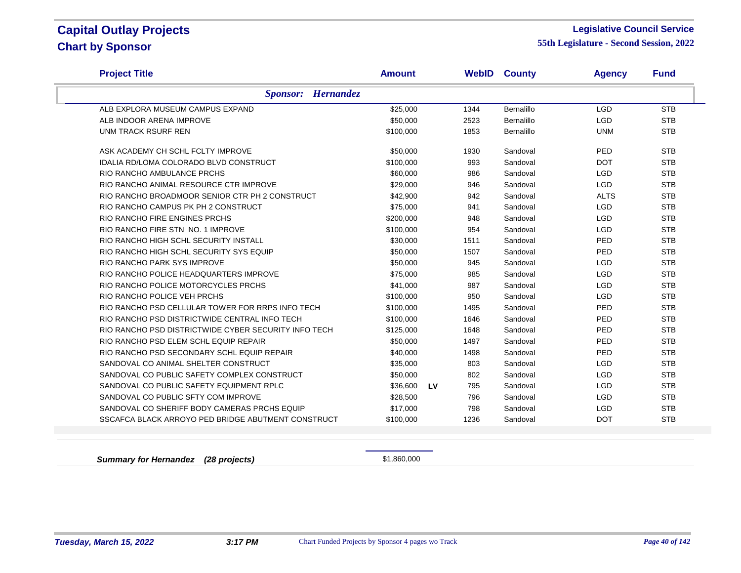### **Legislative Council Service**

**55th Legislature - Second Session, 2022**

| <b>Project Title</b>                                 | <b>Amount</b> |    | <b>WebID</b> | <b>County</b>     | <b>Agency</b> | <b>Fund</b> |
|------------------------------------------------------|---------------|----|--------------|-------------------|---------------|-------------|
| <b>Sponsor:</b> Hernandez                            |               |    |              |                   |               |             |
| ALB EXPLORA MUSEUM CAMPUS EXPAND                     | \$25,000      |    | 1344         | <b>Bernalillo</b> | <b>LGD</b>    | <b>STB</b>  |
| ALB INDOOR ARENA IMPROVE                             | \$50,000      |    | 2523         | Bernalillo        | <b>LGD</b>    | <b>STB</b>  |
| UNM TRACK RSURF REN                                  | \$100,000     |    | 1853         | Bernalillo        | <b>UNM</b>    | <b>STB</b>  |
| ASK ACADEMY CH SCHL FCLTY IMPROVE                    | \$50,000      |    | 1930         | Sandoval          | PED           | <b>STB</b>  |
| <b>IDALIA RD/LOMA COLORADO BLVD CONSTRUCT</b>        | \$100,000     |    | 993          | Sandoval          | <b>DOT</b>    | <b>STB</b>  |
| RIO RANCHO AMBULANCE PRCHS                           | \$60,000      |    | 986          | Sandoval          | <b>LGD</b>    | <b>STB</b>  |
| RIO RANCHO ANIMAL RESOURCE CTR IMPROVE               | \$29,000      |    | 946          | Sandoval          | <b>LGD</b>    | <b>STB</b>  |
| RIO RANCHO BROADMOOR SENIOR CTR PH 2 CONSTRUCT       | \$42,900      |    | 942          | Sandoval          | <b>ALTS</b>   | <b>STB</b>  |
| RIO RANCHO CAMPUS PK PH 2 CONSTRUCT                  | \$75,000      |    | 941          | Sandoval          | <b>LGD</b>    | <b>STB</b>  |
| RIO RANCHO FIRE ENGINES PRCHS                        | \$200,000     |    | 948          | Sandoval          | <b>LGD</b>    | <b>STB</b>  |
| RIO RANCHO FIRE STN NO. 1 IMPROVE                    | \$100,000     |    | 954          | Sandoval          | <b>LGD</b>    | <b>STB</b>  |
| RIO RANCHO HIGH SCHL SECURITY INSTALL                | \$30,000      |    | 1511         | Sandoval          | PED           | <b>STB</b>  |
| RIO RANCHO HIGH SCHL SECURITY SYS EQUIP              | \$50,000      |    | 1507         | Sandoval          | PED           | <b>STB</b>  |
| RIO RANCHO PARK SYS IMPROVE                          | \$50,000      |    | 945          | Sandoval          | <b>LGD</b>    | <b>STB</b>  |
| RIO RANCHO POLICE HEADQUARTERS IMPROVE               | \$75,000      |    | 985          | Sandoval          | <b>LGD</b>    | <b>STB</b>  |
| RIO RANCHO POLICE MOTORCYCLES PRCHS                  | \$41,000      |    | 987          | Sandoval          | <b>LGD</b>    | <b>STB</b>  |
| RIO RANCHO POLICE VEH PRCHS                          | \$100,000     |    | 950          | Sandoval          | <b>LGD</b>    | <b>STB</b>  |
| RIO RANCHO PSD CELLULAR TOWER FOR RRPS INFO TECH     | \$100,000     |    | 1495         | Sandoval          | PED           | <b>STB</b>  |
| RIO RANCHO PSD DISTRICTWIDE CENTRAL INFO TECH        | \$100,000     |    | 1646         | Sandoval          | PED           | <b>STB</b>  |
| RIO RANCHO PSD DISTRICTWIDE CYBER SECURITY INFO TECH | \$125,000     |    | 1648         | Sandoval          | PED           | <b>STB</b>  |
| RIO RANCHO PSD ELEM SCHL EQUIP REPAIR                | \$50,000      |    | 1497         | Sandoval          | PED           | <b>STB</b>  |
| RIO RANCHO PSD SECONDARY SCHL EQUIP REPAIR           | \$40,000      |    | 1498         | Sandoval          | PED           | <b>STB</b>  |
| SANDOVAL CO ANIMAL SHELTER CONSTRUCT                 | \$35,000      |    | 803          | Sandoval          | <b>LGD</b>    | <b>STB</b>  |
| SANDOVAL CO PUBLIC SAFETY COMPLEX CONSTRUCT          | \$50,000      |    | 802          | Sandoval          | <b>LGD</b>    | <b>STB</b>  |
| SANDOVAL CO PUBLIC SAFETY EQUIPMENT RPLC             | \$36,600      | LV | 795          | Sandoval          | <b>LGD</b>    | <b>STB</b>  |
| SANDOVAL CO PUBLIC SFTY COM IMPROVE                  | \$28,500      |    | 796          | Sandoval          | <b>LGD</b>    | <b>STB</b>  |
| SANDOVAL CO SHERIFF BODY CAMERAS PRCHS EQUIP         | \$17,000      |    | 798          | Sandoval          | <b>LGD</b>    | <b>STB</b>  |
| SSCAFCA BLACK ARROYO PED BRIDGE ABUTMENT CONSTRUCT   | \$100,000     |    | 1236         | Sandoval          | <b>DOT</b>    | <b>STB</b>  |

**Summary for Hernandez (28 projects) Summary for Hernandez (28 projects) \$1,860,000**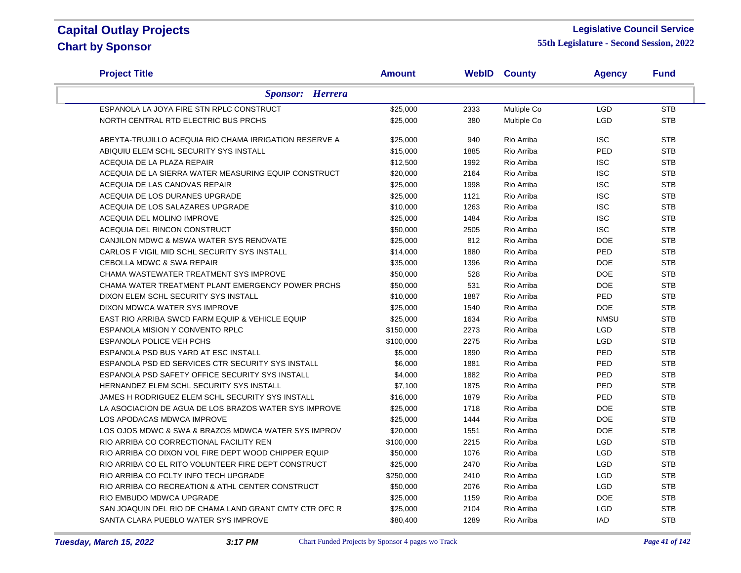### **Legislative Council Service**

| <b>Project Title</b>                                   | <b>Amount</b> |      | <b>WebID County</b> | <b>Agency</b> | <b>Fund</b> |
|--------------------------------------------------------|---------------|------|---------------------|---------------|-------------|
| <b>Sponsor:</b> Herrera                                |               |      |                     |               |             |
| ESPANOLA LA JOYA FIRE STN RPLC CONSTRUCT               | \$25,000      | 2333 | Multiple Co         | <b>LGD</b>    | <b>STB</b>  |
| NORTH CENTRAL RTD ELECTRIC BUS PRCHS                   | \$25,000      | 380  | Multiple Co         | <b>LGD</b>    | <b>STB</b>  |
| ABEYTA-TRUJILLO ACEQUIA RIO CHAMA IRRIGATION RESERVE A | \$25,000      | 940  | Rio Arriba          | <b>ISC</b>    | <b>STB</b>  |
| ABIQUIU ELEM SCHL SECURITY SYS INSTALL                 | \$15,000      | 1885 | Rio Arriba          | PED           | <b>STB</b>  |
| ACEQUIA DE LA PLAZA REPAIR                             | \$12,500      | 1992 | Rio Arriba          | <b>ISC</b>    | <b>STB</b>  |
| ACEQUIA DE LA SIERRA WATER MEASURING EQUIP CONSTRUCT   | \$20,000      | 2164 | Rio Arriba          | <b>ISC</b>    | <b>STB</b>  |
| ACEQUIA DE LAS CANOVAS REPAIR                          | \$25,000      | 1998 | Rio Arriba          | <b>ISC</b>    | <b>STB</b>  |
| ACEQUIA DE LOS DURANES UPGRADE                         | \$25,000      | 1121 | Rio Arriba          | <b>ISC</b>    | <b>STB</b>  |
| ACEQUIA DE LOS SALAZARES UPGRADE                       | \$10,000      | 1263 | Rio Arriba          | <b>ISC</b>    | <b>STB</b>  |
| ACEQUIA DEL MOLINO IMPROVE                             | \$25,000      | 1484 | Rio Arriba          | <b>ISC</b>    | <b>STB</b>  |
| ACEQUIA DEL RINCON CONSTRUCT                           | \$50,000      | 2505 | Rio Arriba          | <b>ISC</b>    | <b>STB</b>  |
| CANJILON MDWC & MSWA WATER SYS RENOVATE                | \$25,000      | 812  | Rio Arriba          | <b>DOE</b>    | <b>STB</b>  |
| CARLOS F VIGIL MID SCHL SECURITY SYS INSTALL           | \$14,000      | 1880 | Rio Arriba          | <b>PED</b>    | <b>STB</b>  |
| <b>CEBOLLA MDWC &amp; SWA REPAIR</b>                   | \$35,000      | 1396 | Rio Arriba          | <b>DOE</b>    | <b>STB</b>  |
| CHAMA WASTEWATER TREATMENT SYS IMPROVE                 | \$50,000      | 528  | Rio Arriba          | <b>DOE</b>    | <b>STB</b>  |
| CHAMA WATER TREATMENT PLANT EMERGENCY POWER PRCHS      | \$50,000      | 531  | Rio Arriba          | <b>DOE</b>    | <b>STB</b>  |
| DIXON ELEM SCHL SECURITY SYS INSTALL                   | \$10,000      | 1887 | Rio Arriba          | <b>PED</b>    | <b>STB</b>  |
| DIXON MDWCA WATER SYS IMPROVE                          | \$25,000      | 1540 | Rio Arriba          | <b>DOE</b>    | <b>STB</b>  |
| EAST RIO ARRIBA SWCD FARM EQUIP & VEHICLE EQUIP        | \$25,000      | 1634 | Rio Arriba          | <b>NMSU</b>   | <b>STB</b>  |
| <b>ESPANOLA MISION Y CONVENTO RPLC</b>                 | \$150,000     | 2273 | Rio Arriba          | LGD           | <b>STB</b>  |
| <b>ESPANOLA POLICE VEH PCHS</b>                        | \$100,000     | 2275 | Rio Arriba          | LGD           | <b>STB</b>  |
| ESPANOLA PSD BUS YARD AT ESC INSTALL                   | \$5,000       | 1890 | Rio Arriba          | PED           | <b>STB</b>  |
| ESPANOLA PSD ED SERVICES CTR SECURITY SYS INSTALL      | \$6,000       | 1881 | Rio Arriba          | PED           | <b>STB</b>  |
| ESPANOLA PSD SAFETY OFFICE SECURITY SYS INSTALL        | \$4,000       | 1882 | Rio Arriba          | PED           | <b>STB</b>  |
| HERNANDEZ ELEM SCHL SECURITY SYS INSTALL               | \$7,100       | 1875 | Rio Arriba          | PED           | <b>STB</b>  |
| JAMES H RODRIGUEZ ELEM SCHL SECURITY SYS INSTALL       | \$16,000      | 1879 | Rio Arriba          | PED           | <b>STB</b>  |
| LA ASOCIACION DE AGUA DE LOS BRAZOS WATER SYS IMPROVE  | \$25,000      | 1718 | Rio Arriba          | <b>DOE</b>    | <b>STB</b>  |
| LOS APODACAS MDWCA IMPROVE                             | \$25,000      | 1444 | Rio Arriba          | <b>DOE</b>    | <b>STB</b>  |
| LOS OJOS MDWC & SWA & BRAZOS MDWCA WATER SYS IMPROV    | \$20,000      | 1551 | Rio Arriba          | <b>DOE</b>    | <b>STB</b>  |
| RIO ARRIBA CO CORRECTIONAL FACILITY REN                | \$100,000     | 2215 | Rio Arriba          | <b>LGD</b>    | <b>STB</b>  |
| RIO ARRIBA CO DIXON VOL FIRE DEPT WOOD CHIPPER EQUIP   | \$50,000      | 1076 | Rio Arriba          | LGD           | <b>STB</b>  |
| RIO ARRIBA CO EL RITO VOLUNTEER FIRE DEPT CONSTRUCT    | \$25,000      | 2470 | Rio Arriba          | LGD           | <b>STB</b>  |
| RIO ARRIBA CO FCLTY INFO TECH UPGRADE                  | \$250,000     | 2410 | Rio Arriba          | LGD           | <b>STB</b>  |
| RIO ARRIBA CO RECREATION & ATHL CENTER CONSTRUCT       | \$50,000      | 2076 | Rio Arriba          | LGD           | <b>STB</b>  |
| RIO EMBUDO MDWCA UPGRADE                               | \$25,000      | 1159 | Rio Arriba          | <b>DOE</b>    | <b>STB</b>  |
| SAN JOAQUIN DEL RIO DE CHAMA LAND GRANT CMTY CTR OFC R | \$25,000      | 2104 | Rio Arriba          | <b>LGD</b>    | <b>STB</b>  |
| SANTA CLARA PUEBLO WATER SYS IMPROVE                   | \$80,400      | 1289 | Rio Arriba          | <b>IAD</b>    | <b>STB</b>  |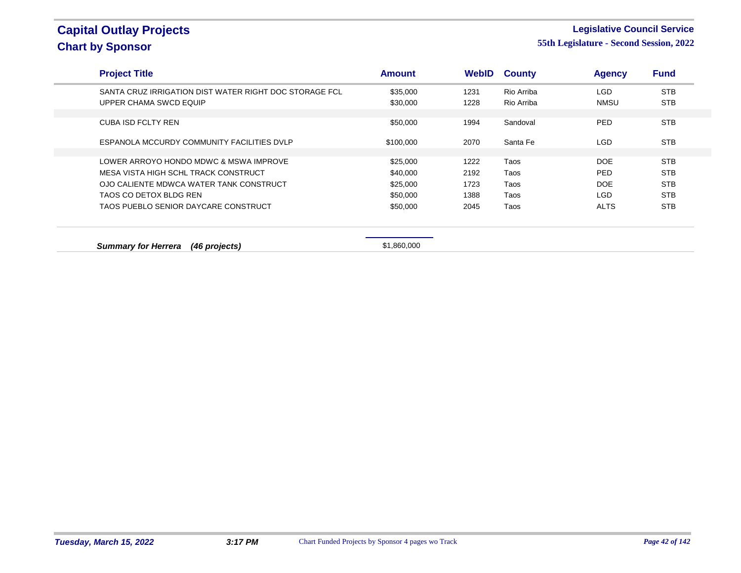### **Legislative Council Service**

| <b>Project Title</b>                                   | <b>Amount</b> | WebID | <b>County</b> | <b>Agency</b> | <b>Fund</b> |  |
|--------------------------------------------------------|---------------|-------|---------------|---------------|-------------|--|
| SANTA CRUZ IRRIGATION DIST WATER RIGHT DOC STORAGE FCL | \$35,000      | 1231  | Rio Arriba    | LGD           | <b>STB</b>  |  |
| UPPER CHAMA SWCD EQUIP                                 | \$30,000      | 1228  | Rio Arriba    | <b>NMSU</b>   | <b>STB</b>  |  |
| <b>CUBA ISD FCLTY REN</b>                              | \$50,000      | 1994  | Sandoval      | <b>PED</b>    | <b>STB</b>  |  |
|                                                        |               |       |               |               |             |  |
| ESPANOLA MCCURDY COMMUNITY FACILITIES DVLP             | \$100,000     | 2070  | Santa Fe      | LGD.          | <b>STB</b>  |  |
|                                                        |               |       |               |               |             |  |
| LOWER ARROYO HONDO MDWC & MSWA IMPROVE                 | \$25,000      | 1222  | Taos          | DOE           | <b>STB</b>  |  |
| MESA VISTA HIGH SCHL TRACK CONSTRUCT                   | \$40,000      | 2192  | Taos          | PED.          | <b>STB</b>  |  |
| OJO CALIENTE MDWCA WATER TANK CONSTRUCT                | \$25,000      | 1723  | Taos          | DOE           | <b>STB</b>  |  |
| TAOS CO DETOX BLDG REN                                 | \$50,000      | 1388  | Taos          | <b>LGD</b>    | <b>STB</b>  |  |
| TAOS PUEBLO SENIOR DAYCARE CONSTRUCT                   | \$50,000      | 2045  | Taos          | <b>ALTS</b>   | <b>STB</b>  |  |
|                                                        |               |       |               |               |             |  |
| <b>Summary for Herrera</b><br>(46 projects)            | \$1,860,000   |       |               |               |             |  |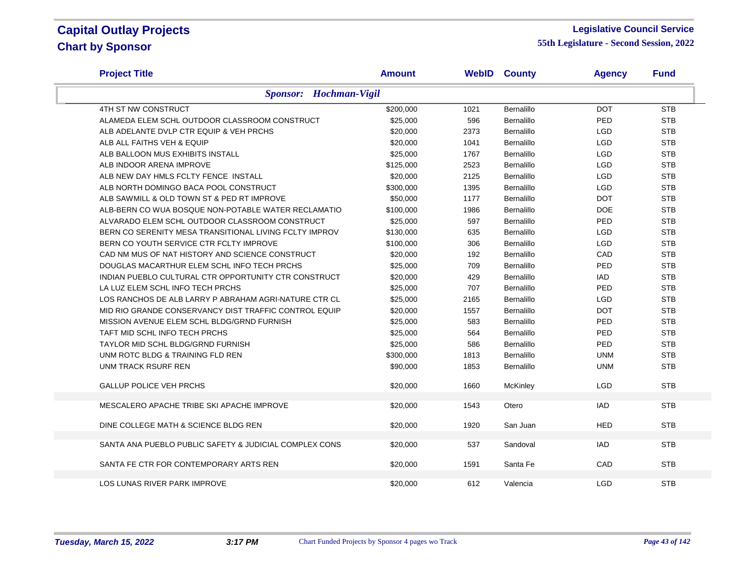### **Legislative Council Service**

| <b>Project Title</b>                                   | <b>Amount</b> | <b>WebID</b> | <b>County</b>     | <b>Agency</b> | <b>Fund</b> |
|--------------------------------------------------------|---------------|--------------|-------------------|---------------|-------------|
| <b>Sponsor:</b> Hochman-Vigil                          |               |              |                   |               |             |
| 4TH ST NW CONSTRUCT                                    | \$200,000     | 1021         | Bernalillo        | <b>DOT</b>    | <b>STB</b>  |
| ALAMEDA ELEM SCHL OUTDOOR CLASSROOM CONSTRUCT          | \$25,000      | 596          | <b>Bernalillo</b> | PED           | <b>STB</b>  |
| ALB ADELANTE DVLP CTR EQUIP & VEH PRCHS                | \$20,000      | 2373         | <b>Bernalillo</b> | <b>LGD</b>    | <b>STB</b>  |
| ALB ALL FAITHS VEH & EQUIP                             | \$20,000      | 1041         | Bernalillo        | <b>LGD</b>    | <b>STB</b>  |
| ALB BALLOON MUS EXHIBITS INSTALL                       | \$25,000      | 1767         | Bernalillo        | <b>LGD</b>    | <b>STB</b>  |
| ALB INDOOR ARENA IMPROVE                               | \$125,000     | 2523         | Bernalillo        | <b>LGD</b>    | <b>STB</b>  |
| ALB NEW DAY HMLS FCLTY FENCE INSTALL                   | \$20,000      | 2125         | Bernalillo        | <b>LGD</b>    | <b>STB</b>  |
| ALB NORTH DOMINGO BACA POOL CONSTRUCT                  | \$300,000     | 1395         | Bernalillo        | <b>LGD</b>    | <b>STB</b>  |
| ALB SAWMILL & OLD TOWN ST & PED RT IMPROVE             | \$50,000      | 1177         | Bernalillo        | <b>DOT</b>    | <b>STB</b>  |
| ALB-BERN CO WUA BOSQUE NON-POTABLE WATER RECLAMATIO    | \$100,000     | 1986         | Bernalillo        | <b>DOE</b>    | <b>STB</b>  |
| ALVARADO ELEM SCHL OUTDOOR CLASSROOM CONSTRUCT         | \$25,000      | 597          | Bernalillo        | PED           | <b>STB</b>  |
| BERN CO SERENITY MESA TRANSITIONAL LIVING FCLTY IMPROV | \$130,000     | 635          | Bernalillo        | LGD           | <b>STB</b>  |
| BERN CO YOUTH SERVICE CTR FCLTY IMPROVE                | \$100,000     | 306          | Bernalillo        | <b>LGD</b>    | <b>STB</b>  |
| CAD NM MUS OF NAT HISTORY AND SCIENCE CONSTRUCT        | \$20,000      | 192          | Bernalillo        | CAD           | <b>STB</b>  |
| DOUGLAS MACARTHUR ELEM SCHL INFO TECH PRCHS            | \$25,000      | 709          | Bernalillo        | PED           | <b>STB</b>  |
| INDIAN PUEBLO CULTURAL CTR OPPORTUNITY CTR CONSTRUCT   | \$20,000      | 429          | Bernalillo        | <b>IAD</b>    | <b>STB</b>  |
| LA LUZ ELEM SCHL INFO TECH PRCHS                       | \$25,000      | 707          | Bernalillo        | PED           | <b>STB</b>  |
| LOS RANCHOS DE ALB LARRY P ABRAHAM AGRI-NATURE CTR CL  | \$25,000      | 2165         | Bernalillo        | <b>LGD</b>    | <b>STB</b>  |
| MID RIO GRANDE CONSERVANCY DIST TRAFFIC CONTROL EQUIP  | \$20,000      | 1557         | Bernalillo        | <b>DOT</b>    | <b>STB</b>  |
| MISSION AVENUE ELEM SCHL BLDG/GRND FURNISH             | \$25,000      | 583          | Bernalillo        | PED           | <b>STB</b>  |
| TAFT MID SCHL INFO TECH PRCHS                          | \$25,000      | 564          | Bernalillo        | PED           | <b>STB</b>  |
| TAYLOR MID SCHL BLDG/GRND FURNISH                      | \$25,000      | 586          | Bernalillo        | PED           | <b>STB</b>  |
| UNM ROTC BLDG & TRAINING FLD REN                       | \$300,000     | 1813         | Bernalillo        | <b>UNM</b>    | <b>STB</b>  |
| <b>UNM TRACK RSURF REN</b>                             | \$90,000      | 1853         | Bernalillo        | <b>UNM</b>    | <b>STB</b>  |
| <b>GALLUP POLICE VEH PRCHS</b>                         | \$20,000      | 1660         | McKinley          | <b>LGD</b>    | <b>STB</b>  |
| MESCALERO APACHE TRIBE SKI APACHE IMPROVE              | \$20,000      | 1543         | Otero             | <b>IAD</b>    | <b>STB</b>  |
| DINE COLLEGE MATH & SCIENCE BLDG REN                   | \$20,000      | 1920         | San Juan          | <b>HED</b>    | <b>STB</b>  |
| SANTA ANA PUEBLO PUBLIC SAFETY & JUDICIAL COMPLEX CONS | \$20,000      | 537          | Sandoval          | <b>IAD</b>    | <b>STB</b>  |
| SANTA FE CTR FOR CONTEMPORARY ARTS REN                 | \$20,000      | 1591         | Santa Fe          | CAD           | <b>STB</b>  |
| LOS LUNAS RIVER PARK IMPROVE                           | \$20.000      | 612          | Valencia          | <b>LGD</b>    | <b>STB</b>  |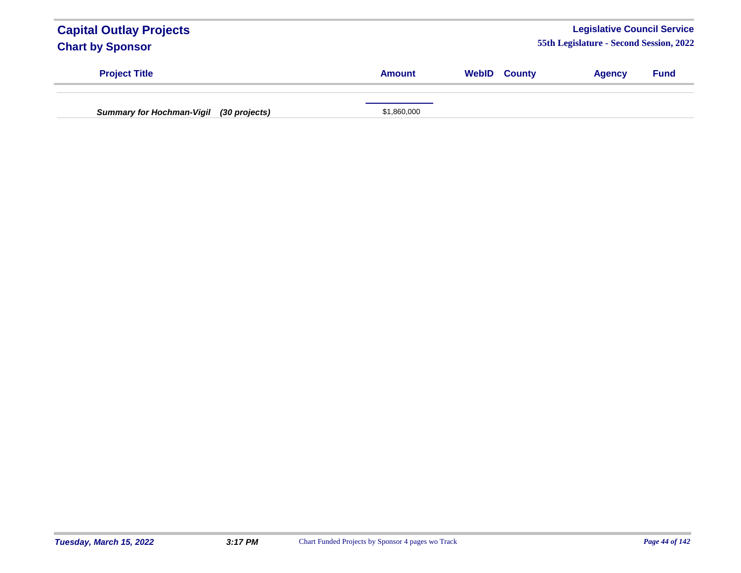| <b>Capital Outlay Projects</b><br><b>Chart by Sponsor</b> |               |                     | <b>Legislative Council Service</b><br>55th Legislature - Second Session, 2022 |             |
|-----------------------------------------------------------|---------------|---------------------|-------------------------------------------------------------------------------|-------------|
| <b>Project Title</b>                                      | <b>Amount</b> | <b>WebID County</b> | <b>Agency</b>                                                                 | <b>Fund</b> |
| Summary for Hochman-Vigil (30 projects)                   | \$1,860,000   |                     |                                                                               |             |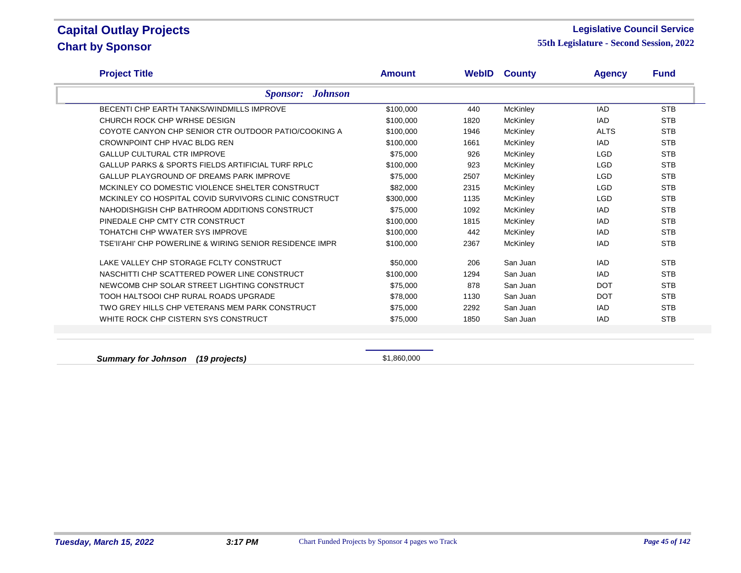#### **Legislative Council Service**

**55th Legislature - Second Session, 2022**

| <b>Project Title</b>                                         | <b>Amount</b> |      | <b>WebID County</b> | <b>Agency</b> | <b>Fund</b> |
|--------------------------------------------------------------|---------------|------|---------------------|---------------|-------------|
| <b>Johnson</b><br><b>Sponsor:</b>                            |               |      |                     |               |             |
| <b>BECENTI CHP EARTH TANKS/WINDMILLS IMPROVE</b>             | \$100,000     | 440  | <b>McKinley</b>     | IAD           | <b>STB</b>  |
| CHURCH ROCK CHP WRHSE DESIGN                                 | \$100,000     | 1820 | <b>McKinley</b>     | <b>IAD</b>    | <b>STB</b>  |
| COYOTE CANYON CHP SENIOR CTR OUTDOOR PATIO/COOKING A         | \$100,000     | 1946 | <b>McKinley</b>     | <b>ALTS</b>   | <b>STB</b>  |
| CROWNPOINT CHP HVAC BLDG REN                                 | \$100,000     | 1661 | McKinley            | IAD           | <b>STB</b>  |
| <b>GALLUP CULTURAL CTR IMPROVE</b>                           | \$75,000      | 926  | McKinley            | <b>LGD</b>    | <b>STB</b>  |
| <b>GALLUP PARKS &amp; SPORTS FIELDS ARTIFICIAL TURF RPLC</b> | \$100,000     | 923  | McKinley            | <b>LGD</b>    | <b>STB</b>  |
| <b>GALLUP PLAYGROUND OF DREAMS PARK IMPROVE</b>              | \$75,000      | 2507 | McKinley            | <b>LGD</b>    | <b>STB</b>  |
| MCKINLEY CO DOMESTIC VIOLENCE SHELTER CONSTRUCT              | \$82,000      | 2315 | McKinley            | <b>LGD</b>    | <b>STB</b>  |
| MCKINLEY CO HOSPITAL COVID SURVIVORS CLINIC CONSTRUCT        | \$300,000     | 1135 | McKinley            | <b>LGD</b>    | <b>STB</b>  |
| NAHODISHGISH CHP BATHROOM ADDITIONS CONSTRUCT                | \$75,000      | 1092 | <b>McKinley</b>     | IAD           | <b>STB</b>  |
| PINEDALE CHP CMTY CTR CONSTRUCT                              | \$100,000     | 1815 | McKinley            | IAD.          | <b>STB</b>  |
| TOHATCHI CHP WWATER SYS IMPROVE                              | \$100,000     | 442  | McKinley            | IAD           | <b>STB</b>  |
| TSE'II'AHI' CHP POWERLINE & WIRING SENIOR RESIDENCE IMPR     | \$100,000     | 2367 | <b>McKinley</b>     | <b>IAD</b>    | <b>STB</b>  |
| LAKE VALLEY CHP STORAGE FCLTY CONSTRUCT                      | \$50,000      | 206  | San Juan            | IAD           | <b>STB</b>  |
| NASCHITTI CHP SCATTERED POWER LINE CONSTRUCT                 | \$100,000     | 1294 | San Juan            | <b>IAD</b>    | <b>STB</b>  |
| NEWCOMB CHP SOLAR STREET LIGHTING CONSTRUCT                  | \$75,000      | 878  | San Juan            | <b>DOT</b>    | <b>STB</b>  |
| TOOH HALTSOOI CHP RURAL ROADS UPGRADE                        | \$78,000      | 1130 | San Juan            | <b>DOT</b>    | <b>STB</b>  |
| TWO GREY HILLS CHP VETERANS MEM PARK CONSTRUCT               | \$75,000      | 2292 | San Juan            | IAD           | <b>STB</b>  |
| WHITE ROCK CHP CISTERN SYS CONSTRUCT                         | \$75,000      | 1850 | San Juan            | <b>IAD</b>    | <b>STB</b>  |

**Summary for Johnson** (19 projects) **\$1,860,000**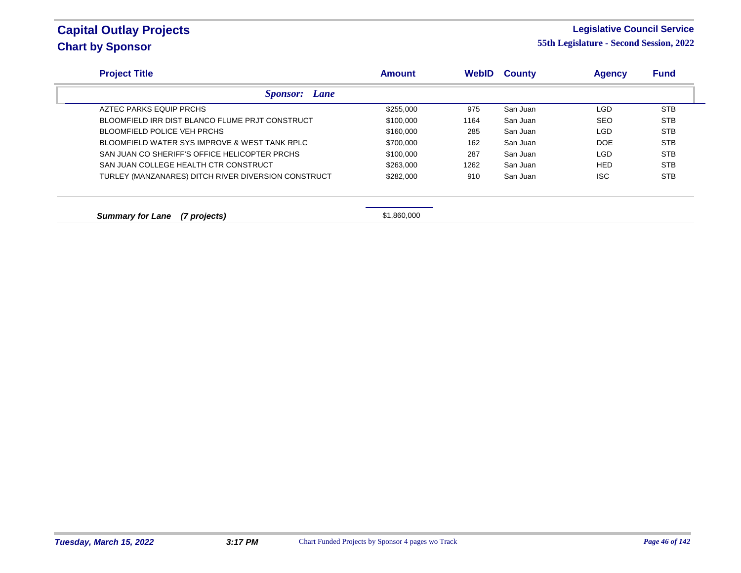### **Legislative Council Service**

**55th Legislature - Second Session, 2022**

| <b>Project Title</b>                                | <b>Amount</b> | <b>WebID</b> | <b>County</b> | <b>Agency</b> | <b>Fund</b> |
|-----------------------------------------------------|---------------|--------------|---------------|---------------|-------------|
| <b>Sponsor:</b> Lane                                |               |              |               |               |             |
| AZTEC PARKS EQUIP PRCHS                             | \$255,000     | 975          | San Juan      | LGD           | <b>STB</b>  |
| BLOOMFIELD IRR DIST BLANCO FLUME PRJT CONSTRUCT     | \$100,000     | 1164         | San Juan      | <b>SEO</b>    | <b>STB</b>  |
| BLOOMFIELD POLICE VEH PRCHS                         | \$160,000     | 285          | San Juan      | <b>LGD</b>    | <b>STB</b>  |
| BLOOMFIELD WATER SYS IMPROVE & WEST TANK RPLC       | \$700,000     | 162          | San Juan      | <b>DOE</b>    | <b>STB</b>  |
| SAN JUAN CO SHERIFF'S OFFICE HELICOPTER PRCHS       | \$100,000     | 287          | San Juan      | <b>LGD</b>    | <b>STB</b>  |
| SAN JUAN COLLEGE HEALTH CTR CONSTRUCT               | \$263,000     | 1262         | San Juan      | <b>HED</b>    | <b>STB</b>  |
| TURLEY (MANZANARES) DITCH RIVER DIVERSION CONSTRUCT | \$282,000     | 910          | San Juan      | <b>ISC</b>    | <b>STB</b>  |

**Summary for Lane (7 projects)**  $$1,860,000$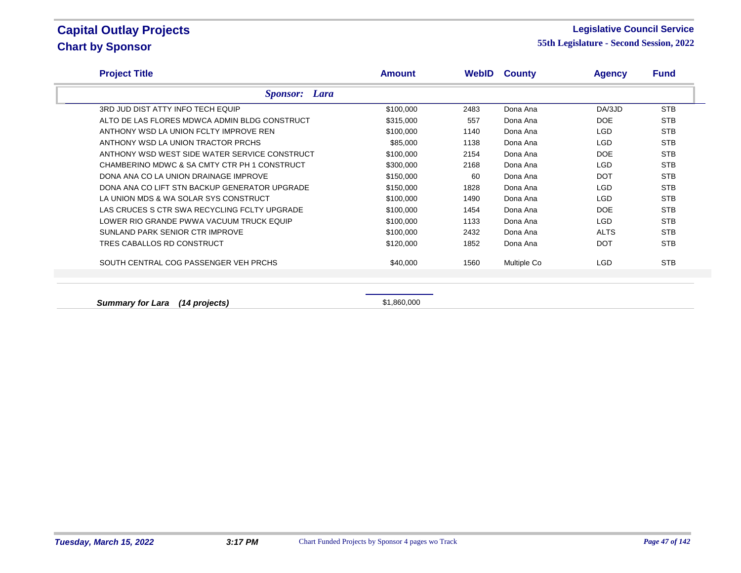#### **Legislative Council Service**

**55th Legislature - Second Session, 2022**

| <b>Project Title</b>                          | <b>Amount</b> |      | <b>WebID County</b> | <b>Agency</b> | <b>Fund</b> |
|-----------------------------------------------|---------------|------|---------------------|---------------|-------------|
| <b>Sponsor:</b> Lara                          |               |      |                     |               |             |
| 3RD JUD DIST ATTY INFO TECH EQUIP             | \$100,000     | 2483 | Dona Ana            | DA/3JD        | <b>STB</b>  |
| ALTO DE LAS FLORES MDWCA ADMIN BLDG CONSTRUCT | \$315,000     | 557  | Dona Ana            | DOE           | <b>STB</b>  |
| ANTHONY WSD LA UNION FCLTY IMPROVE REN        | \$100,000     | 1140 | Dona Ana            | <b>LGD</b>    | <b>STB</b>  |
| ANTHONY WSD LA UNION TRACTOR PRCHS            | \$85,000      | 1138 | Dona Ana            | LGD           | <b>STB</b>  |
| ANTHONY WSD WEST SIDE WATER SERVICE CONSTRUCT | \$100,000     | 2154 | Dona Ana            | <b>DOE</b>    | <b>STB</b>  |
| CHAMBERINO MDWC & SA CMTY CTR PH 1 CONSTRUCT  | \$300,000     | 2168 | Dona Ana            | LGD           | <b>STB</b>  |
| DONA ANA CO LA UNION DRAINAGE IMPROVE         | \$150,000     | 60   | Dona Ana            | <b>DOT</b>    | <b>STB</b>  |
| DONA ANA CO LIFT STN BACKUP GENERATOR UPGRADE | \$150,000     | 1828 | Dona Ana            | <b>LGD</b>    | <b>STB</b>  |
| LA UNION MDS & WA SOLAR SYS CONSTRUCT         | \$100,000     | 1490 | Dona Ana            | LGD           | <b>STB</b>  |
| LAS CRUCES S CTR SWA RECYCLING FCLTY UPGRADE  | \$100,000     | 1454 | Dona Ana            | DOE           | <b>STB</b>  |
| LOWER RIO GRANDE PWWA VACUUM TRUCK EQUIP      | \$100,000     | 1133 | Dona Ana            | LGD           | <b>STB</b>  |
| SUNLAND PARK SENIOR CTR IMPROVE               | \$100,000     | 2432 | Dona Ana            | <b>ALTS</b>   | <b>STB</b>  |
| TRES CABALLOS RD CONSTRUCT                    | \$120,000     | 1852 | Dona Ana            | <b>DOT</b>    | <b>STB</b>  |
| SOUTH CENTRAL COG PASSENGER VEH PRCHS         | \$40,000      | 1560 | Multiple Co         | <b>LGD</b>    | <b>STB</b>  |
|                                               |               |      |                     |               |             |

**Summary for Lara (14 projects) Summary for Lara** (14 **projects) \$1,860,000**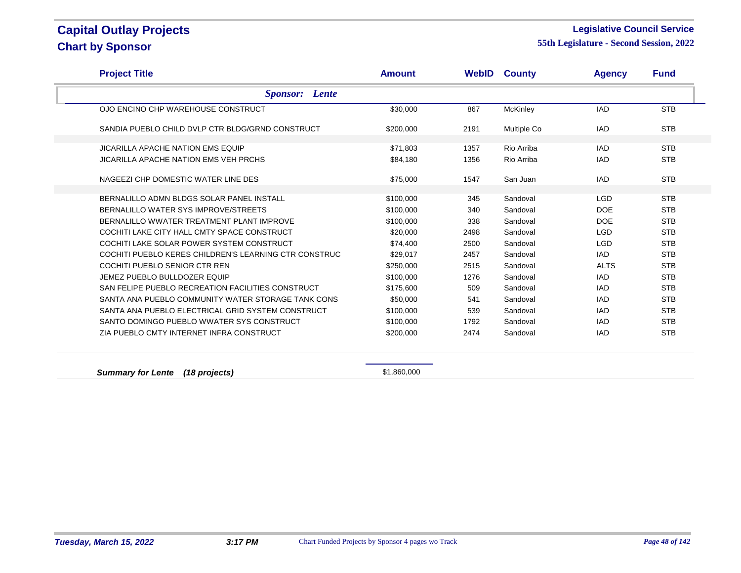### **Legislative Council Service**

**55th Legislature - Second Session, 2022**

| <b>Project Title</b>                                  | <b>Amount</b> |      | <b>WebID County</b> | <b>Agency</b> | <b>Fund</b> |
|-------------------------------------------------------|---------------|------|---------------------|---------------|-------------|
| <b>Sponsor:</b> Lente                                 |               |      |                     |               |             |
| OJO ENCINO CHP WAREHOUSE CONSTRUCT                    | \$30,000      | 867  | <b>McKinley</b>     | <b>IAD</b>    | <b>STB</b>  |
| SANDIA PUEBLO CHILD DVLP CTR BLDG/GRND CONSTRUCT      | \$200,000     | 2191 | Multiple Co         | <b>IAD</b>    | <b>STB</b>  |
| <b>JICARILLA APACHE NATION EMS EQUIP</b>              | \$71,803      | 1357 | Rio Arriba          | <b>IAD</b>    | <b>STB</b>  |
| <b>JICARILLA APACHE NATION EMS VEH PRCHS</b>          | \$84,180      | 1356 | Rio Arriba          | <b>IAD</b>    | <b>STB</b>  |
| NAGEEZI CHP DOMESTIC WATER LINE DES                   | \$75,000      | 1547 | San Juan            | <b>IAD</b>    | <b>STB</b>  |
| BERNALILLO ADMN BLDGS SOLAR PANEL INSTALL             | \$100,000     | 345  | Sandoval            | <b>LGD</b>    | <b>STB</b>  |
| BERNALILLO WATER SYS IMPROVE/STREETS                  | \$100,000     | 340  | Sandoval            | <b>DOE</b>    | <b>STB</b>  |
| BERNALILLO WWATER TREATMENT PLANT IMPROVE             | \$100,000     | 338  | Sandoval            | <b>DOE</b>    | <b>STB</b>  |
| COCHITI LAKE CITY HALL CMTY SPACE CONSTRUCT           | \$20,000      | 2498 | Sandoval            | <b>LGD</b>    | <b>STB</b>  |
| COCHITI LAKE SOLAR POWER SYSTEM CONSTRUCT             | \$74,400      | 2500 | Sandoval            | <b>LGD</b>    | <b>STB</b>  |
| COCHITI PUEBLO KERES CHILDREN'S LEARNING CTR CONSTRUC | \$29,017      | 2457 | Sandoval            | IAD           | <b>STB</b>  |
| COCHITI PUEBLO SENIOR CTR REN                         | \$250,000     | 2515 | Sandoval            | <b>ALTS</b>   | <b>STB</b>  |
| JEMEZ PUEBLO BULLDOZER EQUIP                          | \$100,000     | 1276 | Sandoval            | <b>IAD</b>    | <b>STB</b>  |
| SAN FELIPE PUEBLO RECREATION FACILITIES CONSTRUCT     | \$175,600     | 509  | Sandoval            | <b>IAD</b>    | <b>STB</b>  |
| SANTA ANA PUEBLO COMMUNITY WATER STORAGE TANK CONS    | \$50,000      | 541  | Sandoval            | <b>IAD</b>    | <b>STB</b>  |
| SANTA ANA PUEBLO ELECTRICAL GRID SYSTEM CONSTRUCT     | \$100,000     | 539  | Sandoval            | <b>IAD</b>    | <b>STB</b>  |
| SANTO DOMINGO PUEBLO WWATER SYS CONSTRUCT             | \$100,000     | 1792 | Sandoval            | <b>IAD</b>    | <b>STB</b>  |
| ZIA PUEBLO CMTY INTERNET INFRA CONSTRUCT              | \$200,000     | 2474 | Sandoval            | <b>IAD</b>    | <b>STB</b>  |

**Summary for Lente (18 projects)**  $$1,860,000$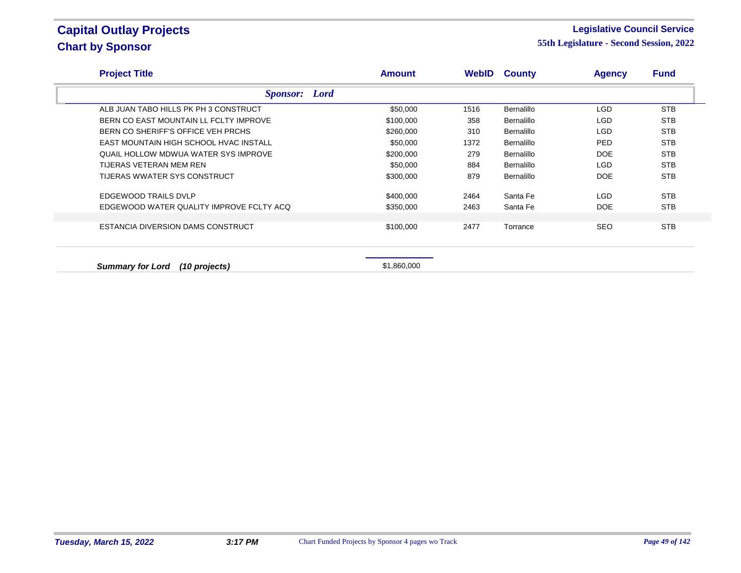### **Legislative Council Service**

| <b>Project Title</b>                     | <b>Amount</b> | WebID | <b>County</b> | <b>Agency</b> | <b>Fund</b> |
|------------------------------------------|---------------|-------|---------------|---------------|-------------|
| <b>Sponsor:</b> Lord                     |               |       |               |               |             |
| ALB JUAN TABO HILLS PK PH 3 CONSTRUCT    | \$50,000      | 1516  | Bernalillo    | LGD           | <b>STB</b>  |
| BERN CO EAST MOUNTAIN LL FCLTY IMPROVE   | \$100,000     | 358   | Bernalillo    | LGD.          | <b>STB</b>  |
| BERN CO SHERIFF'S OFFICE VEH PRCHS       | \$260,000     | 310   | Bernalillo    | LGD.          | <b>STB</b>  |
| EAST MOUNTAIN HIGH SCHOOL HVAC INSTALL   | \$50,000      | 1372  | Bernalillo    | PED.          | <b>STB</b>  |
| QUAIL HOLLOW MDWUA WATER SYS IMPROVE     | \$200,000     | 279   | Bernalillo    | <b>DOE</b>    | <b>STB</b>  |
| TIJERAS VETERAN MEM REN                  | \$50,000      | 884   | Bernalillo    | <b>LGD</b>    | <b>STB</b>  |
| TIJERAS WWATER SYS CONSTRUCT             | \$300,000     | 879   | Bernalillo    | <b>DOE</b>    | <b>STB</b>  |
| EDGEWOOD TRAILS DVLP                     | \$400,000     | 2464  | Santa Fe      | LGD           | <b>STB</b>  |
| EDGEWOOD WATER QUALITY IMPROVE FCLTY ACQ | \$350,000     | 2463  | Santa Fe      | <b>DOE</b>    | <b>STB</b>  |
|                                          |               |       |               |               |             |
| ESTANCIA DIVERSION DAMS CONSTRUCT        | \$100,000     | 2477  | Torrance      | <b>SEO</b>    | <b>STB</b>  |
| <b>Summary for Lord</b><br>(10 projects) | \$1,860,000   |       |               |               |             |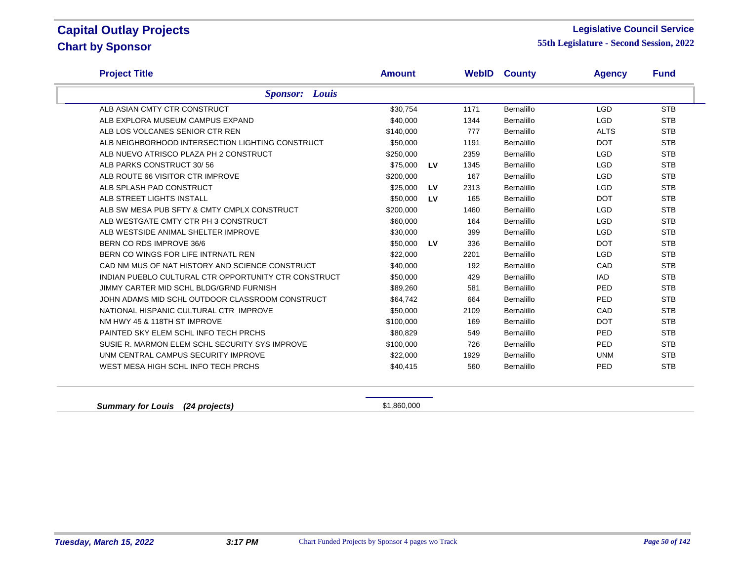### **Legislative Council Service**

**55th Legislature - Second Session, 2022**

| <b>Project Title</b>                                 | <b>Amount</b> |    | WebID | <b>County</b> | <b>Agency</b> | <b>Fund</b> |
|------------------------------------------------------|---------------|----|-------|---------------|---------------|-------------|
| <b>Sponsor:</b> Louis                                |               |    |       |               |               |             |
| ALB ASIAN CMTY CTR CONSTRUCT                         | \$30,754      |    | 1171  | Bernalillo    | <b>LGD</b>    | <b>STB</b>  |
| ALB EXPLORA MUSEUM CAMPUS EXPAND                     | \$40,000      |    | 1344  | Bernalillo    | <b>LGD</b>    | <b>STB</b>  |
| ALB LOS VOLCANES SENIOR CTR REN                      | \$140,000     |    | 777   | Bernalillo    | <b>ALTS</b>   | <b>STB</b>  |
| ALB NEIGHBORHOOD INTERSECTION LIGHTING CONSTRUCT     | \$50,000      |    | 1191  | Bernalillo    | <b>DOT</b>    | <b>STB</b>  |
| ALB NUEVO ATRISCO PLAZA PH 2 CONSTRUCT               | \$250,000     |    | 2359  | Bernalillo    | <b>LGD</b>    | <b>STB</b>  |
| ALB PARKS CONSTRUCT 30/56                            | \$75.000      | LV | 1345  | Bernalillo    | <b>LGD</b>    | <b>STB</b>  |
| ALB ROUTE 66 VISITOR CTR IMPROVE                     | \$200,000     |    | 167   | Bernalillo    | <b>LGD</b>    | <b>STB</b>  |
| ALB SPLASH PAD CONSTRUCT                             | \$25,000      | LV | 2313  | Bernalillo    | <b>LGD</b>    | <b>STB</b>  |
| ALB STREET LIGHTS INSTALL                            | \$50,000      | LV | 165   | Bernalillo    | <b>DOT</b>    | <b>STB</b>  |
| ALB SW MESA PUB SFTY & CMTY CMPLX CONSTRUCT          | \$200,000     |    | 1460  | Bernalillo    | <b>LGD</b>    | <b>STB</b>  |
| ALB WESTGATE CMTY CTR PH 3 CONSTRUCT                 | \$60,000      |    | 164   | Bernalillo    | <b>LGD</b>    | <b>STB</b>  |
| ALB WESTSIDE ANIMAL SHELTER IMPROVE                  | \$30,000      |    | 399   | Bernalillo    | <b>LGD</b>    | <b>STB</b>  |
| BERN CO RDS IMPROVE 36/6                             | \$50,000      | LV | 336   | Bernalillo    | <b>DOT</b>    | <b>STB</b>  |
| BERN CO WINGS FOR LIFE INTRNATL REN                  | \$22,000      |    | 2201  | Bernalillo    | <b>LGD</b>    | <b>STB</b>  |
| CAD NM MUS OF NAT HISTORY AND SCIENCE CONSTRUCT      | \$40,000      |    | 192   | Bernalillo    | CAD           | <b>STB</b>  |
| INDIAN PUEBLO CULTURAL CTR OPPORTUNITY CTR CONSTRUCT | \$50,000      |    | 429   | Bernalillo    | <b>IAD</b>    | <b>STB</b>  |
| JIMMY CARTER MID SCHL BLDG/GRND FURNISH              | \$89,260      |    | 581   | Bernalillo    | <b>PED</b>    | <b>STB</b>  |
| JOHN ADAMS MID SCHL OUTDOOR CLASSROOM CONSTRUCT      | \$64,742      |    | 664   | Bernalillo    | <b>PED</b>    | <b>STB</b>  |
| NATIONAL HISPANIC CULTURAL CTR IMPROVE               | \$50,000      |    | 2109  | Bernalillo    | CAD           | <b>STB</b>  |
| NM HWY 45 & 118TH ST IMPROVE                         | \$100,000     |    | 169   | Bernalillo    | <b>DOT</b>    | <b>STB</b>  |
| PAINTED SKY ELEM SCHL INFO TECH PRCHS                | \$80,829      |    | 549   | Bernalillo    | <b>PED</b>    | <b>STB</b>  |
| SUSIE R. MARMON ELEM SCHL SECURITY SYS IMPROVE       | \$100,000     |    | 726   | Bernalillo    | <b>PED</b>    | <b>STB</b>  |
| UNM CENTRAL CAMPUS SECURITY IMPROVE                  | \$22,000      |    | 1929  | Bernalillo    | <b>UNM</b>    | <b>STB</b>  |
| WEST MESA HIGH SCHL INFO TECH PRCHS                  | \$40,415      |    | 560   | Bernalillo    | PED           | <b>STB</b>  |
|                                                      |               |    |       |               |               |             |

**Summary for Louis (24 projects)**  $$1,860,000$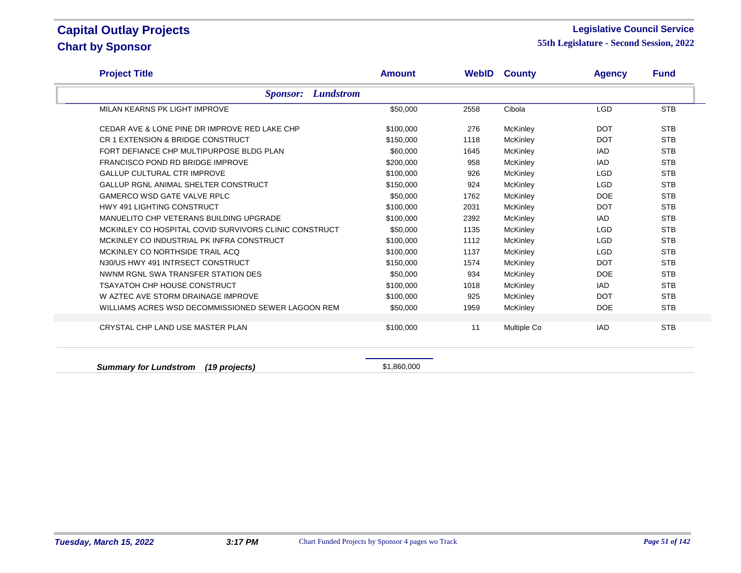#### **Legislative Council Service**

**55th Legislature - Second Session, 2022**

| <b>Project Title</b>                                  | <b>Amount</b> |      | <b>WebID County</b> | <b>Agency</b> | <b>Fund</b> |
|-------------------------------------------------------|---------------|------|---------------------|---------------|-------------|
| <b>Lundstrom</b><br><b>Sponsor:</b>                   |               |      |                     |               |             |
| MILAN KEARNS PK LIGHT IMPROVE                         | \$50,000      | 2558 | Cibola              | <b>LGD</b>    | <b>STB</b>  |
| CEDAR AVE & LONE PINE DR IMPROVE RED LAKE CHP         | \$100,000     | 276  | McKinley            | <b>DOT</b>    | <b>STB</b>  |
| CR 1 EXTENSION & BRIDGE CONSTRUCT                     | \$150,000     | 1118 | McKinley            | <b>DOT</b>    | <b>STB</b>  |
| FORT DEFIANCE CHP MULTIPURPOSE BLDG PLAN              | \$60,000      | 1645 | McKinley            | <b>IAD</b>    | <b>STB</b>  |
| <b>FRANCISCO POND RD BRIDGE IMPROVE</b>               | \$200,000     | 958  | McKinley            | <b>IAD</b>    | <b>STB</b>  |
| <b>GALLUP CULTURAL CTR IMPROVE</b>                    | \$100,000     | 926  | McKinley            | <b>LGD</b>    | <b>STB</b>  |
| GALLUP RGNL ANIMAL SHELTER CONSTRUCT                  | \$150,000     | 924  | McKinley            | <b>LGD</b>    | <b>STB</b>  |
| <b>GAMERCO WSD GATE VALVE RPLC</b>                    | \$50,000      | 1762 | McKinley            | <b>DOE</b>    | <b>STB</b>  |
| <b>HWY 491 LIGHTING CONSTRUCT</b>                     | \$100,000     | 2031 | McKinley            | <b>DOT</b>    | <b>STB</b>  |
| MANUELITO CHP VETERANS BUILDING UPGRADE               | \$100,000     | 2392 | McKinley            | <b>IAD</b>    | <b>STB</b>  |
| MCKINLEY CO HOSPITAL COVID SURVIVORS CLINIC CONSTRUCT | \$50,000      | 1135 | McKinley            | <b>LGD</b>    | <b>STB</b>  |
| MCKINLEY CO INDUSTRIAL PK INFRA CONSTRUCT             | \$100,000     | 1112 | McKinley            | <b>LGD</b>    | <b>STB</b>  |
| MCKINLEY CO NORTHSIDE TRAIL ACQ                       | \$100,000     | 1137 | McKinley            | <b>LGD</b>    | <b>STB</b>  |
| N30/US HWY 491 INTRSECT CONSTRUCT                     | \$150,000     | 1574 | McKinley            | <b>DOT</b>    | <b>STB</b>  |
| NWNM RGNL SWA TRANSFER STATION DES                    | \$50,000      | 934  | McKinley            | <b>DOE</b>    | <b>STB</b>  |
| <b>TSAYATOH CHP HOUSE CONSTRUCT</b>                   | \$100,000     | 1018 | McKinley            | IAD           | <b>STB</b>  |
| W AZTEC AVE STORM DRAINAGE IMPROVE                    | \$100,000     | 925  | McKinley            | <b>DOT</b>    | <b>STB</b>  |
| WILLIAMS ACRES WSD DECOMMISSIONED SEWER LAGOON REM    | \$50,000      | 1959 | <b>McKinley</b>     | <b>DOE</b>    | <b>STB</b>  |
| CRYSTAL CHP LAND USE MASTER PLAN                      | \$100,000     | 11   | Multiple Co         | <b>IAD</b>    | <b>STB</b>  |

**Summary for Lundstrom (19 projects) Summary for Lundstrom (19 projects) \$1,860,000**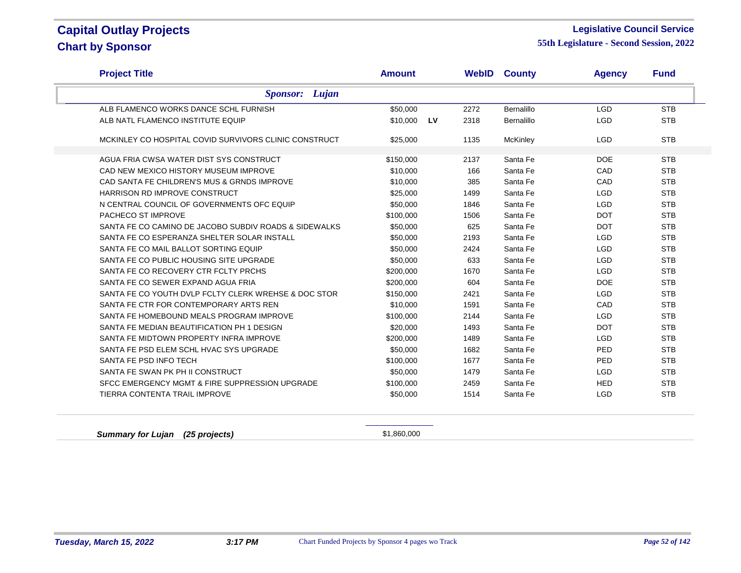### **Legislative Council Service**

**55th Legislature - Second Session, 2022**

| <b>Project Title</b>                                  | <b>Amount</b> |           |      | <b>WebID County</b> | <b>Agency</b> | <b>Fund</b> |
|-------------------------------------------------------|---------------|-----------|------|---------------------|---------------|-------------|
| <b>Sponsor:</b> Lujan                                 |               |           |      |                     |               |             |
| ALB FLAMENCO WORKS DANCE SCHL FURNISH                 | \$50,000      |           | 2272 | Bernalillo          | <b>LGD</b>    | <b>STB</b>  |
| ALB NATL FLAMENCO INSTITUTE EQUIP                     | \$10,000      | <b>LV</b> | 2318 | <b>Bernalillo</b>   | <b>LGD</b>    | <b>STB</b>  |
| MCKINLEY CO HOSPITAL COVID SURVIVORS CLINIC CONSTRUCT | \$25,000      |           | 1135 | McKinley            | <b>LGD</b>    | <b>STB</b>  |
| AGUA FRIA CWSA WATER DIST SYS CONSTRUCT               | \$150,000     |           | 2137 | Santa Fe            | <b>DOE</b>    | <b>STB</b>  |
| CAD NEW MEXICO HISTORY MUSEUM IMPROVE                 | \$10,000      |           | 166  | Santa Fe            | CAD           | <b>STB</b>  |
| CAD SANTA FE CHILDREN'S MUS & GRNDS IMPROVE           | \$10,000      |           | 385  | Santa Fe            | CAD           | <b>STB</b>  |
| HARRISON RD IMPROVE CONSTRUCT                         | \$25,000      |           | 1499 | Santa Fe            | <b>LGD</b>    | <b>STB</b>  |
| N CENTRAL COUNCIL OF GOVERNMENTS OFC EQUIP            | \$50,000      |           | 1846 | Santa Fe            | <b>LGD</b>    | <b>STB</b>  |
| PACHECO ST IMPROVE                                    | \$100,000     |           | 1506 | Santa Fe            | <b>DOT</b>    | <b>STB</b>  |
| SANTA FE CO CAMINO DE JACOBO SUBDIV ROADS & SIDEWALKS | \$50,000      |           | 625  | Santa Fe            | <b>DOT</b>    | <b>STB</b>  |
| SANTA FE CO ESPERANZA SHELTER SOLAR INSTALL           | \$50,000      |           | 2193 | Santa Fe            | <b>LGD</b>    | <b>STB</b>  |
| SANTA FE CO MAIL BALLOT SORTING EQUIP                 | \$50,000      |           | 2424 | Santa Fe            | <b>LGD</b>    | <b>STB</b>  |
| SANTA FE CO PUBLIC HOUSING SITE UPGRADE               | \$50,000      |           | 633  | Santa Fe            | <b>LGD</b>    | <b>STB</b>  |
| SANTA FE CO RECOVERY CTR FCLTY PRCHS                  | \$200,000     |           | 1670 | Santa Fe            | <b>LGD</b>    | <b>STB</b>  |
| SANTA FE CO SEWER EXPAND AGUA FRIA                    | \$200,000     |           | 604  | Santa Fe            | <b>DOE</b>    | <b>STB</b>  |
| SANTA FE CO YOUTH DVLP FCLTY CLERK WREHSE & DOC STOR  | \$150,000     |           | 2421 | Santa Fe            | <b>LGD</b>    | <b>STB</b>  |
| SANTA FE CTR FOR CONTEMPORARY ARTS REN                | \$10,000      |           | 1591 | Santa Fe            | CAD           | <b>STB</b>  |
| SANTA FE HOMEBOUND MEALS PROGRAM IMPROVE              | \$100,000     |           | 2144 | Santa Fe            | <b>LGD</b>    | <b>STB</b>  |
| SANTA FE MEDIAN BEAUTIFICATION PH 1 DESIGN            | \$20,000      |           | 1493 | Santa Fe            | <b>DOT</b>    | <b>STB</b>  |
| SANTA FE MIDTOWN PROPERTY INFRA IMPROVE               | \$200,000     |           | 1489 | Santa Fe            | <b>LGD</b>    | <b>STB</b>  |
| SANTA FE PSD ELEM SCHL HVAC SYS UPGRADE               | \$50,000      |           | 1682 | Santa Fe            | PED           | <b>STB</b>  |
| SANTA FE PSD INFO TECH                                | \$100,000     |           | 1677 | Santa Fe            | PED           | <b>STB</b>  |
| SANTA FE SWAN PK PH II CONSTRUCT                      | \$50,000      |           | 1479 | Santa Fe            | <b>LGD</b>    | <b>STB</b>  |
| SFCC EMERGENCY MGMT & FIRE SUPPRESSION UPGRADE        | \$100,000     |           | 2459 | Santa Fe            | <b>HED</b>    | <b>STB</b>  |
| TIERRA CONTENTA TRAIL IMPROVE                         | \$50,000      |           | 1514 | Santa Fe            | <b>LGD</b>    | <b>STB</b>  |

**Summary for Lujan (25 projects) Summary for Lujan (25 projects) \$1,860,000**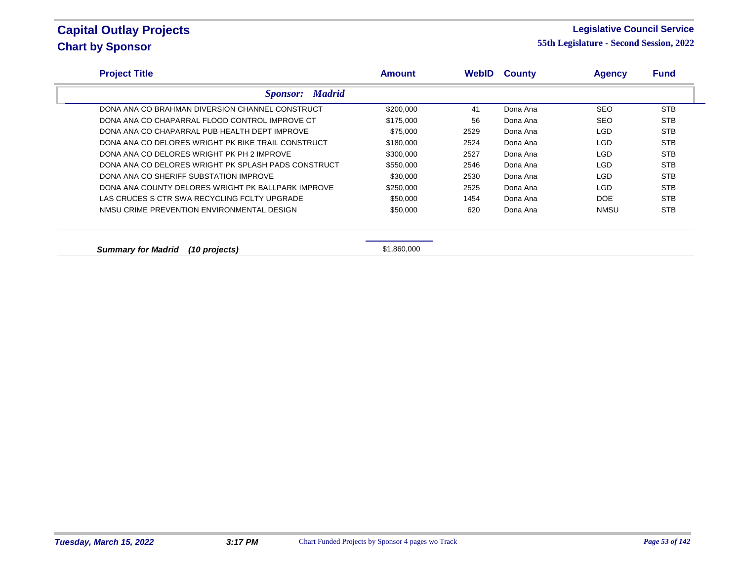#### **Legislative Council Service**

| <b>Project Title</b>                                | <b>Amount</b> | WebID | <b>County</b> | <b>Agency</b> | <b>Fund</b> |
|-----------------------------------------------------|---------------|-------|---------------|---------------|-------------|
| <b>Sponsor:</b> Madrid                              |               |       |               |               |             |
| DONA ANA CO BRAHMAN DIVERSION CHANNEL CONSTRUCT     | \$200,000     | 41    | Dona Ana      | <b>SEO</b>    | <b>STB</b>  |
| DONA ANA CO CHAPARRAL FLOOD CONTROL IMPROVE CT      | \$175,000     | 56    | Dona Ana      | <b>SEO</b>    | <b>STB</b>  |
| DONA ANA CO CHAPARRAL PUB HEALTH DEPT IMPROVE       | \$75,000      | 2529  | Dona Ana      | <b>LGD</b>    | <b>STB</b>  |
| DONA ANA CO DELORES WRIGHT PK BIKE TRAIL CONSTRUCT  | \$180,000     | 2524  | Dona Ana      | LGD           | <b>STB</b>  |
| DONA ANA CO DELORES WRIGHT PK PH 2 IMPROVE          | \$300,000     | 2527  | Dona Ana      | <b>LGD</b>    | <b>STB</b>  |
| DONA ANA CO DELORES WRIGHT PK SPLASH PADS CONSTRUCT | \$550,000     | 2546  | Dona Ana      | LGD.          | <b>STB</b>  |
| DONA ANA CO SHERIFF SUBSTATION IMPROVE              | \$30,000      | 2530  | Dona Ana      | LGD           | <b>STB</b>  |
| DONA ANA COUNTY DELORES WRIGHT PK BALLPARK IMPROVE  | \$250,000     | 2525  | Dona Ana      | <b>LGD</b>    | <b>STB</b>  |
| LAS CRUCES S CTR SWA RECYCLING FCLTY UPGRADE        | \$50,000      | 1454  | Dona Ana      | <b>DOE</b>    | <b>STB</b>  |
| NMSU CRIME PREVENTION ENVIRONMENTAL DESIGN          | \$50,000      | 620   | Dona Ana      | NMSU          | <b>STB</b>  |
|                                                     |               |       |               |               |             |
| <b>Summary for Madrid</b><br>(10 projects)          | \$1,860,000   |       |               |               |             |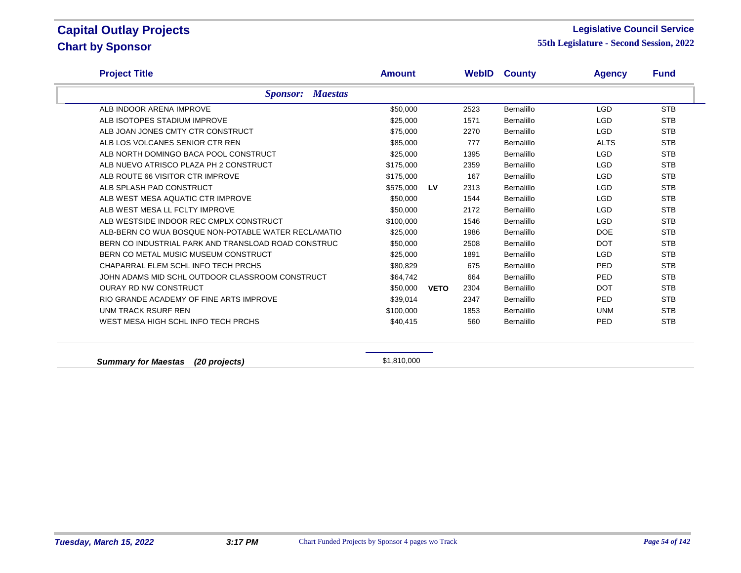### **Legislative Council Service**

**55th Legislature - Second Session, 2022**

| <b>Project Title</b>                                | <b>Amount</b> |             |      | <b>WebID County</b> | <b>Agency</b> | <b>Fund</b> |
|-----------------------------------------------------|---------------|-------------|------|---------------------|---------------|-------------|
| <b>Sponsor: Maestas</b>                             |               |             |      |                     |               |             |
| ALB INDOOR ARENA IMPROVE                            | \$50,000      |             | 2523 | Bernalillo          | <b>LGD</b>    | <b>STB</b>  |
| ALB ISOTOPES STADIUM IMPROVE                        | \$25,000      |             | 1571 | Bernalillo          | <b>LGD</b>    | <b>STB</b>  |
| ALB JOAN JONES CMTY CTR CONSTRUCT                   | \$75,000      |             | 2270 | Bernalillo          | <b>LGD</b>    | <b>STB</b>  |
| ALB LOS VOLCANES SENIOR CTR REN                     | \$85,000      |             | 777  | Bernalillo          | <b>ALTS</b>   | <b>STB</b>  |
| ALB NORTH DOMINGO BACA POOL CONSTRUCT               | \$25,000      |             | 1395 | Bernalillo          | <b>LGD</b>    | <b>STB</b>  |
| ALB NUEVO ATRISCO PLAZA PH 2 CONSTRUCT              | \$175,000     |             | 2359 | Bernalillo          | <b>LGD</b>    | <b>STB</b>  |
| ALB ROUTE 66 VISITOR CTR IMPROVE                    | \$175,000     |             | 167  | <b>Bernalillo</b>   | <b>LGD</b>    | <b>STB</b>  |
| ALB SPLASH PAD CONSTRUCT                            | \$575,000     | LV          | 2313 | Bernalillo          | <b>LGD</b>    | <b>STB</b>  |
| ALB WEST MESA AQUATIC CTR IMPROVE                   | \$50,000      |             | 1544 | Bernalillo          | <b>LGD</b>    | <b>STB</b>  |
| ALB WEST MESA LL FCLTY IMPROVE                      | \$50,000      |             | 2172 | Bernalillo          | <b>LGD</b>    | <b>STB</b>  |
| ALB WESTSIDE INDOOR REC CMPLX CONSTRUCT             | \$100,000     |             | 1546 | Bernalillo          | <b>LGD</b>    | <b>STB</b>  |
| ALB-BERN CO WUA BOSQUE NON-POTABLE WATER RECLAMATIO | \$25,000      |             | 1986 | Bernalillo          | <b>DOE</b>    | <b>STB</b>  |
| BERN CO INDUSTRIAL PARK AND TRANSLOAD ROAD CONSTRUC | \$50,000      |             | 2508 | Bernalillo          | <b>DOT</b>    | <b>STB</b>  |
| BERN CO METAL MUSIC MUSEUM CONSTRUCT                | \$25,000      |             | 1891 | Bernalillo          | <b>LGD</b>    | <b>STB</b>  |
| CHAPARRAL ELEM SCHL INFO TECH PRCHS                 | \$80,829      |             | 675  | Bernalillo          | PED           | <b>STB</b>  |
| JOHN ADAMS MID SCHL OUTDOOR CLASSROOM CONSTRUCT     | \$64.742      |             | 664  | Bernalillo          | <b>PED</b>    | <b>STB</b>  |
| <b>OURAY RD NW CONSTRUCT</b>                        | \$50,000      | <b>VETO</b> | 2304 | Bernalillo          | <b>DOT</b>    | <b>STB</b>  |
| RIO GRANDE ACADEMY OF FINE ARTS IMPROVE             | \$39,014      |             | 2347 | Bernalillo          | <b>PED</b>    | <b>STB</b>  |
| UNM TRACK RSURF REN                                 | \$100,000     |             | 1853 | Bernalillo          | <b>UNM</b>    | <b>STB</b>  |
| WEST MESA HIGH SCHL INFO TECH PRCHS                 | \$40,415      |             | 560  | Bernalillo          | PED           | <b>STB</b>  |

**Summary for Maestas (20 projects) Summary for Maestas** (20 projects)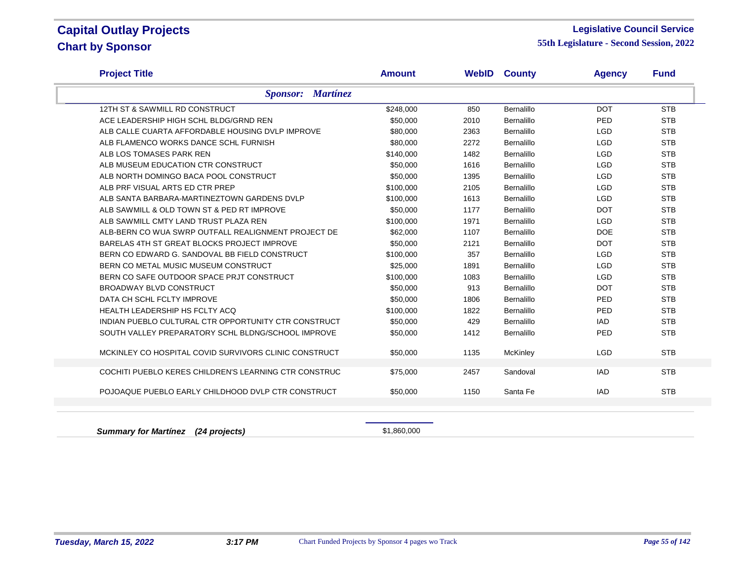### **Legislative Council Service**

**55th Legislature - Second Session, 2022**

| <b>Project Title</b>                                  | <b>Amount</b>            | WebID | <b>County</b> | <b>Agency</b> | <b>Fund</b> |
|-------------------------------------------------------|--------------------------|-------|---------------|---------------|-------------|
|                                                       | <b>Sponsor: Martínez</b> |       |               |               |             |
| 12TH ST & SAWMILL RD CONSTRUCT                        | \$248,000                | 850   | Bernalillo    | <b>DOT</b>    | <b>STB</b>  |
| ACE LEADERSHIP HIGH SCHL BLDG/GRND REN                | \$50,000                 | 2010  | Bernalillo    | PED           | <b>STB</b>  |
| ALB CALLE CUARTA AFFORDABLE HOUSING DVLP IMPROVE      | \$80,000                 | 2363  | Bernalillo    | <b>LGD</b>    | <b>STB</b>  |
| ALB FLAMENCO WORKS DANCE SCHL FURNISH                 | \$80,000                 | 2272  | Bernalillo    | <b>LGD</b>    | <b>STB</b>  |
| ALB LOS TOMASES PARK REN                              | \$140,000                | 1482  | Bernalillo    | <b>LGD</b>    | <b>STB</b>  |
| ALB MUSEUM EDUCATION CTR CONSTRUCT                    | \$50,000                 | 1616  | Bernalillo    | <b>LGD</b>    | <b>STB</b>  |
| ALB NORTH DOMINGO BACA POOL CONSTRUCT                 | \$50,000                 | 1395  | Bernalillo    | <b>LGD</b>    | <b>STB</b>  |
| ALB PRF VISUAL ARTS ED CTR PREP                       | \$100,000                | 2105  | Bernalillo    | <b>LGD</b>    | <b>STB</b>  |
| ALB SANTA BARBARA-MARTINEZTOWN GARDENS DVLP           | \$100,000                | 1613  | Bernalillo    | <b>LGD</b>    | <b>STB</b>  |
| ALB SAWMILL & OLD TOWN ST & PED RT IMPROVE            | \$50,000                 | 1177  | Bernalillo    | <b>DOT</b>    | <b>STB</b>  |
| ALB SAWMILL CMTY LAND TRUST PLAZA REN                 | \$100,000                | 1971  | Bernalillo    | <b>LGD</b>    | <b>STB</b>  |
| ALB-BERN CO WUA SWRP OUTFALL REALIGNMENT PROJECT DE   | \$62,000                 | 1107  | Bernalillo    | <b>DOE</b>    | <b>STB</b>  |
| BARELAS 4TH ST GREAT BLOCKS PROJECT IMPROVE           | \$50,000                 | 2121  | Bernalillo    | <b>DOT</b>    | <b>STB</b>  |
| BERN CO EDWARD G. SANDOVAL BB FIELD CONSTRUCT         | \$100,000                | 357   | Bernalillo    | <b>LGD</b>    | <b>STB</b>  |
| BERN CO METAL MUSIC MUSEUM CONSTRUCT                  | \$25,000                 | 1891  | Bernalillo    | <b>LGD</b>    | <b>STB</b>  |
| BERN CO SAFE OUTDOOR SPACE PRJT CONSTRUCT             | \$100,000                | 1083  | Bernalillo    | <b>LGD</b>    | <b>STB</b>  |
| BROADWAY BLVD CONSTRUCT                               | \$50,000                 | 913   | Bernalillo    | <b>DOT</b>    | <b>STB</b>  |
| DATA CH SCHL FCLTY IMPROVE                            | \$50,000                 | 1806  | Bernalillo    | PED           | <b>STB</b>  |
| HEALTH LEADERSHIP HS FCLTY ACQ                        | \$100,000                | 1822  | Bernalillo    | PED           | <b>STB</b>  |
| INDIAN PUEBLO CULTURAL CTR OPPORTUNITY CTR CONSTRUCT  | \$50,000                 | 429   | Bernalillo    | <b>IAD</b>    | <b>STB</b>  |
| SOUTH VALLEY PREPARATORY SCHL BLDNG/SCHOOL IMPROVE    | \$50,000                 | 1412  | Bernalillo    | PED           | <b>STB</b>  |
| MCKINLEY CO HOSPITAL COVID SURVIVORS CLINIC CONSTRUCT | \$50,000                 | 1135  | McKinley      | <b>LGD</b>    | <b>STB</b>  |
| COCHITI PUEBLO KERES CHILDREN'S LEARNING CTR CONSTRUC | \$75,000                 | 2457  | Sandoval      | <b>IAD</b>    | <b>STB</b>  |
|                                                       |                          |       |               |               |             |
| POJOAQUE PUEBLO EARLY CHILDHOOD DVLP CTR CONSTRUCT    | \$50,000                 | 1150  | Santa Fe      | <b>IAD</b>    | <b>STB</b>  |
|                                                       |                          |       |               |               |             |
|                                                       |                          |       |               |               |             |

**Summary for Martínez (24 projects) Summary for Martínez (24 projects) \$1,860,000**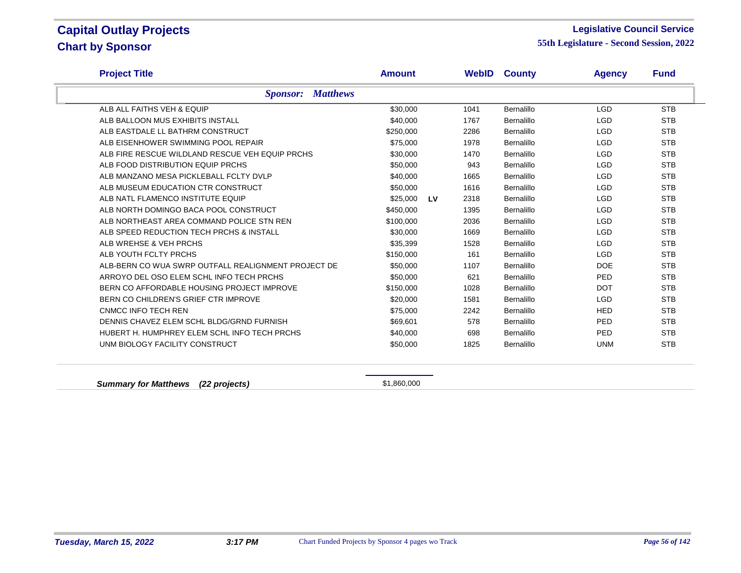#### **Legislative Council Service**

**55th Legislature - Second Session, 2022**

| <b>Project Title</b>                                | <b>Amount</b>         |      | <b>WebID County</b> | <b>Agency</b> | <b>Fund</b> |
|-----------------------------------------------------|-----------------------|------|---------------------|---------------|-------------|
| <b>Sponsor: Matthews</b>                            |                       |      |                     |               |             |
| ALB ALL FAITHS VEH & EQUIP                          | \$30,000              | 1041 | Bernalillo          | <b>LGD</b>    | <b>STB</b>  |
| ALB BALLOON MUS EXHIBITS INSTALL                    | \$40,000              | 1767 | Bernalillo          | <b>LGD</b>    | <b>STB</b>  |
| ALB EASTDALE LL BATHRM CONSTRUCT                    | \$250,000             | 2286 | Bernalillo          | <b>LGD</b>    | <b>STB</b>  |
| ALB EISENHOWER SWIMMING POOL REPAIR                 | \$75,000              | 1978 | Bernalillo          | <b>LGD</b>    | <b>STB</b>  |
| ALB FIRE RESCUE WILDLAND RESCUE VEH EQUIP PRCHS     | \$30,000              | 1470 | Bernalillo          | <b>LGD</b>    | <b>STB</b>  |
| ALB FOOD DISTRIBUTION EQUIP PRCHS                   | \$50,000              | 943  | Bernalillo          | <b>LGD</b>    | <b>STB</b>  |
| ALB MANZANO MESA PICKLEBALL FCLTY DVLP              | \$40,000              | 1665 | Bernalillo          | <b>LGD</b>    | <b>STB</b>  |
| ALB MUSEUM EDUCATION CTR CONSTRUCT                  | \$50,000              | 1616 | Bernalillo          | <b>LGD</b>    | <b>STB</b>  |
| ALB NATL FLAMENCO INSTITUTE EQUIP                   | \$25,000<br><b>LV</b> | 2318 | Bernalillo          | <b>LGD</b>    | <b>STB</b>  |
| ALB NORTH DOMINGO BACA POOL CONSTRUCT               | \$450,000             | 1395 | Bernalillo          | <b>LGD</b>    | <b>STB</b>  |
| ALB NORTHEAST AREA COMMAND POLICE STN REN           | \$100,000             | 2036 | Bernalillo          | <b>LGD</b>    | <b>STB</b>  |
| ALB SPEED REDUCTION TECH PRCHS & INSTALL            | \$30,000              | 1669 | Bernalillo          | <b>LGD</b>    | <b>STB</b>  |
| ALB WREHSE & VEH PRCHS                              | \$35,399              | 1528 | Bernalillo          | <b>LGD</b>    | <b>STB</b>  |
| ALB YOUTH FCLTY PRCHS                               | \$150,000             | 161  | Bernalillo          | <b>LGD</b>    | <b>STB</b>  |
| ALB-BERN CO WUA SWRP OUTFALL REALIGNMENT PROJECT DE | \$50,000              | 1107 | Bernalillo          | <b>DOE</b>    | <b>STB</b>  |
| ARROYO DEL OSO ELEM SCHL INFO TECH PRCHS            | \$50,000              | 621  | Bernalillo          | <b>PED</b>    | <b>STB</b>  |
| BERN CO AFFORDABLE HOUSING PROJECT IMPROVE          | \$150,000             | 1028 | Bernalillo          | <b>DOT</b>    | <b>STB</b>  |
| BERN CO CHILDREN'S GRIEF CTR IMPROVE                | \$20,000              | 1581 | Bernalillo          | <b>LGD</b>    | <b>STB</b>  |
| CNMCC INFO TECH REN                                 | \$75,000              | 2242 | Bernalillo          | <b>HED</b>    | <b>STB</b>  |
| DENNIS CHAVEZ ELEM SCHL BLDG/GRND FURNISH           | \$69,601              | 578  | Bernalillo          | <b>PED</b>    | <b>STB</b>  |
| HUBERT H. HUMPHREY ELEM SCHL INFO TECH PRCHS        | \$40,000              | 698  | Bernalillo          | <b>PED</b>    | <b>STB</b>  |
| UNM BIOLOGY FACILITY CONSTRUCT                      | \$50,000              | 1825 | Bernalillo          | <b>UNM</b>    | <b>STB</b>  |

**Summary for Matthews (22 projects) Summary for Matthews (22 projects)**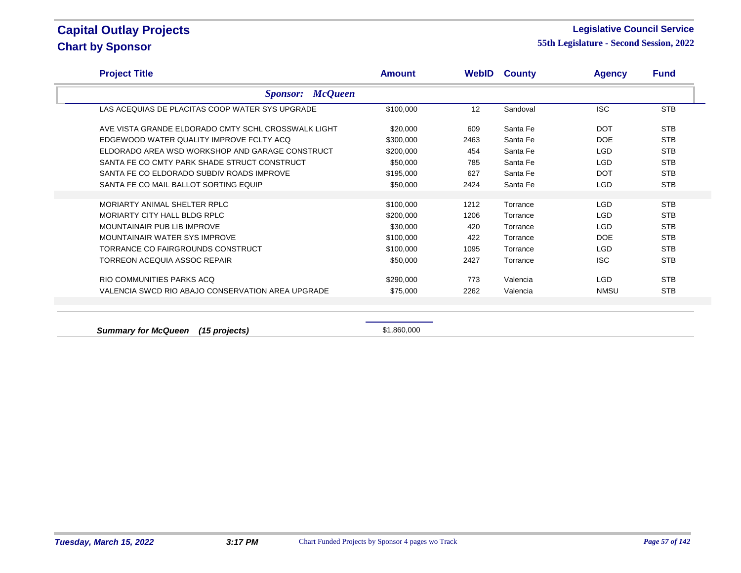### **Legislative Council Service**

**55th Legislature - Second Session, 2022**

| <b>Project Title</b>                                | <b>Amount</b> |      | <b>WebID County</b> | <b>Agency</b> | <b>Fund</b> |
|-----------------------------------------------------|---------------|------|---------------------|---------------|-------------|
| <b>McQueen</b><br><i>Sponsor:</i>                   |               |      |                     |               |             |
| LAS ACEQUIAS DE PLACITAS COOP WATER SYS UPGRADE     | \$100,000     | 12   | Sandoval            | <b>ISC</b>    | <b>STB</b>  |
| AVE VISTA GRANDE ELDORADO CMTY SCHL CROSSWALK LIGHT | \$20,000      | 609  | Santa Fe            | <b>DOT</b>    | <b>STB</b>  |
| EDGEWOOD WATER QUALITY IMPROVE FCLTY ACQ            | \$300,000     | 2463 | Santa Fe            | <b>DOE</b>    | <b>STB</b>  |
| ELDORADO AREA WSD WORKSHOP AND GARAGE CONSTRUCT     | \$200,000     | 454  | Santa Fe            | <b>LGD</b>    | <b>STB</b>  |
| SANTA FE CO CMTY PARK SHADE STRUCT CONSTRUCT        | \$50,000      | 785  | Santa Fe            | <b>LGD</b>    | <b>STB</b>  |
| SANTA FE CO ELDORADO SUBDIV ROADS IMPROVE           | \$195,000     | 627  | Santa Fe            | <b>DOT</b>    | <b>STB</b>  |
| SANTA FE CO MAIL BALLOT SORTING EQUIP               | \$50,000      | 2424 | Santa Fe            | <b>LGD</b>    | <b>STB</b>  |
|                                                     |               |      |                     |               |             |
| MORIARTY ANIMAL SHELTER RPLC                        | \$100,000     | 1212 | Torrance            | <b>LGD</b>    | <b>STB</b>  |
| MORIARTY CITY HALL BLDG RPLC                        | \$200,000     | 1206 | Torrance            | <b>LGD</b>    | <b>STB</b>  |
| MOUNTAINAIR PUB LIB IMPROVE                         | \$30,000      | 420  | Torrance            | <b>LGD</b>    | <b>STB</b>  |
| MOUNTAINAIR WATER SYS IMPROVE                       | \$100,000     | 422  | Torrance            | <b>DOE</b>    | <b>STB</b>  |
| TORRANCE CO FAIRGROUNDS CONSTRUCT                   | \$100,000     | 1095 | Torrance            | <b>LGD</b>    | <b>STB</b>  |
| TORREON ACEQUIA ASSOC REPAIR                        | \$50,000      | 2427 | Torrance            | <b>ISC</b>    | <b>STB</b>  |
| RIO COMMUNITIES PARKS ACO                           | \$290,000     | 773  | Valencia            | <b>LGD</b>    | <b>STB</b>  |
| VALENCIA SWCD RIO ABAJO CONSERVATION AREA UPGRADE   | \$75,000      | 2262 | Valencia            | <b>NMSU</b>   | <b>STB</b>  |
|                                                     |               |      |                     |               |             |
| $S$ ummary for $M_2$ Queen (15 projects)            | $$1$ 860 000  |      |                     |               |             |

**Summary for McQueen (15 projects) \$1,860,000** \$1,860,000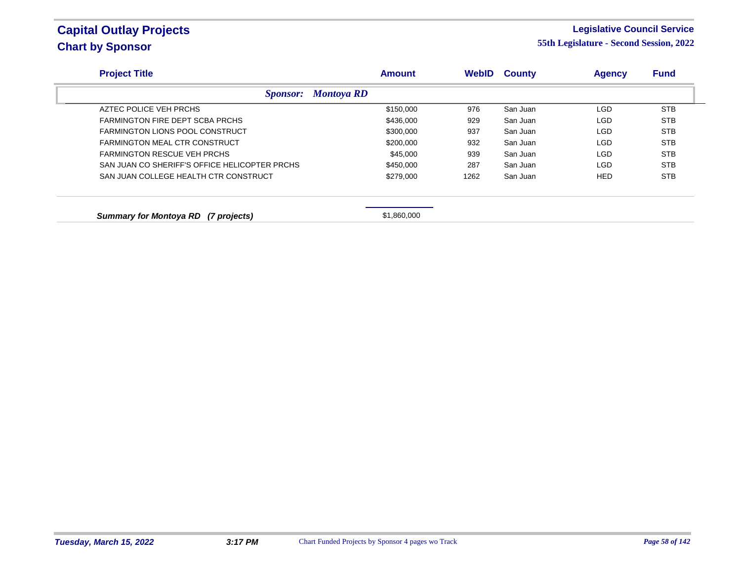### **Legislative Council Service**

| <b>Project Title</b>                          | <b>Amount</b>     | <b>WebID</b> | <b>County</b> | <b>Agency</b> | <b>Fund</b> |
|-----------------------------------------------|-------------------|--------------|---------------|---------------|-------------|
| <i>Sponsor:</i>                               | <b>Montoya RD</b> |              |               |               |             |
| AZTEC POLICE VEH PRCHS                        | \$150,000         | 976          | San Juan      | LGD           | <b>STB</b>  |
| FARMINGTON FIRE DEPT SCBA PRCHS               | \$436,000         | 929          | San Juan      | <b>LGD</b>    | <b>STB</b>  |
| <b>FARMINGTON LIONS POOL CONSTRUCT</b>        | \$300,000         | 937          | San Juan      | LGD           | <b>STB</b>  |
| FARMINGTON MEAL CTR CONSTRUCT                 | \$200,000         | 932          | San Juan      | LGD           | <b>STB</b>  |
| <b>FARMINGTON RESCUE VEH PRCHS</b>            | \$45,000          | 939          | San Juan      | LGD           | <b>STB</b>  |
| SAN JUAN CO SHERIFF'S OFFICE HELICOPTER PRCHS | \$450,000         | 287          | San Juan      | LGD           | <b>STB</b>  |
| SAN JUAN COLLEGE HEALTH CTR CONSTRUCT         | \$279,000         | 1262         | San Juan      | <b>HED</b>    | <b>STB</b>  |
| Summary for Montoya RD (7 projects)           | \$1,860,000       |              |               |               |             |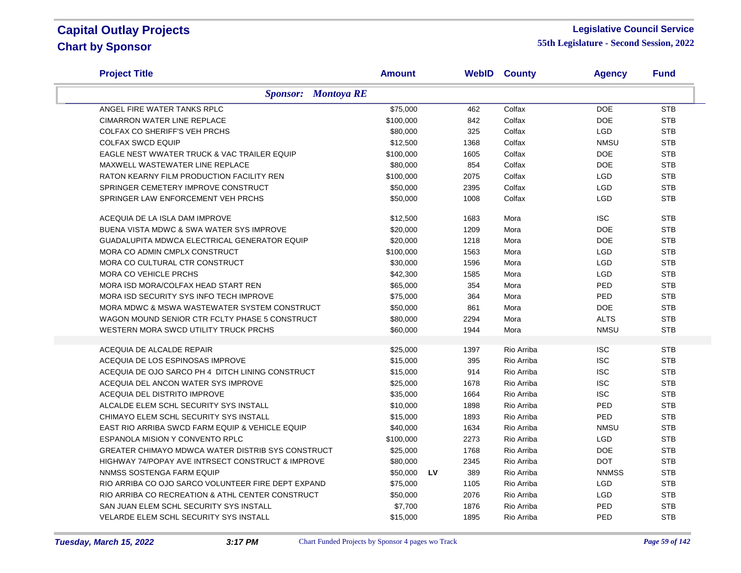### **Legislative Council Service**

| <b>Project Title</b>                                | Amount    |           | <b>WebID County</b> | <b>Agency</b> | <b>Fund</b> |
|-----------------------------------------------------|-----------|-----------|---------------------|---------------|-------------|
| <b>Sponsor:</b> Montoya RE                          |           |           |                     |               |             |
| ANGEL FIRE WATER TANKS RPLC                         | \$75,000  | 462       | Colfax              | <b>DOE</b>    | <b>STB</b>  |
| <b>CIMARRON WATER LINE REPLACE</b>                  | \$100,000 | 842       | Colfax              | <b>DOE</b>    | <b>STB</b>  |
| <b>COLFAX CO SHERIFF'S VEH PRCHS</b>                | \$80,000  | 325       | Colfax              | <b>LGD</b>    | <b>STB</b>  |
| <b>COLFAX SWCD EQUIP</b>                            | \$12,500  | 1368      | Colfax              | <b>NMSU</b>   | <b>STB</b>  |
| EAGLE NEST WWATER TRUCK & VAC TRAILER EQUIP         | \$100,000 | 1605      | Colfax              | <b>DOE</b>    | <b>STB</b>  |
| MAXWELL WASTEWATER LINE REPLACE                     | \$80,000  | 854       | Colfax              | <b>DOE</b>    | <b>STB</b>  |
| RATON KEARNY FILM PRODUCTION FACILITY REN           | \$100,000 | 2075      | Colfax              | <b>LGD</b>    | <b>STB</b>  |
| SPRINGER CEMETERY IMPROVE CONSTRUCT                 | \$50,000  | 2395      | Colfax              | LGD           | <b>STB</b>  |
| SPRINGER LAW ENFORCEMENT VEH PRCHS                  | \$50,000  | 1008      | Colfax              | <b>LGD</b>    | <b>STB</b>  |
| ACEQUIA DE LA ISLA DAM IMPROVE                      | \$12,500  | 1683      | Mora                | <b>ISC</b>    | <b>STB</b>  |
| BUENA VISTA MDWC & SWA WATER SYS IMPROVE            | \$20,000  | 1209      | Mora                | <b>DOE</b>    | <b>STB</b>  |
| <b>GUADALUPITA MDWCA ELECTRICAL GENERATOR EQUIP</b> | \$20,000  | 1218      | Mora                | <b>DOE</b>    | <b>STB</b>  |
| MORA CO ADMIN CMPLX CONSTRUCT                       | \$100,000 | 1563      | Mora                | <b>LGD</b>    | <b>STB</b>  |
| MORA CO CULTURAL CTR CONSTRUCT                      | \$30,000  | 1596      | Mora                | <b>LGD</b>    | <b>STB</b>  |
| MORA CO VEHICLE PRCHS                               | \$42,300  | 1585      | Mora                | <b>LGD</b>    | <b>STB</b>  |
| MORA ISD MORA/COLFAX HEAD START REN                 | \$65,000  | 354       | Mora                | PED           | <b>STB</b>  |
| MORA ISD SECURITY SYS INFO TECH IMPROVE             | \$75,000  | 364       | Mora                | PED           | <b>STB</b>  |
| MORA MDWC & MSWA WASTEWATER SYSTEM CONSTRUCT        | \$50,000  | 861       | Mora                | <b>DOE</b>    | <b>STB</b>  |
| WAGON MOUND SENIOR CTR FCLTY PHASE 5 CONSTRUCT      | \$80,000  | 2294      | Mora                | <b>ALTS</b>   | <b>STB</b>  |
| WESTERN MORA SWCD UTILITY TRUCK PRCHS               | \$60,000  | 1944      | Mora                | <b>NMSU</b>   | <b>STB</b>  |
| ACEQUIA DE ALCALDE REPAIR                           | \$25,000  | 1397      | Rio Arriba          | <b>ISC</b>    | <b>STB</b>  |
| ACEQUIA DE LOS ESPINOSAS IMPROVE                    | \$15,000  | 395       | Rio Arriba          | <b>ISC</b>    | <b>STB</b>  |
| ACEQUIA DE OJO SARCO PH 4 DITCH LINING CONSTRUCT    | \$15,000  | 914       | Rio Arriba          | <b>ISC</b>    | <b>STB</b>  |
| ACEQUIA DEL ANCON WATER SYS IMPROVE                 | \$25,000  | 1678      | Rio Arriba          | <b>ISC</b>    | <b>STB</b>  |
| ACEQUIA DEL DISTRITO IMPROVE                        | \$35,000  | 1664      | Rio Arriba          | <b>ISC</b>    | <b>STB</b>  |
| ALCALDE ELEM SCHL SECURITY SYS INSTALL              | \$10,000  | 1898      | Rio Arriba          | PED           | <b>STB</b>  |
| CHIMAYO ELEM SCHL SECURITY SYS INSTALL              | \$15,000  | 1893      | Rio Arriba          | <b>PED</b>    | <b>STB</b>  |
| EAST RIO ARRIBA SWCD FARM EQUIP & VEHICLE EQUIP     | \$40,000  | 1634      | Rio Arriba          | <b>NMSU</b>   | <b>STB</b>  |
| ESPANOLA MISION Y CONVENTO RPLC                     | \$100,000 | 2273      | Rio Arriba          | <b>LGD</b>    | <b>STB</b>  |
| GREATER CHIMAYO MDWCA WATER DISTRIB SYS CONSTRUCT   | \$25,000  | 1768      | Rio Arriba          | <b>DOE</b>    | <b>STB</b>  |
| HIGHWAY 74/POPAY AVE INTRSECT CONSTRUCT & IMPROVE   | \$80,000  | 2345      | Rio Arriba          | <b>DOT</b>    | <b>STB</b>  |
| NNMSS SOSTENGA FARM EQUIP                           | \$50,000  | LV<br>389 | Rio Arriba          | <b>NNMSS</b>  | <b>STB</b>  |
| RIO ARRIBA CO OJO SARCO VOLUNTEER FIRE DEPT EXPAND  | \$75,000  | 1105      | Rio Arriba          | <b>LGD</b>    | <b>STB</b>  |
| RIO ARRIBA CO RECREATION & ATHL CENTER CONSTRUCT    | \$50,000  | 2076      | Rio Arriba          | <b>LGD</b>    | <b>STB</b>  |
| SAN JUAN ELEM SCHL SECURITY SYS INSTALL             | \$7,700   | 1876      | Rio Arriba          | PED           | <b>STB</b>  |
| VELARDE ELEM SCHL SECURITY SYS INSTALL              | \$15,000  | 1895      | Rio Arriba          | PED           | <b>STB</b>  |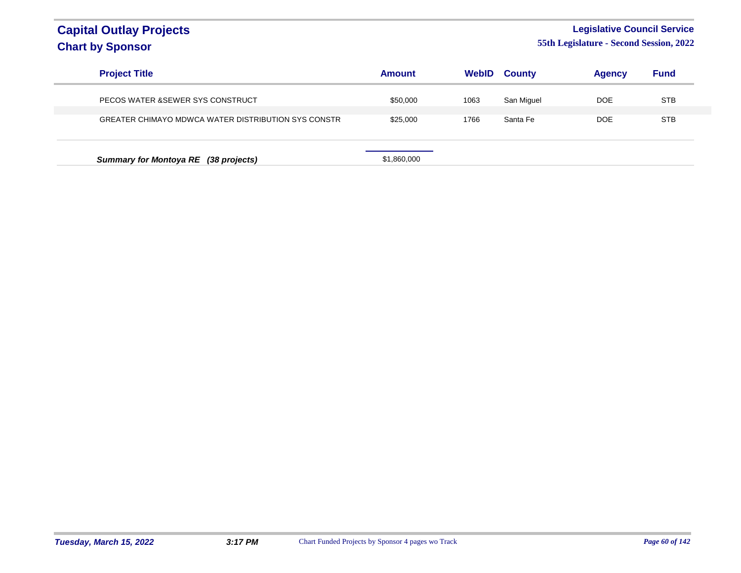### **Legislative Council Service**

| <b>Project Title</b>                                | <b>Amount</b> | WebID | <b>County</b> | <b>Agency</b> | <b>Fund</b> |
|-----------------------------------------------------|---------------|-------|---------------|---------------|-------------|
| PECOS WATER & SEWER SYS CONSTRUCT                   | \$50,000      | 1063  | San Miguel    | DOE           | <b>STB</b>  |
| GREATER CHIMAYO MDWCA WATER DISTRIBUTION SYS CONSTR | \$25,000      | 1766  | Santa Fe      | DOE           | <b>STB</b>  |
|                                                     |               |       |               |               |             |
| Summary for Montoya RE (38 projects)                | \$1,860,000   |       |               |               |             |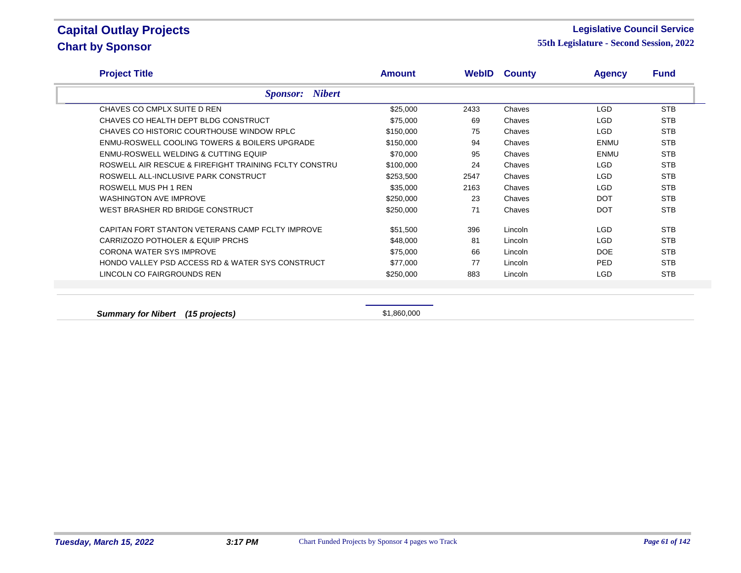#### **Legislative Council Service**

**55th Legislature - Second Session, 2022**

| <b>Project Title</b>                                  | <b>Amount</b> | WebID | <b>County</b> | <b>Agency</b> | <b>Fund</b> |
|-------------------------------------------------------|---------------|-------|---------------|---------------|-------------|
| <b>Sponsor:</b> Nibert                                |               |       |               |               |             |
| CHAVES CO CMPLX SUITE D REN                           | \$25,000      | 2433  | Chaves        | LGD           | <b>STB</b>  |
| CHAVES CO HEALTH DEPT BLDG CONSTRUCT                  | \$75,000      | 69    | Chaves        | LGD.          | <b>STB</b>  |
| CHAVES CO HISTORIC COURTHOUSE WINDOW RPLC             | \$150,000     | 75    | Chaves        | LGD.          | <b>STB</b>  |
| ENMU-ROSWELL COOLING TOWERS & BOILERS UPGRADE         | \$150,000     | 94    | Chaves        | <b>ENMU</b>   | <b>STB</b>  |
| ENMU-ROSWELL WELDING & CUTTING EQUIP                  | \$70,000      | 95    | Chaves        | <b>ENMU</b>   | <b>STB</b>  |
| ROSWELL AIR RESCUE & FIREFIGHT TRAINING FCLTY CONSTRU | \$100,000     | 24    | Chaves        | LGD.          | <b>STB</b>  |
| ROSWELL ALL-INCLUSIVE PARK CONSTRUCT                  | \$253,500     | 2547  | Chaves        | LGD           | <b>STB</b>  |
| ROSWELL MUS PH 1 REN                                  | \$35,000      | 2163  | Chaves        | LGD.          | <b>STB</b>  |
| <b>WASHINGTON AVE IMPROVE</b>                         | \$250,000     | 23    | Chaves        | <b>DOT</b>    | <b>STB</b>  |
| WEST BRASHER RD BRIDGE CONSTRUCT                      | \$250,000     | 71    | Chaves        | <b>DOT</b>    | <b>STB</b>  |
| CAPITAN FORT STANTON VETERANS CAMP FCLTY IMPROVE      | \$51,500      | 396   | Lincoln       | LGD.          | <b>STB</b>  |
| CARRIZOZO POTHOLER & EQUIP PRCHS                      | \$48,000      | 81    | Lincoln       | LGD.          | <b>STB</b>  |
| <b>CORONA WATER SYS IMPROVE</b>                       | \$75,000      | 66    | Lincoln       | <b>DOE</b>    | <b>STB</b>  |
| HONDO VALLEY PSD ACCESS RD & WATER SYS CONSTRUCT      | \$77,000      | 77    | Lincoln       | PED.          | <b>STB</b>  |
| LINCOLN CO FAIRGROUNDS REN                            | \$250,000     | 883   | Lincoln       | LGD           | <b>STB</b>  |

**Summary for Nibert (15 projects) Summary for Nibert** (15 projects) **\$1,860,000**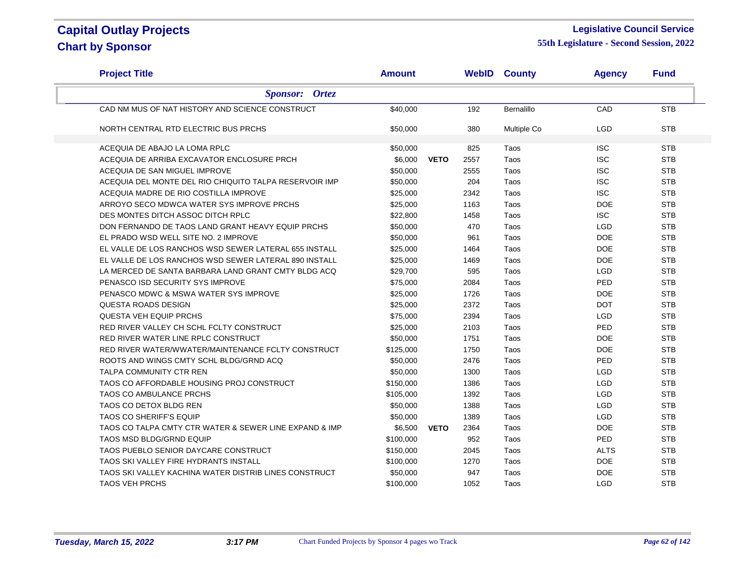### **Legislative Council Service**

| <b>Project Title</b>                                   | <b>Amount</b> |             |      | <b>WebID County</b> | <b>Agency</b> | <b>Fund</b> |
|--------------------------------------------------------|---------------|-------------|------|---------------------|---------------|-------------|
| <b>Sponsor: Ortez</b>                                  |               |             |      |                     |               |             |
| CAD NM MUS OF NAT HISTORY AND SCIENCE CONSTRUCT        | \$40,000      |             | 192  | Bernalillo          | CAD           | <b>STB</b>  |
| NORTH CENTRAL RTD ELECTRIC BUS PRCHS                   | \$50,000      |             | 380  | Multiple Co         | <b>LGD</b>    | <b>STB</b>  |
| ACEQUIA DE ABAJO LA LOMA RPLC                          | \$50,000      |             | 825  | Taos                | <b>ISC</b>    | <b>STB</b>  |
| ACEQUIA DE ARRIBA EXCAVATOR ENCLOSURE PRCH             | \$6,000       | <b>VETO</b> | 2557 | Taos                | <b>ISC</b>    | <b>STB</b>  |
| ACEQUIA DE SAN MIGUEL IMPROVE                          | \$50,000      |             | 2555 | Taos                | <b>ISC</b>    | <b>STB</b>  |
| ACEQUIA DEL MONTE DEL RIO CHIQUITO TALPA RESERVOIR IMP | \$50.000      |             | 204  | Taos                | <b>ISC</b>    | <b>STB</b>  |
| ACEQUIA MADRE DE RIO COSTILLA IMPROVE                  | \$25,000      |             | 2342 | Taos                | <b>ISC</b>    | <b>STB</b>  |
| ARROYO SECO MDWCA WATER SYS IMPROVE PRCHS              | \$25,000      |             | 1163 | Taos                | <b>DOE</b>    | <b>STB</b>  |
| DES MONTES DITCH ASSOC DITCH RPLC                      | \$22,800      |             | 1458 | Taos                | <b>ISC</b>    | <b>STB</b>  |
| DON FERNANDO DE TAOS LAND GRANT HEAVY EQUIP PRCHS      | \$50,000      |             | 470  | Taos                | <b>LGD</b>    | <b>STB</b>  |
| EL PRADO WSD WELL SITE NO. 2 IMPROVE                   | \$50,000      |             | 961  | Taos                | <b>DOE</b>    | <b>STB</b>  |
| EL VALLE DE LOS RANCHOS WSD SEWER LATERAL 655 INSTALL  | \$25,000      |             | 1464 | Taos                | <b>DOE</b>    | <b>STB</b>  |
| EL VALLE DE LOS RANCHOS WSD SEWER LATERAL 890 INSTALL  | \$25,000      |             | 1469 | Taos                | <b>DOE</b>    | <b>STB</b>  |
| LA MERCED DE SANTA BARBARA LAND GRANT CMTY BLDG ACQ    | \$29,700      |             | 595  | Taos                | <b>LGD</b>    | <b>STB</b>  |
| PENASCO ISD SECURITY SYS IMPROVE                       | \$75,000      |             | 2084 | Taos                | PED           | <b>STB</b>  |
| PENASCO MDWC & MSWA WATER SYS IMPROVE                  | \$25,000      |             | 1726 | Taos                | <b>DOE</b>    | <b>STB</b>  |
| QUESTA ROADS DESIGN                                    | \$25,000      |             | 2372 | Taos                | <b>DOT</b>    | <b>STB</b>  |
| <b>QUESTA VEH EQUIP PRCHS</b>                          | \$75,000      |             | 2394 | Taos                | <b>LGD</b>    | <b>STB</b>  |
| RED RIVER VALLEY CH SCHL FCLTY CONSTRUCT               | \$25,000      |             | 2103 | Taos                | PED           | <b>STB</b>  |
| RED RIVER WATER LINE RPLC CONSTRUCT                    | \$50,000      |             | 1751 | Taos                | <b>DOE</b>    | <b>STB</b>  |
| RED RIVER WATER/WWATER/MAINTENANCE FCLTY CONSTRUCT     | \$125,000     |             | 1750 | Taos                | <b>DOE</b>    | <b>STB</b>  |
| ROOTS AND WINGS CMTY SCHL BLDG/GRND ACQ                | \$50,000      |             | 2476 | Taos                | PED           | <b>STB</b>  |
| TALPA COMMUNITY CTR REN                                | \$50,000      |             | 1300 | Taos                | <b>LGD</b>    | <b>STB</b>  |
| TAOS CO AFFORDABLE HOUSING PROJ CONSTRUCT              | \$150,000     |             | 1386 | Taos                | <b>LGD</b>    | <b>STB</b>  |
| <b>TAOS CO AMBULANCE PRCHS</b>                         | \$105,000     |             | 1392 | Taos                | <b>LGD</b>    | <b>STB</b>  |
| TAOS CO DETOX BLDG REN                                 | \$50,000      |             | 1388 | Taos                | <b>LGD</b>    | <b>STB</b>  |
| <b>TAOS CO SHERIFF'S EQUIP</b>                         | \$50,000      |             | 1389 | Taos                | <b>LGD</b>    | <b>STB</b>  |
| TAOS CO TALPA CMTY CTR WATER & SEWER LINE EXPAND & IMP | \$6,500       | <b>VETO</b> | 2364 | Taos                | <b>DOE</b>    | <b>STB</b>  |
| <b>TAOS MSD BLDG/GRND EQUIP</b>                        | \$100,000     |             | 952  | Taos                | PED           | <b>STB</b>  |
| TAOS PUEBLO SENIOR DAYCARE CONSTRUCT                   | \$150,000     |             | 2045 | Taos                | <b>ALTS</b>   | <b>STB</b>  |
| TAOS SKI VALLEY FIRE HYDRANTS INSTALL                  | \$100,000     |             | 1270 | Taos                | <b>DOE</b>    | <b>STB</b>  |
| TAOS SKI VALLEY KACHINA WATER DISTRIB LINES CONSTRUCT  | \$50,000      |             | 947  | Taos                | <b>DOE</b>    | <b>STB</b>  |
| <b>TAOS VEH PRCHS</b>                                  | \$100.000     |             | 1052 | Taos                | <b>LGD</b>    | <b>STB</b>  |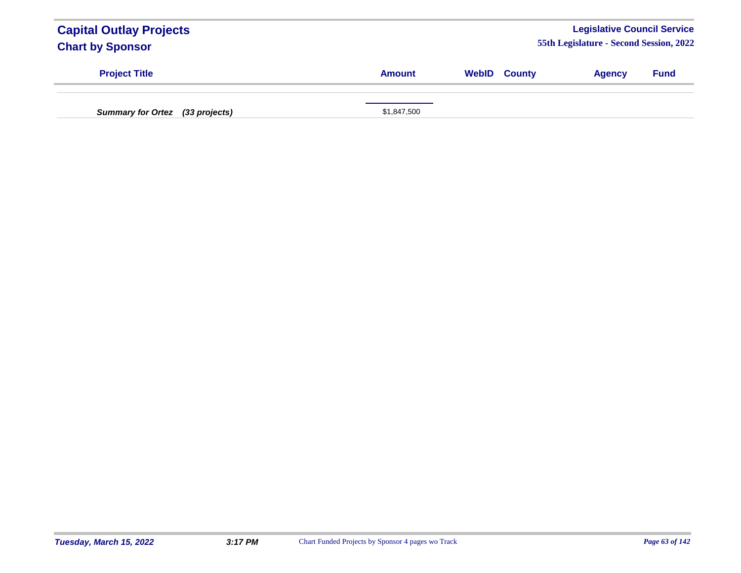| <b>Capital Outlay Projects</b><br><b>Chart by Sponsor</b> |               |                     | <b>Legislative Council Service</b><br>55th Legislature - Second Session, 2022 |             |
|-----------------------------------------------------------|---------------|---------------------|-------------------------------------------------------------------------------|-------------|
| <b>Project Title</b>                                      | <b>Amount</b> | <b>WebID County</b> | <b>Agency</b>                                                                 | <b>Fund</b> |
| Summary for Ortez (33 projects)                           | \$1,847,500   |                     |                                                                               |             |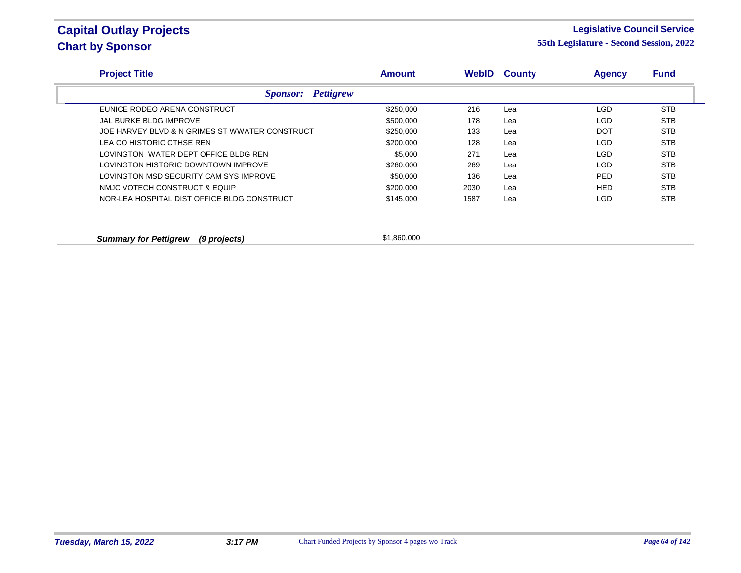### **Legislative Council Service**

| <b>Amount</b> | <b>WebID</b>                             | <b>County</b> | <b>Agency</b> | <b>Fund</b> |
|---------------|------------------------------------------|---------------|---------------|-------------|
|               |                                          |               |               |             |
| \$250,000     | 216                                      | Lea           | <b>LGD</b>    | <b>STB</b>  |
| \$500,000     | 178                                      | Lea           | <b>LGD</b>    | <b>STB</b>  |
| \$250,000     | 133                                      | Lea           | <b>DOT</b>    | <b>STB</b>  |
| \$200,000     | 128                                      | Lea           | <b>LGD</b>    | <b>STB</b>  |
| \$5,000       | 271                                      | Lea           | <b>LGD</b>    | <b>STB</b>  |
| \$260,000     | 269                                      | Lea           | <b>LGD</b>    | <b>STB</b>  |
| \$50,000      | 136                                      | Lea           | <b>PED</b>    | <b>STB</b>  |
| \$200,000     | 2030                                     | Lea           | <b>HED</b>    | <b>STB</b>  |
| \$145,000     | 1587                                     | Lea           | <b>LGD</b>    | <b>STB</b>  |
|               |                                          |               |               |             |
|               | <b>Sponsor:</b> Pettigrew<br>\$1,860,000 |               |               |             |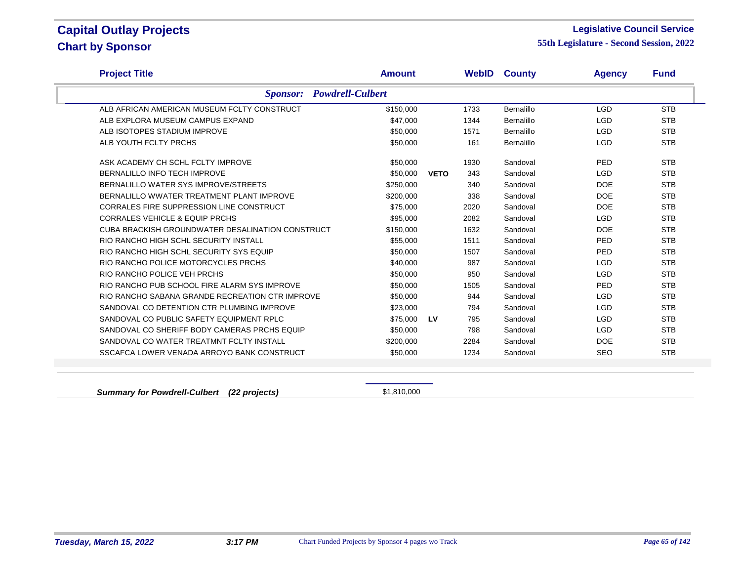### **Legislative Council Service**

**55th Legislature - Second Session, 2022**

| <b>Project Title</b>                             | <b>Amount</b> |             | <b>WebID</b> | <b>County</b>     | <b>Agency</b> | <b>Fund</b> |
|--------------------------------------------------|---------------|-------------|--------------|-------------------|---------------|-------------|
| <b>Powdrell-Culbert</b><br><b>Sponsor:</b>       |               |             |              |                   |               |             |
| ALB AFRICAN AMERICAN MUSEUM FCLTY CONSTRUCT      | \$150,000     |             | 1733         | <b>Bernalillo</b> | <b>LGD</b>    | <b>STB</b>  |
| ALB EXPLORA MUSEUM CAMPUS EXPAND                 | \$47,000      |             | 1344         | Bernalillo        | <b>LGD</b>    | <b>STB</b>  |
| ALB ISOTOPES STADIUM IMPROVE                     | \$50,000      |             | 1571         | Bernalillo        | <b>LGD</b>    | <b>STB</b>  |
| ALB YOUTH FCLTY PRCHS                            | \$50,000      |             | 161          | Bernalillo        | <b>LGD</b>    | <b>STB</b>  |
| ASK ACADEMY CH SCHL FCLTY IMPROVE                | \$50,000      |             | 1930         | Sandoval          | PED           | <b>STB</b>  |
| BERNALILLO INFO TECH IMPROVE                     | \$50,000      | <b>VETO</b> | 343          | Sandoval          | <b>LGD</b>    | <b>STB</b>  |
| BERNALILLO WATER SYS IMPROVE/STREETS             | \$250,000     |             | 340          | Sandoval          | <b>DOE</b>    | <b>STB</b>  |
| BERNALILLO WWATER TREATMENT PLANT IMPROVE        | \$200,000     |             | 338          | Sandoval          | <b>DOE</b>    | <b>STB</b>  |
| <b>CORRALES FIRE SUPPRESSION LINE CONSTRUCT</b>  | \$75,000      |             | 2020         | Sandoval          | DOE           | <b>STB</b>  |
| <b>CORRALES VEHICLE &amp; EQUIP PRCHS</b>        | \$95,000      |             | 2082         | Sandoval          | <b>LGD</b>    | <b>STB</b>  |
| CUBA BRACKISH GROUNDWATER DESALINATION CONSTRUCT | \$150,000     |             | 1632         | Sandoval          | DOE           | <b>STB</b>  |
| RIO RANCHO HIGH SCHL SECURITY INSTALL            | \$55,000      |             | 1511         | Sandoval          | PED           | <b>STB</b>  |
| RIO RANCHO HIGH SCHL SECURITY SYS EQUIP          | \$50,000      |             | 1507         | Sandoval          | PED           | <b>STB</b>  |
| RIO RANCHO POLICE MOTORCYCLES PRCHS              | \$40,000      |             | 987          | Sandoval          | <b>LGD</b>    | <b>STB</b>  |
| RIO RANCHO POLICE VEH PRCHS                      | \$50,000      |             | 950          | Sandoval          | <b>LGD</b>    | <b>STB</b>  |
| RIO RANCHO PUB SCHOOL FIRE ALARM SYS IMPROVE     | \$50.000      |             | 1505         | Sandoval          | PED           | <b>STB</b>  |
| RIO RANCHO SABANA GRANDE RECREATION CTR IMPROVE  | \$50,000      |             | 944          | Sandoval          | <b>LGD</b>    | <b>STB</b>  |
| SANDOVAL CO DETENTION CTR PLUMBING IMPROVE       | \$23,000      |             | 794          | Sandoval          | <b>LGD</b>    | <b>STB</b>  |
| SANDOVAL CO PUBLIC SAFETY EQUIPMENT RPLC         | \$75,000      | <b>LV</b>   | 795          | Sandoval          | <b>LGD</b>    | <b>STB</b>  |
| SANDOVAL CO SHERIFF BODY CAMERAS PRCHS EQUIP     | \$50,000      |             | 798          | Sandoval          | <b>LGD</b>    | <b>STB</b>  |
| SANDOVAL CO WATER TREATMNT FCLTY INSTALL         | \$200,000     |             | 2284         | Sandoval          | DOE           | <b>STB</b>  |
| SSCAFCA LOWER VENADA ARROYO BANK CONSTRUCT       | \$50,000      |             | 1234         | Sandoval          | <b>SEO</b>    | <b>STB</b>  |

**Summary for Powdrell-Culbert (22 projects)** \$1,810,000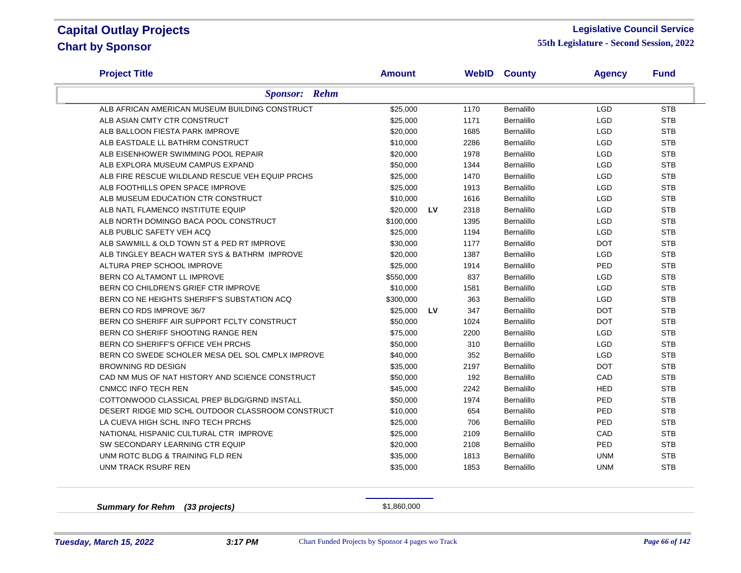### **Legislative Council Service**

**55th Legislature - Second Session, 2022**

| <b>Project Title</b>                              | <b>Amount</b> |           | <b>WebID</b> | <b>County</b>     | <b>Agency</b> | <b>Fund</b> |
|---------------------------------------------------|---------------|-----------|--------------|-------------------|---------------|-------------|
| <b>Sponsor:</b> Rehm                              |               |           |              |                   |               |             |
| ALB AFRICAN AMERICAN MUSEUM BUILDING CONSTRUCT    | \$25,000      |           | 1170         | Bernalillo        | LGD           | <b>STB</b>  |
| ALB ASIAN CMTY CTR CONSTRUCT                      | \$25,000      |           | 1171         | Bernalillo        | <b>LGD</b>    | <b>STB</b>  |
| ALB BALLOON FIESTA PARK IMPROVE                   | \$20,000      |           | 1685         | Bernalillo        | LGD           | <b>STB</b>  |
| ALB EASTDALE LL BATHRM CONSTRUCT                  | \$10,000      |           | 2286         | Bernalillo        | <b>LGD</b>    | <b>STB</b>  |
| ALB EISENHOWER SWIMMING POOL REPAIR               | \$20,000      |           | 1978         | Bernalillo        | <b>LGD</b>    | <b>STB</b>  |
| ALB EXPLORA MUSEUM CAMPUS EXPAND                  | \$50,000      |           | 1344         | Bernalillo        | <b>LGD</b>    | <b>STB</b>  |
| ALB FIRE RESCUE WILDLAND RESCUE VEH EQUIP PRCHS   | \$25,000      |           | 1470         | Bernalillo        | LGD           | <b>STB</b>  |
| ALB FOOTHILLS OPEN SPACE IMPROVE                  | \$25,000      |           | 1913         | Bernalillo        | <b>LGD</b>    | <b>STB</b>  |
| ALB MUSEUM EDUCATION CTR CONSTRUCT                | \$10,000      |           | 1616         | Bernalillo        | LGD           | <b>STB</b>  |
| ALB NATL FLAMENCO INSTITUTE EQUIP                 | \$20,000      | <b>LV</b> | 2318         | Bernalillo        | <b>LGD</b>    | <b>STB</b>  |
| ALB NORTH DOMINGO BACA POOL CONSTRUCT             | \$100,000     |           | 1395         | Bernalillo        | LGD           | <b>STB</b>  |
| ALB PUBLIC SAFETY VEH ACQ                         | \$25,000      |           | 1194         | Bernalillo        | LGD           | <b>STB</b>  |
| ALB SAWMILL & OLD TOWN ST & PED RT IMPROVE        | \$30,000      |           | 1177         | Bernalillo        | <b>DOT</b>    | <b>STB</b>  |
| ALB TINGLEY BEACH WATER SYS & BATHRM IMPROVE      | \$20,000      |           | 1387         | Bernalillo        | <b>LGD</b>    | <b>STB</b>  |
| ALTURA PREP SCHOOL IMPROVE                        | \$25,000      |           | 1914         | Bernalillo        | PED           | <b>STB</b>  |
| BERN CO ALTAMONT LL IMPROVE                       | \$550,000     |           | 837          | Bernalillo        | <b>LGD</b>    | <b>STB</b>  |
| BERN CO CHILDREN'S GRIEF CTR IMPROVE              | \$10,000      |           | 1581         | Bernalillo        | <b>LGD</b>    | <b>STB</b>  |
| BERN CO NE HEIGHTS SHERIFF'S SUBSTATION ACQ       | \$300,000     |           | 363          | Bernalillo        | <b>LGD</b>    | <b>STB</b>  |
| BERN CO RDS IMPROVE 36/7                          | \$25,000      | <b>LV</b> | 347          | Bernalillo        | <b>DOT</b>    | <b>STB</b>  |
| BERN CO SHERIFF AIR SUPPORT FCLTY CONSTRUCT       | \$50,000      |           | 1024         | Bernalillo        | <b>DOT</b>    | <b>STB</b>  |
| BERN CO SHERIFF SHOOTING RANGE REN                | \$75,000      |           | 2200         | Bernalillo        | <b>LGD</b>    | <b>STB</b>  |
| BERN CO SHERIFF'S OFFICE VEH PRCHS                | \$50,000      |           | 310          | Bernalillo        | LGD           | <b>STB</b>  |
| BERN CO SWEDE SCHOLER MESA DEL SOL CMPLX IMPROVE  | \$40,000      |           | 352          | Bernalillo        | LGD           | <b>STB</b>  |
| <b>BROWNING RD DESIGN</b>                         | \$35,000      |           | 2197         | Bernalillo        | <b>DOT</b>    | <b>STB</b>  |
| CAD NM MUS OF NAT HISTORY AND SCIENCE CONSTRUCT   | \$50,000      |           | 192          | <b>Bernalillo</b> | CAD           | <b>STB</b>  |
| <b>CNMCC INFO TECH REN</b>                        | \$45,000      |           | 2242         | Bernalillo        | <b>HED</b>    | <b>STB</b>  |
| COTTONWOOD CLASSICAL PREP BLDG/GRND INSTALL       | \$50,000      |           | 1974         | <b>Bernalillo</b> | PED           | <b>STB</b>  |
| DESERT RIDGE MID SCHL OUTDOOR CLASSROOM CONSTRUCT | \$10,000      |           | 654          | Bernalillo        | PED           | <b>STB</b>  |
| LA CUEVA HIGH SCHL INFO TECH PRCHS                | \$25,000      |           | 706          | Bernalillo        | PED           | <b>STB</b>  |
| NATIONAL HISPANIC CULTURAL CTR IMPROVE            | \$25,000      |           | 2109         | Bernalillo        | CAD           | <b>STB</b>  |
| SW SECONDARY LEARNING CTR EQUIP                   | \$20,000      |           | 2108         | Bernalillo        | PED           | <b>STB</b>  |
| UNM ROTC BLDG & TRAINING FLD REN                  | \$35,000      |           | 1813         | Bernalillo        | <b>UNM</b>    | <b>STB</b>  |
| <b>UNM TRACK RSURF REN</b>                        | \$35,000      |           | 1853         | Bernalillo        | <b>UNM</b>    | <b>STB</b>  |
|                                                   |               |           |              |                   |               |             |

**Summary for Rehm (33 projects)** \$1,860,000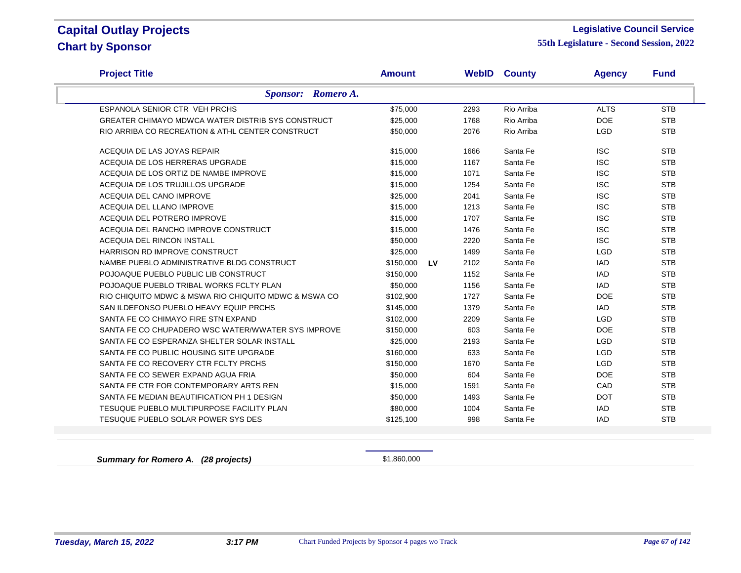### **Legislative Council Service**

**55th Legislature - Second Session, 2022**

| <b>Project Title</b>                                     | <b>Amount</b>          | WebID | <b>County</b> | <b>Agency</b> | <b>Fund</b> |
|----------------------------------------------------------|------------------------|-------|---------------|---------------|-------------|
| Sponsor: Romero A.                                       |                        |       |               |               |             |
| ESPANOLA SENIOR CTR VEH PRCHS                            | \$75,000               | 2293  | Rio Arriba    | <b>ALTS</b>   | <b>STB</b>  |
| <b>GREATER CHIMAYO MDWCA WATER DISTRIB SYS CONSTRUCT</b> | \$25,000               | 1768  | Rio Arriba    | <b>DOE</b>    | <b>STB</b>  |
| RIO ARRIBA CO RECREATION & ATHL CENTER CONSTRUCT         | \$50,000               | 2076  | Rio Arriba    | <b>LGD</b>    | <b>STB</b>  |
| ACEQUIA DE LAS JOYAS REPAIR                              | \$15,000               | 1666  | Santa Fe      | <b>ISC</b>    | <b>STB</b>  |
| ACEQUIA DE LOS HERRERAS UPGRADE                          | \$15,000               | 1167  | Santa Fe      | <b>ISC</b>    | <b>STB</b>  |
| ACEQUIA DE LOS ORTIZ DE NAMBE IMPROVE                    | \$15,000               | 1071  | Santa Fe      | <b>ISC</b>    | <b>STB</b>  |
| ACEQUIA DE LOS TRUJILLOS UPGRADE                         | \$15,000               | 1254  | Santa Fe      | <b>ISC</b>    | <b>STB</b>  |
| ACEQUIA DEL CANO IMPROVE                                 | \$25,000               | 2041  | Santa Fe      | <b>ISC</b>    | <b>STB</b>  |
| ACEQUIA DEL LLANO IMPROVE                                | \$15,000               | 1213  | Santa Fe      | <b>ISC</b>    | <b>STB</b>  |
| ACEQUIA DEL POTRERO IMPROVE                              | \$15,000               | 1707  | Santa Fe      | <b>ISC</b>    | <b>STB</b>  |
| ACEQUIA DEL RANCHO IMPROVE CONSTRUCT                     | \$15,000               | 1476  | Santa Fe      | <b>ISC</b>    | <b>STB</b>  |
| ACEQUIA DEL RINCON INSTALL                               | \$50,000               | 2220  | Santa Fe      | <b>ISC</b>    | <b>STB</b>  |
| HARRISON RD IMPROVE CONSTRUCT                            | \$25,000               | 1499  | Santa Fe      | <b>LGD</b>    | <b>STB</b>  |
| NAMBE PUEBLO ADMINISTRATIVE BLDG CONSTRUCT               | <b>LV</b><br>\$150,000 | 2102  | Santa Fe      | <b>IAD</b>    | <b>STB</b>  |
| POJOAQUE PUEBLO PUBLIC LIB CONSTRUCT                     | \$150,000              | 1152  | Santa Fe      | <b>IAD</b>    | <b>STB</b>  |
| POJOAQUE PUEBLO TRIBAL WORKS FCLTY PLAN                  | \$50,000               | 1156  | Santa Fe      | <b>IAD</b>    | <b>STB</b>  |
| RIO CHIQUITO MDWC & MSWA RIO CHIQUITO MDWC & MSWA CO     | \$102,900              | 1727  | Santa Fe      | <b>DOE</b>    | <b>STB</b>  |
| SAN ILDEFONSO PUEBLO HEAVY EQUIP PRCHS                   | \$145,000              | 1379  | Santa Fe      | <b>IAD</b>    | <b>STB</b>  |
| SANTA FE CO CHIMAYO FIRE STN EXPAND                      | \$102,000              | 2209  | Santa Fe      | <b>LGD</b>    | <b>STB</b>  |
| SANTA FE CO CHUPADERO WSC WATER/WWATER SYS IMPROVE       | \$150,000              | 603   | Santa Fe      | <b>DOE</b>    | <b>STB</b>  |
| SANTA FE CO ESPERANZA SHELTER SOLAR INSTALL              | \$25,000               | 2193  | Santa Fe      | LGD           | <b>STB</b>  |
| SANTA FE CO PUBLIC HOUSING SITE UPGRADE                  | \$160,000              | 633   | Santa Fe      | <b>LGD</b>    | <b>STB</b>  |
| SANTA FE CO RECOVERY CTR FCLTY PRCHS                     | \$150,000              | 1670  | Santa Fe      | <b>LGD</b>    | <b>STB</b>  |
| SANTA FE CO SEWER EXPAND AGUA FRIA                       | \$50,000               | 604   | Santa Fe      | <b>DOE</b>    | <b>STB</b>  |
| SANTA FE CTR FOR CONTEMPORARY ARTS REN                   | \$15,000               | 1591  | Santa Fe      | CAD           | <b>STB</b>  |
| SANTA FE MEDIAN BEAUTIFICATION PH 1 DESIGN               | \$50,000               | 1493  | Santa Fe      | <b>DOT</b>    | <b>STB</b>  |
| TESUQUE PUEBLO MULTIPURPOSE FACILITY PLAN                | \$80,000               | 1004  | Santa Fe      | <b>IAD</b>    | <b>STB</b>  |
| TESUQUE PUEBLO SOLAR POWER SYS DES                       | \$125,100              | 998   | Santa Fe      | <b>IAD</b>    | <b>STB</b>  |
|                                                          |                        |       |               |               |             |

**Summary for Romero A. (28 projects) Summary for Romero A.** (28 projects)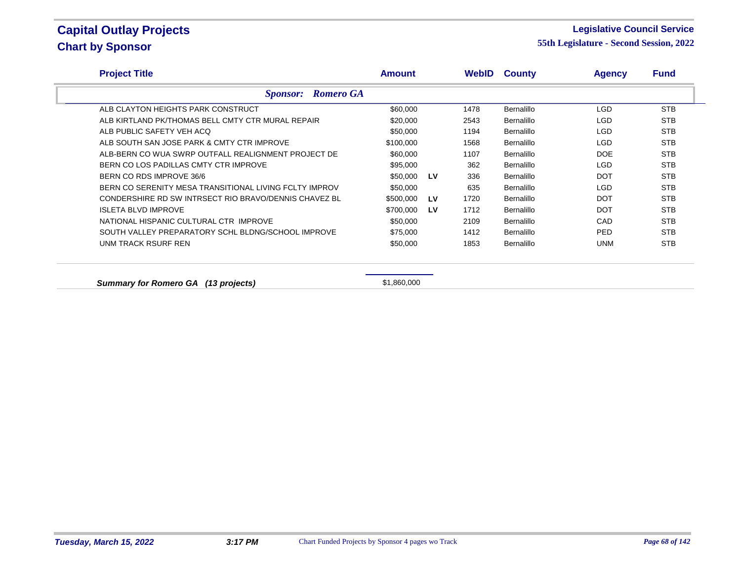### **Legislative Council Service**

| <b>Project Title</b>                                   | <b>Amount</b> |    | WebID | <b>County</b>     | <b>Agency</b> | <b>Fund</b> |
|--------------------------------------------------------|---------------|----|-------|-------------------|---------------|-------------|
| <b>Sponsor:</b> Romero GA                              |               |    |       |                   |               |             |
| ALB CLAYTON HEIGHTS PARK CONSTRUCT                     | \$60,000      |    | 1478  | Bernalillo        | LGD.          | <b>STB</b>  |
| ALB KIRTLAND PK/THOMAS BELL CMTY CTR MURAL REPAIR      | \$20,000      |    | 2543  | Bernalillo        | LGD           | <b>STB</b>  |
| ALB PUBLIC SAFETY VEH ACQ                              | \$50,000      |    | 1194  | Bernalillo        | LGD           | <b>STB</b>  |
| ALB SOUTH SAN JOSE PARK & CMTY CTR IMPROVE             | \$100,000     |    | 1568  | Bernalillo        | LGD           | <b>STB</b>  |
| ALB-BERN CO WUA SWRP OUTFALL REALIGNMENT PROJECT DE    | \$60,000      |    | 1107  | Bernalillo        | <b>DOE</b>    | <b>STB</b>  |
| BERN CO LOS PADILLAS CMTY CTR IMPROVE                  | \$95,000      |    | 362   | Bernalillo        | <b>LGD</b>    | <b>STB</b>  |
| BERN CO RDS IMPROVE 36/6                               | \$50,000      | LV | 336   | Bernalillo        | <b>DOT</b>    | <b>STB</b>  |
| BERN CO SERENITY MESA TRANSITIONAL LIVING FCLTY IMPROV | \$50,000      |    | 635   | Bernalillo        | LGD.          | <b>STB</b>  |
| CONDERSHIRE RD SW INTRSECT RIO BRAVO/DENNIS CHAVEZ BL  | \$500,000     | LV | 1720  | Bernalillo        | <b>DOT</b>    | <b>STB</b>  |
| <b>ISLETA BLVD IMPROVE</b>                             | \$700,000     | LV | 1712  | Bernalillo        | <b>DOT</b>    | <b>STB</b>  |
| NATIONAL HISPANIC CULTURAL CTR IMPROVE                 | \$50,000      |    | 2109  | Bernalillo        | CAD           | <b>STB</b>  |
| SOUTH VALLEY PREPARATORY SCHL BLDNG/SCHOOL IMPROVE     | \$75,000      |    | 1412  | <b>Bernalillo</b> | PED.          | <b>STB</b>  |
| UNM TRACK RSURF REN                                    | \$50,000      |    | 1853  | Bernalillo        | <b>UNM</b>    | <b>STB</b>  |
|                                                        |               |    |       |                   |               |             |
| <b>Summary for Romero GA</b><br>(13 projects)          | \$1,860,000   |    |       |                   |               |             |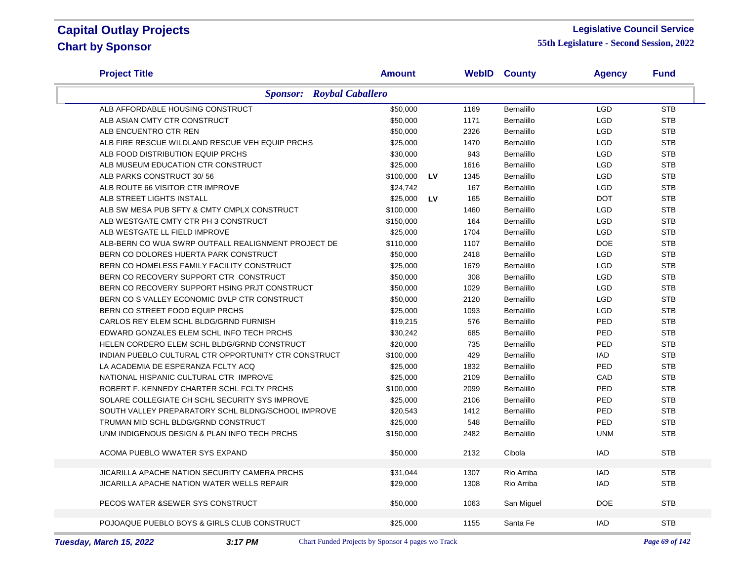#### **Legislative Council Service**

| <b>Project Title</b>                                 | <b>Amount</b>         |      | <b>WebID County</b> | <b>Agency</b> | <b>Fund</b> |
|------------------------------------------------------|-----------------------|------|---------------------|---------------|-------------|
| <b>Sponsor:</b> Roybal Caballero                     |                       |      |                     |               |             |
| ALB AFFORDABLE HOUSING CONSTRUCT                     | \$50,000              | 1169 | Bernalillo          | <b>LGD</b>    | <b>STB</b>  |
| ALB ASIAN CMTY CTR CONSTRUCT                         | \$50,000              | 1171 | <b>Bernalillo</b>   | <b>LGD</b>    | <b>STB</b>  |
| ALB ENCUENTRO CTR REN                                | \$50,000              | 2326 | Bernalillo          | <b>LGD</b>    | <b>STB</b>  |
| ALB FIRE RESCUE WILDLAND RESCUE VEH EQUIP PRCHS      | \$25,000              | 1470 | Bernalillo          | <b>LGD</b>    | <b>STB</b>  |
| ALB FOOD DISTRIBUTION EQUIP PRCHS                    | \$30,000              | 943  | Bernalillo          | <b>LGD</b>    | <b>STB</b>  |
| ALB MUSEUM EDUCATION CTR CONSTRUCT                   | \$25,000              | 1616 | Bernalillo          | <b>LGD</b>    | <b>STB</b>  |
| ALB PARKS CONSTRUCT 30/56                            | \$100,000<br>LV       | 1345 | Bernalillo          | <b>LGD</b>    | <b>STB</b>  |
| ALB ROUTE 66 VISITOR CTR IMPROVE                     | \$24,742              | 167  | Bernalillo          | <b>LGD</b>    | <b>STB</b>  |
| ALB STREET LIGHTS INSTALL                            | \$25,000<br><b>LV</b> | 165  | <b>Bernalillo</b>   | <b>DOT</b>    | <b>STB</b>  |
| ALB SW MESA PUB SFTY & CMTY CMPLX CONSTRUCT          | \$100,000             | 1460 | Bernalillo          | LGD           | <b>STB</b>  |
| ALB WESTGATE CMTY CTR PH 3 CONSTRUCT                 | \$150,000             | 164  | Bernalillo          | <b>LGD</b>    | <b>STB</b>  |
| ALB WESTGATE LL FIELD IMPROVE                        | \$25,000              | 1704 | Bernalillo          | <b>LGD</b>    | <b>STB</b>  |
| ALB-BERN CO WUA SWRP OUTFALL REALIGNMENT PROJECT DE  | \$110,000             | 1107 | Bernalillo          | <b>DOE</b>    | <b>STB</b>  |
| BERN CO DOLORES HUERTA PARK CONSTRUCT                | \$50,000              | 2418 | Bernalillo          | <b>LGD</b>    | <b>STB</b>  |
| BERN CO HOMELESS FAMILY FACILITY CONSTRUCT           | \$25,000              | 1679 | Bernalillo          | <b>LGD</b>    | <b>STB</b>  |
| BERN CO RECOVERY SUPPORT CTR CONSTRUCT               | \$50,000              | 308  | Bernalillo          | <b>LGD</b>    | <b>STB</b>  |
| BERN CO RECOVERY SUPPORT HSING PRJT CONSTRUCT        | \$50,000              | 1029 | Bernalillo          | <b>LGD</b>    | <b>STB</b>  |
| BERN CO S VALLEY ECONOMIC DVLP CTR CONSTRUCT         | \$50,000              | 2120 | Bernalillo          | <b>LGD</b>    | <b>STB</b>  |
| BERN CO STREET FOOD EQUIP PRCHS                      | \$25,000              | 1093 | Bernalillo          | <b>LGD</b>    | <b>STB</b>  |
| CARLOS REY ELEM SCHL BLDG/GRND FURNISH               | \$19,215              | 576  | Bernalillo          | PED           | <b>STB</b>  |
| EDWARD GONZALES ELEM SCHL INFO TECH PRCHS            | \$30,242              | 685  | Bernalillo          | PED           | <b>STB</b>  |
| HELEN CORDERO ELEM SCHL BLDG/GRND CONSTRUCT          | \$20,000              | 735  | Bernalillo          | PED           | <b>STB</b>  |
| INDIAN PUEBLO CULTURAL CTR OPPORTUNITY CTR CONSTRUCT | \$100,000             | 429  | Bernalillo          | <b>IAD</b>    | <b>STB</b>  |
| LA ACADEMIA DE ESPERANZA FCLTY ACQ                   | \$25,000              | 1832 | Bernalillo          | PED           | <b>STB</b>  |
| NATIONAL HISPANIC CULTURAL CTR IMPROVE               | \$25,000              | 2109 | Bernalillo          | CAD           | <b>STB</b>  |
| ROBERT F. KENNEDY CHARTER SCHL FCLTY PRCHS           | \$100,000             | 2099 | Bernalillo          | PED           | <b>STB</b>  |
| SOLARE COLLEGIATE CH SCHL SECURITY SYS IMPROVE       | \$25,000              | 2106 | Bernalillo          | PED           | <b>STB</b>  |
| SOUTH VALLEY PREPARATORY SCHL BLDNG/SCHOOL IMPROVE   | \$20,543              | 1412 | <b>Bernalillo</b>   | PED           | <b>STB</b>  |
| TRUMAN MID SCHL BLDG/GRND CONSTRUCT                  | \$25,000              | 548  | Bernalillo          | PED           | <b>STB</b>  |
| UNM INDIGENOUS DESIGN & PLAN INFO TECH PRCHS         | \$150,000             | 2482 | Bernalillo          | <b>UNM</b>    | <b>STB</b>  |
| ACOMA PUEBLO WWATER SYS EXPAND                       | \$50,000              | 2132 | Cibola              | <b>IAD</b>    | <b>STB</b>  |
| JICARILLA APACHE NATION SECURITY CAMERA PRCHS        | \$31,044              | 1307 | Rio Arriba          | <b>IAD</b>    | <b>STB</b>  |
| JICARILLA APACHE NATION WATER WELLS REPAIR           | \$29,000              | 1308 | Rio Arriba          | <b>IAD</b>    | <b>STB</b>  |
| PECOS WATER & SEWER SYS CONSTRUCT                    | \$50,000              | 1063 | San Miguel          | <b>DOE</b>    | <b>STB</b>  |
|                                                      |                       |      |                     |               |             |
| POJOAQUE PUEBLO BOYS & GIRLS CLUB CONSTRUCT          | \$25,000              | 1155 | Santa Fe            | <b>IAD</b>    | <b>STB</b>  |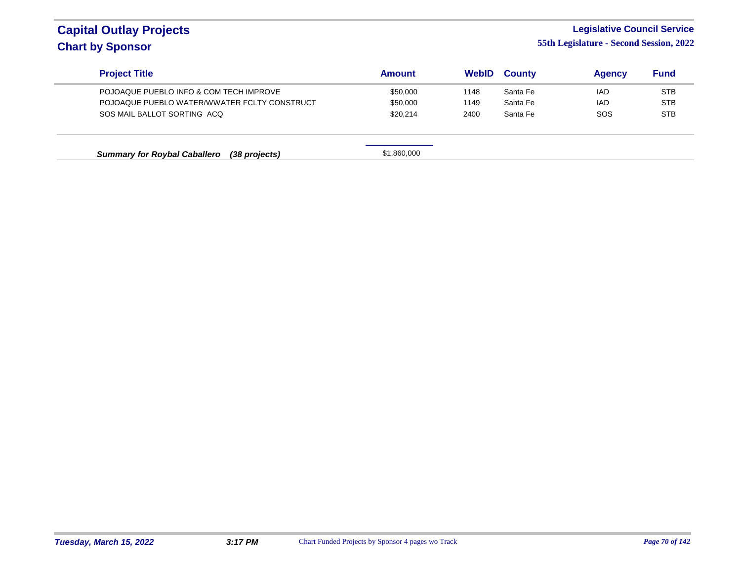# **Legislative Council Service**

| <b>Project Title</b>                                 | <b>Amount</b> | WebID | <b>County</b> | <b>Agency</b> | <b>Fund</b> |
|------------------------------------------------------|---------------|-------|---------------|---------------|-------------|
| POJOAQUE PUEBLO INFO & COM TECH IMPROVE              | \$50,000      | 1148  | Santa Fe      | <b>IAD</b>    | <b>STB</b>  |
| POJOAQUE PUEBLO WATER/WWATER FCLTY CONSTRUCT         | \$50,000      | 1149  | Santa Fe      | <b>IAD</b>    | <b>STB</b>  |
| SOS MAIL BALLOT SORTING ACO                          | \$20,214      | 2400  | Santa Fe      | <b>SOS</b>    | <b>STB</b>  |
|                                                      | \$1,860,000   |       |               |               |             |
| <b>Summary for Roybal Caballero</b><br>(38 projects) |               |       |               |               |             |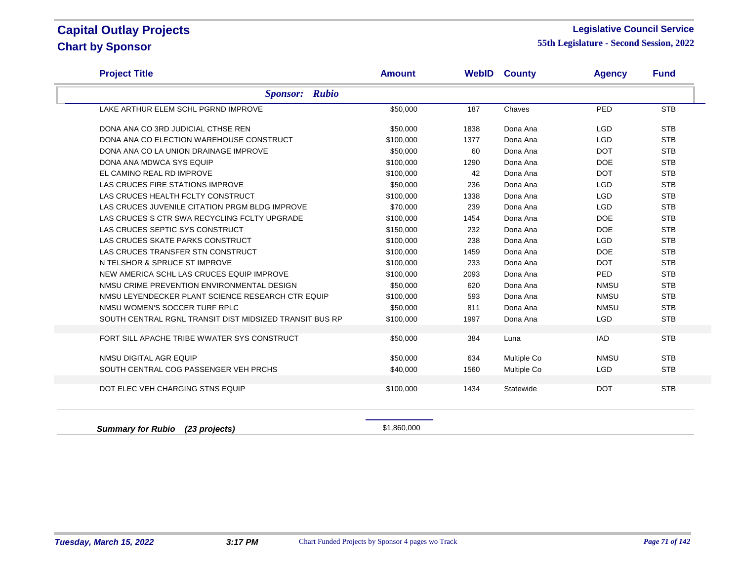### **Legislative Council Service**

| <b>Project Title</b>                                    | <b>Amount</b> |      | <b>WebID County</b> | <b>Agency</b> | <b>Fund</b> |
|---------------------------------------------------------|---------------|------|---------------------|---------------|-------------|
| <b>Sponsor: Rubio</b>                                   |               |      |                     |               |             |
| LAKE ARTHUR ELEM SCHL PGRND IMPROVE                     | \$50,000      | 187  | Chaves              | PED           | <b>STB</b>  |
| DONA ANA CO 3RD JUDICIAL CTHSE REN                      | \$50,000      | 1838 | Dona Ana            | <b>LGD</b>    | <b>STB</b>  |
| DONA ANA CO ELECTION WAREHOUSE CONSTRUCT                | \$100,000     | 1377 | Dona Ana            | <b>LGD</b>    | <b>STB</b>  |
| DONA ANA CO LA UNION DRAINAGE IMPROVE                   | \$50,000      | 60   | Dona Ana            | <b>DOT</b>    | <b>STB</b>  |
| DONA ANA MDWCA SYS EQUIP                                | \$100,000     | 1290 | Dona Ana            | <b>DOE</b>    | <b>STB</b>  |
| EL CAMINO REAL RD IMPROVE                               | \$100,000     | 42   | Dona Ana            | <b>DOT</b>    | <b>STB</b>  |
| LAS CRUCES FIRE STATIONS IMPROVE                        | \$50,000      | 236  | Dona Ana            | <b>LGD</b>    | <b>STB</b>  |
| LAS CRUCES HEALTH FCLTY CONSTRUCT                       | \$100,000     | 1338 | Dona Ana            | <b>LGD</b>    | <b>STB</b>  |
| LAS CRUCES JUVENILE CITATION PRGM BLDG IMPROVE          | \$70,000      | 239  | Dona Ana            | <b>LGD</b>    | <b>STB</b>  |
| LAS CRUCES S CTR SWA RECYCLING FCLTY UPGRADE            | \$100,000     | 1454 | Dona Ana            | <b>DOE</b>    | <b>STB</b>  |
| LAS CRUCES SEPTIC SYS CONSTRUCT                         | \$150,000     | 232  | Dona Ana            | <b>DOE</b>    | <b>STB</b>  |
| LAS CRUCES SKATE PARKS CONSTRUCT                        | \$100,000     | 238  | Dona Ana            | <b>LGD</b>    | <b>STB</b>  |
| LAS CRUCES TRANSFER STN CONSTRUCT                       | \$100,000     | 1459 | Dona Ana            | <b>DOE</b>    | <b>STB</b>  |
| N TELSHOR & SPRUCE ST IMPROVE                           | \$100,000     | 233  | Dona Ana            | <b>DOT</b>    | <b>STB</b>  |
| NEW AMERICA SCHL LAS CRUCES EQUIP IMPROVE               | \$100,000     | 2093 | Dona Ana            | PED           | <b>STB</b>  |
| NMSU CRIME PREVENTION ENVIRONMENTAL DESIGN              | \$50,000      | 620  | Dona Ana            | <b>NMSU</b>   | <b>STB</b>  |
| NMSU LEYENDECKER PLANT SCIENCE RESEARCH CTR EQUIP       | \$100,000     | 593  | Dona Ana            | <b>NMSU</b>   | <b>STB</b>  |
| NMSU WOMEN'S SOCCER TURF RPLC                           | \$50,000      | 811  | Dona Ana            | <b>NMSU</b>   | <b>STB</b>  |
| SOUTH CENTRAL RGNL TRANSIT DIST MIDSIZED TRANSIT BUS RP | \$100,000     | 1997 | Dona Ana            | <b>LGD</b>    | <b>STB</b>  |
| FORT SILL APACHE TRIBE WWATER SYS CONSTRUCT             | \$50,000      | 384  | Luna                | <b>IAD</b>    | <b>STB</b>  |
| NMSU DIGITAL AGR EQUIP                                  | \$50,000      | 634  | Multiple Co         | <b>NMSU</b>   | <b>STB</b>  |
| SOUTH CENTRAL COG PASSENGER VEH PRCHS                   | \$40,000      | 1560 | Multiple Co         | <b>LGD</b>    | <b>STB</b>  |
| DOT ELEC VEH CHARGING STNS EQUIP                        | \$100,000     | 1434 | Statewide           | <b>DOT</b>    | <b>STB</b>  |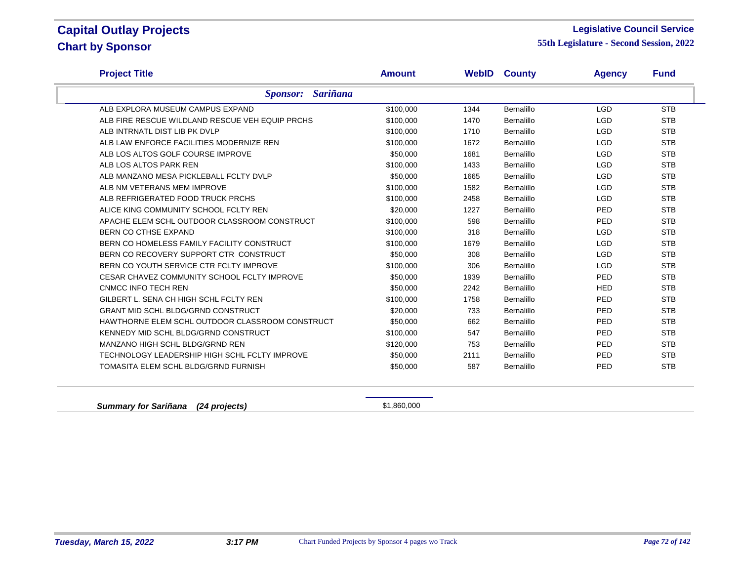### **Legislative Council Service**

**55th Legislature - Second Session, 2022**

| <b>Project Title</b>                            | <b>Amount</b> | WebID | <b>County</b> | <b>Agency</b> | <b>Fund</b> |
|-------------------------------------------------|---------------|-------|---------------|---------------|-------------|
| <b>Sariñana</b><br><b>Sponsor:</b>              |               |       |               |               |             |
| ALB EXPLORA MUSEUM CAMPUS EXPAND                | \$100,000     | 1344  | Bernalillo    | <b>LGD</b>    | <b>STB</b>  |
| ALB FIRE RESCUE WILDLAND RESCUE VEH EQUIP PRCHS | \$100,000     | 1470  | Bernalillo    | <b>LGD</b>    | <b>STB</b>  |
| ALB INTRNATL DIST LIB PK DVLP                   | \$100,000     | 1710  | Bernalillo    | <b>LGD</b>    | <b>STB</b>  |
| ALB LAW ENFORCE FACILITIES MODERNIZE REN        | \$100,000     | 1672  | Bernalillo    | <b>LGD</b>    | <b>STB</b>  |
| ALB LOS ALTOS GOLF COURSE IMPROVE               | \$50,000      | 1681  | Bernalillo    | <b>LGD</b>    | <b>STB</b>  |
| ALB LOS ALTOS PARK REN                          | \$100,000     | 1433  | Bernalillo    | <b>LGD</b>    | <b>STB</b>  |
| ALB MANZANO MESA PICKLEBALL FCLTY DVLP          | \$50,000      | 1665  | Bernalillo    | <b>LGD</b>    | <b>STB</b>  |
| ALB NM VETERANS MEM IMPROVE                     | \$100,000     | 1582  | Bernalillo    | <b>LGD</b>    | <b>STB</b>  |
| ALB REFRIGERATED FOOD TRUCK PRCHS               | \$100,000     | 2458  | Bernalillo    | <b>LGD</b>    | <b>STB</b>  |
| ALICE KING COMMUNITY SCHOOL FCLTY REN           | \$20,000      | 1227  | Bernalillo    | <b>PED</b>    | <b>STB</b>  |
| APACHE ELEM SCHL OUTDOOR CLASSROOM CONSTRUCT    | \$100,000     | 598   | Bernalillo    | PED           | <b>STB</b>  |
| BERN CO CTHSE EXPAND                            | \$100,000     | 318   | Bernalillo    | <b>LGD</b>    | <b>STB</b>  |
| BERN CO HOMELESS FAMILY FACILITY CONSTRUCT      | \$100,000     | 1679  | Bernalillo    | <b>LGD</b>    | <b>STB</b>  |
| BERN CO RECOVERY SUPPORT CTR CONSTRUCT          | \$50,000      | 308   | Bernalillo    | <b>LGD</b>    | <b>STB</b>  |
| BERN CO YOUTH SERVICE CTR FCLTY IMPROVE         | \$100,000     | 306   | Bernalillo    | <b>LGD</b>    | <b>STB</b>  |
| CESAR CHAVEZ COMMUNITY SCHOOL FCLTY IMPROVE     | \$50,000      | 1939  | Bernalillo    | <b>PED</b>    | <b>STB</b>  |
| <b>CNMCC INFO TECH REN</b>                      | \$50,000      | 2242  | Bernalillo    | <b>HED</b>    | <b>STB</b>  |
| GILBERT L. SENA CH HIGH SCHL FCLTY REN          | \$100,000     | 1758  | Bernalillo    | <b>PED</b>    | <b>STB</b>  |
| <b>GRANT MID SCHL BLDG/GRND CONSTRUCT</b>       | \$20,000      | 733   | Bernalillo    | PED           | <b>STB</b>  |
| HAWTHORNE ELEM SCHL OUTDOOR CLASSROOM CONSTRUCT | \$50,000      | 662   | Bernalillo    | PED           | <b>STB</b>  |
| KENNEDY MID SCHL BLDG/GRND CONSTRUCT            | \$100,000     | 547   | Bernalillo    | PED           | <b>STB</b>  |
| MANZANO HIGH SCHL BLDG/GRND REN                 | \$120,000     | 753   | Bernalillo    | <b>PED</b>    | <b>STB</b>  |
| TECHNOLOGY LEADERSHIP HIGH SCHL FCLTY IMPROVE   | \$50,000      | 2111  | Bernalillo    | PED           | <b>STB</b>  |
| TOMASITA ELEM SCHL BLDG/GRND FURNISH            | \$50,000      | 587   | Bernalillo    | PED           | <b>STB</b>  |

**Summary for Sariñana** (24 projects) **\$1,860,000**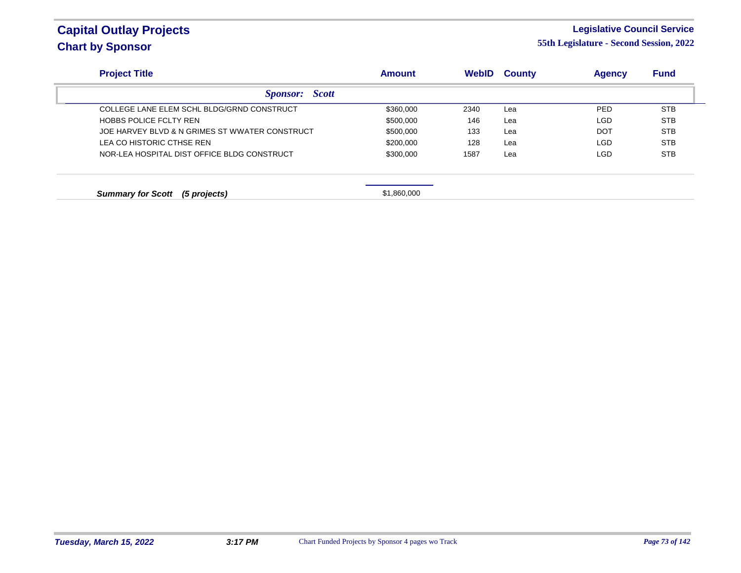#### **Legislative Council Service**

| <b>Project Title</b>                           | <b>Amount</b> | <b>WebID</b> | <b>County</b> | <b>Agency</b> | <b>Fund</b> |
|------------------------------------------------|---------------|--------------|---------------|---------------|-------------|
| <b>Sponsor:</b> Scott                          |               |              |               |               |             |
| COLLEGE LANE ELEM SCHL BLDG/GRND CONSTRUCT     | \$360,000     | 2340         | Lea           | <b>PED</b>    | <b>STB</b>  |
| HOBBS POLICE FCLTY REN                         | \$500,000     | 146          | Lea           | LGD.          | <b>STB</b>  |
| JOE HARVEY BLVD & N GRIMES ST WWATER CONSTRUCT | \$500,000     | 133          | Lea           | <b>DOT</b>    | <b>STB</b>  |
| LEA CO HISTORIC CTHSE REN                      | \$200.000     | 128          | Lea           | <b>LGD</b>    | <b>STB</b>  |
| NOR-LEA HOSPITAL DIST OFFICE BLDG CONSTRUCT    | \$300,000     | 1587         | Lea           | LGD           | <b>STB</b>  |
|                                                |               |              |               |               |             |
| <b>Summary for Scott</b><br>(5 projects)       | \$1,860,000   |              |               |               |             |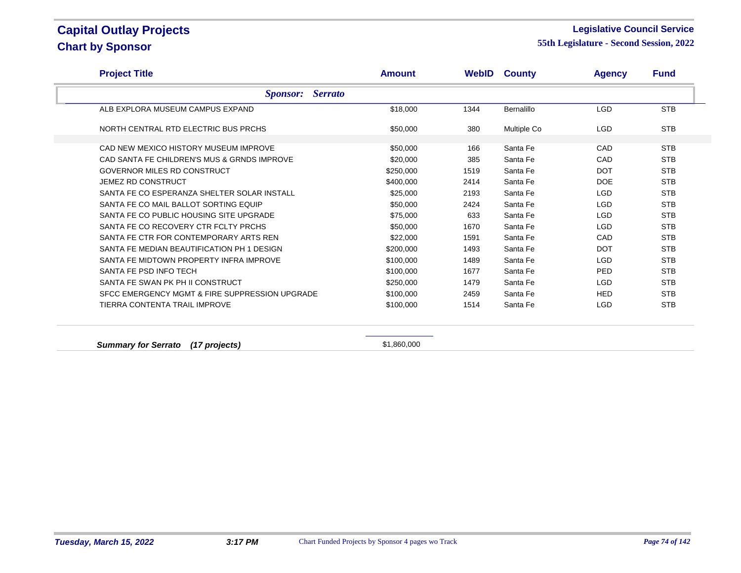#### **Legislative Council Service**

| <b>Sponsor:</b> Serrato<br>ALB EXPLORA MUSEUM CAMPUS EXPAND<br>NORTH CENTRAL RTD ELECTRIC BUS PRCHS<br>CAD NEW MEXICO HISTORY MUSEUM IMPROVE | \$18,000<br>\$50,000 | 1344 | Bernalillo  | <b>LGD</b> | <b>STB</b> |
|----------------------------------------------------------------------------------------------------------------------------------------------|----------------------|------|-------------|------------|------------|
|                                                                                                                                              |                      |      |             |            |            |
|                                                                                                                                              |                      |      |             |            |            |
|                                                                                                                                              |                      | 380  | Multiple Co | <b>LGD</b> | <b>STB</b> |
|                                                                                                                                              | \$50,000             | 166  | Santa Fe    | CAD        | <b>STB</b> |
| CAD SANTA FE CHILDREN'S MUS & GRNDS IMPROVE                                                                                                  | \$20,000             | 385  | Santa Fe    | CAD        | <b>STB</b> |
| GOVERNOR MILES RD CONSTRUCT                                                                                                                  | \$250,000            | 1519 | Santa Fe    | <b>DOT</b> | <b>STB</b> |
| <b>JEMEZ RD CONSTRUCT</b>                                                                                                                    | \$400,000            | 2414 | Santa Fe    | <b>DOE</b> | <b>STB</b> |
| SANTA FE CO ESPERANZA SHELTER SOLAR INSTALL                                                                                                  | \$25,000             | 2193 | Santa Fe    | <b>LGD</b> | <b>STB</b> |
| SANTA FE CO MAIL BALLOT SORTING EQUIP                                                                                                        | \$50,000             | 2424 | Santa Fe    | <b>LGD</b> | <b>STB</b> |
| SANTA FE CO PUBLIC HOUSING SITE UPGRADE                                                                                                      | \$75,000             | 633  | Santa Fe    | <b>LGD</b> | <b>STB</b> |
| SANTA FE CO RECOVERY CTR FCLTY PRCHS                                                                                                         | \$50,000             | 1670 | Santa Fe    | <b>LGD</b> | <b>STB</b> |
| SANTA FE CTR FOR CONTEMPORARY ARTS REN                                                                                                       | \$22,000             | 1591 | Santa Fe    | CAD        | <b>STB</b> |
| SANTA FE MEDIAN BEAUTIFICATION PH 1 DESIGN                                                                                                   | \$200,000            | 1493 | Santa Fe    | <b>DOT</b> | <b>STB</b> |
| SANTA FE MIDTOWN PROPERTY INFRA IMPROVE                                                                                                      | \$100,000            | 1489 | Santa Fe    | <b>LGD</b> | <b>STB</b> |
| SANTA FE PSD INFO TECH                                                                                                                       | \$100,000            | 1677 | Santa Fe    | PED.       | <b>STB</b> |
| SANTA FE SWAN PK PH II CONSTRUCT                                                                                                             | \$250,000            | 1479 | Santa Fe    | <b>LGD</b> | <b>STB</b> |
| SFCC EMERGENCY MGMT & FIRE SUPPRESSION UPGRADE                                                                                               | \$100,000            | 2459 | Santa Fe    | <b>HED</b> | <b>STB</b> |
| TIERRA CONTENTA TRAIL IMPROVE                                                                                                                | \$100,000            | 1514 | Santa Fe    | <b>LGD</b> | <b>STB</b> |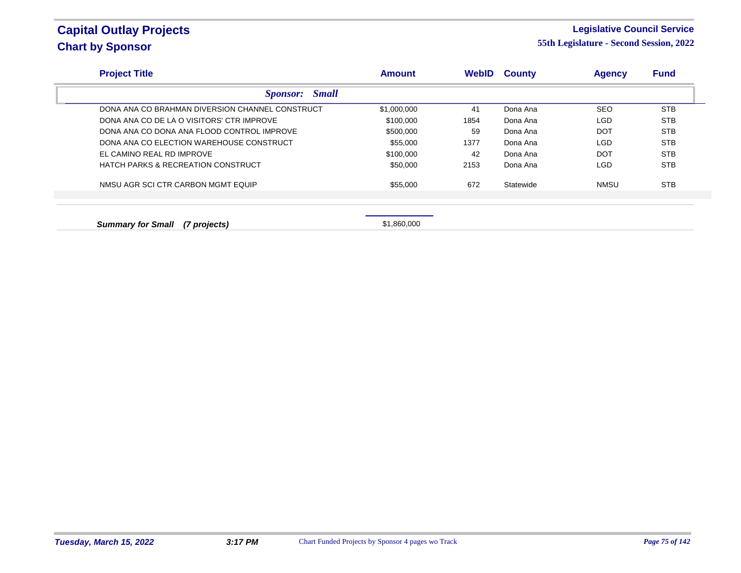#### **Legislative Council Service**

| <b>Project Title</b>                            | <b>Amount</b> | <b>WebID</b> | <b>County</b> | <b>Agency</b> | <b>Fund</b> |
|-------------------------------------------------|---------------|--------------|---------------|---------------|-------------|
| <b>Small</b><br><i>Sponsor:</i>                 |               |              |               |               |             |
| DONA ANA CO BRAHMAN DIVERSION CHANNEL CONSTRUCT | \$1,000,000   | 41           | Dona Ana      | <b>SEO</b>    | <b>STB</b>  |
| DONA ANA CO DE LA O VISITORS' CTR IMPROVE       | \$100,000     | 1854         | Dona Ana      | LGD           | <b>STB</b>  |
| DONA ANA CO DONA ANA FLOOD CONTROL IMPROVE      | \$500,000     | 59           | Dona Ana      | <b>DOT</b>    | <b>STB</b>  |
| DONA ANA CO ELECTION WAREHOUSE CONSTRUCT        | \$55,000      | 1377         | Dona Ana      | LGD           | <b>STB</b>  |
| EL CAMINO REAL RD IMPROVE                       | \$100,000     | 42           | Dona Ana      | <b>DOT</b>    | <b>STB</b>  |
| <b>HATCH PARKS &amp; RECREATION CONSTRUCT</b>   | \$50,000      | 2153         | Dona Ana      | LGD           | <b>STB</b>  |
| NMSU AGR SCI CTR CARBON MGMT EQUIP              | \$55,000      | 672          | Statewide     | <b>NMSU</b>   | <b>STB</b>  |
|                                                 |               |              |               |               |             |
| <b>Summary for Small</b><br>(7 projects)        | \$1.860,000   |              |               |               |             |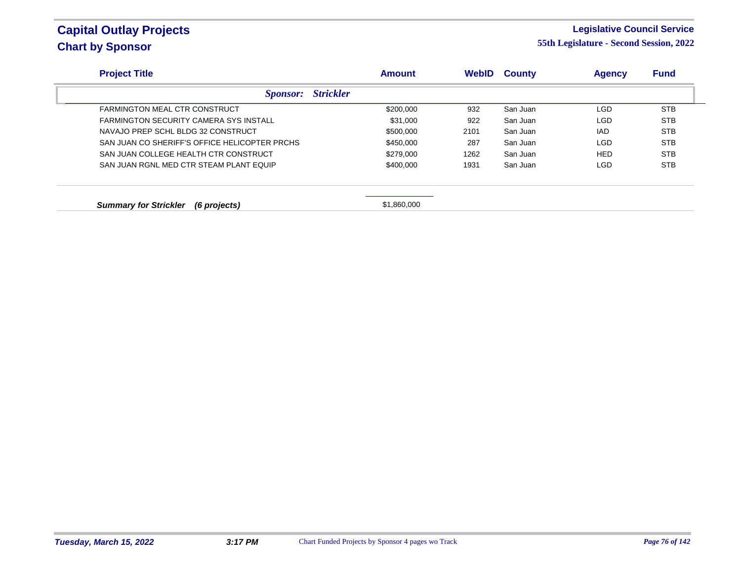#### **Legislative Council Service**

| <b>Project Title</b>                          | <b>Amount</b>    | <b>WebID</b> | <b>County</b> | <b>Agency</b> | <b>Fund</b> |
|-----------------------------------------------|------------------|--------------|---------------|---------------|-------------|
| <b>Sponsor:</b>                               | <b>Strickler</b> |              |               |               |             |
| FARMINGTON MEAL CTR CONSTRUCT                 | \$200,000        | 932          | San Juan      | LGD           | <b>STB</b>  |
| <b>FARMINGTON SECURITY CAMERA SYS INSTALL</b> | \$31,000         | 922          | San Juan      | <b>LGD</b>    | <b>STB</b>  |
| NAVAJO PREP SCHL BLDG 32 CONSTRUCT            | \$500,000        | 2101         | San Juan      | <b>IAD</b>    | <b>STB</b>  |
| SAN JUAN CO SHERIFF'S OFFICE HELICOPTER PRCHS | \$450,000        | 287          | San Juan      | LGD           | <b>STB</b>  |
| SAN JUAN COLLEGE HEALTH CTR CONSTRUCT         | \$279,000        | 1262         | San Juan      | <b>HED</b>    | <b>STB</b>  |
| SAN JUAN RGNL MED CTR STEAM PLANT EQUIP       | \$400,000        | 1931         | San Juan      | <b>LGD</b>    | <b>STB</b>  |
| <b>Summary for Strickler</b><br>(6 projects)  | \$1,860,000      |              |               |               |             |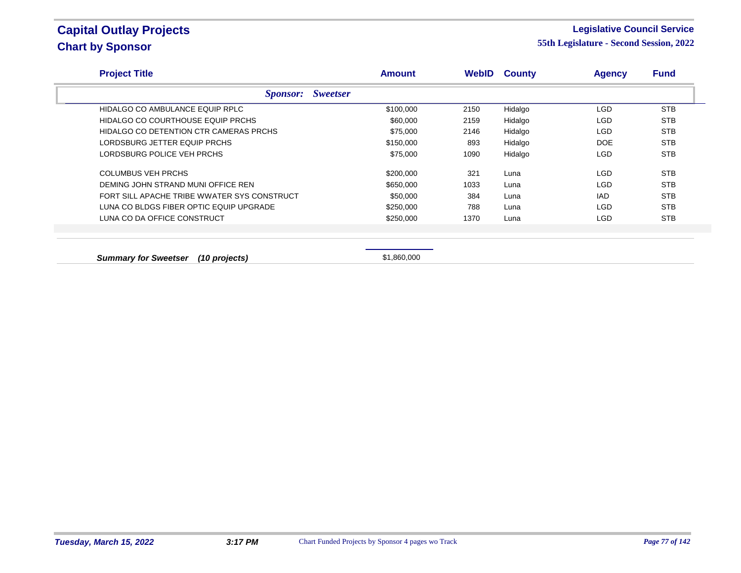#### **Legislative Council Service**

**55th Legislature - Second Session, 2022**

| <b>Project Title</b>                        |                                    | <b>Amount</b> | WebID | <b>County</b> | <b>Agency</b> | <b>Fund</b> |
|---------------------------------------------|------------------------------------|---------------|-------|---------------|---------------|-------------|
|                                             | <b>Sweetser</b><br><i>Sponsor:</i> |               |       |               |               |             |
| HIDALGO CO AMBULANCE EQUIP RPLC             |                                    | \$100,000     | 2150  | Hidalgo       | <b>LGD</b>    | <b>STB</b>  |
| HIDALGO CO COURTHOUSE EQUIP PRCHS           |                                    | \$60,000      | 2159  | Hidalgo       | <b>LGD</b>    | <b>STB</b>  |
| HIDALGO CO DETENTION CTR CAMERAS PRCHS      |                                    | \$75,000      | 2146  | Hidalgo       | <b>LGD</b>    | <b>STB</b>  |
| LORDSBURG JETTER EQUIP PRCHS                |                                    | \$150,000     | 893   | Hidalgo       | <b>DOE</b>    | <b>STB</b>  |
| LORDSBURG POLICE VEH PRCHS                  |                                    | \$75,000      | 1090  | Hidalgo       | <b>LGD</b>    | <b>STB</b>  |
| <b>COLUMBUS VEH PRCHS</b>                   |                                    | \$200,000     | 321   | Luna          | <b>LGD</b>    | <b>STB</b>  |
| DEMING JOHN STRAND MUNI OFFICE REN          |                                    | \$650,000     | 1033  | Luna          | LGD           | <b>STB</b>  |
| FORT SILL APACHE TRIBE WWATER SYS CONSTRUCT |                                    | \$50,000      | 384   | Luna          | IAD.          | <b>STB</b>  |
| LUNA CO BLDGS FIBER OPTIC EQUIP UPGRADE     |                                    | \$250,000     | 788   | Luna          | <b>LGD</b>    | <b>STB</b>  |
| LUNA CO DA OFFICE CONSTRUCT                 |                                    | \$250,000     | 1370  | Luna          | <b>LGD</b>    | <b>STB</b>  |
|                                             |                                    |               |       |               |               |             |
|                                             |                                    |               |       |               |               |             |
| <b>Summary for Sweetser</b>                 | (10 projects)                      | \$1,860,000   |       |               |               |             |

**Tuesday, March 15, 2022 3:17 PM** Chart Funded Projects by Sponsor 4 pages wo Track *Page 77 of 142*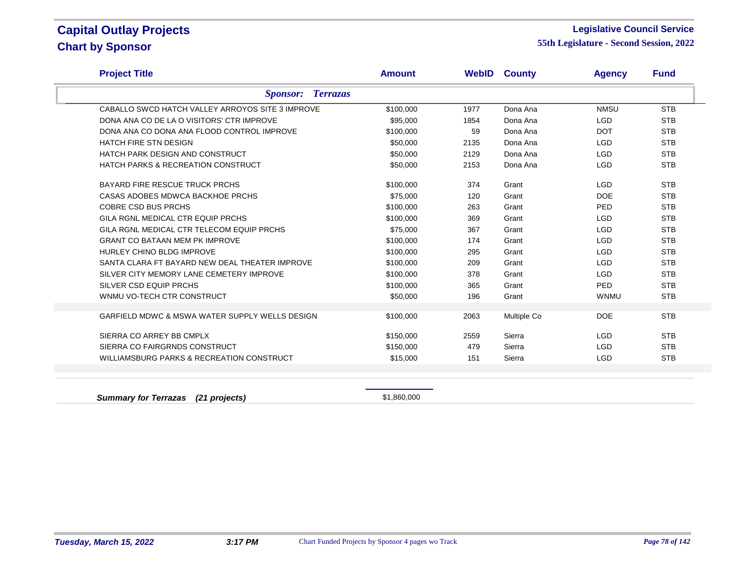#### **Legislative Council Service**

**55th Legislature - Second Session, 2022**

| <b>Project Title</b>                             | <b>Amount</b> | WebID | <b>County</b> | <b>Agency</b> | <b>Fund</b> |
|--------------------------------------------------|---------------|-------|---------------|---------------|-------------|
| <b>Terrazas</b><br><i>Sponsor:</i>               |               |       |               |               |             |
| CABALLO SWCD HATCH VALLEY ARROYOS SITE 3 IMPROVE | \$100,000     | 1977  | Dona Ana      | <b>NMSU</b>   | <b>STB</b>  |
| DONA ANA CO DE LA O VISITORS' CTR IMPROVE        | \$95,000      | 1854  | Dona Ana      | <b>LGD</b>    | <b>STB</b>  |
| DONA ANA CO DONA ANA FLOOD CONTROL IMPROVE       | \$100,000     | 59    | Dona Ana      | <b>DOT</b>    | <b>STB</b>  |
| <b>HATCH FIRE STN DESIGN</b>                     | \$50,000      | 2135  | Dona Ana      | <b>LGD</b>    | <b>STB</b>  |
| HATCH PARK DESIGN AND CONSTRUCT                  | \$50,000      | 2129  | Dona Ana      | <b>LGD</b>    | <b>STB</b>  |
| <b>HATCH PARKS &amp; RECREATION CONSTRUCT</b>    | \$50,000      | 2153  | Dona Ana      | <b>LGD</b>    | <b>STB</b>  |
| <b>BAYARD FIRE RESCUE TRUCK PRCHS</b>            | \$100,000     | 374   | Grant         | <b>LGD</b>    | <b>STB</b>  |
| CASAS ADOBES MDWCA BACKHOE PRCHS                 | \$75,000      | 120   | Grant         | <b>DOE</b>    | <b>STB</b>  |
| <b>COBRE CSD BUS PRCHS</b>                       | \$100,000     | 263   | Grant         | PED           | <b>STB</b>  |
| GILA RGNL MEDICAL CTR EQUIP PRCHS                | \$100,000     | 369   | Grant         | <b>LGD</b>    | <b>STB</b>  |
| GILA RGNL MEDICAL CTR TELECOM EQUIP PRCHS        | \$75,000      | 367   | Grant         | <b>LGD</b>    | <b>STB</b>  |
| <b>GRANT CO BATAAN MEM PK IMPROVE</b>            | \$100,000     | 174   | Grant         | <b>LGD</b>    | <b>STB</b>  |
| HURLEY CHINO BLDG IMPROVE                        | \$100,000     | 295   | Grant         | <b>LGD</b>    | <b>STB</b>  |
| SANTA CLARA FT BAYARD NEW DEAL THEATER IMPROVE   | \$100,000     | 209   | Grant         | <b>LGD</b>    | <b>STB</b>  |
| SILVER CITY MEMORY LANE CEMETERY IMPROVE         | \$100,000     | 378   | Grant         | <b>LGD</b>    | <b>STB</b>  |
| SILVER CSD EQUIP PRCHS                           | \$100,000     | 365   | Grant         | PED           | <b>STB</b>  |
| WNMU VO-TECH CTR CONSTRUCT                       | \$50,000      | 196   | Grant         | <b>WNMU</b>   | <b>STB</b>  |
| GARFIELD MDWC & MSWA WATER SUPPLY WELLS DESIGN   | \$100,000     | 2063  | Multiple Co   | <b>DOE</b>    | <b>STB</b>  |
| SIERRA CO ARREY BB CMPLX                         | \$150,000     | 2559  | Sierra        | <b>LGD</b>    | <b>STB</b>  |
| SIERRA CO FAIRGRNDS CONSTRUCT                    | \$150,000     | 479   | Sierra        | <b>LGD</b>    | <b>STB</b>  |
| WILLIAMSBURG PARKS & RECREATION CONSTRUCT        | \$15,000      | 151   | Sierra        | <b>LGD</b>    | <b>STB</b>  |

**Summary for Terrazas (21 projects) Summary for Terrazas** (21 projects)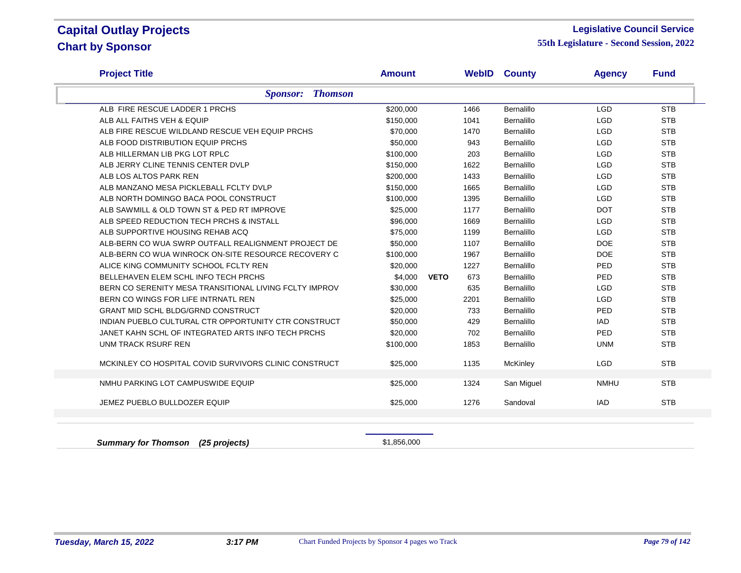#### **Legislative Council Service**

| <b>Project Title</b>                                   | <b>Amount</b> |                    | <b>WebID County</b> | <b>Agency</b> | <b>Fund</b> |
|--------------------------------------------------------|---------------|--------------------|---------------------|---------------|-------------|
| <b>Sponsor: Thomson</b>                                |               |                    |                     |               |             |
| ALB FIRE RESCUE LADDER 1 PRCHS                         | \$200,000     | 1466               | Bernalillo          | <b>LGD</b>    | <b>STB</b>  |
| ALB ALL FAITHS VEH & EQUIP                             | \$150,000     | 1041               | Bernalillo          | <b>LGD</b>    | <b>STB</b>  |
| ALB FIRE RESCUE WILDLAND RESCUE VEH EQUIP PRCHS        | \$70,000      | 1470               | Bernalillo          | <b>LGD</b>    | <b>STB</b>  |
| ALB FOOD DISTRIBUTION EQUIP PRCHS                      | \$50,000      | 943                | Bernalillo          | <b>LGD</b>    | <b>STB</b>  |
| ALB HILLERMAN LIB PKG LOT RPLC                         | \$100,000     | 203                | Bernalillo          | <b>LGD</b>    | <b>STB</b>  |
| ALB JERRY CLINE TENNIS CENTER DVLP                     | \$150,000     | 1622               | Bernalillo          | <b>LGD</b>    | <b>STB</b>  |
| ALB LOS ALTOS PARK REN                                 | \$200,000     | 1433               | Bernalillo          | <b>LGD</b>    | <b>STB</b>  |
| ALB MANZANO MESA PICKLEBALL FCLTY DVLP                 | \$150,000     | 1665               | Bernalillo          | <b>LGD</b>    | <b>STB</b>  |
| ALB NORTH DOMINGO BACA POOL CONSTRUCT                  | \$100,000     | 1395               | Bernalillo          | <b>LGD</b>    | <b>STB</b>  |
| ALB SAWMILL & OLD TOWN ST & PED RT IMPROVE             | \$25,000      | 1177               | Bernalillo          | <b>DOT</b>    | <b>STB</b>  |
| ALB SPEED REDUCTION TECH PRCHS & INSTALL               | \$96,000      | 1669               | Bernalillo          | <b>LGD</b>    | <b>STB</b>  |
| ALB SUPPORTIVE HOUSING REHAB ACQ                       | \$75,000      | 1199               | <b>Bernalillo</b>   | <b>LGD</b>    | <b>STB</b>  |
| ALB-BERN CO WUA SWRP OUTFALL REALIGNMENT PROJECT DE    | \$50,000      | 1107               | Bernalillo          | <b>DOE</b>    | <b>STB</b>  |
| ALB-BERN CO WUA WINROCK ON-SITE RESOURCE RECOVERY C    | \$100,000     | 1967               | Bernalillo          | <b>DOE</b>    | <b>STB</b>  |
| ALICE KING COMMUNITY SCHOOL FCLTY REN                  | \$20,000      | 1227               | Bernalillo          | PED           | <b>STB</b>  |
| BELLEHAVEN ELEM SCHL INFO TECH PRCHS                   | \$4.000       | 673<br><b>VETO</b> | Bernalillo          | PED           | <b>STB</b>  |
| BERN CO SERENITY MESA TRANSITIONAL LIVING FCLTY IMPROV | \$30,000      | 635                | Bernalillo          | <b>LGD</b>    | <b>STB</b>  |
| BERN CO WINGS FOR LIFE INTRNATL REN                    | \$25,000      | 2201               | Bernalillo          | <b>LGD</b>    | <b>STB</b>  |
| <b>GRANT MID SCHL BLDG/GRND CONSTRUCT</b>              | \$20,000      | 733                | Bernalillo          | PED           | <b>STB</b>  |
| INDIAN PUEBLO CULTURAL CTR OPPORTUNITY CTR CONSTRUCT   | \$50,000      | 429                | Bernalillo          | <b>IAD</b>    | <b>STB</b>  |
| JANET KAHN SCHL OF INTEGRATED ARTS INFO TECH PRCHS     | \$20,000      | 702                | Bernalillo          | PED           | <b>STB</b>  |
| <b>UNM TRACK RSURF REN</b>                             | \$100,000     | 1853               | Bernalillo          | <b>UNM</b>    | <b>STB</b>  |
| MCKINLEY CO HOSPITAL COVID SURVIVORS CLINIC CONSTRUCT  | \$25,000      | 1135               | McKinley            | <b>LGD</b>    | <b>STB</b>  |
| NMHU PARKING LOT CAMPUSWIDE EQUIP                      | \$25,000      | 1324               | San Miguel          | <b>NMHU</b>   | <b>STB</b>  |
| JEMEZ PUEBLO BULLDOZER EQUIP                           | \$25,000      | 1276               | Sandoval            | <b>IAD</b>    | <b>STB</b>  |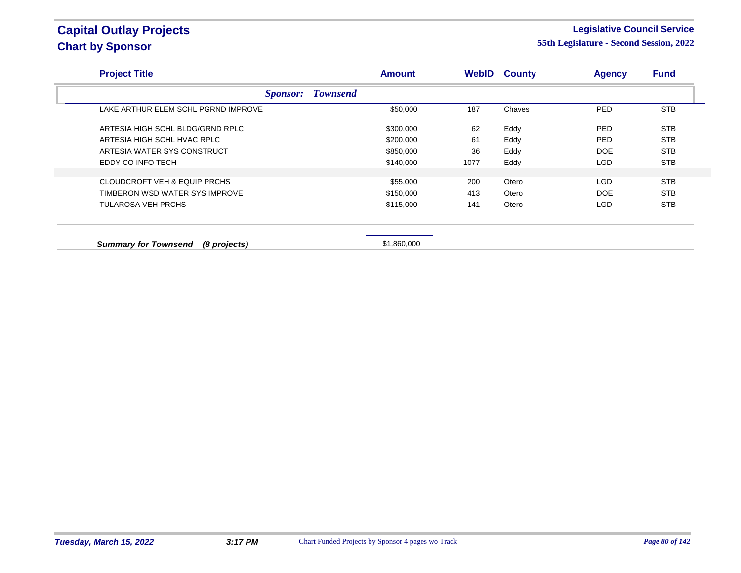#### **Legislative Council Service**

| <b>Project Title</b>                        |                 |                 | <b>Amount</b> |      | <b>WebID County</b> | <b>Agency</b> | <b>Fund</b> |
|---------------------------------------------|-----------------|-----------------|---------------|------|---------------------|---------------|-------------|
|                                             | <i>Sponsor:</i> | <b>Townsend</b> |               |      |                     |               |             |
| LAKE ARTHUR ELEM SCHL PGRND IMPROVE         |                 |                 | \$50,000      | 187  | Chaves              | <b>PED</b>    | <b>STB</b>  |
| ARTESIA HIGH SCHL BLDG/GRND RPLC            |                 |                 | \$300,000     | 62   | Eddy                | <b>PED</b>    | <b>STB</b>  |
| ARTESIA HIGH SCHL HVAC RPLC                 |                 |                 | \$200,000     | 61   | Eddy                | <b>PED</b>    | <b>STB</b>  |
| ARTESIA WATER SYS CONSTRUCT                 |                 |                 | \$850,000     | 36   | Eddy                | <b>DOE</b>    | <b>STB</b>  |
| EDDY CO INFO TECH                           |                 |                 | \$140,000     | 1077 | Eddy                | <b>LGD</b>    | <b>STB</b>  |
|                                             |                 |                 |               |      |                     |               |             |
| CLOUDCROFT VEH & EQUIP PRCHS                |                 |                 | \$55,000      | 200  | Otero               | LGD.          | <b>STB</b>  |
| TIMBERON WSD WATER SYS IMPROVE              |                 |                 | \$150,000     | 413  | Otero               | <b>DOE</b>    | <b>STB</b>  |
| TULAROSA VEH PRCHS                          |                 |                 | \$115,000     | 141  | Otero               | <b>LGD</b>    | <b>STB</b>  |
|                                             |                 |                 |               |      |                     |               |             |
| <b>Summary for Townsend</b><br>(8 projects) |                 |                 | \$1,860,000   |      |                     |               |             |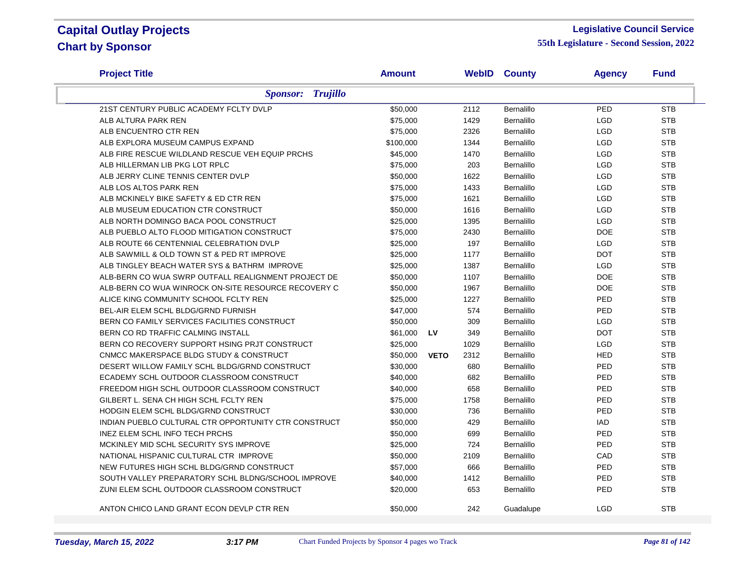#### **Legislative Council Service**

| <b>Project Title</b>                                 | <b>Amount</b> |             |      | <b>WebID County</b> | <b>Agency</b> | <b>Fund</b> |
|------------------------------------------------------|---------------|-------------|------|---------------------|---------------|-------------|
| <b>Sponsor: Trujillo</b>                             |               |             |      |                     |               |             |
| 21ST CENTURY PUBLIC ACADEMY FCLTY DVLP               | \$50,000      |             | 2112 | Bernalillo          | PED           | <b>STB</b>  |
| ALB ALTURA PARK REN                                  | \$75,000      |             | 1429 | Bernalillo          | LGD           | <b>STB</b>  |
| ALB ENCUENTRO CTR REN                                | \$75,000      |             | 2326 | Bernalillo          | LGD           | <b>STB</b>  |
| ALB EXPLORA MUSEUM CAMPUS EXPAND                     | \$100,000     |             | 1344 | <b>Bernalillo</b>   | LGD           | <b>STB</b>  |
| ALB FIRE RESCUE WILDLAND RESCUE VEH EQUIP PRCHS      | \$45,000      |             | 1470 | Bernalillo          | <b>LGD</b>    | <b>STB</b>  |
| ALB HILLERMAN LIB PKG LOT RPLC                       | \$75,000      |             | 203  | Bernalillo          | <b>LGD</b>    | <b>STB</b>  |
| ALB JERRY CLINE TENNIS CENTER DVLP                   | \$50,000      |             | 1622 | Bernalillo          | LGD           | <b>STB</b>  |
| ALB LOS ALTOS PARK REN                               | \$75,000      |             | 1433 | Bernalillo          | <b>LGD</b>    | <b>STB</b>  |
| ALB MCKINELY BIKE SAFETY & ED CTR REN                | \$75,000      |             | 1621 | Bernalillo          | <b>LGD</b>    | <b>STB</b>  |
| ALB MUSEUM EDUCATION CTR CONSTRUCT                   | \$50,000      |             | 1616 | <b>Bernalillo</b>   | <b>LGD</b>    | <b>STB</b>  |
| ALB NORTH DOMINGO BACA POOL CONSTRUCT                | \$25,000      |             | 1395 | Bernalillo          | <b>LGD</b>    | <b>STB</b>  |
| ALB PUEBLO ALTO FLOOD MITIGATION CONSTRUCT           | \$75,000      |             | 2430 | Bernalillo          | <b>DOE</b>    | <b>STB</b>  |
| ALB ROUTE 66 CENTENNIAL CELEBRATION DVLP             | \$25,000      |             | 197  | <b>Bernalillo</b>   | <b>LGD</b>    | <b>STB</b>  |
| ALB SAWMILL & OLD TOWN ST & PED RT IMPROVE           | \$25,000      |             | 1177 | Bernalillo          | <b>DOT</b>    | <b>STB</b>  |
| ALB TINGLEY BEACH WATER SYS & BATHRM IMPROVE         | \$25,000      |             | 1387 | Bernalillo          | <b>LGD</b>    | <b>STB</b>  |
| ALB-BERN CO WUA SWRP OUTFALL REALIGNMENT PROJECT DE  | \$50,000      |             | 1107 | Bernalillo          | <b>DOE</b>    | <b>STB</b>  |
| ALB-BERN CO WUA WINROCK ON-SITE RESOURCE RECOVERY C  | \$50,000      |             | 1967 | Bernalillo          | <b>DOE</b>    | <b>STB</b>  |
| ALICE KING COMMUNITY SCHOOL FCLTY REN                | \$25,000      |             | 1227 | Bernalillo          | PED           | <b>STB</b>  |
| BEL-AIR ELEM SCHL BLDG/GRND FURNISH                  | \$47,000      |             | 574  | Bernalillo          | PED           | <b>STB</b>  |
| BERN CO FAMILY SERVICES FACILITIES CONSTRUCT         | \$50,000      |             | 309  | Bernalillo          | <b>LGD</b>    | <b>STB</b>  |
| BERN CO RD TRAFFIC CALMING INSTALL                   | \$61,000      | <b>LV</b>   | 349  | Bernalillo          | <b>DOT</b>    | <b>STB</b>  |
| BERN CO RECOVERY SUPPORT HSING PRJT CONSTRUCT        | \$25,000      |             | 1029 | Bernalillo          | LGD           | <b>STB</b>  |
| CNMCC MAKERSPACE BLDG STUDY & CONSTRUCT              | \$50,000      | <b>VETO</b> | 2312 | Bernalillo          | <b>HED</b>    | <b>STB</b>  |
| DESERT WILLOW FAMILY SCHL BLDG/GRND CONSTRUCT        | \$30,000      |             | 680  | Bernalillo          | PED           | <b>STB</b>  |
| ECADEMY SCHL OUTDOOR CLASSROOM CONSTRUCT             | \$40,000      |             | 682  | Bernalillo          | PED           | <b>STB</b>  |
| FREEDOM HIGH SCHL OUTDOOR CLASSROOM CONSTRUCT        | \$40,000      |             | 658  | Bernalillo          | PED           | <b>STB</b>  |
| GILBERT L. SENA CH HIGH SCHL FCLTY REN               | \$75,000      |             | 1758 | Bernalillo          | PED           | <b>STB</b>  |
| HODGIN ELEM SCHL BLDG/GRND CONSTRUCT                 | \$30,000      |             | 736  | Bernalillo          | PED           | <b>STB</b>  |
| INDIAN PUEBLO CULTURAL CTR OPPORTUNITY CTR CONSTRUCT | \$50,000      |             | 429  | Bernalillo          | IAD           | <b>STB</b>  |
| INEZ ELEM SCHL INFO TECH PRCHS                       | \$50,000      |             | 699  | Bernalillo          | PED           | <b>STB</b>  |
| MCKINLEY MID SCHL SECURITY SYS IMPROVE               | \$25,000      |             | 724  | Bernalillo          | PED           | <b>STB</b>  |
| NATIONAL HISPANIC CULTURAL CTR IMPROVE               | \$50,000      |             | 2109 | Bernalillo          | CAD           | <b>STB</b>  |
| NEW FUTURES HIGH SCHL BLDG/GRND CONSTRUCT            | \$57,000      |             | 666  | Bernalillo          | PED           | <b>STB</b>  |
| SOUTH VALLEY PREPARATORY SCHL BLDNG/SCHOOL IMPROVE   | \$40,000      |             | 1412 | Bernalillo          | PED           | <b>STB</b>  |
| ZUNI ELEM SCHL OUTDOOR CLASSROOM CONSTRUCT           | \$20,000      |             | 653  | Bernalillo          | PED           | <b>STB</b>  |
| ANTON CHICO LAND GRANT ECON DEVLP CTR REN            | \$50,000      |             | 242  | Guadalupe           | <b>LGD</b>    | <b>STB</b>  |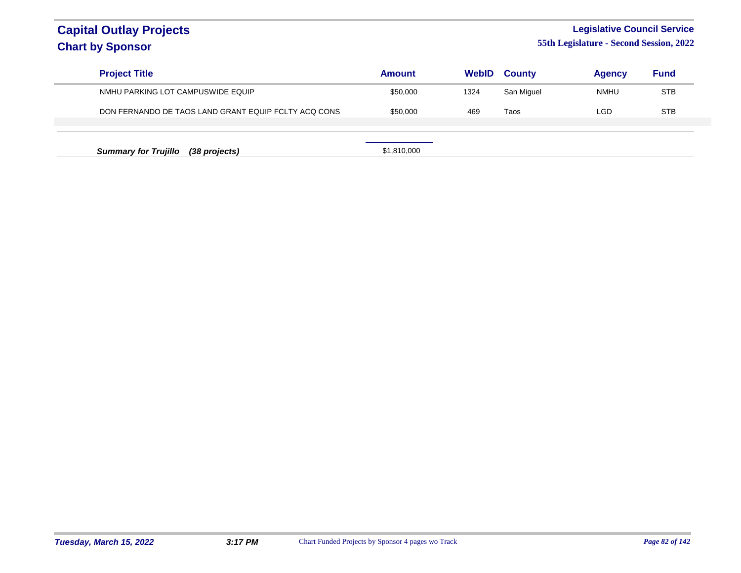### **Legislative Council Service**

| <b>Project Title</b>                                 | <b>Amount</b> | <b>WebID</b> | <b>County</b> | <b>Agency</b> | <b>Fund</b> |
|------------------------------------------------------|---------------|--------------|---------------|---------------|-------------|
| NMHU PARKING LOT CAMPUSWIDE EQUIP                    | \$50,000      | 1324         | San Miguel    | <b>NMHU</b>   | <b>STB</b>  |
| DON FERNANDO DE TAOS LAND GRANT EQUIP FCLTY ACQ CONS | \$50,000      | 469          | Taos          | LGD           | <b>STB</b>  |
|                                                      |               |              |               |               |             |
| <b>Summary for Trujillo</b><br>(38 projects)         | \$1,810,000   |              |               |               |             |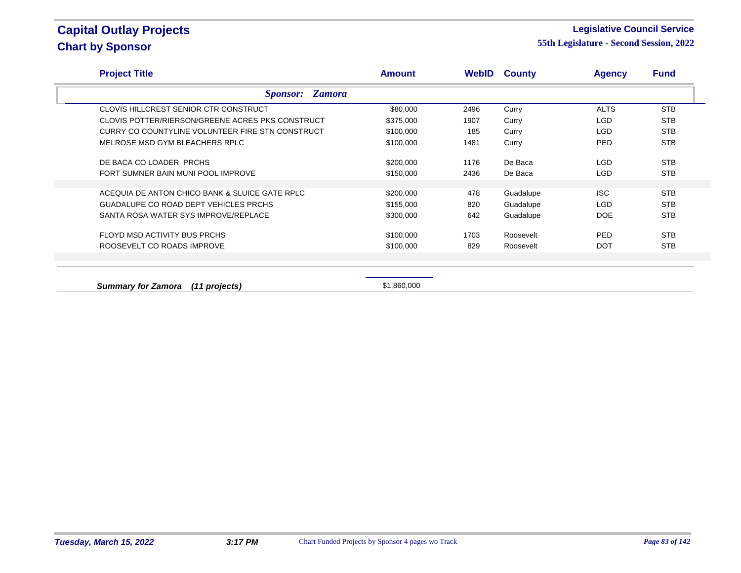#### **Legislative Council Service**

| <b>Project Title</b>                             | <b>Amount</b> |      | <b>WebID County</b> | <b>Agency</b> | <b>Fund</b> |
|--------------------------------------------------|---------------|------|---------------------|---------------|-------------|
| <b>Sponsor: Zamora</b>                           |               |      |                     |               |             |
| CLOVIS HILLCREST SENIOR CTR CONSTRUCT            | \$80,000      | 2496 | Curry               | <b>ALTS</b>   | <b>STB</b>  |
| CLOVIS POTTER/RIERSON/GREENE ACRES PKS CONSTRUCT | \$375,000     | 1907 | Curry               | <b>LGD</b>    | <b>STB</b>  |
| CURRY CO COUNTYLINE VOLUNTEER FIRE STN CONSTRUCT | \$100,000     | 185  | Curry               | LGD           | <b>STB</b>  |
| MELROSE MSD GYM BLEACHERS RPLC                   | \$100,000     | 1481 | Curry               | <b>PED</b>    | <b>STB</b>  |
| DE BACA CO LOADER PRCHS                          | \$200,000     | 1176 | De Baca             | <b>LGD</b>    | <b>STB</b>  |
| FORT SUMNER BAIN MUNI POOL IMPROVE               | \$150,000     | 2436 | De Baca             | <b>LGD</b>    | <b>STB</b>  |
|                                                  |               |      |                     |               |             |
| ACEQUIA DE ANTON CHICO BANK & SLUICE GATE RPLC   | \$200,000     | 478  | Guadalupe           | <b>ISC</b>    | <b>STB</b>  |
| <b>GUADALUPE CO ROAD DEPT VEHICLES PRCHS</b>     | \$155,000     | 820  | Guadalupe           | <b>LGD</b>    | <b>STB</b>  |
| SANTA ROSA WATER SYS IMPROVE/REPLACE             | \$300,000     | 642  | Guadalupe           | <b>DOE</b>    | <b>STB</b>  |
| FLOYD MSD ACTIVITY BUS PRCHS                     | \$100,000     | 1703 | Roosevelt           | <b>PED</b>    | <b>STB</b>  |
| ROOSEVELT CO ROADS IMPROVE                       | \$100,000     | 829  | Roosevelt           | <b>DOT</b>    | <b>STB</b>  |
|                                                  |               |      |                     |               |             |
|                                                  |               |      |                     |               |             |
| <b>Summary for Zamora</b><br>(11 projects)       | \$1,860,000   |      |                     |               |             |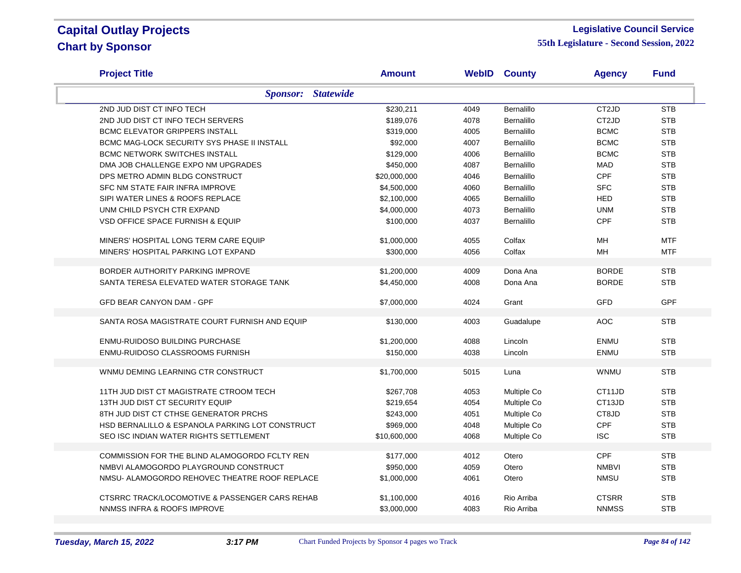#### **Legislative Council Service**

| <b>Project Title</b>                            | <b>Amount</b> |      | <b>WebID County</b> | <b>Agency</b>      | <b>Fund</b> |
|-------------------------------------------------|---------------|------|---------------------|--------------------|-------------|
| <b>Statewide</b><br><b>Sponsor:</b>             |               |      |                     |                    |             |
| 2ND JUD DIST CT INFO TECH                       | \$230,211     | 4049 | Bernalillo          | CT <sub>2</sub> JD | <b>STB</b>  |
| 2ND JUD DIST CT INFO TECH SERVERS               | \$189,076     | 4078 | Bernalillo          | CT <sub>2</sub> JD | <b>STB</b>  |
| <b>BCMC ELEVATOR GRIPPERS INSTALL</b>           | \$319,000     | 4005 | Bernalillo          | <b>BCMC</b>        | <b>STB</b>  |
| BCMC MAG-LOCK SECURITY SYS PHASE II INSTALL     | \$92,000      | 4007 | <b>Bernalillo</b>   | <b>BCMC</b>        | <b>STB</b>  |
| <b>BCMC NETWORK SWITCHES INSTALL</b>            | \$129,000     | 4006 | Bernalillo          | <b>BCMC</b>        | <b>STB</b>  |
| DMA JOB CHALLENGE EXPO NM UPGRADES              | \$450,000     | 4087 | Bernalillo          | <b>MAD</b>         | <b>STB</b>  |
| DPS METRO ADMIN BLDG CONSTRUCT                  | \$20,000,000  | 4046 | Bernalillo          | <b>CPF</b>         | <b>STB</b>  |
| SFC NM STATE FAIR INFRA IMPROVE                 | \$4,500,000   | 4060 | Bernalillo          | <b>SFC</b>         | <b>STB</b>  |
| SIPI WATER LINES & ROOFS REPLACE                | \$2,100,000   | 4065 | Bernalillo          | <b>HED</b>         | <b>STB</b>  |
| UNM CHILD PSYCH CTR EXPAND                      | \$4,000,000   | 4073 | Bernalillo          | <b>UNM</b>         | <b>STB</b>  |
| VSD OFFICE SPACE FURNISH & EQUIP                | \$100,000     | 4037 | Bernalillo          | <b>CPF</b>         | <b>STB</b>  |
|                                                 |               |      |                     |                    |             |
| MINERS' HOSPITAL LONG TERM CARE EQUIP           | \$1,000,000   | 4055 | Colfax              | <b>MH</b>          | <b>MTF</b>  |
| MINERS' HOSPITAL PARKING LOT EXPAND             | \$300,000     | 4056 | Colfax              | <b>MH</b>          | <b>MTF</b>  |
| BORDER AUTHORITY PARKING IMPROVE                | \$1,200,000   | 4009 | Dona Ana            | <b>BORDE</b>       | <b>STB</b>  |
| SANTA TERESA ELEVATED WATER STORAGE TANK        | \$4,450,000   | 4008 | Dona Ana            | <b>BORDE</b>       | <b>STB</b>  |
|                                                 |               |      |                     |                    |             |
| <b>GFD BEAR CANYON DAM - GPF</b>                | \$7,000,000   | 4024 | Grant               | <b>GFD</b>         | <b>GPF</b>  |
|                                                 |               |      |                     |                    |             |
| SANTA ROSA MAGISTRATE COURT FURNISH AND EQUIP   | \$130,000     | 4003 | Guadalupe           | <b>AOC</b>         | <b>STB</b>  |
|                                                 |               |      |                     |                    |             |
| ENMU-RUIDOSO BUILDING PURCHASE                  | \$1,200,000   | 4088 | Lincoln             | <b>ENMU</b>        | <b>STB</b>  |
| ENMU-RUIDOSO CLASSROOMS FURNISH                 | \$150,000     | 4038 | Lincoln             | <b>ENMU</b>        | <b>STB</b>  |
| WNMU DEMING LEARNING CTR CONSTRUCT              | \$1,700,000   | 5015 | Luna                | <b>WNMU</b>        | <b>STB</b>  |
|                                                 |               |      |                     |                    |             |
| 11TH JUD DIST CT MAGISTRATE CTROOM TECH         | \$267,708     | 4053 | Multiple Co         | CT11JD             | <b>STB</b>  |
| 13TH JUD DIST CT SECURITY EQUIP                 | \$219,654     | 4054 | Multiple Co         | CT13JD             | <b>STB</b>  |
| 8TH JUD DIST CT CTHSE GENERATOR PRCHS           | \$243,000     | 4051 | Multiple Co         | CT8JD              | <b>STB</b>  |
| HSD BERNALILLO & ESPANOLA PARKING LOT CONSTRUCT | \$969,000     | 4048 | Multiple Co         | CPF                | <b>STB</b>  |
| SEO ISC INDIAN WATER RIGHTS SETTLEMENT          | \$10,600,000  | 4068 | Multiple Co         | <b>ISC</b>         | <b>STB</b>  |
|                                                 |               |      |                     |                    |             |
| COMMISSION FOR THE BLIND ALAMOGORDO FCLTY REN   | \$177,000     | 4012 | Otero               | <b>CPF</b>         | <b>STB</b>  |
| NMBVI ALAMOGORDO PLAYGROUND CONSTRUCT           | \$950,000     | 4059 | Otero               | <b>NMBVI</b>       | <b>STB</b>  |
| NMSU- ALAMOGORDO REHOVEC THEATRE ROOF REPLACE   | \$1,000,000   | 4061 | Otero               | <b>NMSU</b>        | <b>STB</b>  |
| CTSRRC TRACK/LOCOMOTIVE & PASSENGER CARS REHAB  | \$1,100,000   | 4016 | Rio Arriba          | <b>CTSRR</b>       | <b>STB</b>  |
| NNMSS INFRA & ROOFS IMPROVE                     |               |      |                     | <b>NNMSS</b>       | <b>STB</b>  |
|                                                 | \$3,000,000   | 4083 | Rio Arriba          |                    |             |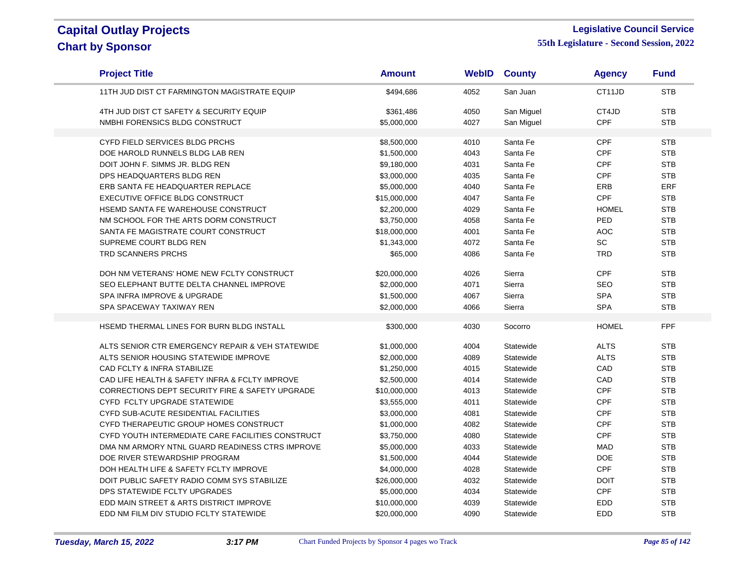#### **Legislative Council Service**

| <b>Project Title</b>                                       | <b>Amount</b> | <b>WebID</b> | <b>County</b> | <b>Agency</b> | <b>Fund</b> |
|------------------------------------------------------------|---------------|--------------|---------------|---------------|-------------|
| 11TH JUD DIST CT FARMINGTON MAGISTRATE EQUIP               | \$494,686     | 4052         | San Juan      | CT11JD        | <b>STB</b>  |
| 4TH JUD DIST CT SAFETY & SECURITY EQUIP                    | \$361,486     | 4050         | San Miguel    | CT4JD         | <b>STB</b>  |
| NMBHI FORENSICS BLDG CONSTRUCT                             | \$5,000,000   | 4027         | San Miguel    | <b>CPF</b>    | <b>STB</b>  |
|                                                            |               |              |               |               |             |
| CYFD FIELD SERVICES BLDG PRCHS                             | \$8,500,000   | 4010         | Santa Fe      | <b>CPF</b>    | <b>STB</b>  |
| DOE HAROLD RUNNELS BLDG LAB REN                            | \$1,500,000   | 4043         | Santa Fe      | <b>CPF</b>    | <b>STB</b>  |
| DOIT JOHN F. SIMMS JR. BLDG REN                            | \$9,180,000   | 4031         | Santa Fe      | <b>CPF</b>    | <b>STB</b>  |
| DPS HEADQUARTERS BLDG REN                                  | \$3,000,000   | 4035         | Santa Fe      | <b>CPF</b>    | <b>STB</b>  |
| ERB SANTA FE HEADQUARTER REPLACE                           | \$5,000,000   | 4040         | Santa Fe      | ERB           | ERF         |
| EXECUTIVE OFFICE BLDG CONSTRUCT                            | \$15,000,000  | 4047         | Santa Fe      | <b>CPF</b>    | <b>STB</b>  |
| HSEMD SANTA FE WAREHOUSE CONSTRUCT                         | \$2,200,000   | 4029         | Santa Fe      | <b>HOMEL</b>  | <b>STB</b>  |
| NM SCHOOL FOR THE ARTS DORM CONSTRUCT                      | \$3,750,000   | 4058         | Santa Fe      | PED           | <b>STB</b>  |
| SANTA FE MAGISTRATE COURT CONSTRUCT                        | \$18,000,000  | 4001         | Santa Fe      | <b>AOC</b>    | <b>STB</b>  |
| SUPREME COURT BLDG REN                                     | \$1,343,000   | 4072         | Santa Fe      | <b>SC</b>     | <b>STB</b>  |
| TRD SCANNERS PRCHS                                         | \$65,000      | 4086         | Santa Fe      | <b>TRD</b>    | <b>STB</b>  |
| DOH NM VETERANS' HOME NEW FCLTY CONSTRUCT                  | \$20,000,000  | 4026         | Sierra        | <b>CPF</b>    | <b>STB</b>  |
| SEO ELEPHANT BUTTE DELTA CHANNEL IMPROVE                   | \$2,000,000   | 4071         | Sierra        | <b>SEO</b>    | <b>STB</b>  |
| SPA INFRA IMPROVE & UPGRADE                                | \$1,500,000   | 4067         | Sierra        | <b>SPA</b>    | <b>STB</b>  |
| SPA SPACEWAY TAXIWAY REN                                   | \$2,000,000   | 4066         | Sierra        | <b>SPA</b>    | <b>STB</b>  |
|                                                            |               |              |               |               |             |
| HSEMD THERMAL LINES FOR BURN BLDG INSTALL                  | \$300,000     | 4030         | Socorro       | <b>HOMEL</b>  | <b>FPF</b>  |
| ALTS SENIOR CTR EMERGENCY REPAIR & VEH STATEWIDE           | \$1,000,000   | 4004         | Statewide     | <b>ALTS</b>   | <b>STB</b>  |
| ALTS SENIOR HOUSING STATEWIDE IMPROVE                      | \$2,000,000   | 4089         | Statewide     | <b>ALTS</b>   | <b>STB</b>  |
| CAD FCLTY & INFRA STABILIZE                                | \$1,250,000   | 4015         | Statewide     | CAD           | <b>STB</b>  |
| CAD LIFE HEALTH & SAFETY INFRA & FCLTY IMPROVE             | \$2,500,000   | 4014         | Statewide     | CAD           | <b>STB</b>  |
| <b>CORRECTIONS DEPT SECURITY FIRE &amp; SAFETY UPGRADE</b> | \$10,000,000  | 4013         | Statewide     | <b>CPF</b>    | <b>STB</b>  |
| CYFD FCLTY UPGRADE STATEWIDE                               | \$3,555,000   | 4011         | Statewide     | <b>CPF</b>    | <b>STB</b>  |
| <b>CYFD SUB-ACUTE RESIDENTIAL FACILITIES</b>               | \$3,000,000   | 4081         | Statewide     | <b>CPF</b>    | <b>STB</b>  |
| CYFD THERAPEUTIC GROUP HOMES CONSTRUCT                     | \$1,000,000   | 4082         | Statewide     | <b>CPF</b>    | <b>STB</b>  |
| CYFD YOUTH INTERMEDIATE CARE FACILITIES CONSTRUCT          | \$3,750,000   | 4080         | Statewide     | CPF           | <b>STB</b>  |
| DMA NM ARMORY NTNL GUARD READINESS CTRS IMPROVE            | \$5,000,000   | 4033         | Statewide     | <b>MAD</b>    | <b>STB</b>  |
| DOE RIVER STEWARDSHIP PROGRAM                              | \$1,500,000   | 4044         | Statewide     | <b>DOE</b>    | <b>STB</b>  |
| DOH HEALTH LIFE & SAFETY FCLTY IMPROVE                     | \$4,000,000   | 4028         | Statewide     | CPF           | <b>STB</b>  |
| DOIT PUBLIC SAFETY RADIO COMM SYS STABILIZE                | \$26,000,000  | 4032         | Statewide     | <b>DOIT</b>   | <b>STB</b>  |
| DPS STATEWIDE FCLTY UPGRADES                               | \$5,000,000   | 4034         | Statewide     | <b>CPF</b>    | <b>STB</b>  |
| EDD MAIN STREET & ARTS DISTRICT IMPROVE                    | \$10,000,000  | 4039         | Statewide     | <b>EDD</b>    | <b>STB</b>  |
| EDD NM FILM DIV STUDIO FCLTY STATEWIDE                     | \$20,000,000  | 4090         | Statewide     | <b>EDD</b>    | <b>STB</b>  |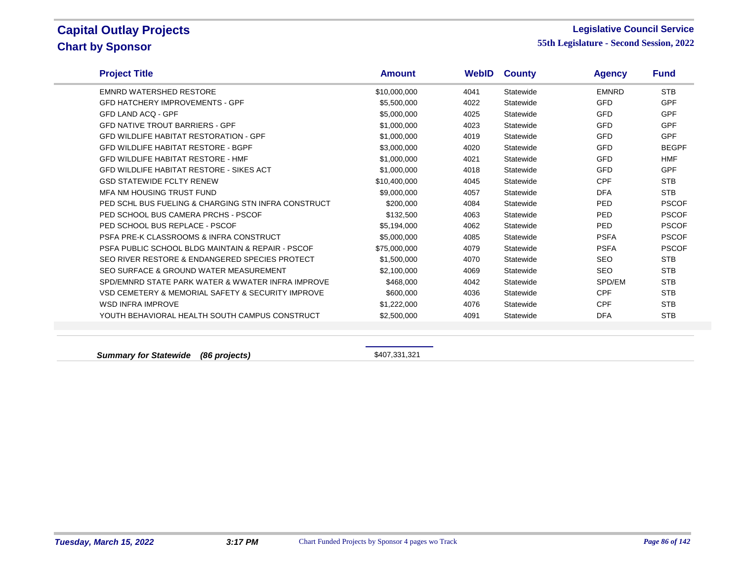#### **Legislative Council Service**

**55th Legislature - Second Session, 2022**

| <b>Project Title</b>                                | <b>Amount</b> | WebID | <b>County</b> | <b>Agency</b> | <b>Fund</b>  |
|-----------------------------------------------------|---------------|-------|---------------|---------------|--------------|
| <b>EMNRD WATERSHED RESTORE</b>                      | \$10,000,000  | 4041  | Statewide     | <b>EMNRD</b>  | <b>STB</b>   |
| <b>GFD HATCHERY IMPROVEMENTS - GPF</b>              | \$5,500,000   | 4022  | Statewide     | <b>GFD</b>    | <b>GPF</b>   |
| <b>GFD LAND ACO - GPF</b>                           | \$5,000,000   | 4025  | Statewide     | <b>GFD</b>    | <b>GPF</b>   |
| <b>GFD NATIVE TROUT BARRIERS - GPF</b>              | \$1,000,000   | 4023  | Statewide     | <b>GFD</b>    | <b>GPF</b>   |
| <b>GFD WILDLIFE HABITAT RESTORATION - GPF</b>       | \$1,000,000   | 4019  | Statewide     | <b>GFD</b>    | <b>GPF</b>   |
| <b>GFD WILDLIFE HABITAT RESTORE - BGPF</b>          | \$3,000,000   | 4020  | Statewide     | <b>GFD</b>    | <b>BEGPF</b> |
| <b>GFD WILDLIFE HABITAT RESTORE - HMF</b>           | \$1,000,000   | 4021  | Statewide     | <b>GFD</b>    | <b>HMF</b>   |
| <b>GFD WILDLIFE HABITAT RESTORE - SIKES ACT</b>     | \$1,000,000   | 4018  | Statewide     | <b>GFD</b>    | <b>GPF</b>   |
| <b>GSD STATEWIDE FCLTY RENEW</b>                    | \$10,400,000  | 4045  | Statewide     | <b>CPF</b>    | <b>STB</b>   |
| MFA NM HOUSING TRUST FUND                           | \$9,000,000   | 4057  | Statewide     | <b>DFA</b>    | <b>STB</b>   |
| PED SCHL BUS FUELING & CHARGING STN INFRA CONSTRUCT | \$200,000     | 4084  | Statewide     | PED           | <b>PSCOF</b> |
| PED SCHOOL BUS CAMERA PRCHS - PSCOF                 | \$132,500     | 4063  | Statewide     | <b>PED</b>    | <b>PSCOF</b> |
| PED SCHOOL BUS REPLACE - PSCOF                      | \$5,194,000   | 4062  | Statewide     | PED           | <b>PSCOF</b> |
| PSFA PRE-K CLASSROOMS & INFRA CONSTRUCT             | \$5,000,000   | 4085  | Statewide     | <b>PSFA</b>   | <b>PSCOF</b> |
| PSFA PUBLIC SCHOOL BLDG MAINTAIN & REPAIR - PSCOF   | \$75,000,000  | 4079  | Statewide     | <b>PSFA</b>   | <b>PSCOF</b> |
| SEO RIVER RESTORE & ENDANGERED SPECIES PROTECT      | \$1,500,000   | 4070  | Statewide     | <b>SEO</b>    | <b>STB</b>   |
| SEO SURFACE & GROUND WATER MEASUREMENT              | \$2,100,000   | 4069  | Statewide     | <b>SEO</b>    | <b>STB</b>   |
| SPD/EMNRD STATE PARK WATER & WWATER INFRA IMPROVE   | \$468,000     | 4042  | Statewide     | SPD/EM        | <b>STB</b>   |
| VSD CEMETERY & MEMORIAL SAFETY & SECURITY IMPROVE   | \$600,000     | 4036  | Statewide     | <b>CPF</b>    | <b>STB</b>   |
| <b>WSD INFRA IMPROVE</b>                            | \$1,222,000   | 4076  | Statewide     | <b>CPF</b>    | <b>STB</b>   |
| YOUTH BEHAVIORAL HEALTH SOUTH CAMPUS CONSTRUCT      | \$2,500,000   | 4091  | Statewide     | <b>DFA</b>    | <b>STB</b>   |
|                                                     |               |       |               |               |              |

**Summary for Statewide (86 projects) Summary for Statewide** (86 projects)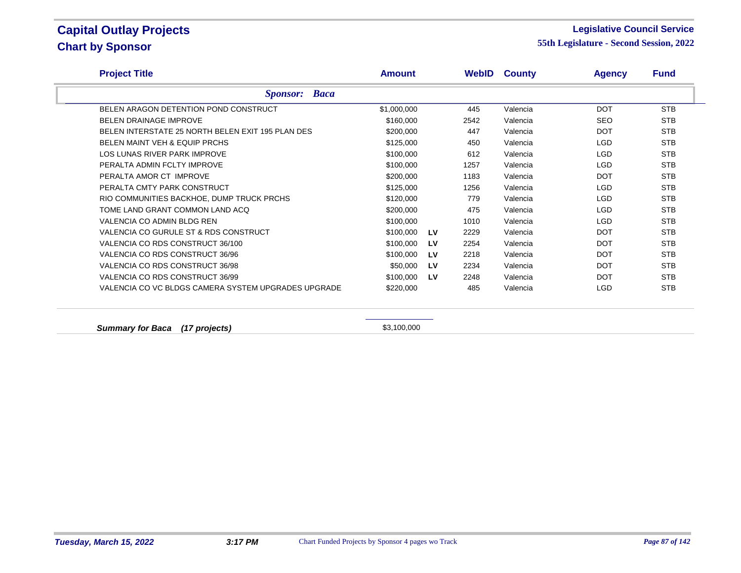#### **Legislative Council Service**

**55th Legislature - Second Session, 2022**

| <b>Project Title</b>                                | Amount      |           |      | <b>WebID County</b> | <b>Agency</b> | <b>Fund</b> |
|-----------------------------------------------------|-------------|-----------|------|---------------------|---------------|-------------|
| <b>Sponsor: Baca</b>                                |             |           |      |                     |               |             |
| BELEN ARAGON DETENTION POND CONSTRUCT               | \$1,000,000 |           | 445  | Valencia            | <b>DOT</b>    | <b>STB</b>  |
| <b>BELEN DRAINAGE IMPROVE</b>                       | \$160,000   |           | 2542 | Valencia            | <b>SEO</b>    | <b>STB</b>  |
| BELEN INTERSTATE 25 NORTH BELEN EXIT 195 PLAN DES   | \$200,000   |           | 447  | Valencia            | <b>DOT</b>    | <b>STB</b>  |
| <b>BELEN MAINT VEH &amp; EQUIP PRCHS</b>            | \$125,000   |           | 450  | Valencia            | LGD           | <b>STB</b>  |
| LOS LUNAS RIVER PARK IMPROVE                        | \$100,000   |           | 612  | Valencia            | LGD           | <b>STB</b>  |
| PERALTA ADMIN FCLTY IMPROVE                         | \$100,000   |           | 1257 | Valencia            | <b>LGD</b>    | <b>STB</b>  |
| PERALTA AMOR CT IMPROVE                             | \$200,000   |           | 1183 | Valencia            | <b>DOT</b>    | <b>STB</b>  |
| PERALTA CMTY PARK CONSTRUCT                         | \$125,000   |           | 1256 | Valencia            | <b>LGD</b>    | <b>STB</b>  |
| RIO COMMUNITIES BACKHOE, DUMP TRUCK PRCHS           | \$120,000   |           | 779  | Valencia            | <b>LGD</b>    | <b>STB</b>  |
| TOME LAND GRANT COMMON LAND ACQ                     | \$200,000   |           | 475  | Valencia            | LGD           | <b>STB</b>  |
| VALENCIA CO ADMIN BLDG REN                          | \$100,000   |           | 1010 | Valencia            | LGD           | <b>STB</b>  |
| VALENCIA CO GURULE ST & RDS CONSTRUCT               | \$100,000   | <b>LV</b> | 2229 | Valencia            | <b>DOT</b>    | <b>STB</b>  |
| VALENCIA CO RDS CONSTRUCT 36/100                    | \$100,000   | LV        | 2254 | Valencia            | <b>DOT</b>    | <b>STB</b>  |
| VALENCIA CO RDS CONSTRUCT 36/96                     | \$100,000   | LV        | 2218 | Valencia            | <b>DOT</b>    | <b>STB</b>  |
| VALENCIA CO RDS CONSTRUCT 36/98                     | \$50,000    | LV        | 2234 | Valencia            | <b>DOT</b>    | <b>STB</b>  |
| VALENCIA CO RDS CONSTRUCT 36/99                     | \$100,000   | LV        | 2248 | Valencia            | <b>DOT</b>    | <b>STB</b>  |
| VALENCIA CO VC BLDGS CAMERA SYSTEM UPGRADES UPGRADE | \$220,000   |           | 485  | Valencia            | LGD           | <b>STB</b>  |

**Summary for Baca (17 projects) \$3,100,000**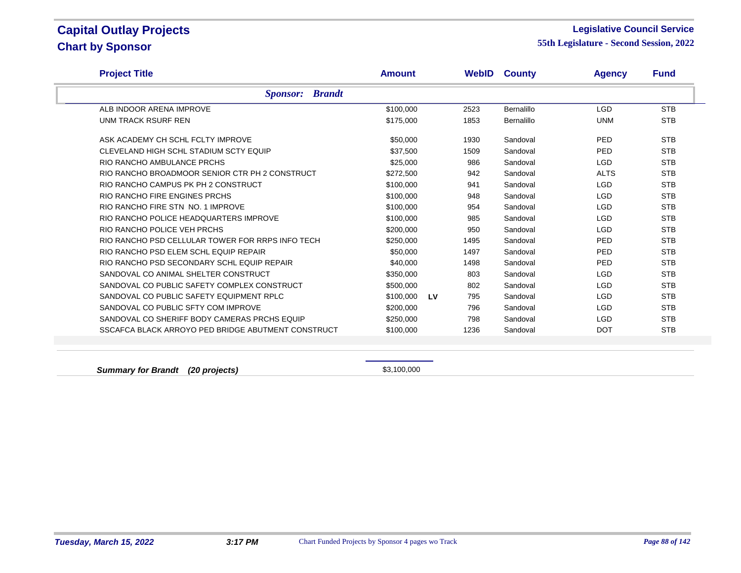#### **Legislative Council Service**

**55th Legislature - Second Session, 2022**

| <b>Project Title</b>                               | <b>Amount</b> |           |      | <b>WebID County</b> | <b>Agency</b> | <b>Fund</b> |  |
|----------------------------------------------------|---------------|-----------|------|---------------------|---------------|-------------|--|
| <b>Sponsor:</b> Brandt                             |               |           |      |                     |               |             |  |
| ALB INDOOR ARENA IMPROVE                           | \$100,000     |           | 2523 | Bernalillo          | <b>LGD</b>    | <b>STB</b>  |  |
| UNM TRACK RSURF REN                                | \$175,000     |           | 1853 | Bernalillo          | <b>UNM</b>    | <b>STB</b>  |  |
| ASK ACADEMY CH SCHL FCLTY IMPROVE                  | \$50,000      |           | 1930 | Sandoval            | PED           | <b>STB</b>  |  |
| CLEVELAND HIGH SCHL STADIUM SCTY EQUIP             | \$37,500      |           | 1509 | Sandoval            | <b>PED</b>    | <b>STB</b>  |  |
| RIO RANCHO AMBULANCE PRCHS                         | \$25,000      |           | 986  | Sandoval            | <b>LGD</b>    | <b>STB</b>  |  |
| RIO RANCHO BROADMOOR SENIOR CTR PH 2 CONSTRUCT     | \$272,500     |           | 942  | Sandoval            | <b>ALTS</b>   | <b>STB</b>  |  |
| RIO RANCHO CAMPUS PK PH 2 CONSTRUCT                | \$100,000     |           | 941  | Sandoval            | <b>LGD</b>    | <b>STB</b>  |  |
| RIO RANCHO FIRE ENGINES PRCHS                      | \$100,000     |           | 948  | Sandoval            | <b>LGD</b>    | <b>STB</b>  |  |
| RIO RANCHO FIRE STN NO. 1 IMPROVE                  | \$100,000     |           | 954  | Sandoval            | <b>LGD</b>    | <b>STB</b>  |  |
| RIO RANCHO POLICE HEADQUARTERS IMPROVE             | \$100,000     |           | 985  | Sandoval            | <b>LGD</b>    | <b>STB</b>  |  |
| RIO RANCHO POLICE VEH PRCHS                        | \$200,000     |           | 950  | Sandoval            | LGD           | <b>STB</b>  |  |
| RIO RANCHO PSD CELLULAR TOWER FOR RRPS INFO TECH   | \$250,000     |           | 1495 | Sandoval            | PED           | <b>STB</b>  |  |
| RIO RANCHO PSD ELEM SCHL EQUIP REPAIR              | \$50,000      |           | 1497 | Sandoval            | PED           | <b>STB</b>  |  |
| RIO RANCHO PSD SECONDARY SCHL EQUIP REPAIR         | \$40,000      |           | 1498 | Sandoval            | PED           | <b>STB</b>  |  |
| SANDOVAL CO ANIMAL SHELTER CONSTRUCT               | \$350,000     |           | 803  | Sandoval            | <b>LGD</b>    | <b>STB</b>  |  |
| SANDOVAL CO PUBLIC SAFETY COMPLEX CONSTRUCT        | \$500,000     |           | 802  | Sandoval            | <b>LGD</b>    | <b>STB</b>  |  |
| SANDOVAL CO PUBLIC SAFETY EQUIPMENT RPLC           | \$100,000     | <b>LV</b> | 795  | Sandoval            | <b>LGD</b>    | <b>STB</b>  |  |
| SANDOVAL CO PUBLIC SFTY COM IMPROVE                | \$200,000     |           | 796  | Sandoval            | <b>LGD</b>    | <b>STB</b>  |  |
| SANDOVAL CO SHERIFF BODY CAMERAS PRCHS EQUIP       | \$250,000     |           | 798  | Sandoval            | <b>LGD</b>    | <b>STB</b>  |  |
| SSCAFCA BLACK ARROYO PED BRIDGE ABUTMENT CONSTRUCT | \$100,000     |           | 1236 | Sandoval            | <b>DOT</b>    | <b>STB</b>  |  |
|                                                    |               |           |      |                     |               |             |  |

**Summary for Brandt** (20 projects) **\$3,100,000** \$3,100,000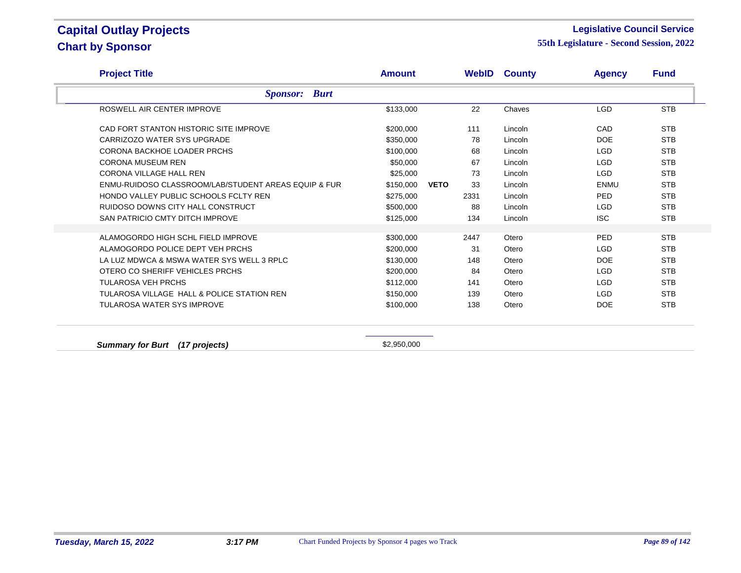#### **Legislative Council Service**

| <b>Project Title</b>                                 | <b>Amount</b> |             |      | <b>WebID County</b> | <b>Agency</b> | <b>Fund</b> |
|------------------------------------------------------|---------------|-------------|------|---------------------|---------------|-------------|
| <b>Sponsor: Burt</b>                                 |               |             |      |                     |               |             |
| ROSWELL AIR CENTER IMPROVE                           | \$133,000     |             | 22   | Chaves              | <b>LGD</b>    | <b>STB</b>  |
| CAD FORT STANTON HISTORIC SITE IMPROVE               | \$200,000     |             | 111  | Lincoln             | CAD           | <b>STB</b>  |
| CARRIZOZO WATER SYS UPGRADE                          | \$350,000     |             | 78   | Lincoln             | <b>DOE</b>    | <b>STB</b>  |
| CORONA BACKHOE LOADER PRCHS                          | \$100,000     |             | 68   | Lincoln             | <b>LGD</b>    | <b>STB</b>  |
| <b>CORONA MUSEUM REN</b>                             | \$50,000      |             | 67   | Lincoln             | <b>LGD</b>    | <b>STB</b>  |
| <b>CORONA VILLAGE HALL REN</b>                       | \$25,000      |             | 73   | Lincoln             | <b>LGD</b>    | <b>STB</b>  |
| ENMU-RUIDOSO CLASSROOM/LAB/STUDENT AREAS EQUIP & FUR | \$150,000     | <b>VETO</b> | 33   | Lincoln             | <b>ENMU</b>   | <b>STB</b>  |
| HONDO VALLEY PUBLIC SCHOOLS FCLTY REN                | \$275,000     |             | 2331 | Lincoln             | PED           | <b>STB</b>  |
| RUIDOSO DOWNS CITY HALL CONSTRUCT                    | \$500,000     |             | 88   | Lincoln             | LGD           | <b>STB</b>  |
| SAN PATRICIO CMTY DITCH IMPROVE                      | \$125,000     |             | 134  | Lincoln             | <b>ISC</b>    | <b>STB</b>  |
|                                                      |               |             |      |                     |               |             |
| ALAMOGORDO HIGH SCHL FIELD IMPROVE                   | \$300,000     |             | 2447 | Otero               | PED           | <b>STB</b>  |
| ALAMOGORDO POLICE DEPT VEH PRCHS                     | \$200,000     |             | 31   | Otero               | <b>LGD</b>    | <b>STB</b>  |
| LA LUZ MDWCA & MSWA WATER SYS WELL 3 RPLC            | \$130,000     |             | 148  | Otero               | <b>DOE</b>    | <b>STB</b>  |
| OTERO CO SHERIFF VEHICLES PRCHS                      | \$200,000     |             | 84   | Otero               | <b>LGD</b>    | <b>STB</b>  |
| <b>TULAROSA VEH PRCHS</b>                            | \$112,000     |             | 141  | Otero               | <b>LGD</b>    | <b>STB</b>  |
| TULAROSA VILLAGE HALL & POLICE STATION REN           | \$150,000     |             | 139  | Otero               | <b>LGD</b>    | <b>STB</b>  |
| <b>TULAROSA WATER SYS IMPROVE</b>                    | \$100,000     |             | 138  | Otero               | <b>DOE</b>    | <b>STB</b>  |
|                                                      |               |             |      |                     |               |             |
| <b>Summary for Burt</b><br>(17 projects)             | \$2,950,000   |             |      |                     |               |             |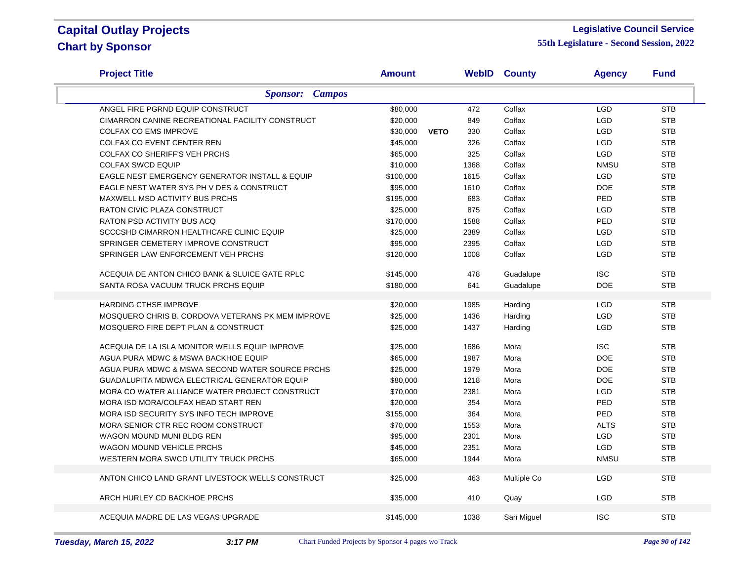#### **Legislative Council Service**

| <b>Project Title</b>                                | <b>Amount</b>           |      | <b>WebID County</b> | <b>Agency</b> | <b>Fund</b> |
|-----------------------------------------------------|-------------------------|------|---------------------|---------------|-------------|
| <b>Sponsor:</b> Campos                              |                         |      |                     |               |             |
| ANGEL FIRE PGRND EQUIP CONSTRUCT                    | \$80,000                | 472  | Colfax              | <b>LGD</b>    | <b>STB</b>  |
| CIMARRON CANINE RECREATIONAL FACILITY CONSTRUCT     | \$20,000                | 849  | Colfax              | <b>LGD</b>    | <b>STB</b>  |
| <b>COLFAX CO EMS IMPROVE</b>                        | \$30,000<br><b>VETO</b> | 330  | Colfax              | <b>LGD</b>    | <b>STB</b>  |
| COLFAX CO EVENT CENTER REN                          | \$45,000                | 326  | Colfax              | <b>LGD</b>    | <b>STB</b>  |
| COLFAX CO SHERIFF'S VEH PRCHS                       | \$65,000                | 325  | Colfax              | <b>LGD</b>    | <b>STB</b>  |
| <b>COLFAX SWCD EQUIP</b>                            | \$10,000                | 1368 | Colfax              | <b>NMSU</b>   | <b>STB</b>  |
| EAGLE NEST EMERGENCY GENERATOR INSTALL & EQUIP      | \$100,000               | 1615 | Colfax              | <b>LGD</b>    | <b>STB</b>  |
| EAGLE NEST WATER SYS PH V DES & CONSTRUCT           | \$95,000                | 1610 | Colfax              | <b>DOE</b>    | <b>STB</b>  |
| MAXWELL MSD ACTIVITY BUS PRCHS                      | \$195,000               | 683  | Colfax              | PED           | <b>STB</b>  |
| RATON CIVIC PLAZA CONSTRUCT                         | \$25,000                | 875  | Colfax              | <b>LGD</b>    | <b>STB</b>  |
| <b>RATON PSD ACTIVITY BUS ACQ</b>                   | \$170,000               | 1588 | Colfax              | PED           | <b>STB</b>  |
| SCCCSHD CIMARRON HEALTHCARE CLINIC EQUIP            | \$25,000                | 2389 | Colfax              | <b>LGD</b>    | <b>STB</b>  |
| SPRINGER CEMETERY IMPROVE CONSTRUCT                 | \$95,000                | 2395 | Colfax              | LGD           | <b>STB</b>  |
| SPRINGER LAW ENFORCEMENT VEH PRCHS                  | \$120,000               | 1008 | Colfax              | <b>LGD</b>    | <b>STB</b>  |
| ACEQUIA DE ANTON CHICO BANK & SLUICE GATE RPLC      | \$145,000               | 478  | Guadalupe           | <b>ISC</b>    | <b>STB</b>  |
| SANTA ROSA VACUUM TRUCK PRCHS EQUIP                 | \$180,000               | 641  | Guadalupe           | DOE           | <b>STB</b>  |
| <b>HARDING CTHSE IMPROVE</b>                        | \$20,000                | 1985 |                     | <b>LGD</b>    | <b>STB</b>  |
| MOSQUERO CHRIS B. CORDOVA VETERANS PK MEM IMPROVE   | \$25,000                | 1436 | Harding<br>Harding  | <b>LGD</b>    | <b>STB</b>  |
|                                                     | \$25,000                |      |                     | <b>LGD</b>    | <b>STB</b>  |
| MOSQUERO FIRE DEPT PLAN & CONSTRUCT                 |                         | 1437 | Harding             |               |             |
| ACEQUIA DE LA ISLA MONITOR WELLS EQUIP IMPROVE      | \$25,000                | 1686 | Mora                | <b>ISC</b>    | <b>STB</b>  |
| AGUA PURA MDWC & MSWA BACKHOE EQUIP                 | \$65,000                | 1987 | Mora                | <b>DOE</b>    | <b>STB</b>  |
| AGUA PURA MDWC & MSWA SECOND WATER SOURCE PRCHS     | \$25,000                | 1979 | Mora                | <b>DOE</b>    | <b>STB</b>  |
| <b>GUADALUPITA MDWCA ELECTRICAL GENERATOR EQUIP</b> | \$80,000                | 1218 | Mora                | <b>DOE</b>    | <b>STB</b>  |
| MORA CO WATER ALLIANCE WATER PROJECT CONSTRUCT      | \$70,000                | 2381 | Mora                | LGD           | <b>STB</b>  |
| MORA ISD MORA/COLFAX HEAD START REN                 | \$20,000                | 354  | Mora                | PED           | <b>STB</b>  |
| MORA ISD SECURITY SYS INFO TECH IMPROVE             | \$155,000               | 364  | Mora                | PED           | <b>STB</b>  |
| MORA SENIOR CTR REC ROOM CONSTRUCT                  | \$70,000                | 1553 | Mora                | <b>ALTS</b>   | <b>STB</b>  |
| WAGON MOUND MUNI BLDG REN                           | \$95,000                | 2301 | Mora                | <b>LGD</b>    | <b>STB</b>  |
| <b>WAGON MOUND VEHICLE PRCHS</b>                    | \$45,000                | 2351 | Mora                | <b>LGD</b>    | <b>STB</b>  |
| WESTERN MORA SWCD UTILITY TRUCK PRCHS               | \$65,000                | 1944 | Mora                | <b>NMSU</b>   | <b>STB</b>  |
| ANTON CHICO LAND GRANT LIVESTOCK WELLS CONSTRUCT    | \$25,000                | 463  | Multiple Co         | <b>LGD</b>    | <b>STB</b>  |
| ARCH HURLEY CD BACKHOE PRCHS                        | \$35,000                | 410  | Quay                | <b>LGD</b>    | <b>STB</b>  |
|                                                     |                         |      |                     |               |             |
| ACEQUIA MADRE DE LAS VEGAS UPGRADE                  | \$145,000               | 1038 | San Miguel          | <b>ISC</b>    | <b>STB</b>  |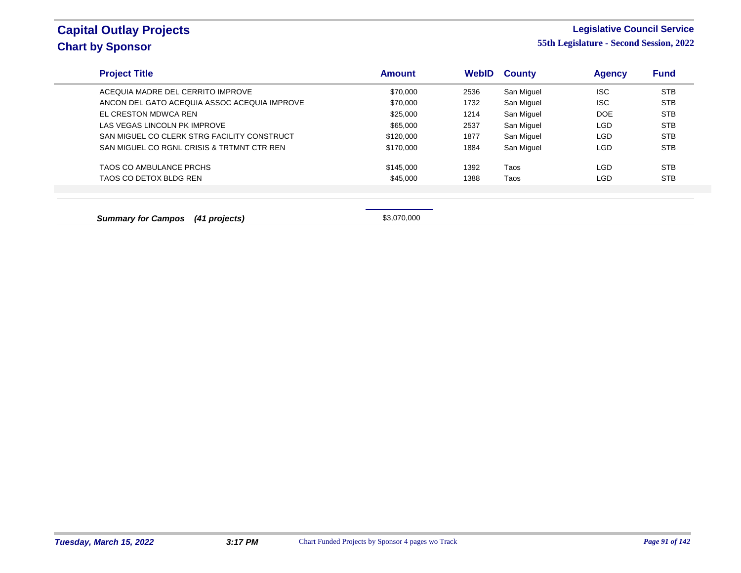#### **Legislative Council Service**

**55th Legislature - Second Session, 2022**

| <b>Project Title</b>                         | <b>Amount</b> | <b>WebID</b> | <b>County</b> | <b>Agency</b> | Fund       |
|----------------------------------------------|---------------|--------------|---------------|---------------|------------|
| ACEQUIA MADRE DEL CERRITO IMPROVE            | \$70,000      | 2536         | San Miguel    | <b>ISC</b>    | <b>STB</b> |
| ANCON DEL GATO ACEQUIA ASSOC ACEQUIA IMPROVE | \$70,000      | 1732         | San Miguel    | <b>ISC</b>    | <b>STB</b> |
| EL CRESTON MDWCA REN                         | \$25,000      | 1214         | San Miguel    | <b>DOE</b>    | <b>STB</b> |
| LAS VEGAS LINCOLN PK IMPROVE                 | \$65,000      | 2537         | San Miguel    | LGD           | <b>STB</b> |
| SAN MIGUEL CO CLERK STRG FACILITY CONSTRUCT  | \$120,000     | 1877         | San Miguel    | LGD           | <b>STB</b> |
| SAN MIGUEL CO RGNL CRISIS & TRTMNT CTR REN   | \$170,000     | 1884         | San Miguel    | LGD           | <b>STB</b> |
| TAOS CO AMBULANCE PRCHS                      | \$145,000     | 1392         | Taos          | LGD           | <b>STB</b> |
| TAOS CO DETOX BLDG REN                       | \$45,000      | 1388         | Taos          | LGD           | <b>STB</b> |
|                                              |               |              |               |               |            |
|                                              |               |              |               |               |            |

**Summary for Campos (41 projects) \$3,070,000**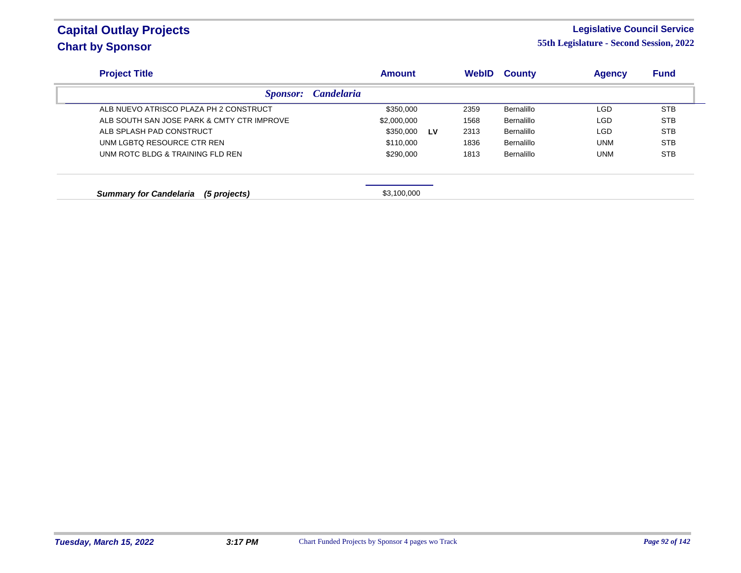### **Legislative Council Service**

| <b>Project Title</b>                          | <b>Amount</b>     |           | <b>WebID</b> | <b>County</b> | <b>Agency</b> | <b>Fund</b> |
|-----------------------------------------------|-------------------|-----------|--------------|---------------|---------------|-------------|
| <i>Sponsor:</i>                               | <b>Candelaria</b> |           |              |               |               |             |
| ALB NUEVO ATRISCO PLAZA PH 2 CONSTRUCT        | \$350,000         |           | 2359         | Bernalillo    | LGD           | <b>STB</b>  |
| ALB SOUTH SAN JOSE PARK & CMTY CTR IMPROVE    | \$2,000,000       |           | 1568         | Bernalillo    | <b>LGD</b>    | <b>STB</b>  |
| ALB SPLASH PAD CONSTRUCT                      | \$350,000         | <b>LV</b> | 2313         | Bernalillo    | <b>LGD</b>    | <b>STB</b>  |
| UNM LGBTO RESOURCE CTR REN                    | \$110,000         |           | 1836         | Bernalillo    | <b>UNM</b>    | <b>STB</b>  |
| UNM ROTC BLDG & TRAINING FLD REN              | \$290,000         |           | 1813         | Bernalillo    | <b>UNM</b>    | <b>STB</b>  |
| <b>Summary for Candelaria</b><br>(5 projects) | \$3,100,000       |           |              |               |               |             |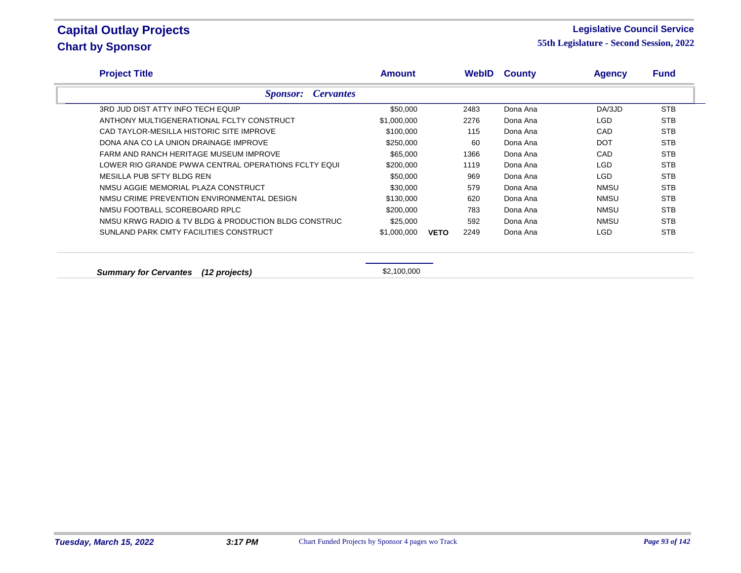#### **Legislative Council Service**

**55th Legislature - Second Session, 2022**

| <b>Project Title</b>                                 | <b>Amount</b> |             | <b>WebID</b> | <b>County</b> | <b>Agency</b> | <b>Fund</b> |
|------------------------------------------------------|---------------|-------------|--------------|---------------|---------------|-------------|
| <b>Cervantes</b><br><b>Sponsor:</b>                  |               |             |              |               |               |             |
| 3RD JUD DIST ATTY INFO TECH EQUIP                    | \$50,000      |             | 2483         | Dona Ana      | DA/3JD        | <b>STB</b>  |
| ANTHONY MULTIGENERATIONAL FCLTY CONSTRUCT            | \$1,000,000   |             | 2276         | Dona Ana      | LGD.          | <b>STB</b>  |
| CAD TAYLOR-MESILLA HISTORIC SITE IMPROVE             | \$100,000     |             | 115          | Dona Ana      | CAD           | <b>STB</b>  |
| DONA ANA CO LA UNION DRAINAGE IMPROVE                | \$250,000     |             | 60           | Dona Ana      | <b>DOT</b>    | <b>STB</b>  |
| FARM AND RANCH HERITAGE MUSEUM IMPROVE               | \$65,000      |             | 1366         | Dona Ana      | CAD           | <b>STB</b>  |
| LOWER RIO GRANDE PWWA CENTRAL OPERATIONS FCLTY EQUI  | \$200,000     |             | 1119         | Dona Ana      | LGD.          | <b>STB</b>  |
| MESILLA PUB SFTY BLDG REN                            | \$50,000      |             | 969          | Dona Ana      | LGD.          | <b>STB</b>  |
| NMSU AGGIE MEMORIAL PLAZA CONSTRUCT                  | \$30,000      |             | 579          | Dona Ana      | NMSU          | <b>STB</b>  |
| NMSU CRIME PREVENTION ENVIRONMENTAL DESIGN           | \$130,000     |             | 620          | Dona Ana      | <b>NMSU</b>   | <b>STB</b>  |
| NMSU FOOTBALL SCOREBOARD RPLC                        | \$200,000     |             | 783          | Dona Ana      | <b>NMSU</b>   | <b>STB</b>  |
| NMSU KRWG RADIO & TV BLDG & PRODUCTION BLDG CONSTRUC | \$25,000      |             | 592          | Dona Ana      | NMSU          | <b>STB</b>  |
| SUNLAND PARK CMTY FACILITIES CONSTRUCT               | \$1,000,000   | <b>VETO</b> | 2249         | Dona Ana      | LGD.          | <b>STB</b>  |

**Summary for Cervantes (12 projects) \$2,100,000**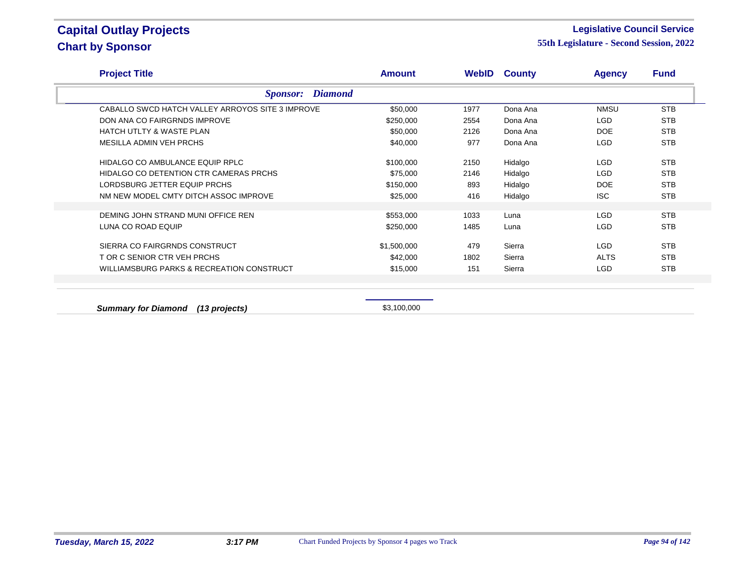#### **Legislative Council Service**

**55th Legislature - Second Session, 2022**

| <b>Project Title</b>                             | <b>Amount</b> |      | <b>WebID County</b> | <b>Agency</b> | <b>Fund</b> |
|--------------------------------------------------|---------------|------|---------------------|---------------|-------------|
| <b>Diamond</b><br><i>Sponsor:</i>                |               |      |                     |               |             |
| CABALLO SWCD HATCH VALLEY ARROYOS SITE 3 IMPROVE | \$50,000      | 1977 | Dona Ana            | <b>NMSU</b>   | <b>STB</b>  |
| DON ANA CO FAIRGRNDS IMPROVE                     | \$250,000     | 2554 | Dona Ana            | <b>LGD</b>    | <b>STB</b>  |
| <b>HATCH UTLTY &amp; WASTE PLAN</b>              | \$50,000      | 2126 | Dona Ana            | DOE           | <b>STB</b>  |
| MESILLA ADMIN VEH PRCHS                          | \$40,000      | 977  | Dona Ana            | LGD           | <b>STB</b>  |
| HIDALGO CO AMBULANCE EQUIP RPLC                  | \$100,000     | 2150 | Hidalgo             | LGD           | <b>STB</b>  |
| HIDALGO CO DETENTION CTR CAMERAS PRCHS           | \$75,000      | 2146 | Hidalgo             | LGD           | <b>STB</b>  |
| LORDSBURG JETTER EQUIP PRCHS                     | \$150,000     | 893  | Hidalgo             | DOE           | <b>STB</b>  |
| NM NEW MODEL CMTY DITCH ASSOC IMPROVE            | \$25,000      | 416  | Hidalgo             | <b>ISC</b>    | <b>STB</b>  |
| DEMING JOHN STRAND MUNI OFFICE REN               | \$553,000     | 1033 | Luna                | <b>LGD</b>    | <b>STB</b>  |
| LUNA CO ROAD EQUIP                               | \$250,000     | 1485 | Luna                | LGD           | <b>STB</b>  |
| SIERRA CO FAIRGRNDS CONSTRUCT                    | \$1,500,000   | 479  | Sierra              | LGD           | <b>STB</b>  |
| T OR C SENIOR CTR VEH PRCHS                      | \$42,000      | 1802 | Sierra              | <b>ALTS</b>   | <b>STB</b>  |
| WILLIAMSBURG PARKS & RECREATION CONSTRUCT        | \$15,000      | 151  | Sierra              | LGD           | <b>STB</b>  |

**Summary for Diamond (13 projects) \$3,100,000**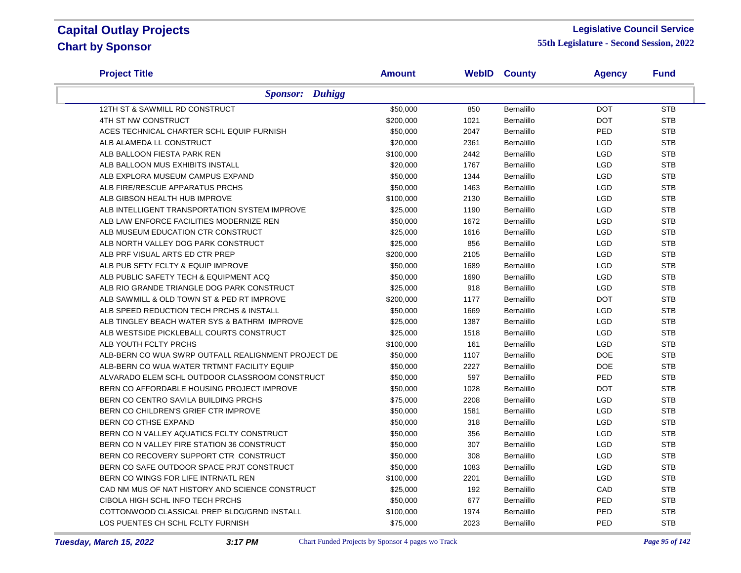#### **Legislative Council Service**

| <b>Project Title</b>                                | <b>Amount</b> |      | <b>WebID County</b> | <b>Agency</b> | <b>Fund</b> |
|-----------------------------------------------------|---------------|------|---------------------|---------------|-------------|
| <b>Sponsor: Duhigg</b>                              |               |      |                     |               |             |
| 12TH ST & SAWMILL RD CONSTRUCT                      | \$50,000      | 850  | Bernalillo          | <b>DOT</b>    | <b>STB</b>  |
| 4TH ST NW CONSTRUCT                                 | \$200,000     | 1021 | Bernalillo          | <b>DOT</b>    | <b>STB</b>  |
| ACES TECHNICAL CHARTER SCHL EQUIP FURNISH           | \$50,000      | 2047 | <b>Bernalillo</b>   | PED           | <b>STB</b>  |
| ALB ALAMEDA LL CONSTRUCT                            | \$20,000      | 2361 | Bernalillo          | LGD           | <b>STB</b>  |
| ALB BALLOON FIESTA PARK REN                         | \$100,000     | 2442 | Bernalillo          | <b>LGD</b>    | <b>STB</b>  |
| ALB BALLOON MUS EXHIBITS INSTALL                    | \$20,000      | 1767 | Bernalillo          | <b>LGD</b>    | <b>STB</b>  |
| ALB EXPLORA MUSEUM CAMPUS EXPAND                    | \$50,000      | 1344 | Bernalillo          | <b>LGD</b>    | <b>STB</b>  |
| ALB FIRE/RESCUE APPARATUS PRCHS                     | \$50,000      | 1463 | Bernalillo          | LGD           | <b>STB</b>  |
| ALB GIBSON HEALTH HUB IMPROVE                       | \$100,000     | 2130 | Bernalillo          | <b>LGD</b>    | <b>STB</b>  |
| ALB INTELLIGENT TRANSPORTATION SYSTEM IMPROVE       | \$25,000      | 1190 | Bernalillo          | <b>LGD</b>    | <b>STB</b>  |
| ALB LAW ENFORCE FACILITIES MODERNIZE REN            | \$50,000      | 1672 | Bernalillo          | <b>LGD</b>    | <b>STB</b>  |
| ALB MUSEUM EDUCATION CTR CONSTRUCT                  | \$25,000      | 1616 | Bernalillo          | LGD           | <b>STB</b>  |
| ALB NORTH VALLEY DOG PARK CONSTRUCT                 | \$25,000      | 856  | <b>Bernalillo</b>   | LGD           | <b>STB</b>  |
| ALB PRF VISUAL ARTS ED CTR PREP                     | \$200,000     | 2105 | <b>Bernalillo</b>   | <b>LGD</b>    | <b>STB</b>  |
| ALB PUB SFTY FCLTY & EQUIP IMPROVE                  | \$50,000      | 1689 | Bernalillo          | <b>LGD</b>    | <b>STB</b>  |
| ALB PUBLIC SAFETY TECH & EQUIPMENT ACQ              | \$50,000      | 1690 | Bernalillo          | <b>LGD</b>    | <b>STB</b>  |
| ALB RIO GRANDE TRIANGLE DOG PARK CONSTRUCT          | \$25,000      | 918  | Bernalillo          | <b>LGD</b>    | <b>STB</b>  |
| ALB SAWMILL & OLD TOWN ST & PED RT IMPROVE          | \$200,000     | 1177 | <b>Bernalillo</b>   | <b>DOT</b>    | <b>STB</b>  |
| ALB SPEED REDUCTION TECH PRCHS & INSTALL            | \$50,000      | 1669 | <b>Bernalillo</b>   | <b>LGD</b>    | <b>STB</b>  |
| ALB TINGLEY BEACH WATER SYS & BATHRM IMPROVE        | \$25,000      | 1387 | Bernalillo          | <b>LGD</b>    | <b>STB</b>  |
| ALB WESTSIDE PICKLEBALL COURTS CONSTRUCT            | \$25,000      | 1518 | Bernalillo          | <b>LGD</b>    | <b>STB</b>  |
| ALB YOUTH FCLTY PRCHS                               | \$100,000     | 161  | Bernalillo          | <b>LGD</b>    | <b>STB</b>  |
| ALB-BERN CO WUA SWRP OUTFALL REALIGNMENT PROJECT DE | \$50,000      | 1107 | Bernalillo          | <b>DOE</b>    | <b>STB</b>  |
| ALB-BERN CO WUA WATER TRTMNT FACILITY EQUIP         | \$50,000      | 2227 | <b>Bernalillo</b>   | <b>DOE</b>    | <b>STB</b>  |
| ALVARADO ELEM SCHL OUTDOOR CLASSROOM CONSTRUCT      | \$50,000      | 597  | <b>Bernalillo</b>   | PED           | <b>STB</b>  |
| BERN CO AFFORDABLE HOUSING PROJECT IMPROVE          | \$50,000      | 1028 | Bernalillo          | <b>DOT</b>    | <b>STB</b>  |
| BERN CO CENTRO SAVILA BUILDING PRCHS                | \$75,000      | 2208 | Bernalillo          | <b>LGD</b>    | <b>STB</b>  |
| BERN CO CHILDREN'S GRIEF CTR IMPROVE                | \$50,000      | 1581 | Bernalillo          | <b>LGD</b>    | <b>STB</b>  |
| BERN CO CTHSE EXPAND                                | \$50,000      | 318  | Bernalillo          | <b>LGD</b>    | <b>STB</b>  |
| BERN CO N VALLEY AQUATICS FCLTY CONSTRUCT           | \$50,000      | 356  | Bernalillo          | <b>LGD</b>    | <b>STB</b>  |
| BERN CO N VALLEY FIRE STATION 36 CONSTRUCT          | \$50,000      | 307  | Bernalillo          | LGD           | <b>STB</b>  |
| BERN CO RECOVERY SUPPORT CTR CONSTRUCT              | \$50,000      | 308  | Bernalillo          | <b>LGD</b>    | <b>STB</b>  |
| BERN CO SAFE OUTDOOR SPACE PRJT CONSTRUCT           | \$50,000      | 1083 | Bernalillo          | <b>LGD</b>    | <b>STB</b>  |
| BERN CO WINGS FOR LIFE INTRNATL REN                 | \$100,000     | 2201 | Bernalillo          | LGD           | <b>STB</b>  |
| CAD NM MUS OF NAT HISTORY AND SCIENCE CONSTRUCT     | \$25,000      | 192  | Bernalillo          | CAD           | <b>STB</b>  |
| CIBOLA HIGH SCHL INFO TECH PRCHS                    | \$50,000      | 677  | Bernalillo          | PED           | <b>STB</b>  |
| COTTONWOOD CLASSICAL PREP BLDG/GRND INSTALL         | \$100,000     | 1974 | <b>Bernalillo</b>   | PED           | <b>STB</b>  |
| LOS PUENTES CH SCHL FCLTY FURNISH                   | \$75,000      | 2023 | <b>Bernalillo</b>   | PED           | <b>STB</b>  |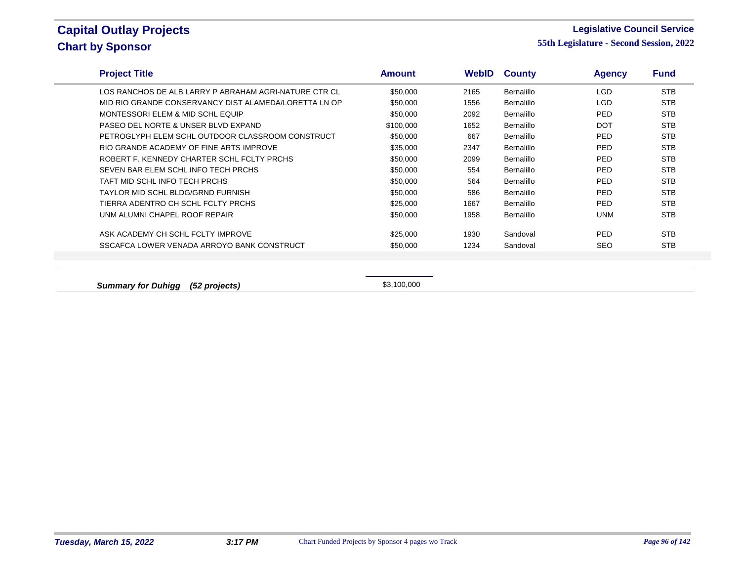#### **Legislative Council Service**

**55th Legislature - Second Session, 2022**

| <b>Project Title</b>                                  | <b>Amount</b> | <b>WebID</b> | <b>County</b> | <b>Agency</b> | <b>Fund</b> |  |
|-------------------------------------------------------|---------------|--------------|---------------|---------------|-------------|--|
| LOS RANCHOS DE ALB LARRY P ABRAHAM AGRI-NATURE CTR CL | \$50,000      | 2165         | Bernalillo    | <b>LGD</b>    | <b>STB</b>  |  |
| MID RIO GRANDE CONSERVANCY DIST ALAMEDA/LORETTA LN OP | \$50,000      | 1556         | Bernalillo    | <b>LGD</b>    | <b>STB</b>  |  |
| MONTESSORI ELEM & MID SCHL EQUIP                      | \$50,000      | 2092         | Bernalillo    | <b>PED</b>    | <b>STB</b>  |  |
| PASEO DEL NORTE & UNSER BLVD EXPAND                   | \$100,000     | 1652         | Bernalillo    | <b>DOT</b>    | <b>STB</b>  |  |
| PETROGLYPH ELEM SCHL OUTDOOR CLASSROOM CONSTRUCT      | \$50,000      | 667          | Bernalillo    | <b>PED</b>    | <b>STB</b>  |  |
| RIO GRANDE ACADEMY OF FINE ARTS IMPROVE               | \$35,000      | 2347         | Bernalillo    | <b>PED</b>    | <b>STB</b>  |  |
| ROBERT F. KENNEDY CHARTER SCHL FCLTY PRCHS            | \$50,000      | 2099         | Bernalillo    | <b>PED</b>    | <b>STB</b>  |  |
| SEVEN BAR ELEM SCHL INFO TECH PRCHS                   | \$50,000      | 554          | Bernalillo    | <b>PED</b>    | <b>STB</b>  |  |
| TAFT MID SCHL INFO TECH PRCHS                         | \$50,000      | 564          | Bernalillo    | <b>PED</b>    | <b>STB</b>  |  |
| TAYLOR MID SCHL BLDG/GRND FURNISH                     | \$50,000      | 586          | Bernalillo    | <b>PED</b>    | <b>STB</b>  |  |
| TIERRA ADENTRO CH SCHL FCLTY PRCHS                    | \$25,000      | 1667         | Bernalillo    | <b>PED</b>    | <b>STB</b>  |  |
| UNM ALUMNI CHAPEL ROOF REPAIR                         | \$50,000      | 1958         | Bernalillo    | <b>UNM</b>    | <b>STB</b>  |  |
| ASK ACADEMY CH SCHL FCLTY IMPROVE                     | \$25,000      | 1930         | Sandoval      | <b>PED</b>    | <b>STB</b>  |  |
| SSCAFCA LOWER VENADA ARROYO BANK CONSTRUCT            | \$50,000      | 1234         | Sandoval      | <b>SEO</b>    | <b>STB</b>  |  |
|                                                       |               |              |               |               |             |  |
|                                                       |               |              |               |               |             |  |

**Summary for Duhigg (52 projects) \$3,100,000**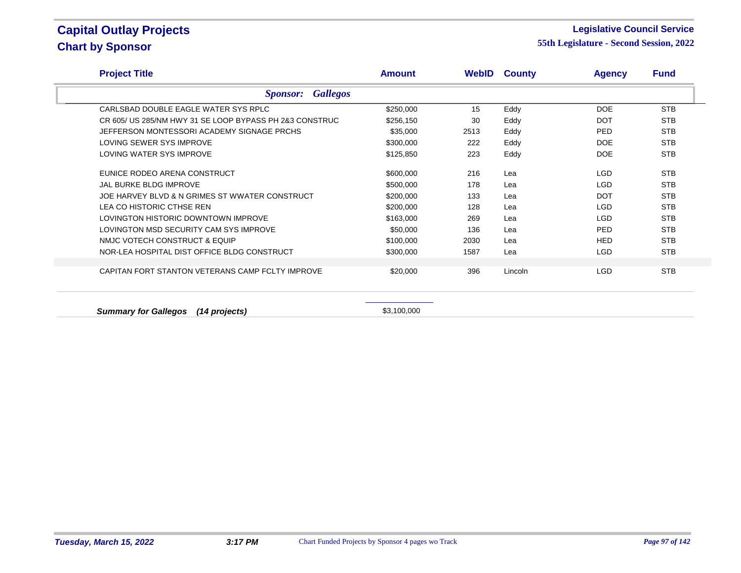#### **Legislative Council Service**

**55th Legislature - Second Session, 2022**

| <b>Project Title</b>                                    | <b>Amount</b> |      | <b>WebID County</b> | <b>Agency</b> | <b>Fund</b> |
|---------------------------------------------------------|---------------|------|---------------------|---------------|-------------|
| <b>Gallegos</b><br><b>Sponsor:</b>                      |               |      |                     |               |             |
| CARLSBAD DOUBLE EAGLE WATER SYS RPLC                    | \$250,000     | 15   | Eddy                | <b>DOE</b>    | <b>STB</b>  |
| CR 605/ US 285/NM HWY 31 SE LOOP BYPASS PH 2&3 CONSTRUC | \$256,150     | 30   | Eddy                | <b>DOT</b>    | <b>STB</b>  |
| JEFFERSON MONTESSORI ACADEMY SIGNAGE PRCHS              | \$35,000      | 2513 | Eddy                | <b>PED</b>    | <b>STB</b>  |
| LOVING SEWER SYS IMPROVE                                | \$300,000     | 222  | Eddy                | <b>DOE</b>    | <b>STB</b>  |
| LOVING WATER SYS IMPROVE                                | \$125,850     | 223  | Eddy                | <b>DOE</b>    | <b>STB</b>  |
| EUNICE RODEO ARENA CONSTRUCT                            | \$600,000     | 216  | Lea                 | LGD           | <b>STB</b>  |
| JAL BURKE BLDG IMPROVE                                  | \$500,000     | 178  | Lea                 | <b>LGD</b>    | <b>STB</b>  |
| JOE HARVEY BLVD & N GRIMES ST WWATER CONSTRUCT          | \$200,000     | 133  | Lea                 | <b>DOT</b>    | <b>STB</b>  |
| LEA CO HISTORIC CTHSE REN                               | \$200,000     | 128  | Lea                 | LGD           | <b>STB</b>  |
| LOVINGTON HISTORIC DOWNTOWN IMPROVE                     | \$163,000     | 269  | Lea                 | <b>LGD</b>    | <b>STB</b>  |
| LOVINGTON MSD SECURITY CAM SYS IMPROVE                  | \$50,000      | 136  | Lea                 | PED           | <b>STB</b>  |
| NMJC VOTECH CONSTRUCT & EQUIP                           | \$100,000     | 2030 | Lea                 | <b>HED</b>    | <b>STB</b>  |
| NOR-LEA HOSPITAL DIST OFFICE BLDG CONSTRUCT             | \$300,000     | 1587 | Lea                 | <b>LGD</b>    | <b>STB</b>  |
| CAPITAN FORT STANTON VETERANS CAMP FCLTY IMPROVE        | \$20,000      | 396  | Lincoln             | <b>LGD</b>    | <b>STB</b>  |
|                                                         |               |      |                     |               |             |

**Summary for Gallegos (14 projects)** \$3,100,000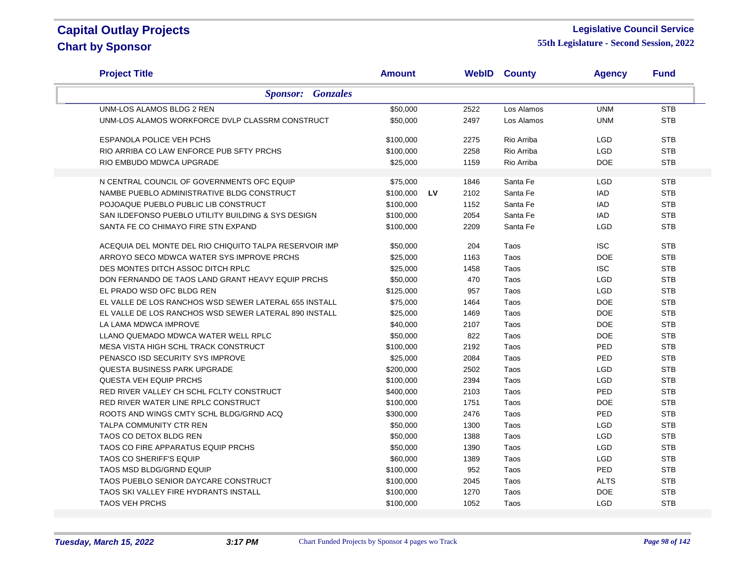#### **Legislative Council Service**

| <b>Project Title</b>                                   | <b>Amount</b> |           |      | <b>WebID County</b> | <b>Agency</b> | <b>Fund</b> |
|--------------------------------------------------------|---------------|-----------|------|---------------------|---------------|-------------|
| <b>Sponsor:</b> Gonzales                               |               |           |      |                     |               |             |
| UNM-LOS ALAMOS BLDG 2 REN                              | \$50,000      |           | 2522 | Los Alamos          | <b>UNM</b>    | <b>STB</b>  |
| UNM-LOS ALAMOS WORKFORCE DVLP CLASSRM CONSTRUCT        | \$50,000      |           | 2497 | Los Alamos          | <b>UNM</b>    | <b>STB</b>  |
| <b>ESPANOLA POLICE VEH PCHS</b>                        | \$100,000     |           | 2275 | Rio Arriba          | <b>LGD</b>    | <b>STB</b>  |
| RIO ARRIBA CO LAW ENFORCE PUB SFTY PRCHS               | \$100,000     |           | 2258 | Rio Arriba          | <b>LGD</b>    | <b>STB</b>  |
| RIO EMBUDO MDWCA UPGRADE                               | \$25,000      |           | 1159 | Rio Arriba          | <b>DOE</b>    | <b>STB</b>  |
| N CENTRAL COUNCIL OF GOVERNMENTS OFC EQUIP             | \$75,000      |           | 1846 | Santa Fe            | <b>LGD</b>    | <b>STB</b>  |
| NAMBE PUEBLO ADMINISTRATIVE BLDG CONSTRUCT             | \$100,000     | <b>LV</b> | 2102 | Santa Fe            | <b>IAD</b>    | <b>STB</b>  |
| POJOAQUE PUEBLO PUBLIC LIB CONSTRUCT                   | \$100,000     |           | 1152 | Santa Fe            | <b>IAD</b>    | <b>STB</b>  |
| SAN ILDEFONSO PUEBLO UTILITY BUILDING & SYS DESIGN     | \$100,000     |           | 2054 | Santa Fe            | <b>IAD</b>    | <b>STB</b>  |
| SANTA FE CO CHIMAYO FIRE STN EXPAND                    | \$100,000     |           | 2209 | Santa Fe            | <b>LGD</b>    | <b>STB</b>  |
|                                                        |               |           |      |                     |               |             |
| ACEQUIA DEL MONTE DEL RIO CHIQUITO TALPA RESERVOIR IMP | \$50,000      |           | 204  | Taos                | <b>ISC</b>    | <b>STB</b>  |
| ARROYO SECO MDWCA WATER SYS IMPROVE PRCHS              | \$25,000      |           | 1163 | Taos                | <b>DOE</b>    | <b>STB</b>  |
| DES MONTES DITCH ASSOC DITCH RPLC                      | \$25,000      |           | 1458 | Taos                | <b>ISC</b>    | <b>STB</b>  |
| DON FERNANDO DE TAOS LAND GRANT HEAVY EQUIP PRCHS      | \$50,000      |           | 470  | Taos                | <b>LGD</b>    | <b>STB</b>  |
| EL PRADO WSD OFC BLDG REN                              | \$125,000     |           | 957  | Taos                | LGD           | <b>STB</b>  |
| EL VALLE DE LOS RANCHOS WSD SEWER LATERAL 655 INSTALL  | \$75,000      |           | 1464 | Taos                | <b>DOE</b>    | <b>STB</b>  |
| EL VALLE DE LOS RANCHOS WSD SEWER LATERAL 890 INSTALL  | \$25,000      |           | 1469 | Taos                | <b>DOE</b>    | <b>STB</b>  |
| LA LAMA MDWCA IMPROVE                                  | \$40,000      |           | 2107 | Taos                | <b>DOE</b>    | <b>STB</b>  |
| LLANO QUEMADO MDWCA WATER WELL RPLC                    | \$50,000      |           | 822  | Taos                | <b>DOE</b>    | <b>STB</b>  |
| MESA VISTA HIGH SCHL TRACK CONSTRUCT                   | \$100,000     |           | 2192 | Taos                | PED           | <b>STB</b>  |
| PENASCO ISD SECURITY SYS IMPROVE                       | \$25,000      |           | 2084 | Taos                | PED           | <b>STB</b>  |
| <b>QUESTA BUSINESS PARK UPGRADE</b>                    | \$200,000     |           | 2502 | Taos                | <b>LGD</b>    | <b>STB</b>  |
| <b>QUESTA VEH EQUIP PRCHS</b>                          | \$100,000     |           | 2394 | Taos                | LGD           | <b>STB</b>  |
| RED RIVER VALLEY CH SCHL FCLTY CONSTRUCT               | \$400,000     |           | 2103 | Taos                | PED           | <b>STB</b>  |
| RED RIVER WATER LINE RPLC CONSTRUCT                    | \$100,000     |           | 1751 | Taos                | <b>DOE</b>    | <b>STB</b>  |
| ROOTS AND WINGS CMTY SCHL BLDG/GRND ACQ                | \$300,000     |           | 2476 | Taos                | PED           | <b>STB</b>  |
| <b>TALPA COMMUNITY CTR REN</b>                         | \$50,000      |           | 1300 | Taos                | LGD           | <b>STB</b>  |
| TAOS CO DETOX BLDG REN                                 | \$50,000      |           | 1388 | Taos                | LGD           | <b>STB</b>  |
| TAOS CO FIRE APPARATUS EQUIP PRCHS                     | \$50,000      |           | 1390 | Taos                | <b>LGD</b>    | <b>STB</b>  |
| TAOS CO SHERIFF'S EQUIP                                | \$60,000      |           | 1389 | Taos                | LGD           | <b>STB</b>  |
| <b>TAOS MSD BLDG/GRND EQUIP</b>                        | \$100,000     |           | 952  | Taos                | PED           | <b>STB</b>  |
| TAOS PUEBLO SENIOR DAYCARE CONSTRUCT                   | \$100,000     |           | 2045 | Taos                | <b>ALTS</b>   | <b>STB</b>  |
| TAOS SKI VALLEY FIRE HYDRANTS INSTALL                  | \$100,000     |           | 1270 | Taos                | <b>DOE</b>    | <b>STB</b>  |
| <b>TAOS VEH PRCHS</b>                                  | \$100,000     |           | 1052 | Taos                | <b>LGD</b>    | <b>STB</b>  |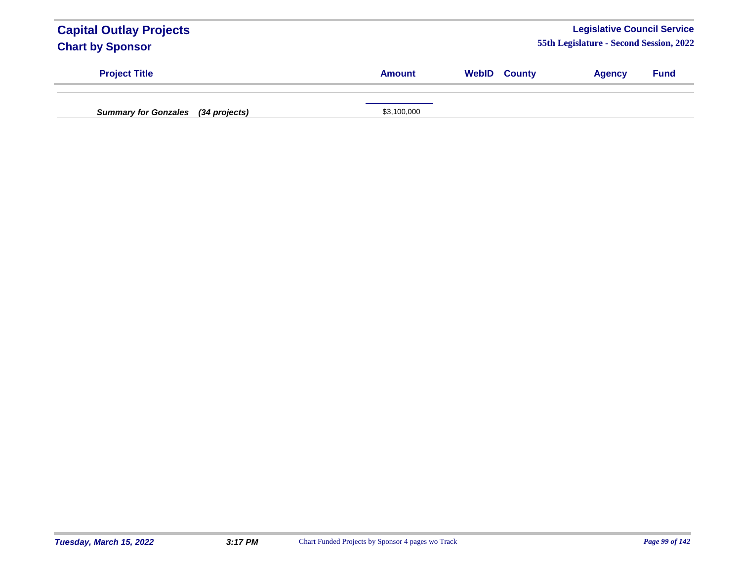| <b>Capital Outlay Projects</b><br><b>Chart by Sponsor</b> |               |                     | <b>Legislative Council Service</b><br>55th Legislature - Second Session, 2022 |             |
|-----------------------------------------------------------|---------------|---------------------|-------------------------------------------------------------------------------|-------------|
| <b>Project Title</b>                                      | <b>Amount</b> | <b>WebID County</b> | <b>Agency</b>                                                                 | <b>Fund</b> |
| <b>Summary for Gonzales</b><br>(34 projects)              | \$3,100,000   |                     |                                                                               |             |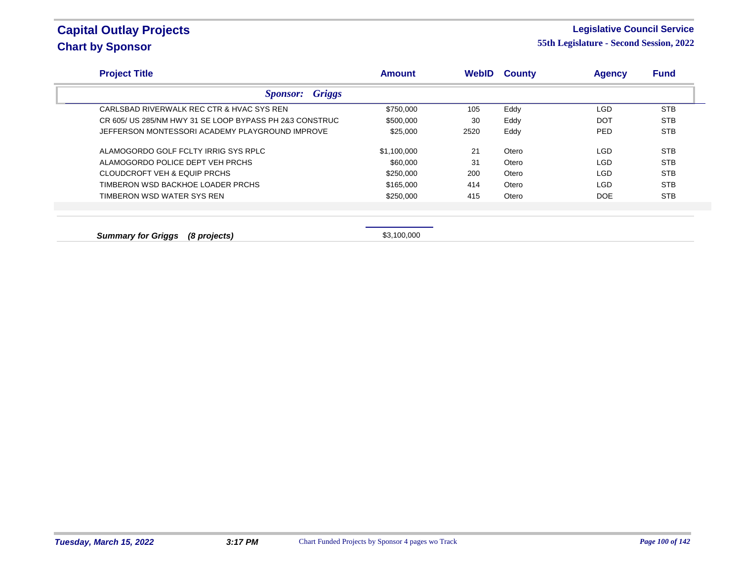#### **Legislative Council Service**

| <b>Project Title</b>                                    | <b>Amount</b> | WebID | <b>County</b> | <b>Agency</b> | <b>Fund</b> |
|---------------------------------------------------------|---------------|-------|---------------|---------------|-------------|
| <b>Sponsor:</b> Griggs                                  |               |       |               |               |             |
| CARLSBAD RIVERWALK REC CTR & HVAC SYS REN               | \$750,000     | 105   | Eddy          | LGD           | <b>STB</b>  |
| CR 605/ US 285/NM HWY 31 SE LOOP BYPASS PH 2&3 CONSTRUC | \$500,000     | 30    | Eddy          | <b>DOT</b>    | <b>STB</b>  |
| JEFFERSON MONTESSORI ACADEMY PLAYGROUND IMPROVE         | \$25,000      | 2520  | Eddy          | <b>PED</b>    | <b>STB</b>  |
| ALAMOGORDO GOLF FCLTY IRRIG SYS RPLC                    | \$1,100,000   | 21    | Otero         | <b>LGD</b>    | <b>STB</b>  |
| ALAMOGORDO POLICE DEPT VEH PRCHS                        | \$60,000      | 31    | Otero         | <b>LGD</b>    | <b>STB</b>  |
| CLOUDCROFT VEH & EQUIP PRCHS                            | \$250,000     | 200   | Otero         | <b>LGD</b>    | <b>STB</b>  |
| TIMBERON WSD BACKHOE LOADER PRCHS                       | \$165,000     | 414   | Otero         | LGD           | <b>STB</b>  |
| TIMBERON WSD WATER SYS REN                              | \$250,000     | 415   | Otero         | <b>DOE</b>    | <b>STB</b>  |
|                                                         |               |       |               |               |             |
| <b>Summary for Griggs</b><br>(8 projects)               | \$3,100,000   |       |               |               |             |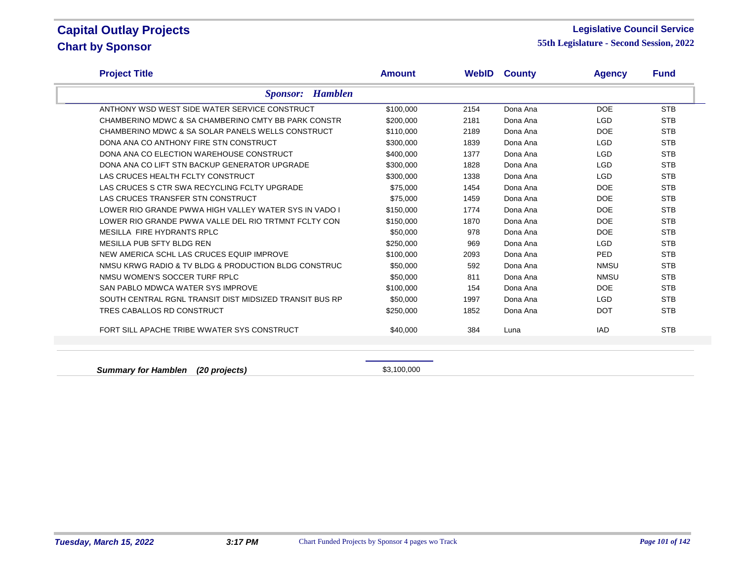#### **Legislative Council Service**

**55th Legislature - Second Session, 2022**

| <b>Project Title</b>                                    | <b>Amount</b> |      | <b>WebID County</b> | <b>Agency</b> | <b>Fund</b> |
|---------------------------------------------------------|---------------|------|---------------------|---------------|-------------|
| <b>Sponsor:</b> Hamblen                                 |               |      |                     |               |             |
| ANTHONY WSD WEST SIDE WATER SERVICE CONSTRUCT           | \$100,000     | 2154 | Dona Ana            | <b>DOE</b>    | <b>STB</b>  |
| CHAMBERINO MDWC & SA CHAMBERINO CMTY BB PARK CONSTR     | \$200,000     | 2181 | Dona Ana            | <b>LGD</b>    | <b>STB</b>  |
| CHAMBERINO MDWC & SA SOLAR PANELS WELLS CONSTRUCT       | \$110,000     | 2189 | Dona Ana            | <b>DOE</b>    | <b>STB</b>  |
| DONA ANA CO ANTHONY FIRE STN CONSTRUCT                  | \$300,000     | 1839 | Dona Ana            | <b>LGD</b>    | <b>STB</b>  |
| DONA ANA CO ELECTION WAREHOUSE CONSTRUCT                | \$400,000     | 1377 | Dona Ana            | <b>LGD</b>    | <b>STB</b>  |
| DONA ANA CO LIFT STN BACKUP GENERATOR UPGRADE           | \$300,000     | 1828 | Dona Ana            | <b>LGD</b>    | <b>STB</b>  |
| LAS CRUCES HEALTH FCLTY CONSTRUCT                       | \$300,000     | 1338 | Dona Ana            | <b>LGD</b>    | <b>STB</b>  |
| LAS CRUCES S CTR SWA RECYCLING FCLTY UPGRADE            | \$75,000      | 1454 | Dona Ana            | <b>DOE</b>    | <b>STB</b>  |
| LAS CRUCES TRANSFER STN CONSTRUCT                       | \$75,000      | 1459 | Dona Ana            | <b>DOE</b>    | <b>STB</b>  |
| LOWER RIO GRANDE PWWA HIGH VALLEY WATER SYS IN VADO I   | \$150,000     | 1774 | Dona Ana            | <b>DOE</b>    | <b>STB</b>  |
| LOWER RIO GRANDE PWWA VALLE DEL RIO TRTMNT FCLTY CON    | \$150,000     | 1870 | Dona Ana            | <b>DOE</b>    | <b>STB</b>  |
| MESILLA FIRE HYDRANTS RPLC                              | \$50,000      | 978  | Dona Ana            | <b>DOE</b>    | <b>STB</b>  |
| MESILLA PUB SFTY BLDG REN                               | \$250,000     | 969  | Dona Ana            | <b>LGD</b>    | <b>STB</b>  |
| NEW AMERICA SCHL LAS CRUCES EQUIP IMPROVE               | \$100,000     | 2093 | Dona Ana            | <b>PED</b>    | <b>STB</b>  |
| NMSU KRWG RADIO & TV BLDG & PRODUCTION BLDG CONSTRUC    | \$50,000      | 592  | Dona Ana            | <b>NMSU</b>   | <b>STB</b>  |
| NMSU WOMEN'S SOCCER TURF RPLC                           | \$50,000      | 811  | Dona Ana            | <b>NMSU</b>   | <b>STB</b>  |
| SAN PABLO MDWCA WATER SYS IMPROVE                       | \$100,000     | 154  | Dona Ana            | <b>DOE</b>    | <b>STB</b>  |
| SOUTH CENTRAL RGNL TRANSIT DIST MIDSIZED TRANSIT BUS RP | \$50,000      | 1997 | Dona Ana            | <b>LGD</b>    | <b>STB</b>  |
| TRES CABALLOS RD CONSTRUCT                              | \$250,000     | 1852 | Dona Ana            | <b>DOT</b>    | <b>STB</b>  |
| FORT SILL APACHE TRIBE WWATER SYS CONSTRUCT             | \$40,000      | 384  | Luna                | <b>IAD</b>    | <b>STB</b>  |
|                                                         |               |      |                     |               |             |

**Summary for Hamblen (20 projects) \$3,100,000**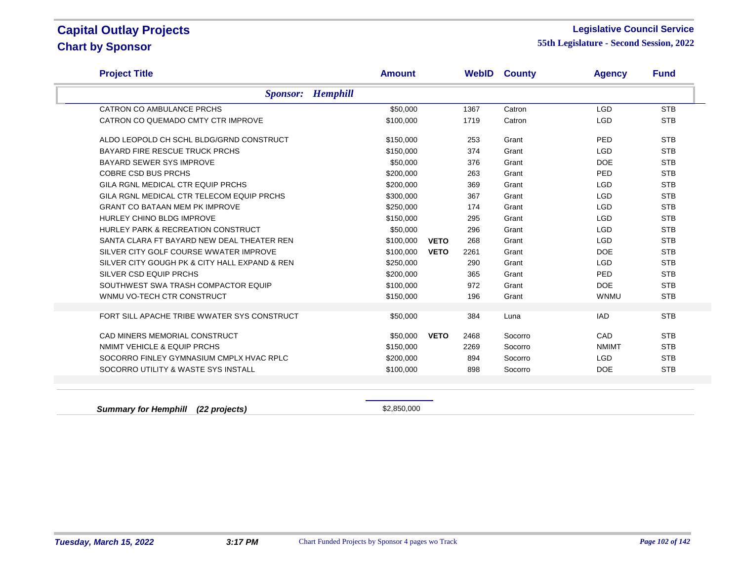#### **Legislative Council Service**

**55th Legislature - Second Session, 2022**

| <b>Project Title</b>                          | <b>Amount</b> | <b>WebID</b>        | <b>County</b> | <b>Agency</b> | <b>Fund</b> |
|-----------------------------------------------|---------------|---------------------|---------------|---------------|-------------|
| <b>Sponsor:</b> Hemphill                      |               |                     |               |               |             |
| CATRON CO AMBULANCE PRCHS                     | \$50,000      | 1367                | Catron        | <b>LGD</b>    | <b>STB</b>  |
| CATRON CO QUEMADO CMTY CTR IMPROVE            | \$100,000     | 1719                | Catron        | <b>LGD</b>    | <b>STB</b>  |
| ALDO LEOPOLD CH SCHL BLDG/GRND CONSTRUCT      | \$150,000     | 253                 | Grant         | PED           | <b>STB</b>  |
| <b>BAYARD FIRE RESCUE TRUCK PRCHS</b>         | \$150,000     | 374                 | Grant         | <b>LGD</b>    | <b>STB</b>  |
| BAYARD SEWER SYS IMPROVE                      | \$50,000      | 376                 | Grant         | <b>DOE</b>    | <b>STB</b>  |
| <b>COBRE CSD BUS PRCHS</b>                    | \$200,000     | 263                 | Grant         | PED           | <b>STB</b>  |
| GILA RGNL MEDICAL CTR EQUIP PRCHS             | \$200,000     | 369                 | Grant         | <b>LGD</b>    | <b>STB</b>  |
| GILA RGNL MEDICAL CTR TELECOM EQUIP PRCHS     | \$300,000     | 367                 | Grant         | <b>LGD</b>    | <b>STB</b>  |
| <b>GRANT CO BATAAN MEM PK IMPROVE</b>         | \$250,000     | 174                 | Grant         | <b>LGD</b>    | <b>STB</b>  |
| HURLEY CHINO BLDG IMPROVE                     | \$150,000     | 295                 | Grant         | <b>LGD</b>    | <b>STB</b>  |
| HURLEY PARK & RECREATION CONSTRUCT            | \$50,000      | 296                 | Grant         | <b>LGD</b>    | <b>STB</b>  |
| SANTA CLARA FT BAYARD NEW DEAL THEATER REN    | \$100,000     | 268<br><b>VETO</b>  | Grant         | <b>LGD</b>    | <b>STB</b>  |
| SILVER CITY GOLF COURSE WWATER IMPROVE        | \$100,000     | <b>VETO</b><br>2261 | Grant         | <b>DOE</b>    | <b>STB</b>  |
| SILVER CITY GOUGH PK & CITY HALL EXPAND & REN | \$250,000     | 290                 | Grant         | <b>LGD</b>    | <b>STB</b>  |
| SILVER CSD EQUIP PRCHS                        | \$200.000     | 365                 | Grant         | PED           | <b>STB</b>  |
| SOUTHWEST SWA TRASH COMPACTOR EQUIP           | \$100,000     | 972                 | Grant         | <b>DOE</b>    | <b>STB</b>  |
| WNMU VO-TECH CTR CONSTRUCT                    | \$150,000     | 196                 | Grant         | <b>WNMU</b>   | <b>STB</b>  |
| FORT SILL APACHE TRIBE WWATER SYS CONSTRUCT   | \$50,000      | 384                 | Luna          | <b>IAD</b>    | <b>STB</b>  |
| CAD MINERS MEMORIAL CONSTRUCT                 | \$50,000      | <b>VETO</b><br>2468 | Socorro       | CAD           | <b>STB</b>  |
| NMIMT VEHICLE & EQUIP PRCHS                   | \$150,000     | 2269                | Socorro       | <b>NMIMT</b>  | <b>STB</b>  |
| SOCORRO FINLEY GYMNASIUM CMPLX HVAC RPLC      | \$200,000     | 894                 | Socorro       | <b>LGD</b>    | <b>STB</b>  |
| SOCORRO UTILITY & WASTE SYS INSTALL           | \$100,000     | 898                 | Socorro       | <b>DOE</b>    | <b>STB</b>  |

**Summary for Hemphill (22 projects) \$2,850,000**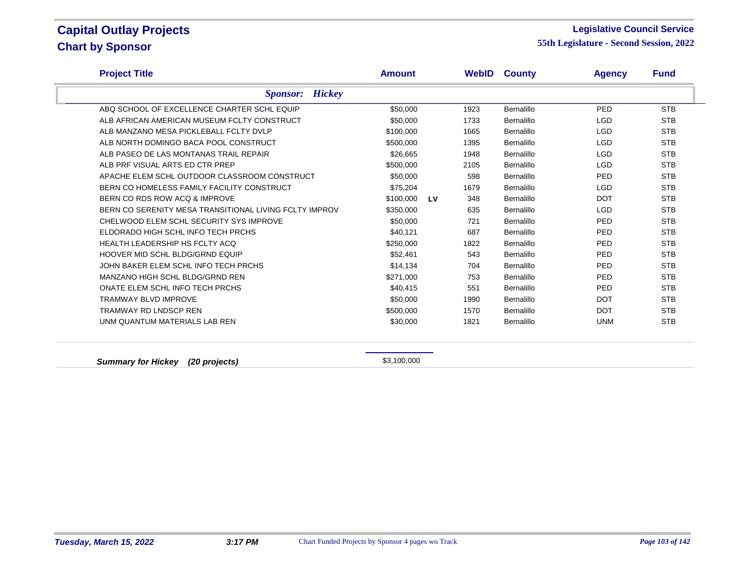#### **Legislative Council Service**

**55th Legislature - Second Session, 2022**

| <b>Project Title</b>                                   | <b>Amount</b> |           |      | <b>WebID County</b> | <b>Agency</b> | <b>Fund</b> |
|--------------------------------------------------------|---------------|-----------|------|---------------------|---------------|-------------|
| <b>Sponsor:</b> Hickey                                 |               |           |      |                     |               |             |
| ABQ SCHOOL OF EXCELLENCE CHARTER SCHL EQUIP            | \$50,000      |           | 1923 | <b>Bernalillo</b>   | PED           | <b>STB</b>  |
| ALB AFRICAN AMERICAN MUSEUM FCLTY CONSTRUCT            | \$50,000      |           | 1733 | <b>Bernalillo</b>   | <b>LGD</b>    | <b>STB</b>  |
| ALB MANZANO MESA PICKLEBALL FCLTY DVLP                 | \$100,000     |           | 1665 | Bernalillo          | <b>LGD</b>    | <b>STB</b>  |
| ALB NORTH DOMINGO BACA POOL CONSTRUCT                  | \$500,000     |           | 1395 | Bernalillo          | <b>LGD</b>    | <b>STB</b>  |
| ALB PASEO DE LAS MONTANAS TRAIL REPAIR                 | \$26,665      |           | 1948 | Bernalillo          | <b>LGD</b>    | <b>STB</b>  |
| ALB PRF VISUAL ARTS ED CTR PREP                        | \$500,000     |           | 2105 | Bernalillo          | <b>LGD</b>    | <b>STB</b>  |
| APACHE ELEM SCHL OUTDOOR CLASSROOM CONSTRUCT           | \$50,000      |           | 598  | Bernalillo          | PED           | <b>STB</b>  |
| BERN CO HOMELESS FAMILY FACILITY CONSTRUCT             | \$75,204      |           | 1679 | Bernalillo          | <b>LGD</b>    | <b>STB</b>  |
| BERN CO RDS ROW ACQ & IMPROVE                          | \$100,000     | <b>LV</b> | 348  | Bernalillo          | <b>DOT</b>    | <b>STB</b>  |
| BERN CO SERENITY MESA TRANSITIONAL LIVING FCLTY IMPROV | \$350,000     |           | 635  | Bernalillo          | <b>LGD</b>    | <b>STB</b>  |
| CHELWOOD ELEM SCHL SECURITY SYS IMPROVE                | \$50,000      |           | 721  | Bernalillo          | <b>PED</b>    | <b>STB</b>  |
| ELDORADO HIGH SCHL INFO TECH PRCHS                     | \$40,121      |           | 687  | Bernalillo          | PED           | <b>STB</b>  |
| <b>HEALTH LEADERSHIP HS FCLTY ACQ</b>                  | \$250,000     |           | 1822 | Bernalillo          | PED           | <b>STB</b>  |
| HOOVER MID SCHL BLDG/GRND EQUIP                        | \$52,461      |           | 543  | Bernalillo          | PED           | <b>STB</b>  |
| JOHN BAKER ELEM SCHL INFO TECH PRCHS                   | \$14,134      |           | 704  | Bernalillo          | <b>PED</b>    | <b>STB</b>  |
| MANZANO HIGH SCHL BLDG/GRND REN                        | \$271,000     |           | 753  | Bernalillo          | <b>PED</b>    | <b>STB</b>  |
| ONATE ELEM SCHL INFO TECH PRCHS                        | \$40,415      |           | 551  | Bernalillo          | PED           | <b>STB</b>  |
| <b>TRAMWAY BLVD IMPROVE</b>                            | \$50,000      |           | 1990 | Bernalillo          | <b>DOT</b>    | <b>STB</b>  |
| <b>TRAMWAY RD LNDSCP REN</b>                           | \$500,000     |           | 1570 | Bernalillo          | <b>DOT</b>    | <b>STB</b>  |
| UNM QUANTUM MATERIALS LAB REN                          | \$30,000      |           | 1821 | Bernalillo          | <b>UNM</b>    | <b>STB</b>  |

**Summary for Hickey** (20 projects) **\$3,100,000** \$3,100,000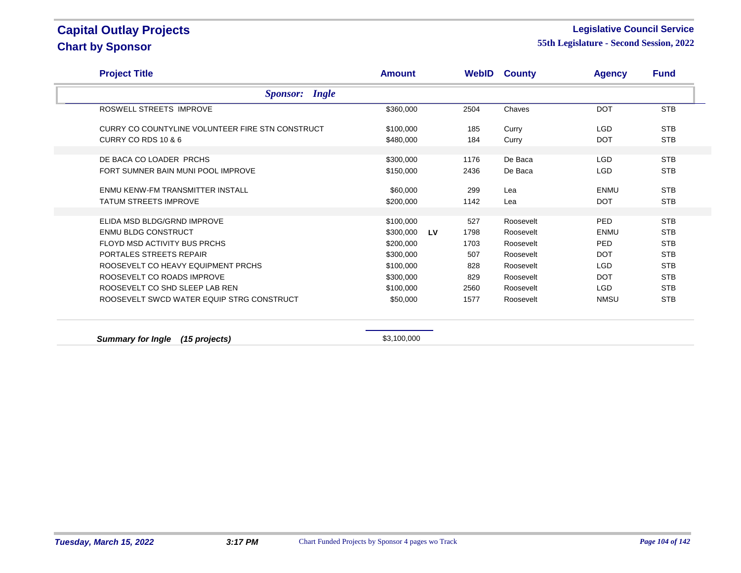#### **Legislative Council Service**

| <b>Project Title</b>                             | <b>Amount</b> |    |             | <b>WebID County</b> | <b>Agency</b> | <b>Fund</b> |
|--------------------------------------------------|---------------|----|-------------|---------------------|---------------|-------------|
| <b>Sponsor:</b> Ingle                            |               |    |             |                     |               |             |
| ROSWELL STREETS IMPROVE                          | \$360,000     |    | 2504        | Chaves              | <b>DOT</b>    | <b>STB</b>  |
| CURRY CO COUNTYLINE VOLUNTEER FIRE STN CONSTRUCT | \$100,000     |    | 185         | Curry               | <b>LGD</b>    | <b>STB</b>  |
| CURRY CO RDS 10 & 6                              | \$480,000     |    | 184         | Curry               | <b>DOT</b>    | <b>STB</b>  |
| DE BACA CO LOADER PRCHS                          | \$300,000     |    | 1176        | De Baca             | <b>LGD</b>    | <b>STB</b>  |
| FORT SUMNER BAIN MUNI POOL IMPROVE               | \$150,000     |    | 2436        | De Baca             | <b>LGD</b>    | <b>STB</b>  |
| ENMU KENW-FM TRANSMITTER INSTALL                 | \$60,000      |    | 299         | Lea                 | <b>ENMU</b>   | <b>STB</b>  |
| <b>TATUM STREETS IMPROVE</b>                     | \$200,000     |    | 1142        | Lea                 | <b>DOT</b>    | <b>STB</b>  |
| ELIDA MSD BLDG/GRND IMPROVE                      | \$100,000     |    |             | Roosevelt           | PED           | <b>STB</b>  |
| <b>ENMU BLDG CONSTRUCT</b>                       | \$300,000     | LV | 527<br>1798 | Roosevelt           | <b>ENMU</b>   | <b>STB</b>  |
| FLOYD MSD ACTIVITY BUS PRCHS                     |               |    |             |                     | <b>PED</b>    | <b>STB</b>  |
|                                                  | \$200,000     |    | 1703        | Roosevelt           |               |             |
| PORTALES STREETS REPAIR                          | \$300,000     |    | 507         | Roosevelt           | <b>DOT</b>    | <b>STB</b>  |
| ROOSEVELT CO HEAVY EQUIPMENT PRCHS               | \$100,000     |    | 828         | Roosevelt           | <b>LGD</b>    | <b>STB</b>  |
| ROOSEVELT CO ROADS IMPROVE                       | \$300,000     |    | 829         | Roosevelt           | <b>DOT</b>    | <b>STB</b>  |
| ROOSEVELT CO SHD SLEEP LAB REN                   | \$100,000     |    | 2560        | Roosevelt           | LGD           | <b>STB</b>  |
| ROOSEVELT SWCD WATER EQUIP STRG CONSTRUCT        | \$50,000      |    | 1577        | Roosevelt           | <b>NMSU</b>   | <b>STB</b>  |
| <b>Summary for Ingle</b><br>$(15$ projects)      | \$3,100,000   |    |             |                     |               |             |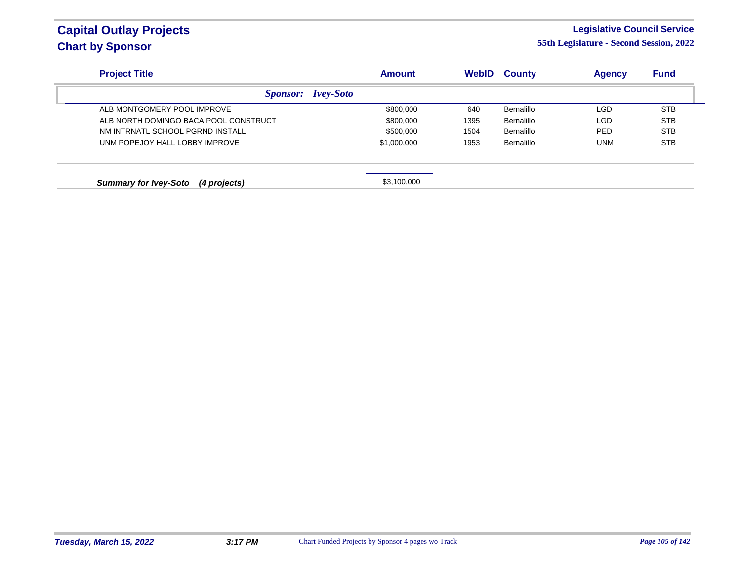### **Legislative Council Service**

| <b>Project Title</b>                         | <b>Amount</b>    | <b>WebID</b> | <b>County</b> | <b>Agency</b> | <b>Fund</b> |
|----------------------------------------------|------------------|--------------|---------------|---------------|-------------|
| <b>Sponsor:</b>                              | <i>Ivey-Soto</i> |              |               |               |             |
| ALB MONTGOMERY POOL IMPROVE                  | \$800,000        | 640          | Bernalillo    | <b>LGD</b>    | <b>STB</b>  |
| ALB NORTH DOMINGO BACA POOL CONSTRUCT        | \$800,000        | 1395         | Bernalillo    | <b>LGD</b>    | <b>STB</b>  |
| NM INTRNATL SCHOOL PGRND INSTALL             | \$500,000        | 1504         | Bernalillo    | <b>PED</b>    | <b>STB</b>  |
| UNM POPEJOY HALL LOBBY IMPROVE               | \$1,000,000      | 1953         | Bernalillo    | UNM           | <b>STB</b>  |
| <b>Summary for Ivey-Soto</b><br>(4 projects) | \$3,100,000      |              |               |               |             |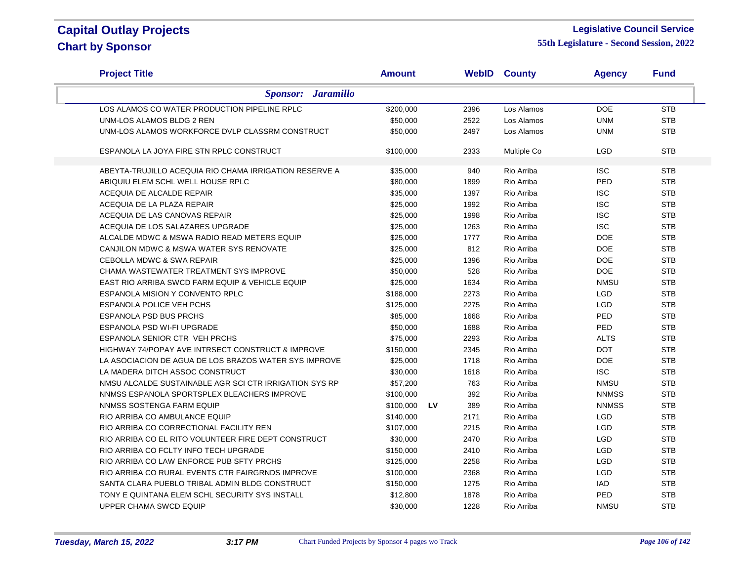#### **Legislative Council Service**

| <b>Project Title</b>                                   | <b>Amount</b> |    |      | <b>WebID County</b> | <b>Agency</b> | <b>Fund</b> |
|--------------------------------------------------------|---------------|----|------|---------------------|---------------|-------------|
| <b>Sponsor:</b> Jaramillo                              |               |    |      |                     |               |             |
| LOS ALAMOS CO WATER PRODUCTION PIPELINE RPLC           | \$200,000     |    | 2396 | Los Alamos          | <b>DOE</b>    | <b>STB</b>  |
| UNM-LOS ALAMOS BLDG 2 REN                              | \$50,000      |    | 2522 | Los Alamos          | <b>UNM</b>    | <b>STB</b>  |
| UNM-LOS ALAMOS WORKFORCE DVLP CLASSRM CONSTRUCT        | \$50,000      |    | 2497 | Los Alamos          | <b>UNM</b>    | <b>STB</b>  |
| ESPANOLA LA JOYA FIRE STN RPLC CONSTRUCT               | \$100,000     |    | 2333 | Multiple Co         | LGD           | <b>STB</b>  |
| ABEYTA-TRUJILLO ACEQUIA RIO CHAMA IRRIGATION RESERVE A | \$35,000      |    | 940  | Rio Arriba          | <b>ISC</b>    | <b>STB</b>  |
| ABIQUIU ELEM SCHL WELL HOUSE RPLC                      | \$80,000      |    | 1899 | Rio Arriba          | PED           | <b>STB</b>  |
| ACEQUIA DE ALCALDE REPAIR                              | \$35,000      |    | 1397 | Rio Arriba          | <b>ISC</b>    | <b>STB</b>  |
| ACEQUIA DE LA PLAZA REPAIR                             | \$25,000      |    | 1992 | Rio Arriba          | <b>ISC</b>    | <b>STB</b>  |
| ACEQUIA DE LAS CANOVAS REPAIR                          | \$25,000      |    | 1998 | Rio Arriba          | <b>ISC</b>    | <b>STB</b>  |
| ACEQUIA DE LOS SALAZARES UPGRADE                       | \$25,000      |    | 1263 | Rio Arriba          | <b>ISC</b>    | <b>STB</b>  |
| ALCALDE MDWC & MSWA RADIO READ METERS EQUIP            | \$25,000      |    | 1777 | Rio Arriba          | <b>DOE</b>    | <b>STB</b>  |
| CANJILON MDWC & MSWA WATER SYS RENOVATE                | \$25,000      |    | 812  | Rio Arriba          | <b>DOE</b>    | <b>STB</b>  |
| <b>CEBOLLA MDWC &amp; SWA REPAIR</b>                   | \$25,000      |    | 1396 | Rio Arriba          | <b>DOE</b>    | <b>STB</b>  |
| CHAMA WASTEWATER TREATMENT SYS IMPROVE                 | \$50,000      |    | 528  | Rio Arriba          | <b>DOE</b>    | <b>STB</b>  |
| EAST RIO ARRIBA SWCD FARM EQUIP & VEHICLE EQUIP        | \$25,000      |    | 1634 | Rio Arriba          | <b>NMSU</b>   | <b>STB</b>  |
| ESPANOLA MISION Y CONVENTO RPLC                        | \$188,000     |    | 2273 | Rio Arriba          | LGD           | <b>STB</b>  |
| ESPANOLA POLICE VEH PCHS                               | \$125,000     |    | 2275 | Rio Arriba          | LGD           | <b>STB</b>  |
| <b>ESPANOLA PSD BUS PRCHS</b>                          | \$85,000      |    | 1668 | Rio Arriba          | PED           | <b>STB</b>  |
| ESPANOLA PSD WI-FI UPGRADE                             | \$50,000      |    | 1688 | Rio Arriba          | PED           | <b>STB</b>  |
| ESPANOLA SENIOR CTR VEH PRCHS                          | \$75,000      |    | 2293 | Rio Arriba          | <b>ALTS</b>   | <b>STB</b>  |
| HIGHWAY 74/POPAY AVE INTRSECT CONSTRUCT & IMPROVE      | \$150,000     |    | 2345 | Rio Arriba          | <b>DOT</b>    | <b>STB</b>  |
| LA ASOCIACION DE AGUA DE LOS BRAZOS WATER SYS IMPROVE  | \$25,000      |    | 1718 | Rio Arriba          | <b>DOE</b>    | <b>STB</b>  |
| LA MADERA DITCH ASSOC CONSTRUCT                        | \$30,000      |    | 1618 | Rio Arriba          | <b>ISC</b>    | <b>STB</b>  |
| NMSU ALCALDE SUSTAINABLE AGR SCI CTR IRRIGATION SYS RP | \$57,200      |    | 763  | Rio Arriba          | <b>NMSU</b>   | <b>STB</b>  |
| NNMSS ESPANOLA SPORTSPLEX BLEACHERS IMPROVE            | \$100,000     |    | 392  | Rio Arriba          | <b>NNMSS</b>  | <b>STB</b>  |
| NNMSS SOSTENGA FARM EQUIP                              | \$100,000     | LV | 389  | Rio Arriba          | <b>NNMSS</b>  | <b>STB</b>  |
| RIO ARRIBA CO AMBULANCE EQUIP                          | \$140,000     |    | 2171 | Rio Arriba          | LGD           | <b>STB</b>  |
| RIO ARRIBA CO CORRECTIONAL FACILITY REN                | \$107,000     |    | 2215 | Rio Arriba          | LGD           | <b>STB</b>  |
| RIO ARRIBA CO EL RITO VOLUNTEER FIRE DEPT CONSTRUCT    | \$30,000      |    | 2470 | Rio Arriba          | LGD           | <b>STB</b>  |
| RIO ARRIBA CO FCLTY INFO TECH UPGRADE                  | \$150,000     |    | 2410 | Rio Arriba          | <b>LGD</b>    | <b>STB</b>  |
| RIO ARRIBA CO LAW ENFORCE PUB SFTY PRCHS               | \$125,000     |    | 2258 | Rio Arriba          | LGD           | <b>STB</b>  |
| RIO ARRIBA CO RURAL EVENTS CTR FAIRGRNDS IMPROVE       | \$100,000     |    | 2368 | Rio Arriba          | <b>LGD</b>    | <b>STB</b>  |
| SANTA CLARA PUEBLO TRIBAL ADMIN BLDG CONSTRUCT         | \$150,000     |    | 1275 | Rio Arriba          | <b>IAD</b>    | <b>STB</b>  |
| TONY E QUINTANA ELEM SCHL SECURITY SYS INSTALL         | \$12,800      |    | 1878 | Rio Arriba          | PED           | <b>STB</b>  |
| UPPER CHAMA SWCD EQUIP                                 | \$30,000      |    | 1228 | Rio Arriba          | <b>NMSU</b>   | <b>STB</b>  |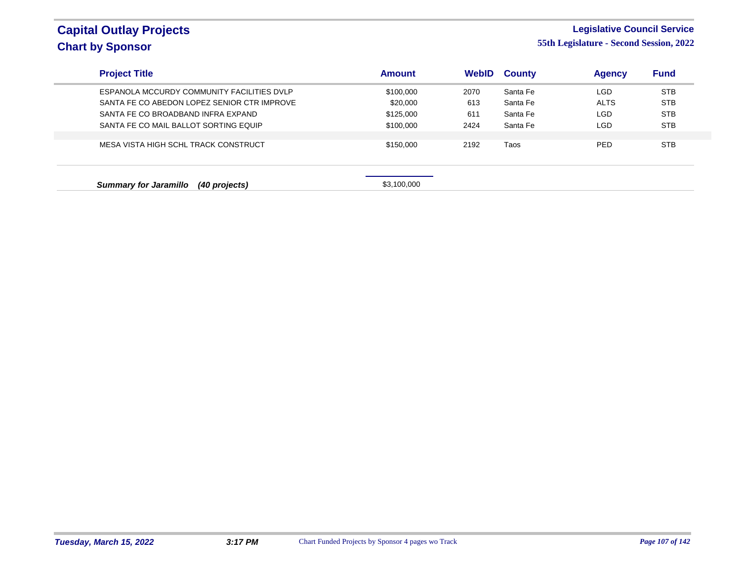### **Legislative Council Service**

| <b>Project Title</b>                          | <b>Amount</b> | <b>WebID</b> | <b>County</b> | <b>Agency</b> | <b>Fund</b> |
|-----------------------------------------------|---------------|--------------|---------------|---------------|-------------|
| ESPANOLA MCCURDY COMMUNITY FACILITIES DVLP    | \$100,000     | 2070         | Santa Fe      | LGD           | <b>STB</b>  |
| SANTA FE CO ABEDON LOPEZ SENIOR CTR IMPROVE   | \$20,000      | 613          | Santa Fe      | <b>ALTS</b>   | <b>STB</b>  |
| SANTA FE CO BROADBAND INFRA EXPAND            | \$125,000     | 611          | Santa Fe      | <b>LGD</b>    | <b>STB</b>  |
| SANTA FE CO MAIL BALLOT SORTING EQUIP         | \$100,000     | 2424         | Santa Fe      | LGD           | <b>STB</b>  |
|                                               |               |              |               |               |             |
| MESA VISTA HIGH SCHL TRACK CONSTRUCT          | \$150,000     | 2192         | Taos          | <b>PED</b>    | <b>STB</b>  |
| (40 projects)<br><b>Summary for Jaramillo</b> | \$3,100,000   |              |               |               |             |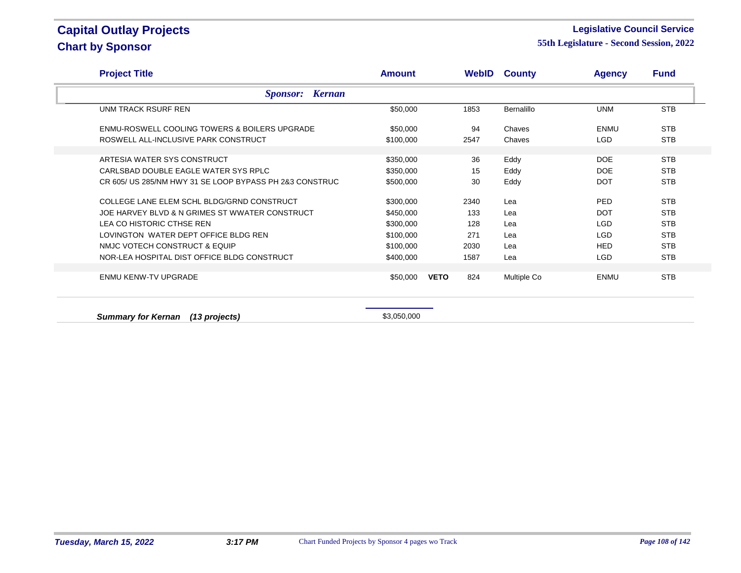#### **Legislative Council Service**

**55th Legislature - Second Session, 2022**

| <b>Project Title</b>                                                | <b>Amount</b>          |             |          | <b>WebID County</b> | <b>Agency</b> | <b>Fund</b> |
|---------------------------------------------------------------------|------------------------|-------------|----------|---------------------|---------------|-------------|
| <b>Sponsor: Kernan</b>                                              |                        |             |          |                     |               |             |
| UNM TRACK RSURF REN                                                 | \$50,000               |             | 1853     | Bernalillo          | <b>UNM</b>    | <b>STB</b>  |
| ENMU-ROSWELL COOLING TOWERS & BOILERS UPGRADE                       | \$50,000               |             | 94       | Chaves              | ENMU          | <b>STB</b>  |
| ROSWELL ALL-INCLUSIVE PARK CONSTRUCT                                | \$100,000              |             | 2547     | Chaves              | LGD           | <b>STB</b>  |
|                                                                     |                        |             |          |                     | DOE           | <b>STB</b>  |
| ARTESIA WATER SYS CONSTRUCT<br>CARLSBAD DOUBLE EAGLE WATER SYS RPLC | \$350,000<br>\$350,000 |             | 36<br>15 | Eddy<br>Eddy        | DOE           | <b>STB</b>  |
| CR 605/ US 285/NM HWY 31 SE LOOP BYPASS PH 2&3 CONSTRUC             | \$500,000              |             | 30       | Eddy                | <b>DOT</b>    | <b>STB</b>  |
|                                                                     |                        |             |          |                     |               |             |
| COLLEGE LANE ELEM SCHL BLDG/GRND CONSTRUCT                          | \$300,000              |             | 2340     | Lea                 | <b>PED</b>    | <b>STB</b>  |
| JOE HARVEY BLVD & N GRIMES ST WWATER CONSTRUCT                      | \$450,000              |             | 133      | Lea                 | <b>DOT</b>    | <b>STB</b>  |
| LEA CO HISTORIC CTHSE REN                                           | \$300,000              |             | 128      | Lea                 | LGD           | <b>STB</b>  |
| LOVINGTON WATER DEPT OFFICE BLDG REN                                | \$100,000              |             | 271      | Lea                 | LGD           | <b>STB</b>  |
| NMJC VOTECH CONSTRUCT & EQUIP                                       | \$100,000              |             | 2030     | Lea                 | <b>HED</b>    | <b>STB</b>  |
| NOR-LEA HOSPITAL DIST OFFICE BLDG CONSTRUCT                         | \$400,000              |             | 1587     | Lea                 | LGD.          | <b>STB</b>  |
| <b>ENMU KENW-TV UPGRADE</b>                                         |                        | <b>VETO</b> | 824      |                     | ENMU          | <b>STB</b>  |
|                                                                     | \$50,000               |             |          | Multiple Co         |               |             |
|                                                                     |                        |             |          |                     |               |             |

**Summary for Kernan (13 projects)**  $$3,050,000$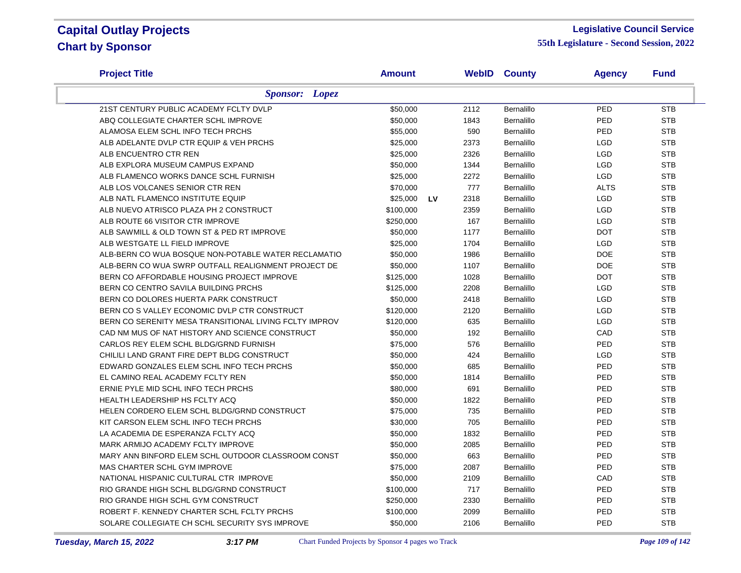#### **Legislative Council Service**

| <b>Project Title</b>                                   | <b>Amount</b>  |      | <b>WebID County</b> | <b>Agency</b> | <b>Fund</b> |
|--------------------------------------------------------|----------------|------|---------------------|---------------|-------------|
| <b>Sponsor:</b> Lopez                                  |                |      |                     |               |             |
| 21ST CENTURY PUBLIC ACADEMY FCLTY DVLP                 | \$50,000       | 2112 | Bernalillo          | PED           | <b>STB</b>  |
| ABQ COLLEGIATE CHARTER SCHL IMPROVE                    | \$50,000       | 1843 | Bernalillo          | PED           | <b>STB</b>  |
| ALAMOSA ELEM SCHL INFO TECH PRCHS                      | \$55,000       | 590  | Bernalillo          | PED           | <b>STB</b>  |
| ALB ADELANTE DVLP CTR EQUIP & VEH PRCHS                | \$25,000       | 2373 | Bernalillo          | <b>LGD</b>    | <b>STB</b>  |
| ALB ENCUENTRO CTR REN                                  | \$25,000       | 2326 | Bernalillo          | <b>LGD</b>    | <b>STB</b>  |
| ALB EXPLORA MUSEUM CAMPUS EXPAND                       | \$50,000       | 1344 | Bernalillo          | <b>LGD</b>    | <b>STB</b>  |
| ALB FLAMENCO WORKS DANCE SCHL FURNISH                  | \$25,000       | 2272 | Bernalillo          | <b>LGD</b>    | <b>STB</b>  |
| ALB LOS VOLCANES SENIOR CTR REN                        | \$70,000       | 777  | Bernalillo          | <b>ALTS</b>   | <b>STB</b>  |
| ALB NATL FLAMENCO INSTITUTE EQUIP                      | \$25,000<br>LV | 2318 | Bernalillo          | <b>LGD</b>    | <b>STB</b>  |
| ALB NUEVO ATRISCO PLAZA PH 2 CONSTRUCT                 | \$100,000      | 2359 | Bernalillo          | <b>LGD</b>    | <b>STB</b>  |
| ALB ROUTE 66 VISITOR CTR IMPROVE                       | \$250,000      | 167  | Bernalillo          | <b>LGD</b>    | <b>STB</b>  |
| ALB SAWMILL & OLD TOWN ST & PED RT IMPROVE             | \$50,000       | 1177 | Bernalillo          | <b>DOT</b>    | <b>STB</b>  |
| ALB WESTGATE LL FIELD IMPROVE                          | \$25,000       | 1704 | Bernalillo          | <b>LGD</b>    | <b>STB</b>  |
| ALB-BERN CO WUA BOSQUE NON-POTABLE WATER RECLAMATIO    | \$50,000       | 1986 | Bernalillo          | <b>DOE</b>    | <b>STB</b>  |
| ALB-BERN CO WUA SWRP OUTFALL REALIGNMENT PROJECT DE    | \$50,000       | 1107 | Bernalillo          | <b>DOE</b>    | <b>STB</b>  |
| BERN CO AFFORDABLE HOUSING PROJECT IMPROVE             | \$125,000      | 1028 | Bernalillo          | <b>DOT</b>    | <b>STB</b>  |
| BERN CO CENTRO SAVILA BUILDING PRCHS                   | \$125,000      | 2208 | Bernalillo          | <b>LGD</b>    | <b>STB</b>  |
| BERN CO DOLORES HUERTA PARK CONSTRUCT                  | \$50,000       | 2418 | Bernalillo          | <b>LGD</b>    | <b>STB</b>  |
| BERN CO S VALLEY ECONOMIC DVLP CTR CONSTRUCT           | \$120,000      | 2120 | Bernalillo          | <b>LGD</b>    | <b>STB</b>  |
| BERN CO SERENITY MESA TRANSITIONAL LIVING FCLTY IMPROV | \$120,000      | 635  | Bernalillo          | <b>LGD</b>    | <b>STB</b>  |
| CAD NM MUS OF NAT HISTORY AND SCIENCE CONSTRUCT        | \$50,000       | 192  | Bernalillo          | CAD           | <b>STB</b>  |
| CARLOS REY ELEM SCHL BLDG/GRND FURNISH                 | \$75,000       | 576  | Bernalillo          | PED           | <b>STB</b>  |
| CHILILI LAND GRANT FIRE DEPT BLDG CONSTRUCT            | \$50,000       | 424  | Bernalillo          | <b>LGD</b>    | <b>STB</b>  |
| EDWARD GONZALES ELEM SCHL INFO TECH PRCHS              | \$50,000       | 685  | Bernalillo          | PED           | <b>STB</b>  |
| EL CAMINO REAL ACADEMY FCLTY REN                       | \$50,000       | 1814 | Bernalillo          | PED           | <b>STB</b>  |
| ERNIE PYLE MID SCHL INFO TECH PRCHS                    | \$80,000       | 691  | Bernalillo          | PED           | <b>STB</b>  |
| HEALTH LEADERSHIP HS FCLTY ACQ                         | \$50,000       | 1822 | Bernalillo          | PED           | <b>STB</b>  |
| HELEN CORDERO ELEM SCHL BLDG/GRND CONSTRUCT            | \$75,000       | 735  | Bernalillo          | PED           | <b>STB</b>  |
| KIT CARSON ELEM SCHL INFO TECH PRCHS                   | \$30,000       | 705  | Bernalillo          | PED           | <b>STB</b>  |
| LA ACADEMIA DE ESPERANZA FCLTY ACQ                     | \$50,000       | 1832 | Bernalillo          | PED           | <b>STB</b>  |
| MARK ARMIJO ACADEMY FCLTY IMPROVE                      | \$50,000       | 2085 | Bernalillo          | PED           | <b>STB</b>  |
| MARY ANN BINFORD ELEM SCHL OUTDOOR CLASSROOM CONST     | \$50,000       | 663  | Bernalillo          | PED           | <b>STB</b>  |
| MAS CHARTER SCHL GYM IMPROVE                           | \$75,000       | 2087 | Bernalillo          | PED           | <b>STB</b>  |
| NATIONAL HISPANIC CULTURAL CTR IMPROVE                 | \$50,000       | 2109 | Bernalillo          | CAD           | <b>STB</b>  |
| RIO GRANDE HIGH SCHL BLDG/GRND CONSTRUCT               | \$100,000      | 717  | Bernalillo          | PED           | <b>STB</b>  |
| RIO GRANDE HIGH SCHL GYM CONSTRUCT                     | \$250,000      | 2330 | Bernalillo          | PED           | <b>STB</b>  |
| ROBERT F. KENNEDY CHARTER SCHL FCLTY PRCHS             | \$100,000      | 2099 | Bernalillo          | PED           | <b>STB</b>  |
| SOLARE COLLEGIATE CH SCHL SECURITY SYS IMPROVE         | \$50,000       | 2106 | Bernalillo          | PED           | <b>STB</b>  |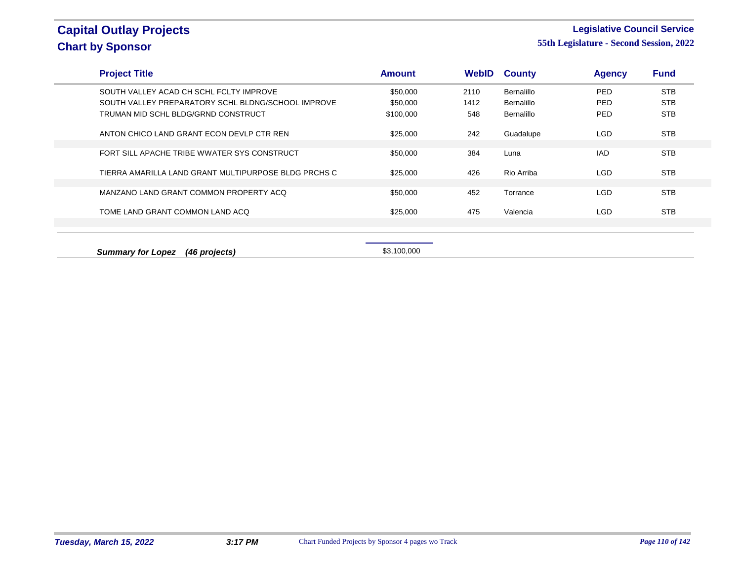### **Legislative Council Service**

| <b>Project Title</b>                                 | <b>Amount</b> | <b>WebID</b> | <b>County</b>     | <b>Agency</b> | <b>Fund</b> |
|------------------------------------------------------|---------------|--------------|-------------------|---------------|-------------|
| SOUTH VALLEY ACAD CH SCHL FCLTY IMPROVE              | \$50,000      | 2110         | <b>Bernalillo</b> | PED           | <b>STB</b>  |
| SOUTH VALLEY PREPARATORY SCHL BLDNG/SCHOOL IMPROVE   | \$50,000      | 1412         | <b>Bernalillo</b> | <b>PED</b>    | <b>STB</b>  |
| TRUMAN MID SCHL BLDG/GRND CONSTRUCT                  | \$100,000     | 548          | <b>Bernalillo</b> | <b>PED</b>    | <b>STB</b>  |
| ANTON CHICO LAND GRANT ECON DEVLP CTR REN            | \$25,000      | 242          | Guadalupe         | <b>LGD</b>    | <b>STB</b>  |
| FORT SILL APACHE TRIBE WWATER SYS CONSTRUCT          | \$50,000      | 384          | Luna              | <b>IAD</b>    | <b>STB</b>  |
| TIERRA AMARILLA LAND GRANT MULTIPURPOSE BLDG PRCHS C | \$25,000      | 426          | Rio Arriba        | <b>LGD</b>    | <b>STB</b>  |
| MANZANO LAND GRANT COMMON PROPERTY ACQ               | \$50,000      | 452          | Torrance          | <b>LGD</b>    | <b>STB</b>  |
| TOME LAND GRANT COMMON LAND ACQ                      | \$25,000      | 475          | Valencia          | <b>LGD</b>    | <b>STB</b>  |
|                                                      |               |              |                   |               |             |
|                                                      |               |              |                   |               |             |
| <b>Summary for Lopez</b><br>(46 projects)            | \$3,100,000   |              |                   |               |             |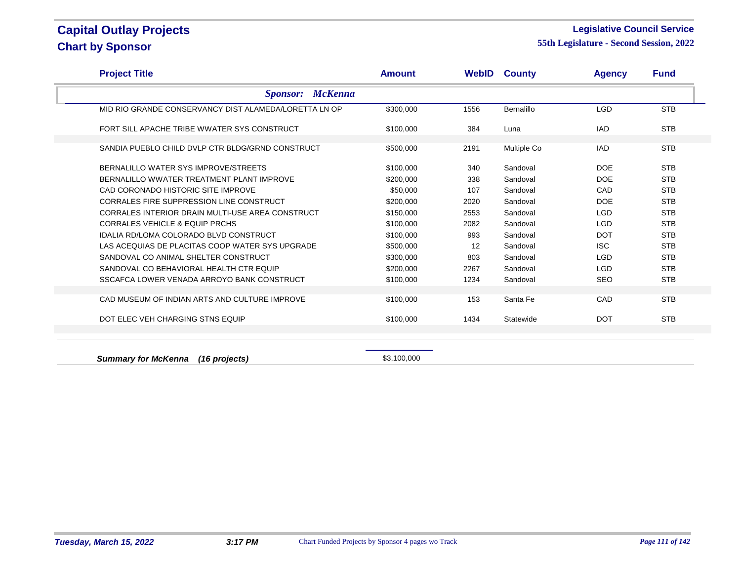#### **Legislative Council Service**

**55th Legislature - Second Session, 2022**

| <b>Project Title</b>                                  | <b>Amount</b> |      | <b>WebID County</b> | <b>Agency</b> | <b>Fund</b> |
|-------------------------------------------------------|---------------|------|---------------------|---------------|-------------|
| <b>Sponsor: McKenna</b>                               |               |      |                     |               |             |
| MID RIO GRANDE CONSERVANCY DIST ALAMEDA/LORETTA LN OP | \$300,000     | 1556 | Bernalillo          | <b>LGD</b>    | <b>STB</b>  |
| FORT SILL APACHE TRIBE WWATER SYS CONSTRUCT           | \$100,000     | 384  | Luna                | <b>IAD</b>    | <b>STB</b>  |
| SANDIA PUEBLO CHILD DVLP CTR BLDG/GRND CONSTRUCT      | \$500,000     | 2191 | <b>Multiple Co</b>  | <b>IAD</b>    | <b>STB</b>  |
| BERNALILLO WATER SYS IMPROVE/STREETS                  | \$100,000     | 340  | Sandoval            | <b>DOE</b>    | <b>STB</b>  |
| BERNALILLO WWATER TREATMENT PLANT IMPROVE             | \$200,000     | 338  | Sandoval            | <b>DOE</b>    | <b>STB</b>  |
| CAD CORONADO HISTORIC SITE IMPROVE                    | \$50,000      | 107  | Sandoval            | CAD           | <b>STB</b>  |
| CORRALES FIRE SUPPRESSION LINE CONSTRUCT              | \$200,000     | 2020 | Sandoval            | <b>DOE</b>    | <b>STB</b>  |
| CORRALES INTERIOR DRAIN MULTI-USE AREA CONSTRUCT      | \$150,000     | 2553 | Sandoval            | <b>LGD</b>    | <b>STB</b>  |
| <b>CORRALES VEHICLE &amp; EQUIP PRCHS</b>             | \$100,000     | 2082 | Sandoval            | <b>LGD</b>    | <b>STB</b>  |
| <b>IDALIA RD/LOMA COLORADO BLVD CONSTRUCT</b>         | \$100,000     | 993  | Sandoval            | <b>DOT</b>    | <b>STB</b>  |
| LAS ACEQUIAS DE PLACITAS COOP WATER SYS UPGRADE       | \$500,000     | 12   | Sandoval            | <b>ISC</b>    | <b>STB</b>  |
| SANDOVAL CO ANIMAL SHELTER CONSTRUCT                  | \$300,000     | 803  | Sandoval            | <b>LGD</b>    | <b>STB</b>  |
| SANDOVAL CO BEHAVIORAL HEALTH CTR EQUIP               | \$200,000     | 2267 | Sandoval            | LGD           | <b>STB</b>  |
| SSCAFCA LOWER VENADA ARROYO BANK CONSTRUCT            | \$100,000     | 1234 | Sandoval            | <b>SEO</b>    | <b>STB</b>  |
|                                                       |               |      |                     |               |             |
| CAD MUSEUM OF INDIAN ARTS AND CULTURE IMPROVE         | \$100,000     | 153  | Santa Fe            | CAD           | <b>STB</b>  |
| DOT ELEC VEH CHARGING STNS EQUIP                      | \$100,000     | 1434 | Statewide           | <b>DOT</b>    | <b>STB</b>  |
|                                                       |               |      |                     |               |             |

**Summary for McKenna** (16 projects) **\$3,100,000** \$3,100,000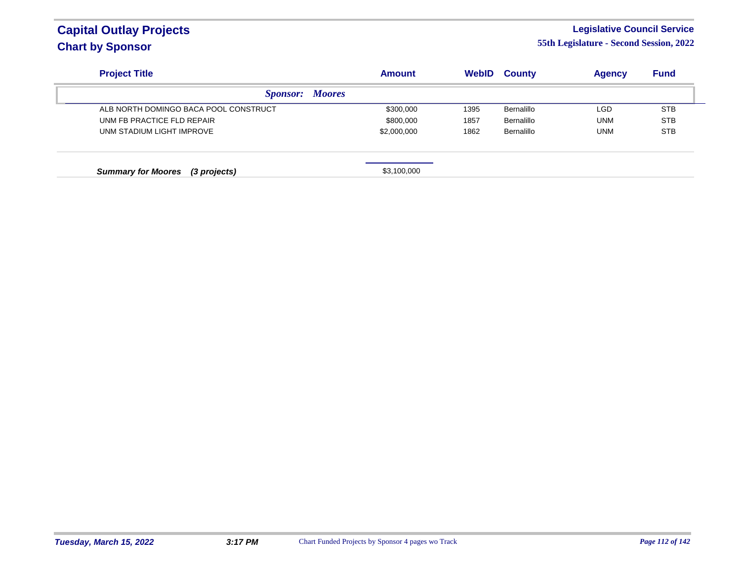### **Legislative Council Service**

| <b>Project Title</b>                      | <b>Amount</b> | <b>WebID</b> | <b>County</b> | <b>Agency</b> | <b>Fund</b> |
|-------------------------------------------|---------------|--------------|---------------|---------------|-------------|
| <i>Sponsor:</i>                           | <b>Moores</b> |              |               |               |             |
| ALB NORTH DOMINGO BACA POOL CONSTRUCT     | \$300,000     | 1395         | Bernalillo    | <b>LGD</b>    | <b>STB</b>  |
| UNM FB PRACTICE FLD REPAIR                | \$800,000     | 1857         | Bernalillo    | <b>UNM</b>    | <b>STB</b>  |
| UNM STADIUM LIGHT IMPROVE                 | \$2,000,000   | 1862         | Bernalillo    | <b>UNM</b>    | <b>STB</b>  |
| <b>Summary for Moores</b><br>(3 projects) | \$3,100,000   |              |               |               |             |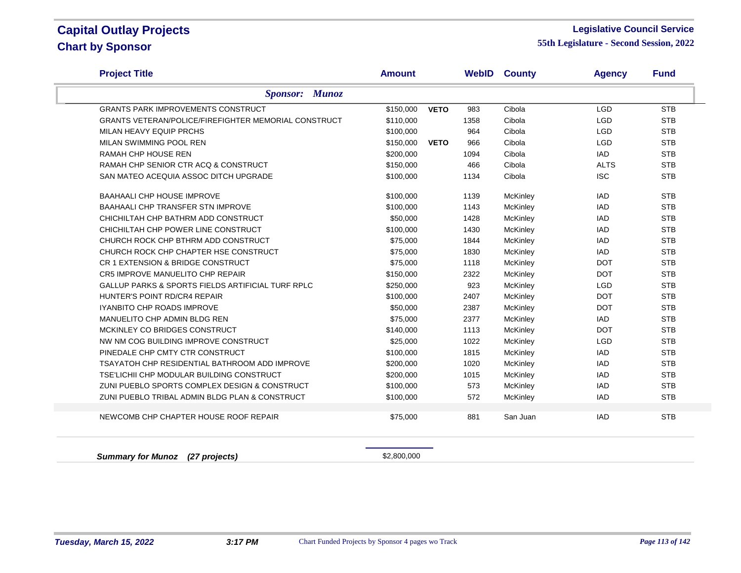#### **Legislative Council Service**

**55th Legislature - Second Session, 2022**

| <b>Project Title</b>                                         | <b>Amount</b> |             |      | <b>WebID County</b> | <b>Agency</b> | <b>Fund</b> |
|--------------------------------------------------------------|---------------|-------------|------|---------------------|---------------|-------------|
| <b>Sponsor: Munoz</b>                                        |               |             |      |                     |               |             |
| <b>GRANTS PARK IMPROVEMENTS CONSTRUCT</b>                    | \$150,000     | <b>VETO</b> | 983  | Cibola              | <b>LGD</b>    | <b>STB</b>  |
| <b>GRANTS VETERAN/POLICE/FIREFIGHTER MEMORIAL CONSTRUCT</b>  | \$110,000     |             | 1358 | Cibola              | <b>LGD</b>    | <b>STB</b>  |
| MILAN HEAVY EQUIP PRCHS                                      | \$100,000     |             | 964  | Cibola              | <b>LGD</b>    | <b>STB</b>  |
| MILAN SWIMMING POOL REN                                      | \$150,000     | <b>VETO</b> | 966  | Cibola              | <b>LGD</b>    | <b>STB</b>  |
| <b>RAMAH CHP HOUSE REN</b>                                   | \$200,000     |             | 1094 | Cibola              | <b>IAD</b>    | <b>STB</b>  |
| RAMAH CHP SENIOR CTR ACQ & CONSTRUCT                         | \$150,000     |             | 466  | Cibola              | <b>ALTS</b>   | <b>STB</b>  |
| SAN MATEO ACEQUIA ASSOC DITCH UPGRADE                        | \$100,000     |             | 1134 | Cibola              | <b>ISC</b>    | <b>STB</b>  |
| <b>BAAHAALI CHP HOUSE IMPROVE</b>                            | \$100,000     |             | 1139 | McKinley            | <b>IAD</b>    | <b>STB</b>  |
| BAAHAALI CHP TRANSFER STN IMPROVE                            | \$100,000     |             | 1143 | <b>McKinley</b>     | IAD           | <b>STB</b>  |
| CHICHILTAH CHP BATHRM ADD CONSTRUCT                          | \$50,000      |             | 1428 | McKinley            | <b>IAD</b>    | <b>STB</b>  |
| CHICHILTAH CHP POWER LINE CONSTRUCT                          | \$100,000     |             | 1430 | McKinley            | IAD           | <b>STB</b>  |
| CHURCH ROCK CHP BTHRM ADD CONSTRUCT                          | \$75,000      |             | 1844 | McKinley            | <b>IAD</b>    | <b>STB</b>  |
| CHURCH ROCK CHP CHAPTER HSE CONSTRUCT                        | \$75,000      |             | 1830 | McKinley            | <b>IAD</b>    | <b>STB</b>  |
| CR 1 EXTENSION & BRIDGE CONSTRUCT                            | \$75,000      |             | 1118 | McKinley            | <b>DOT</b>    | <b>STB</b>  |
| CR5 IMPROVE MANUELITO CHP REPAIR                             | \$150,000     |             | 2322 | McKinley            | <b>DOT</b>    | <b>STB</b>  |
| <b>GALLUP PARKS &amp; SPORTS FIELDS ARTIFICIAL TURF RPLC</b> | \$250,000     |             | 923  | McKinley            | <b>LGD</b>    | <b>STB</b>  |
| HUNTER'S POINT RD/CR4 REPAIR                                 | \$100,000     |             | 2407 | McKinley            | <b>DOT</b>    | <b>STB</b>  |
| <b>IYANBITO CHP ROADS IMPROVE</b>                            | \$50,000      |             | 2387 | McKinley            | <b>DOT</b>    | <b>STB</b>  |
| MANUELITO CHP ADMIN BLDG REN                                 | \$75,000      |             | 2377 | McKinley            | <b>IAD</b>    | <b>STB</b>  |
| MCKINLEY CO BRIDGES CONSTRUCT                                | \$140,000     |             | 1113 | McKinley            | <b>DOT</b>    | <b>STB</b>  |
| NW NM COG BUILDING IMPROVE CONSTRUCT                         | \$25,000      |             | 1022 | McKinley            | <b>LGD</b>    | <b>STB</b>  |
| PINEDALE CHP CMTY CTR CONSTRUCT                              | \$100,000     |             | 1815 | McKinley            | <b>IAD</b>    | <b>STB</b>  |
| TSAYATOH CHP RESIDENTIAL BATHROOM ADD IMPROVE                | \$200,000     |             | 1020 | McKinley            | <b>IAD</b>    | <b>STB</b>  |
| TSE'LICHII CHP MODULAR BUILDING CONSTRUCT                    | \$200,000     |             | 1015 | McKinley            | <b>IAD</b>    | <b>STB</b>  |
| ZUNI PUEBLO SPORTS COMPLEX DESIGN & CONSTRUCT                | \$100,000     |             | 573  | McKinley            | <b>IAD</b>    | <b>STB</b>  |
| ZUNI PUEBLO TRIBAL ADMIN BLDG PLAN & CONSTRUCT               | \$100,000     |             | 572  | McKinley            | <b>IAD</b>    | <b>STB</b>  |
| NEWCOMB CHP CHAPTER HOUSE ROOF REPAIR                        | \$75,000      |             | 881  | San Juan            | <b>IAD</b>    | <b>STB</b>  |
|                                                              |               |             |      |                     |               |             |

**Summary for Munoz (27 projects) \$2,800,000**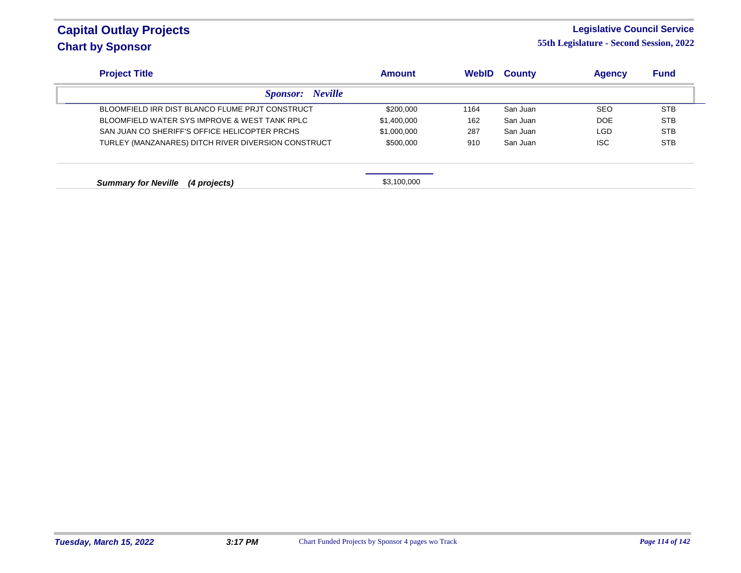### **Legislative Council Service**

| <b>Project Title</b>                                | <b>Amount</b> | <b>WebID</b> | <b>County</b> | <b>Agency</b> | <b>Fund</b> |
|-----------------------------------------------------|---------------|--------------|---------------|---------------|-------------|
| <b>Neville</b><br><i>Sponsor:</i>                   |               |              |               |               |             |
| BLOOMFIELD IRR DIST BLANCO FLUME PRJT CONSTRUCT     | \$200,000     | 1164         | San Juan      | <b>SEO</b>    | <b>STB</b>  |
| BLOOMFIELD WATER SYS IMPROVE & WEST TANK RPLC       | \$1,400,000   | 162          | San Juan      | DOE           | <b>STB</b>  |
| SAN JUAN CO SHERIFF'S OFFICE HELICOPTER PRCHS       | \$1,000,000   | 287          | San Juan      | <b>LGD</b>    | <b>STB</b>  |
| TURLEY (MANZANARES) DITCH RIVER DIVERSION CONSTRUCT | \$500,000     | 910          | San Juan      | <b>ISC</b>    | <b>STB</b>  |
| <b>Summary for Neville</b><br>(4 projects)          | \$3,100,000   |              |               |               |             |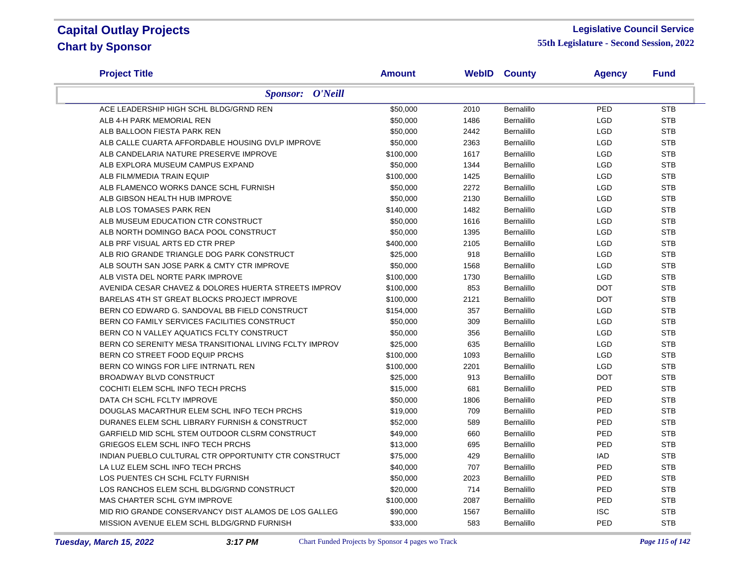#### **Legislative Council Service**

| <b>Project Title</b>                                   | <b>Amount</b> |      | <b>WebID County</b> | <b>Agency</b> | <b>Fund</b> |
|--------------------------------------------------------|---------------|------|---------------------|---------------|-------------|
| <b>Sponsor: O'Neill</b>                                |               |      |                     |               |             |
| ACE LEADERSHIP HIGH SCHL BLDG/GRND REN                 | \$50,000      | 2010 | Bernalillo          | PED           | <b>STB</b>  |
| ALB 4-H PARK MEMORIAL REN                              | \$50,000      | 1486 | Bernalillo          | <b>LGD</b>    | <b>STB</b>  |
| ALB BALLOON FIESTA PARK REN                            | \$50,000      | 2442 | Bernalillo          | <b>LGD</b>    | <b>STB</b>  |
| ALB CALLE CUARTA AFFORDABLE HOUSING DVLP IMPROVE       | \$50,000      | 2363 | Bernalillo          | <b>LGD</b>    | <b>STB</b>  |
| ALB CANDELARIA NATURE PRESERVE IMPROVE                 | \$100,000     | 1617 | Bernalillo          | <b>LGD</b>    | <b>STB</b>  |
| ALB EXPLORA MUSEUM CAMPUS EXPAND                       | \$50,000      | 1344 | Bernalillo          | <b>LGD</b>    | <b>STB</b>  |
| ALB FILM/MEDIA TRAIN EQUIP                             | \$100,000     | 1425 | Bernalillo          | <b>LGD</b>    | <b>STB</b>  |
| ALB FLAMENCO WORKS DANCE SCHL FURNISH                  | \$50,000      | 2272 | Bernalillo          | <b>LGD</b>    | <b>STB</b>  |
| ALB GIBSON HEALTH HUB IMPROVE                          | \$50,000      | 2130 | Bernalillo          | <b>LGD</b>    | <b>STB</b>  |
| ALB LOS TOMASES PARK REN                               | \$140,000     | 1482 | Bernalillo          | LGD           | <b>STB</b>  |
| ALB MUSEUM EDUCATION CTR CONSTRUCT                     | \$50,000      | 1616 | Bernalillo          | LGD           | <b>STB</b>  |
| ALB NORTH DOMINGO BACA POOL CONSTRUCT                  | \$50,000      | 1395 | Bernalillo          | <b>LGD</b>    | <b>STB</b>  |
| ALB PRF VISUAL ARTS ED CTR PREP                        | \$400,000     | 2105 | <b>Bernalillo</b>   | <b>LGD</b>    | <b>STB</b>  |
| ALB RIO GRANDE TRIANGLE DOG PARK CONSTRUCT             | \$25,000      | 918  | Bernalillo          | <b>LGD</b>    | <b>STB</b>  |
| ALB SOUTH SAN JOSE PARK & CMTY CTR IMPROVE             | \$50,000      | 1568 | Bernalillo          | <b>LGD</b>    | <b>STB</b>  |
| ALB VISTA DEL NORTE PARK IMPROVE                       | \$100,000     | 1730 | Bernalillo          | <b>LGD</b>    | <b>STB</b>  |
| AVENIDA CESAR CHAVEZ & DOLORES HUERTA STREETS IMPROV   | \$100,000     | 853  | Bernalillo          | <b>DOT</b>    | <b>STB</b>  |
| BARELAS 4TH ST GREAT BLOCKS PROJECT IMPROVE            | \$100,000     | 2121 | Bernalillo          | <b>DOT</b>    | <b>STB</b>  |
| BERN CO EDWARD G. SANDOVAL BB FIELD CONSTRUCT          | \$154,000     | 357  | Bernalillo          | <b>LGD</b>    | <b>STB</b>  |
| BERN CO FAMILY SERVICES FACILITIES CONSTRUCT           | \$50,000      | 309  | Bernalillo          | <b>LGD</b>    | <b>STB</b>  |
| BERN CO N VALLEY AQUATICS FCLTY CONSTRUCT              | \$50,000      | 356  | Bernalillo          | <b>LGD</b>    | <b>STB</b>  |
| BERN CO SERENITY MESA TRANSITIONAL LIVING FCLTY IMPROV | \$25,000      | 635  | Bernalillo          | <b>LGD</b>    | <b>STB</b>  |
| BERN CO STREET FOOD EQUIP PRCHS                        | \$100,000     | 1093 | Bernalillo          | <b>LGD</b>    | <b>STB</b>  |
| BERN CO WINGS FOR LIFE INTRNATL REN                    | \$100,000     | 2201 | Bernalillo          | <b>LGD</b>    | <b>STB</b>  |
| <b>BROADWAY BLVD CONSTRUCT</b>                         | \$25,000      | 913  | Bernalillo          | <b>DOT</b>    | <b>STB</b>  |
| COCHITI ELEM SCHL INFO TECH PRCHS                      | \$15,000      | 681  | Bernalillo          | PED           | <b>STB</b>  |
| DATA CH SCHL FCLTY IMPROVE                             | \$50,000      | 1806 | Bernalillo          | PED           | <b>STB</b>  |
| DOUGLAS MACARTHUR ELEM SCHL INFO TECH PRCHS            | \$19,000      | 709  | Bernalillo          | PED           | <b>STB</b>  |
| DURANES ELEM SCHL LIBRARY FURNISH & CONSTRUCT          | \$52,000      | 589  | Bernalillo          | PED           | <b>STB</b>  |
| GARFIELD MID SCHL STEM OUTDOOR CLSRM CONSTRUCT         | \$49,000      | 660  | Bernalillo          | PED           | <b>STB</b>  |
| GRIEGOS ELEM SCHL INFO TECH PRCHS                      | \$13,000      | 695  | Bernalillo          | PED           | <b>STB</b>  |
| INDIAN PUEBLO CULTURAL CTR OPPORTUNITY CTR CONSTRUCT   | \$75,000      | 429  | Bernalillo          | <b>IAD</b>    | <b>STB</b>  |
| LA LUZ ELEM SCHL INFO TECH PRCHS                       | \$40,000      | 707  | Bernalillo          | PED           | <b>STB</b>  |
| LOS PUENTES CH SCHL FCLTY FURNISH                      | \$50,000      | 2023 | Bernalillo          | PED           | <b>STB</b>  |
| LOS RANCHOS ELEM SCHL BLDG/GRND CONSTRUCT              | \$20,000      | 714  | Bernalillo          | PED           | <b>STB</b>  |
| MAS CHARTER SCHL GYM IMPROVE                           | \$100,000     | 2087 | Bernalillo          | PED           | <b>STB</b>  |
| MID RIO GRANDE CONSERVANCY DIST ALAMOS DE LOS GALLEG   | \$90,000      | 1567 | Bernalillo          | <b>ISC</b>    | <b>STB</b>  |
| MISSION AVENUE ELEM SCHL BLDG/GRND FURNISH             | \$33,000      | 583  | Bernalillo          | PED           | <b>STB</b>  |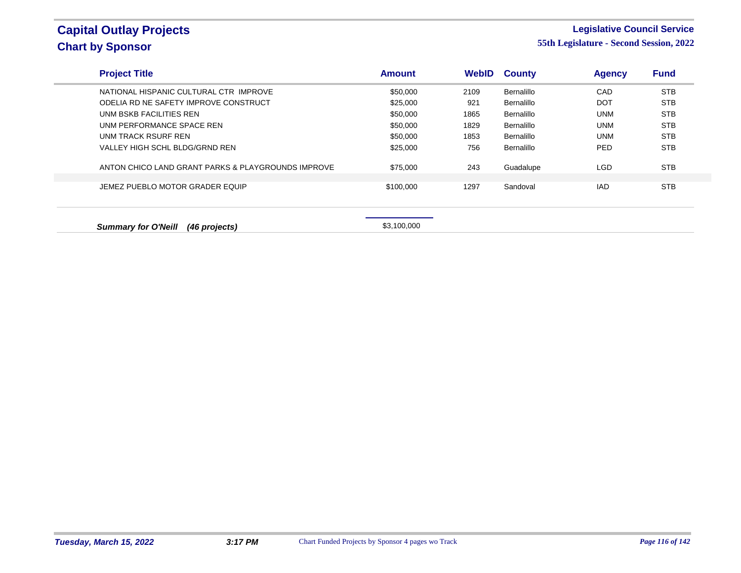### **Legislative Council Service**

| <b>Project Title</b>                               | <b>Amount</b> | <b>WebID</b> | <b>County</b> | <b>Agency</b> | <b>Fund</b> |
|----------------------------------------------------|---------------|--------------|---------------|---------------|-------------|
| NATIONAL HISPANIC CULTURAL CTR IMPROVE             | \$50,000      | 2109         | Bernalillo    | CAD           | <b>STB</b>  |
| ODELIA RD NE SAFETY IMPROVE CONSTRUCT              | \$25,000      | 921          | Bernalillo    | <b>DOT</b>    | <b>STB</b>  |
| UNM BSKB FACILITIES REN                            | \$50,000      | 1865         | Bernalillo    | <b>UNM</b>    | <b>STB</b>  |
| UNM PERFORMANCE SPACE REN                          | \$50,000      | 1829         | Bernalillo    | <b>UNM</b>    | <b>STB</b>  |
| UNM TRACK RSURF REN                                | \$50,000      | 1853         | Bernalillo    | <b>UNM</b>    | <b>STB</b>  |
| VALLEY HIGH SCHL BLDG/GRND REN                     | \$25,000      | 756          | Bernalillo    | <b>PED</b>    | <b>STB</b>  |
| ANTON CHICO LAND GRANT PARKS & PLAYGROUNDS IMPROVE | \$75,000      | 243          | Guadalupe     | <b>LGD</b>    | <b>STB</b>  |
| JEMEZ PUEBLO MOTOR GRADER EQUIP                    | \$100,000     | 1297         | Sandoval      | <b>IAD</b>    | <b>STB</b>  |
| <b>Summary for O'Neill</b><br>(46 projects)        | \$3,100,000   |              |               |               |             |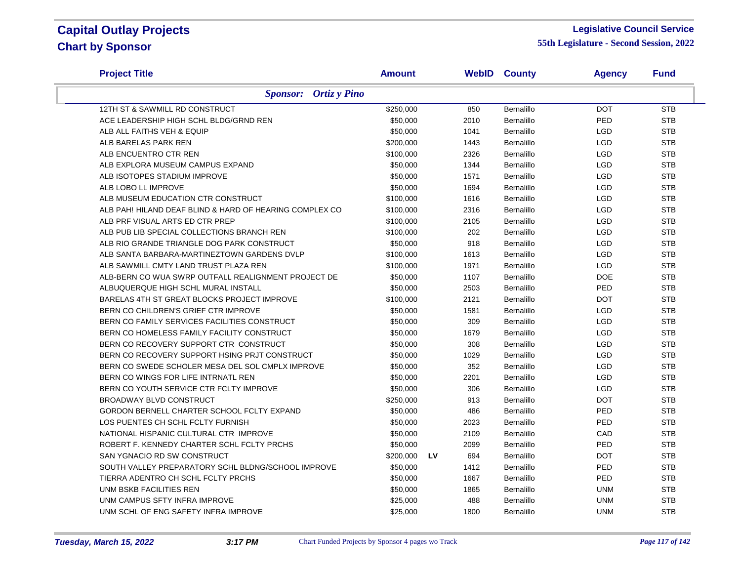#### **Legislative Council Service**

| <b>Project Title</b>                                    | <b>Amount</b> |    |      | <b>WebID County</b> | <b>Agency</b> | <b>Fund</b> |
|---------------------------------------------------------|---------------|----|------|---------------------|---------------|-------------|
| <b>Sponsor:</b> Ortiz y Pino                            |               |    |      |                     |               |             |
| 12TH ST & SAWMILL RD CONSTRUCT                          | \$250,000     |    | 850  | Bernalillo          | <b>DOT</b>    | <b>STB</b>  |
| ACE LEADERSHIP HIGH SCHL BLDG/GRND REN                  | \$50,000      |    | 2010 | Bernalillo          | PED           | <b>STB</b>  |
| ALB ALL FAITHS VEH & EQUIP                              | \$50,000      |    | 1041 | Bernalillo          | <b>LGD</b>    | <b>STB</b>  |
| ALB BARELAS PARK REN                                    | \$200,000     |    | 1443 | Bernalillo          | LGD           | <b>STB</b>  |
| ALB ENCUENTRO CTR REN                                   | \$100,000     |    | 2326 | Bernalillo          | LGD           | <b>STB</b>  |
| ALB EXPLORA MUSEUM CAMPUS EXPAND                        | \$50,000      |    | 1344 | Bernalillo          | LGD           | <b>STB</b>  |
| ALB ISOTOPES STADIUM IMPROVE                            | \$50,000      |    | 1571 | Bernalillo          | LGD           | <b>STB</b>  |
| ALB LOBO LL IMPROVE                                     | \$50,000      |    | 1694 | Bernalillo          | LGD           | <b>STB</b>  |
| ALB MUSEUM EDUCATION CTR CONSTRUCT                      | \$100,000     |    | 1616 | Bernalillo          | LGD           | <b>STB</b>  |
| ALB PAH! HILAND DEAF BLIND & HARD OF HEARING COMPLEX CO | \$100,000     |    | 2316 | Bernalillo          | <b>LGD</b>    | <b>STB</b>  |
| ALB PRF VISUAL ARTS ED CTR PREP                         | \$100,000     |    | 2105 | Bernalillo          | LGD           | <b>STB</b>  |
| ALB PUB LIB SPECIAL COLLECTIONS BRANCH REN              | \$100,000     |    | 202  | Bernalillo          | <b>LGD</b>    | <b>STB</b>  |
| ALB RIO GRANDE TRIANGLE DOG PARK CONSTRUCT              | \$50,000      |    | 918  | Bernalillo          | LGD           | <b>STB</b>  |
| ALB SANTA BARBARA-MARTINEZTOWN GARDENS DVLP             | \$100,000     |    | 1613 | Bernalillo          | <b>LGD</b>    | <b>STB</b>  |
| ALB SAWMILL CMTY LAND TRUST PLAZA REN                   | \$100,000     |    | 1971 | Bernalillo          | LGD           | <b>STB</b>  |
| ALB-BERN CO WUA SWRP OUTFALL REALIGNMENT PROJECT DE     | \$50,000      |    | 1107 | Bernalillo          | <b>DOE</b>    | <b>STB</b>  |
| ALBUQUERQUE HIGH SCHL MURAL INSTALL                     | \$50,000      |    | 2503 | Bernalillo          | PED           | <b>STB</b>  |
| BARELAS 4TH ST GREAT BLOCKS PROJECT IMPROVE             | \$100,000     |    | 2121 | Bernalillo          | <b>DOT</b>    | <b>STB</b>  |
| BERN CO CHILDREN'S GRIEF CTR IMPROVE                    | \$50,000      |    | 1581 | Bernalillo          | LGD           | <b>STB</b>  |
| BERN CO FAMILY SERVICES FACILITIES CONSTRUCT            | \$50,000      |    | 309  | Bernalillo          | LGD           | <b>STB</b>  |
| BERN CO HOMELESS FAMILY FACILITY CONSTRUCT              | \$50,000      |    | 1679 | Bernalillo          | <b>LGD</b>    | <b>STB</b>  |
| BERN CO RECOVERY SUPPORT CTR CONSTRUCT                  | \$50,000      |    | 308  | Bernalillo          | LGD           | <b>STB</b>  |
| BERN CO RECOVERY SUPPORT HSING PRJT CONSTRUCT           | \$50,000      |    | 1029 | Bernalillo          | <b>LGD</b>    | <b>STB</b>  |
| BERN CO SWEDE SCHOLER MESA DEL SOL CMPLX IMPROVE        | \$50,000      |    | 352  | Bernalillo          | LGD           | <b>STB</b>  |
| BERN CO WINGS FOR LIFE INTRNATL REN                     | \$50,000      |    | 2201 | Bernalillo          | <b>LGD</b>    | <b>STB</b>  |
| BERN CO YOUTH SERVICE CTR FCLTY IMPROVE                 | \$50,000      |    | 306  | Bernalillo          | <b>LGD</b>    | <b>STB</b>  |
| <b>BROADWAY BLVD CONSTRUCT</b>                          | \$250,000     |    | 913  | Bernalillo          | <b>DOT</b>    | <b>STB</b>  |
| GORDON BERNELL CHARTER SCHOOL FCLTY EXPAND              | \$50,000      |    | 486  | Bernalillo          | PED           | <b>STB</b>  |
| LOS PUENTES CH SCHL FCLTY FURNISH                       | \$50,000      |    | 2023 | Bernalillo          | PED           | <b>STB</b>  |
| NATIONAL HISPANIC CULTURAL CTR IMPROVE                  | \$50,000      |    | 2109 | Bernalillo          | CAD           | <b>STB</b>  |
| ROBERT F. KENNEDY CHARTER SCHL FCLTY PRCHS              | \$50,000      |    | 2099 | Bernalillo          | PED           | <b>STB</b>  |
| SAN YGNACIO RD SW CONSTRUCT                             | \$200,000     | LV | 694  | Bernalillo          | <b>DOT</b>    | <b>STB</b>  |
| SOUTH VALLEY PREPARATORY SCHL BLDNG/SCHOOL IMPROVE      | \$50,000      |    | 1412 | Bernalillo          | PED           | <b>STB</b>  |
| TIERRA ADENTRO CH SCHL FCLTY PRCHS                      | \$50,000      |    | 1667 | Bernalillo          | PED           | <b>STB</b>  |
| UNM BSKB FACILITIES REN                                 | \$50,000      |    | 1865 | Bernalillo          | <b>UNM</b>    | <b>STB</b>  |
| UNM CAMPUS SFTY INFRA IMPROVE                           | \$25,000      |    | 488  | Bernalillo          | <b>UNM</b>    | <b>STB</b>  |
| UNM SCHL OF ENG SAFETY INFRA IMPROVE                    | \$25,000      |    | 1800 | Bernalillo          | <b>UNM</b>    | <b>STB</b>  |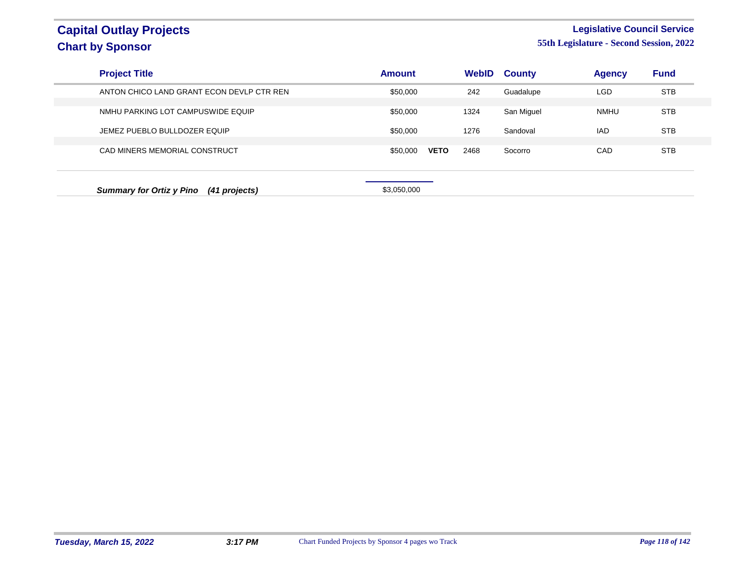### **Legislative Council Service 55th Legislature - Second Session, 2022**

| <b>Project Title</b>                             | <b>Amount</b>           | WebID | <b>County</b> | <b>Agency</b> | <b>Fund</b> |
|--------------------------------------------------|-------------------------|-------|---------------|---------------|-------------|
| ANTON CHICO LAND GRANT ECON DEVLP CTR REN        | \$50,000                | 242   | Guadalupe     | <b>LGD</b>    | <b>STB</b>  |
| NMHU PARKING LOT CAMPUSWIDE EQUIP                | \$50,000                | 1324  | San Miguel    | <b>NMHU</b>   | <b>STB</b>  |
| JEMEZ PUEBLO BULLDOZER EQUIP                     | \$50,000                | 1276  | Sandoval      | <b>IAD</b>    | <b>STB</b>  |
| CAD MINERS MEMORIAL CONSTRUCT                    | \$50,000<br><b>VETO</b> | 2468  | Socorro       | CAD           | <b>STB</b>  |
| <b>Summary for Ortiz y Pino</b><br>(41 projects) | \$3,050,000             |       |               |               |             |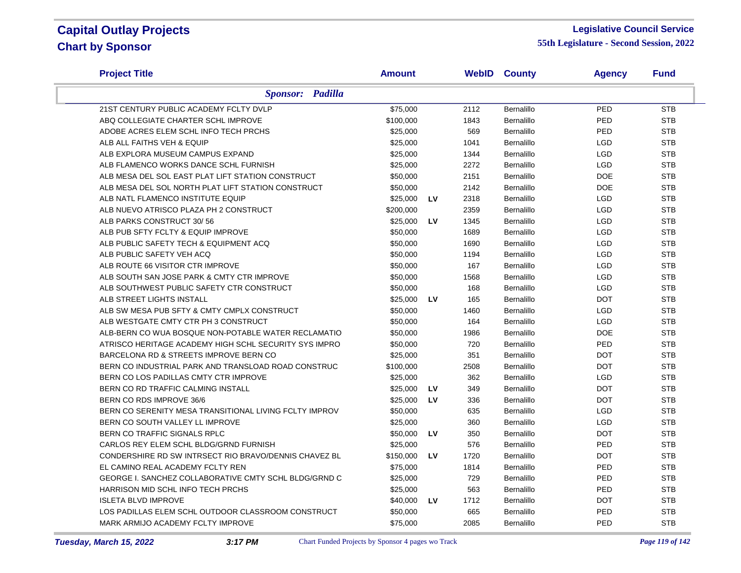#### **Legislative Council Service**

| <b>Project Title</b>                                   | <b>Amount</b> |           |      | <b>WebID County</b> | <b>Agency</b> | <b>Fund</b> |
|--------------------------------------------------------|---------------|-----------|------|---------------------|---------------|-------------|
| <b>Sponsor: Padilla</b>                                |               |           |      |                     |               |             |
| 21ST CENTURY PUBLIC ACADEMY FCLTY DVLP                 | \$75,000      |           | 2112 | Bernalillo          | PED           | <b>STB</b>  |
| ABQ COLLEGIATE CHARTER SCHL IMPROVE                    | \$100,000     |           | 1843 | Bernalillo          | PED           | <b>STB</b>  |
| ADOBE ACRES ELEM SCHL INFO TECH PRCHS                  | \$25,000      |           | 569  | Bernalillo          | PED           | <b>STB</b>  |
| ALB ALL FAITHS VEH & EQUIP                             | \$25,000      |           | 1041 | Bernalillo          | <b>LGD</b>    | <b>STB</b>  |
| ALB EXPLORA MUSEUM CAMPUS EXPAND                       | \$25,000      |           | 1344 | Bernalillo          | LGD           | <b>STB</b>  |
| ALB FLAMENCO WORKS DANCE SCHL FURNISH                  | \$25,000      |           | 2272 | Bernalillo          | <b>LGD</b>    | <b>STB</b>  |
| ALB MESA DEL SOL EAST PLAT LIFT STATION CONSTRUCT      | \$50,000      |           | 2151 | Bernalillo          | <b>DOE</b>    | <b>STB</b>  |
| ALB MESA DEL SOL NORTH PLAT LIFT STATION CONSTRUCT     | \$50,000      |           | 2142 | Bernalillo          | <b>DOE</b>    | <b>STB</b>  |
| ALB NATL FLAMENCO INSTITUTE EQUIP                      | \$25,000      | LV        | 2318 | Bernalillo          | <b>LGD</b>    | <b>STB</b>  |
| ALB NUEVO ATRISCO PLAZA PH 2 CONSTRUCT                 | \$200,000     |           | 2359 | Bernalillo          | <b>LGD</b>    | <b>STB</b>  |
| ALB PARKS CONSTRUCT 30/56                              | \$25,000      | <b>LV</b> | 1345 | Bernalillo          | <b>LGD</b>    | <b>STB</b>  |
| ALB PUB SFTY FCLTY & EQUIP IMPROVE                     | \$50,000      |           | 1689 | Bernalillo          | LGD           | <b>STB</b>  |
| ALB PUBLIC SAFETY TECH & EQUIPMENT ACQ                 | \$50,000      |           | 1690 | Bernalillo          | <b>LGD</b>    | <b>STB</b>  |
| ALB PUBLIC SAFETY VEH ACQ                              | \$50,000      |           | 1194 | Bernalillo          | <b>LGD</b>    | <b>STB</b>  |
| ALB ROUTE 66 VISITOR CTR IMPROVE                       | \$50,000      |           | 167  | Bernalillo          | LGD           | <b>STB</b>  |
| ALB SOUTH SAN JOSE PARK & CMTY CTR IMPROVE             | \$50,000      |           | 1568 | Bernalillo          | LGD           | <b>STB</b>  |
| ALB SOUTHWEST PUBLIC SAFETY CTR CONSTRUCT              | \$50,000      |           | 168  | Bernalillo          | <b>LGD</b>    | <b>STB</b>  |
| ALB STREET LIGHTS INSTALL                              | \$25,000      | <b>LV</b> | 165  | Bernalillo          | <b>DOT</b>    | <b>STB</b>  |
| ALB SW MESA PUB SFTY & CMTY CMPLX CONSTRUCT            | \$50,000      |           | 1460 | Bernalillo          | <b>LGD</b>    | <b>STB</b>  |
| ALB WESTGATE CMTY CTR PH 3 CONSTRUCT                   | \$50,000      |           | 164  | Bernalillo          | LGD           | <b>STB</b>  |
| ALB-BERN CO WUA BOSQUE NON-POTABLE WATER RECLAMATIO    | \$50,000      |           | 1986 | Bernalillo          | <b>DOE</b>    | <b>STB</b>  |
| ATRISCO HERITAGE ACADEMY HIGH SCHL SECURITY SYS IMPRO  | \$50,000      |           | 720  | Bernalillo          | <b>PED</b>    | <b>STB</b>  |
| BARCELONA RD & STREETS IMPROVE BERN CO                 | \$25,000      |           | 351  | Bernalillo          | <b>DOT</b>    | <b>STB</b>  |
| BERN CO INDUSTRIAL PARK AND TRANSLOAD ROAD CONSTRUC    | \$100,000     |           | 2508 | Bernalillo          | <b>DOT</b>    | <b>STB</b>  |
| BERN CO LOS PADILLAS CMTY CTR IMPROVE                  | \$25,000      |           | 362  | Bernalillo          | <b>LGD</b>    | <b>STB</b>  |
| BERN CO RD TRAFFIC CALMING INSTALL                     | \$25,000      | <b>LV</b> | 349  | Bernalillo          | <b>DOT</b>    | <b>STB</b>  |
| BERN CO RDS IMPROVE 36/6                               | \$25,000      | LV        | 336  | Bernalillo          | <b>DOT</b>    | <b>STB</b>  |
| BERN CO SERENITY MESA TRANSITIONAL LIVING FCLTY IMPROV | \$50,000      |           | 635  | Bernalillo          | <b>LGD</b>    | <b>STB</b>  |
| BERN CO SOUTH VALLEY LL IMPROVE                        | \$25,000      |           | 360  | Bernalillo          | <b>LGD</b>    | <b>STB</b>  |
| BERN CO TRAFFIC SIGNALS RPLC                           | \$50,000      | LV        | 350  | Bernalillo          | <b>DOT</b>    | <b>STB</b>  |
| CARLOS REY ELEM SCHL BLDG/GRND FURNISH                 | \$25,000      |           | 576  | Bernalillo          | PED           | <b>STB</b>  |
| CONDERSHIRE RD SW INTRSECT RIO BRAVO/DENNIS CHAVEZ BL  | \$150,000     | LV        | 1720 | Bernalillo          | <b>DOT</b>    | <b>STB</b>  |
| EL CAMINO REAL ACADEMY FCLTY REN                       | \$75,000      |           | 1814 | Bernalillo          | PED           | <b>STB</b>  |
| GEORGE I. SANCHEZ COLLABORATIVE CMTY SCHL BLDG/GRND C  | \$25,000      |           | 729  | Bernalillo          | PED           | <b>STB</b>  |
| HARRISON MID SCHL INFO TECH PRCHS                      | \$25,000      |           | 563  | Bernalillo          | PED           | <b>STB</b>  |
| <b>ISLETA BLVD IMPROVE</b>                             | \$40,000      | LV        | 1712 | Bernalillo          | <b>DOT</b>    | <b>STB</b>  |
| LOS PADILLAS ELEM SCHL OUTDOOR CLASSROOM CONSTRUCT     | \$50,000      |           | 665  | Bernalillo          | PED           | <b>STB</b>  |
| MARK ARMIJO ACADEMY FCLTY IMPROVE                      | \$75,000      |           | 2085 | <b>Bernalillo</b>   | PED           | <b>STB</b>  |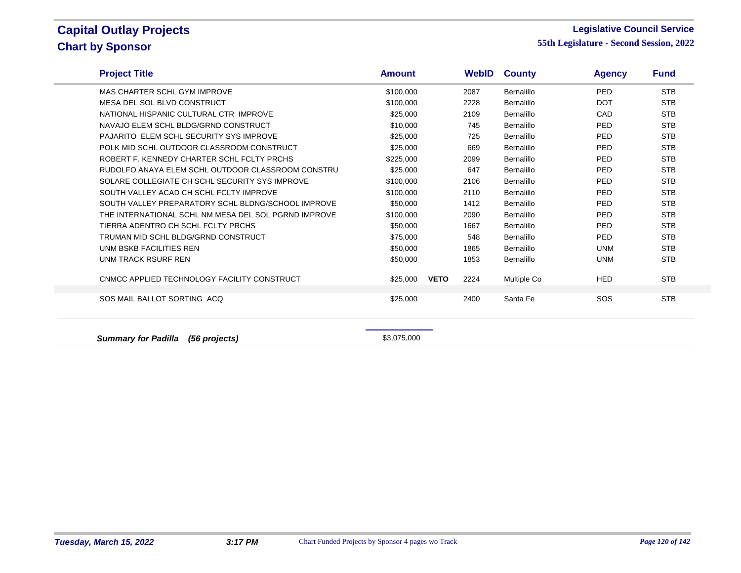### **Legislative Council Service**

**55th Legislature - Second Session, 2022**

| <b>STB</b><br>MAS CHARTER SCHL GYM IMPROVE<br>PED<br>\$100,000<br>2087<br>Bernalillo<br><b>STB</b><br>MESA DEL SOL BLVD CONSTRUCT<br>\$100,000<br>2228<br>Bernalillo<br><b>DOT</b><br><b>STB</b><br>NATIONAL HISPANIC CULTURAL CTR IMPROVE<br>Bernalillo<br>CAD<br>\$25,000<br>2109<br>\$10,000<br><b>PED</b><br><b>STB</b><br>NAVAJO ELEM SCHL BLDG/GRND CONSTRUCT<br>745<br>Bernalillo<br><b>STB</b><br>PAJARITO ELEM SCHL SECURITY SYS IMPROVE<br>PED<br>\$25,000<br>725<br>Bernalillo<br><b>STB</b><br>POLK MID SCHL OUTDOOR CLASSROOM CONSTRUCT<br>\$25,000<br>669<br>Bernalillo<br><b>PED</b><br><b>STB</b><br>ROBERT F. KENNEDY CHARTER SCHL FCLTY PRCHS<br>\$225,000<br>2099<br>Bernalillo<br><b>PED</b><br><b>STB</b><br>RUDOLFO ANAYA ELEM SCHL OUTDOOR CLASSROOM CONSTRU<br><b>PED</b><br>\$25,000<br>647<br>Bernalillo<br><b>STB</b><br>SOLARE COLLEGIATE CH SCHL SECURITY SYS IMPROVE<br>PED<br>\$100,000<br>2106<br>Bernalillo<br><b>STB</b><br>SOUTH VALLEY ACAD CH SCHL FCLTY IMPROVE<br>2110<br>Bernalillo<br>PED<br>\$100,000<br><b>STB</b><br>SOUTH VALLEY PREPARATORY SCHL BLDNG/SCHOOL IMPROVE<br>\$50,000<br>1412<br>Bernalillo<br><b>PED</b><br><b>STB</b><br>THE INTERNATIONAL SCHL NM MESA DEL SOL PGRND IMPROVE<br><b>PED</b><br>\$100,000<br>2090<br>Bernalillo<br><b>STB</b><br>TIERRA ADENTRO CH SCHL FCLTY PRCHS<br>\$50,000<br>1667<br>Bernalillo<br><b>PED</b><br><b>STB</b><br>TRUMAN MID SCHL BLDG/GRND CONSTRUCT<br><b>PED</b><br>\$75,000<br>548<br>Bernalillo<br><b>STB</b><br>UNM BSKB FACILITIES REN<br>\$50,000<br>1865<br>Bernalillo<br><b>UNM</b><br><b>STB</b><br>UNM TRACK RSURF REN<br><b>UNM</b><br>\$50,000<br>1853<br>Bernalillo<br>CNMCC APPLIED TECHNOLOGY FACILITY CONSTRUCT<br><b>VETO</b><br><b>STB</b><br>2224<br>\$25,000<br>Multiple Co<br><b>HED</b><br>SOS MAIL BALLOT SORTING ACQ<br><b>STB</b><br>Santa Fe<br>SOS<br>\$25,000<br>2400 | <b>Project Title</b> | <b>Amount</b> | <b>WebID</b> | <b>County</b> | <b>Agency</b> | <b>Fund</b> |  |
|---------------------------------------------------------------------------------------------------------------------------------------------------------------------------------------------------------------------------------------------------------------------------------------------------------------------------------------------------------------------------------------------------------------------------------------------------------------------------------------------------------------------------------------------------------------------------------------------------------------------------------------------------------------------------------------------------------------------------------------------------------------------------------------------------------------------------------------------------------------------------------------------------------------------------------------------------------------------------------------------------------------------------------------------------------------------------------------------------------------------------------------------------------------------------------------------------------------------------------------------------------------------------------------------------------------------------------------------------------------------------------------------------------------------------------------------------------------------------------------------------------------------------------------------------------------------------------------------------------------------------------------------------------------------------------------------------------------------------------------------------------------------------------------------------------------------------------------------------------------------------------------------------|----------------------|---------------|--------------|---------------|---------------|-------------|--|
|                                                                                                                                                                                                                                                                                                                                                                                                                                                                                                                                                                                                                                                                                                                                                                                                                                                                                                                                                                                                                                                                                                                                                                                                                                                                                                                                                                                                                                                                                                                                                                                                                                                                                                                                                                                                                                                                                                   |                      |               |              |               |               |             |  |
|                                                                                                                                                                                                                                                                                                                                                                                                                                                                                                                                                                                                                                                                                                                                                                                                                                                                                                                                                                                                                                                                                                                                                                                                                                                                                                                                                                                                                                                                                                                                                                                                                                                                                                                                                                                                                                                                                                   |                      |               |              |               |               |             |  |
|                                                                                                                                                                                                                                                                                                                                                                                                                                                                                                                                                                                                                                                                                                                                                                                                                                                                                                                                                                                                                                                                                                                                                                                                                                                                                                                                                                                                                                                                                                                                                                                                                                                                                                                                                                                                                                                                                                   |                      |               |              |               |               |             |  |
|                                                                                                                                                                                                                                                                                                                                                                                                                                                                                                                                                                                                                                                                                                                                                                                                                                                                                                                                                                                                                                                                                                                                                                                                                                                                                                                                                                                                                                                                                                                                                                                                                                                                                                                                                                                                                                                                                                   |                      |               |              |               |               |             |  |
|                                                                                                                                                                                                                                                                                                                                                                                                                                                                                                                                                                                                                                                                                                                                                                                                                                                                                                                                                                                                                                                                                                                                                                                                                                                                                                                                                                                                                                                                                                                                                                                                                                                                                                                                                                                                                                                                                                   |                      |               |              |               |               |             |  |
|                                                                                                                                                                                                                                                                                                                                                                                                                                                                                                                                                                                                                                                                                                                                                                                                                                                                                                                                                                                                                                                                                                                                                                                                                                                                                                                                                                                                                                                                                                                                                                                                                                                                                                                                                                                                                                                                                                   |                      |               |              |               |               |             |  |
|                                                                                                                                                                                                                                                                                                                                                                                                                                                                                                                                                                                                                                                                                                                                                                                                                                                                                                                                                                                                                                                                                                                                                                                                                                                                                                                                                                                                                                                                                                                                                                                                                                                                                                                                                                                                                                                                                                   |                      |               |              |               |               |             |  |
|                                                                                                                                                                                                                                                                                                                                                                                                                                                                                                                                                                                                                                                                                                                                                                                                                                                                                                                                                                                                                                                                                                                                                                                                                                                                                                                                                                                                                                                                                                                                                                                                                                                                                                                                                                                                                                                                                                   |                      |               |              |               |               |             |  |
|                                                                                                                                                                                                                                                                                                                                                                                                                                                                                                                                                                                                                                                                                                                                                                                                                                                                                                                                                                                                                                                                                                                                                                                                                                                                                                                                                                                                                                                                                                                                                                                                                                                                                                                                                                                                                                                                                                   |                      |               |              |               |               |             |  |
|                                                                                                                                                                                                                                                                                                                                                                                                                                                                                                                                                                                                                                                                                                                                                                                                                                                                                                                                                                                                                                                                                                                                                                                                                                                                                                                                                                                                                                                                                                                                                                                                                                                                                                                                                                                                                                                                                                   |                      |               |              |               |               |             |  |
|                                                                                                                                                                                                                                                                                                                                                                                                                                                                                                                                                                                                                                                                                                                                                                                                                                                                                                                                                                                                                                                                                                                                                                                                                                                                                                                                                                                                                                                                                                                                                                                                                                                                                                                                                                                                                                                                                                   |                      |               |              |               |               |             |  |
|                                                                                                                                                                                                                                                                                                                                                                                                                                                                                                                                                                                                                                                                                                                                                                                                                                                                                                                                                                                                                                                                                                                                                                                                                                                                                                                                                                                                                                                                                                                                                                                                                                                                                                                                                                                                                                                                                                   |                      |               |              |               |               |             |  |
|                                                                                                                                                                                                                                                                                                                                                                                                                                                                                                                                                                                                                                                                                                                                                                                                                                                                                                                                                                                                                                                                                                                                                                                                                                                                                                                                                                                                                                                                                                                                                                                                                                                                                                                                                                                                                                                                                                   |                      |               |              |               |               |             |  |
|                                                                                                                                                                                                                                                                                                                                                                                                                                                                                                                                                                                                                                                                                                                                                                                                                                                                                                                                                                                                                                                                                                                                                                                                                                                                                                                                                                                                                                                                                                                                                                                                                                                                                                                                                                                                                                                                                                   |                      |               |              |               |               |             |  |
|                                                                                                                                                                                                                                                                                                                                                                                                                                                                                                                                                                                                                                                                                                                                                                                                                                                                                                                                                                                                                                                                                                                                                                                                                                                                                                                                                                                                                                                                                                                                                                                                                                                                                                                                                                                                                                                                                                   |                      |               |              |               |               |             |  |
|                                                                                                                                                                                                                                                                                                                                                                                                                                                                                                                                                                                                                                                                                                                                                                                                                                                                                                                                                                                                                                                                                                                                                                                                                                                                                                                                                                                                                                                                                                                                                                                                                                                                                                                                                                                                                                                                                                   |                      |               |              |               |               |             |  |
|                                                                                                                                                                                                                                                                                                                                                                                                                                                                                                                                                                                                                                                                                                                                                                                                                                                                                                                                                                                                                                                                                                                                                                                                                                                                                                                                                                                                                                                                                                                                                                                                                                                                                                                                                                                                                                                                                                   |                      |               |              |               |               |             |  |
|                                                                                                                                                                                                                                                                                                                                                                                                                                                                                                                                                                                                                                                                                                                                                                                                                                                                                                                                                                                                                                                                                                                                                                                                                                                                                                                                                                                                                                                                                                                                                                                                                                                                                                                                                                                                                                                                                                   |                      |               |              |               |               |             |  |
|                                                                                                                                                                                                                                                                                                                                                                                                                                                                                                                                                                                                                                                                                                                                                                                                                                                                                                                                                                                                                                                                                                                                                                                                                                                                                                                                                                                                                                                                                                                                                                                                                                                                                                                                                                                                                                                                                                   |                      |               |              |               |               |             |  |

**Summary for Padilla (56 projects) \$3,075,000**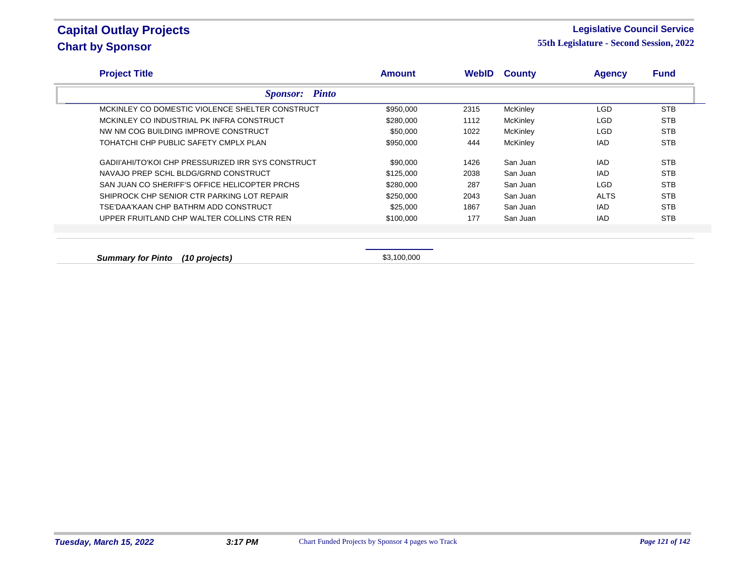### **Legislative Council Service**

| <b>Project Title</b>                               | <b>Amount</b> | <b>WebID</b> | <b>County</b>   | <b>Agency</b> | <b>Fund</b> |
|----------------------------------------------------|---------------|--------------|-----------------|---------------|-------------|
| <b>Sponsor:</b> Pinto                              |               |              |                 |               |             |
| MCKINLEY CO DOMESTIC VIOLENCE SHELTER CONSTRUCT    | \$950,000     | 2315         | <b>McKinley</b> | <b>LGD</b>    | <b>STB</b>  |
| MCKINLEY CO INDUSTRIAL PK INFRA CONSTRUCT          | \$280,000     | 1112         | <b>McKinley</b> | <b>LGD</b>    | <b>STB</b>  |
| NW NM COG BUILDING IMPROVE CONSTRUCT               | \$50,000      | 1022         | <b>McKinley</b> | <b>LGD</b>    | <b>STB</b>  |
| TOHATCHI CHP PUBLIC SAFETY CMPLX PLAN              | \$950,000     | 444          | <b>McKinley</b> | <b>IAD</b>    | <b>STB</b>  |
| GADII'AHI/TO'KOI CHP PRESSURIZED IRR SYS CONSTRUCT | \$90,000      | 1426         | San Juan        | <b>IAD</b>    | <b>STB</b>  |
| NAVAJO PREP SCHL BLDG/GRND CONSTRUCT               | \$125,000     | 2038         | San Juan        | IAD.          | <b>STB</b>  |
| SAN JUAN CO SHERIFF'S OFFICE HELICOPTER PRCHS      | \$280,000     | 287          | San Juan        | <b>LGD</b>    | <b>STB</b>  |
| SHIPROCK CHP SENIOR CTR PARKING LOT REPAIR         | \$250,000     | 2043         | San Juan        | <b>ALTS</b>   | <b>STB</b>  |
| TSE'DAA'KAAN CHP BATHRM ADD CONSTRUCT              | \$25,000      | 1867         | San Juan        | IAD           | <b>STB</b>  |
| UPPER FRUITLAND CHP WALTER COLLINS CTR REN         | \$100,000     | 177          | San Juan        | IAD           | <b>STB</b>  |
|                                                    |               |              |                 |               |             |
|                                                    |               |              |                 |               |             |
| <b>Summary for Pinto</b><br>(10 projects)          | \$3,100,000   |              |                 |               |             |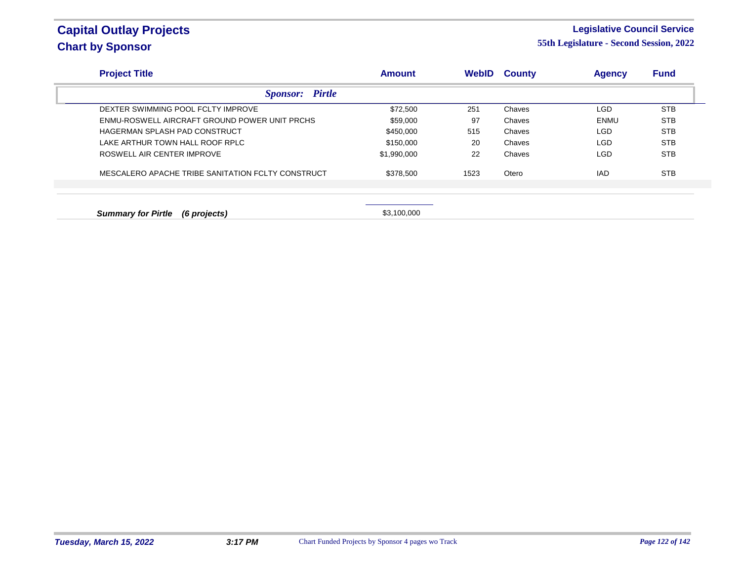### **Legislative Council Service**

| <b>Project Title</b>                              |                        | <b>Amount</b> | WebID | <b>County</b> | <b>Agency</b> | <b>Fund</b> |
|---------------------------------------------------|------------------------|---------------|-------|---------------|---------------|-------------|
|                                                   | <b>Sponsor:</b> Pirtle |               |       |               |               |             |
| DEXTER SWIMMING POOL FCLTY IMPROVE                |                        | \$72,500      | 251   | Chaves        | LGD           | <b>STB</b>  |
| ENMU-ROSWELL AIRCRAFT GROUND POWER UNIT PRCHS     |                        | \$59,000      | 97    | Chaves        | ENMU          | <b>STB</b>  |
| HAGERMAN SPLASH PAD CONSTRUCT                     |                        | \$450,000     | 515   | Chaves        | LGD.          | <b>STB</b>  |
| LAKE ARTHUR TOWN HALL ROOF RPLC                   |                        | \$150,000     | 20    | Chaves        | LGD.          | <b>STB</b>  |
| ROSWELL AIR CENTER IMPROVE                        |                        | \$1,990,000   | 22    | Chaves        | <b>LGD</b>    | <b>STB</b>  |
| MESCALERO APACHE TRIBE SANITATION FCLTY CONSTRUCT |                        | \$378,500     | 1523  | Otero         | <b>IAD</b>    | <b>STB</b>  |
|                                                   |                        |               |       |               |               |             |
| <b>Summary for Pirtle</b><br>(6 projects)         |                        | \$3,100,000   |       |               |               |             |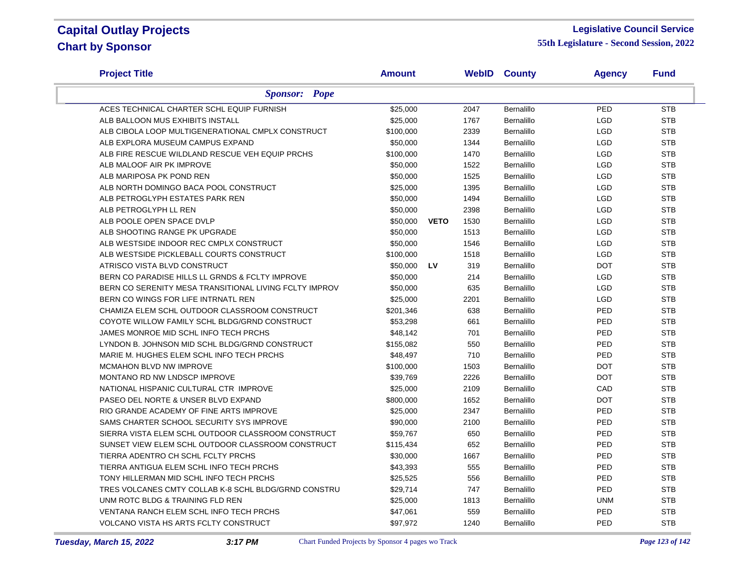#### **Legislative Council Service**

| <b>Project Title</b>                                   | <b>Amount</b> |             |      | <b>WebID County</b> | <b>Agency</b> | <b>Fund</b> |
|--------------------------------------------------------|---------------|-------------|------|---------------------|---------------|-------------|
| <b>Sponsor: Pope</b>                                   |               |             |      |                     |               |             |
| ACES TECHNICAL CHARTER SCHL EQUIP FURNISH              | \$25,000      |             | 2047 | Bernalillo          | PED           | <b>STB</b>  |
| ALB BALLOON MUS EXHIBITS INSTALL                       | \$25,000      |             | 1767 | Bernalillo          | LGD           | <b>STB</b>  |
| ALB CIBOLA LOOP MULTIGENERATIONAL CMPLX CONSTRUCT      | \$100,000     |             | 2339 | Bernalillo          | <b>LGD</b>    | <b>STB</b>  |
| ALB EXPLORA MUSEUM CAMPUS EXPAND                       | \$50,000      |             | 1344 | Bernalillo          | <b>LGD</b>    | <b>STB</b>  |
| ALB FIRE RESCUE WILDLAND RESCUE VEH EQUIP PRCHS        | \$100,000     |             | 1470 | Bernalillo          | <b>LGD</b>    | <b>STB</b>  |
| ALB MALOOF AIR PK IMPROVE                              | \$50,000      |             | 1522 | Bernalillo          | <b>LGD</b>    | <b>STB</b>  |
| ALB MARIPOSA PK POND REN                               | \$50,000      |             | 1525 | Bernalillo          | <b>LGD</b>    | <b>STB</b>  |
| ALB NORTH DOMINGO BACA POOL CONSTRUCT                  | \$25,000      |             | 1395 | Bernalillo          | <b>LGD</b>    | <b>STB</b>  |
| ALB PETROGLYPH ESTATES PARK REN                        | \$50,000      |             | 1494 | Bernalillo          | <b>LGD</b>    | <b>STB</b>  |
| ALB PETROGLYPH LL REN                                  | \$50,000      |             | 2398 | Bernalillo          | <b>LGD</b>    | <b>STB</b>  |
| ALB POOLE OPEN SPACE DVLP                              | \$50,000      | <b>VETO</b> | 1530 | Bernalillo          | <b>LGD</b>    | <b>STB</b>  |
| ALB SHOOTING RANGE PK UPGRADE                          | \$50,000      |             | 1513 | Bernalillo          | <b>LGD</b>    | <b>STB</b>  |
| ALB WESTSIDE INDOOR REC CMPLX CONSTRUCT                | \$50,000      |             | 1546 | <b>Bernalillo</b>   | <b>LGD</b>    | <b>STB</b>  |
| ALB WESTSIDE PICKLEBALL COURTS CONSTRUCT               | \$100,000     |             | 1518 | Bernalillo          | <b>LGD</b>    | <b>STB</b>  |
| ATRISCO VISTA BLVD CONSTRUCT                           | \$50,000      | LV          | 319  | Bernalillo          | <b>DOT</b>    | <b>STB</b>  |
| BERN CO PARADISE HILLS LL GRNDS & FCLTY IMPROVE        | \$50,000      |             | 214  | Bernalillo          | <b>LGD</b>    | <b>STB</b>  |
| BERN CO SERENITY MESA TRANSITIONAL LIVING FCLTY IMPROV | \$50,000      |             | 635  | <b>Bernalillo</b>   | <b>LGD</b>    | <b>STB</b>  |
| BERN CO WINGS FOR LIFE INTRNATL REN                    | \$25,000      |             | 2201 | Bernalillo          | <b>LGD</b>    | <b>STB</b>  |
| CHAMIZA ELEM SCHL OUTDOOR CLASSROOM CONSTRUCT          | \$201,346     |             | 638  | Bernalillo          | PED           | <b>STB</b>  |
| COYOTE WILLOW FAMILY SCHL BLDG/GRND CONSTRUCT          | \$53,298      |             | 661  | Bernalillo          | PED           | <b>STB</b>  |
| JAMES MONROE MID SCHL INFO TECH PRCHS                  | \$48,142      |             | 701  | Bernalillo          | PED           | <b>STB</b>  |
| LYNDON B. JOHNSON MID SCHL BLDG/GRND CONSTRUCT         | \$155,082     |             | 550  | Bernalillo          | PED           | <b>STB</b>  |
| MARIE M. HUGHES ELEM SCHL INFO TECH PRCHS              | \$48,497      |             | 710  | Bernalillo          | PED           | <b>STB</b>  |
| MCMAHON BLVD NW IMPROVE                                | \$100,000     |             | 1503 | Bernalillo          | <b>DOT</b>    | <b>STB</b>  |
| MONTANO RD NW LNDSCP IMPROVE                           | \$39,769      |             | 2226 | Bernalillo          | <b>DOT</b>    | <b>STB</b>  |
| NATIONAL HISPANIC CULTURAL CTR IMPROVE                 | \$25,000      |             | 2109 | Bernalillo          | CAD           | <b>STB</b>  |
| PASEO DEL NORTE & UNSER BLVD EXPAND                    | \$800,000     |             | 1652 | Bernalillo          | <b>DOT</b>    | <b>STB</b>  |
| RIO GRANDE ACADEMY OF FINE ARTS IMPROVE                | \$25,000      |             | 2347 | <b>Bernalillo</b>   | PED           | <b>STB</b>  |
| SAMS CHARTER SCHOOL SECURITY SYS IMPROVE               | \$90,000      |             | 2100 | Bernalillo          | PED           | <b>STB</b>  |
| SIERRA VISTA ELEM SCHL OUTDOOR CLASSROOM CONSTRUCT     | \$59,767      |             | 650  | Bernalillo          | PED           | <b>STB</b>  |
| SUNSET VIEW ELEM SCHL OUTDOOR CLASSROOM CONSTRUCT      | \$115,434     |             | 652  | Bernalillo          | PED           | <b>STB</b>  |
| TIERRA ADENTRO CH SCHL FCLTY PRCHS                     | \$30,000      |             | 1667 | Bernalillo          | PED           | <b>STB</b>  |
| TIERRA ANTIGUA ELEM SCHL INFO TECH PRCHS               | \$43,393      |             | 555  | <b>Bernalillo</b>   | PED           | <b>STB</b>  |
| TONY HILLERMAN MID SCHL INFO TECH PRCHS                | \$25,525      |             | 556  | <b>Bernalillo</b>   | PED           | <b>STB</b>  |
| TRES VOLCANES CMTY COLLAB K-8 SCHL BLDG/GRND CONSTRU   | \$29,714      |             | 747  | Bernalillo          | PED           | <b>STB</b>  |
| UNM ROTC BLDG & TRAINING FLD REN                       | \$25,000      |             | 1813 | Bernalillo          | <b>UNM</b>    | <b>STB</b>  |
| VENTANA RANCH ELEM SCHL INFO TECH PRCHS                | \$47,061      |             | 559  | Bernalillo          | PED           | <b>STB</b>  |
| <b>VOLCANO VISTA HS ARTS FCLTY CONSTRUCT</b>           | \$97,972      |             | 1240 | Bernalillo          | PED           | <b>STB</b>  |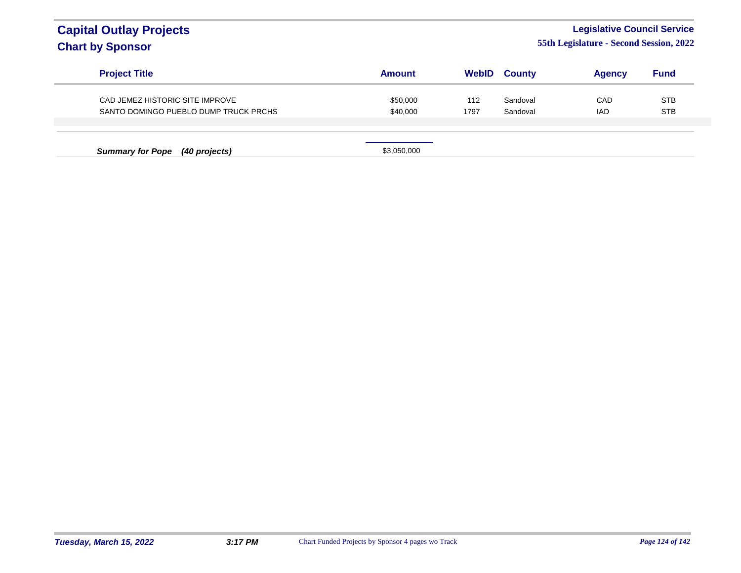### **Legislative Council Service**

| <b>Project Title</b>                                                     | Amount               | <b>WebID</b> | <b>County</b>        | <b>Agency</b>     | <b>Fund</b>              |
|--------------------------------------------------------------------------|----------------------|--------------|----------------------|-------------------|--------------------------|
| CAD JEMEZ HISTORIC SITE IMPROVE<br>SANTO DOMINGO PUEBLO DUMP TRUCK PRCHS | \$50,000<br>\$40,000 | 112<br>1797  | Sandoval<br>Sandoval | CAD<br><b>IAD</b> | <b>STB</b><br><b>STB</b> |
| <b>Summary for Pope</b><br>(40 projects)                                 | \$3,050,000          |              |                      |                   |                          |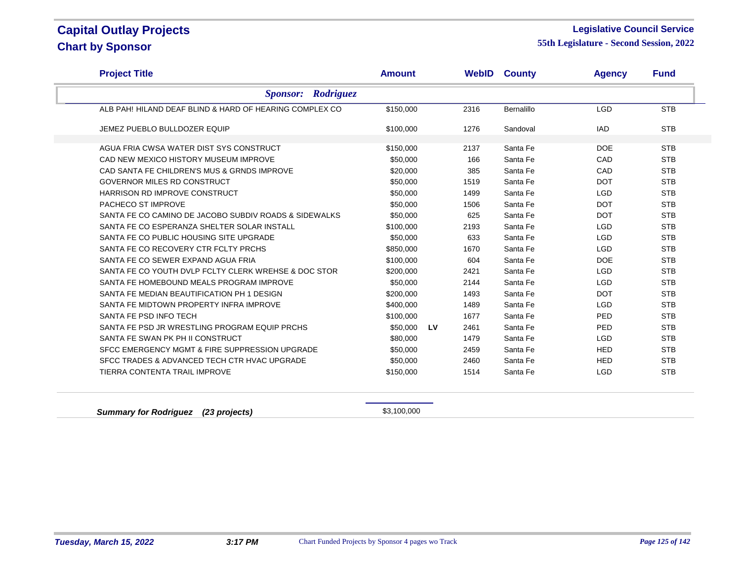7

#### **Legislative Council Service**

**55th Legislature - Second Session, 2022**

| <b>Project Title</b>                                    | <b>Amount</b> |           | <b>WebID</b> | <b>County</b> | <b>Agency</b> | <b>Fund</b> |
|---------------------------------------------------------|---------------|-----------|--------------|---------------|---------------|-------------|
| <b>Sponsor:</b> Rodriguez                               |               |           |              |               |               |             |
| ALB PAH! HILAND DEAF BLIND & HARD OF HEARING COMPLEX CO | \$150,000     |           | 2316         | Bernalillo    | <b>LGD</b>    | <b>STB</b>  |
| JEMEZ PUEBLO BULLDOZER EQUIP                            | \$100,000     |           | 1276         | Sandoval      | <b>IAD</b>    | <b>STB</b>  |
| AGUA FRIA CWSA WATER DIST SYS CONSTRUCT                 | \$150,000     |           | 2137         | Santa Fe      | <b>DOE</b>    | <b>STB</b>  |
| CAD NEW MEXICO HISTORY MUSEUM IMPROVE                   | \$50,000      |           | 166          | Santa Fe      | CAD           | <b>STB</b>  |
| CAD SANTA FE CHILDREN'S MUS & GRNDS IMPROVE             | \$20,000      |           | 385          | Santa Fe      | CAD           | <b>STB</b>  |
| GOVERNOR MILES RD CONSTRUCT                             | \$50,000      |           | 1519         | Santa Fe      | <b>DOT</b>    | <b>STB</b>  |
| HARRISON RD IMPROVE CONSTRUCT                           | \$50,000      |           | 1499         | Santa Fe      | <b>LGD</b>    | <b>STB</b>  |
| PACHECO ST IMPROVE                                      | \$50,000      |           | 1506         | Santa Fe      | <b>DOT</b>    | <b>STB</b>  |
| SANTA FE CO CAMINO DE JACOBO SUBDIV ROADS & SIDEWALKS   | \$50,000      |           | 625          | Santa Fe      | <b>DOT</b>    | <b>STB</b>  |
| SANTA FE CO ESPERANZA SHELTER SOLAR INSTALL             | \$100,000     |           | 2193         | Santa Fe      | <b>LGD</b>    | <b>STB</b>  |
| SANTA FE CO PUBLIC HOUSING SITE UPGRADE                 | \$50,000      |           | 633          | Santa Fe      | <b>LGD</b>    | <b>STB</b>  |
| SANTA FE CO RECOVERY CTR FCLTY PRCHS                    | \$850,000     |           | 1670         | Santa Fe      | <b>LGD</b>    | <b>STB</b>  |
| SANTA FE CO SEWER EXPAND AGUA FRIA                      | \$100,000     |           | 604          | Santa Fe      | <b>DOE</b>    | <b>STB</b>  |
| SANTA FE CO YOUTH DVLP FCLTY CLERK WREHSE & DOC STOR    | \$200,000     |           | 2421         | Santa Fe      | <b>LGD</b>    | <b>STB</b>  |
| SANTA FE HOMEBOUND MEALS PROGRAM IMPROVE                | \$50,000      |           | 2144         | Santa Fe      | <b>LGD</b>    | <b>STB</b>  |
| SANTA FE MEDIAN BEAUTIFICATION PH 1 DESIGN              | \$200,000     |           | 1493         | Santa Fe      | <b>DOT</b>    | <b>STB</b>  |
| SANTA FE MIDTOWN PROPERTY INFRA IMPROVE                 | \$400,000     |           | 1489         | Santa Fe      | <b>LGD</b>    | <b>STB</b>  |
| SANTA FE PSD INFO TECH                                  | \$100,000     |           | 1677         | Santa Fe      | PED           | <b>STB</b>  |
| SANTA FE PSD JR WRESTLING PROGRAM EQUIP PRCHS           | \$50,000      | <b>LV</b> | 2461         | Santa Fe      | PED           | <b>STB</b>  |
| SANTA FE SWAN PK PH II CONSTRUCT                        | \$80,000      |           | 1479         | Santa Fe      | <b>LGD</b>    | <b>STB</b>  |
| SFCC EMERGENCY MGMT & FIRE SUPPRESSION UPGRADE          | \$50,000      |           | 2459         | Santa Fe      | <b>HED</b>    | <b>STB</b>  |
| SFCC TRADES & ADVANCED TECH CTR HVAC UPGRADE            | \$50,000      |           | 2460         | Santa Fe      | <b>HED</b>    | <b>STB</b>  |
| <b>TIERRA CONTENTA TRAIL IMPROVE</b>                    | \$150,000     |           | 1514         | Santa Fe      | <b>LGD</b>    | <b>STB</b>  |

**Summary for Rodriguez (23 projects) \$3,100,000**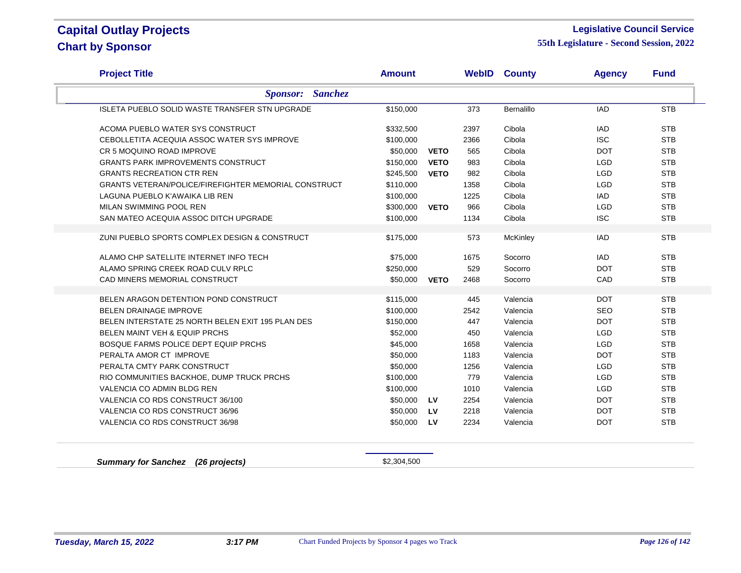#### **Legislative Council Service**

**55th Legislature - Second Session, 2022**

| <b>Project Title</b>                                        | <b>Amount</b> |             | <b>WebID</b> | <b>County</b> | <b>Agency</b> | <b>Fund</b> |
|-------------------------------------------------------------|---------------|-------------|--------------|---------------|---------------|-------------|
| <b>Sanchez</b><br><b>Sponsor:</b>                           |               |             |              |               |               |             |
| <b>ISLETA PUEBLO SOLID WASTE TRANSFER STN UPGRADE</b>       | \$150,000     |             | 373          | Bernalillo    | <b>IAD</b>    | <b>STB</b>  |
| ACOMA PUEBLO WATER SYS CONSTRUCT                            | \$332,500     |             | 2397         | Cibola        | <b>IAD</b>    | <b>STB</b>  |
| CEBOLLETITA ACEQUIA ASSOC WATER SYS IMPROVE                 | \$100,000     |             | 2366         | Cibola        | <b>ISC</b>    | <b>STB</b>  |
| CR 5 MOQUINO ROAD IMPROVE                                   | \$50,000      | <b>VETO</b> | 565          | Cibola        | <b>DOT</b>    | <b>STB</b>  |
| <b>GRANTS PARK IMPROVEMENTS CONSTRUCT</b>                   | \$150,000     | <b>VETO</b> | 983          | Cibola        | <b>LGD</b>    | <b>STB</b>  |
| <b>GRANTS RECREATION CTR REN</b>                            | \$245,500     | <b>VETO</b> | 982          | Cibola        | <b>LGD</b>    | <b>STB</b>  |
| <b>GRANTS VETERAN/POLICE/FIREFIGHTER MEMORIAL CONSTRUCT</b> | \$110,000     |             | 1358         | Cibola        | <b>LGD</b>    | <b>STB</b>  |
| LAGUNA PUEBLO K'AWAIKA LIB REN                              | \$100,000     |             | 1225         | Cibola        | IAD           | <b>STB</b>  |
| MILAN SWIMMING POOL REN                                     | \$300,000     | <b>VETO</b> | 966          | Cibola        | <b>LGD</b>    | <b>STB</b>  |
| SAN MATEO ACEQUIA ASSOC DITCH UPGRADE                       | \$100,000     |             | 1134         | Cibola        | <b>ISC</b>    | <b>STB</b>  |
|                                                             |               |             |              |               |               |             |
| ZUNI PUEBLO SPORTS COMPLEX DESIGN & CONSTRUCT               | \$175,000     |             | 573          | McKinley      | <b>IAD</b>    | <b>STB</b>  |
| ALAMO CHP SATELLITE INTERNET INFO TECH                      | \$75,000      |             | 1675         | Socorro       | <b>IAD</b>    | <b>STB</b>  |
| ALAMO SPRING CREEK ROAD CULV RPLC                           | \$250,000     |             | 529          | Socorro       | <b>DOT</b>    | <b>STB</b>  |
| CAD MINERS MEMORIAL CONSTRUCT                               | \$50,000      | <b>VETO</b> | 2468         | Socorro       | CAD           | <b>STB</b>  |
|                                                             |               |             |              |               |               |             |
| BELEN ARAGON DETENTION POND CONSTRUCT                       | \$115,000     |             | 445          | Valencia      | <b>DOT</b>    | <b>STB</b>  |
| <b>BELEN DRAINAGE IMPROVE</b>                               | \$100,000     |             | 2542         | Valencia      | SEO           | <b>STB</b>  |
| BELEN INTERSTATE 25 NORTH BELEN EXIT 195 PLAN DES           | \$150,000     |             | 447          | Valencia      | <b>DOT</b>    | <b>STB</b>  |
| <b>BELEN MAINT VEH &amp; EQUIP PRCHS</b>                    | \$52,000      |             | 450          | Valencia      | <b>LGD</b>    | <b>STB</b>  |
| BOSQUE FARMS POLICE DEPT EQUIP PRCHS                        | \$45,000      |             | 1658         | Valencia      | <b>LGD</b>    | <b>STB</b>  |
| PERALTA AMOR CT IMPROVE                                     | \$50,000      |             | 1183         | Valencia      | <b>DOT</b>    | <b>STB</b>  |
| PERALTA CMTY PARK CONSTRUCT                                 | \$50,000      |             | 1256         | Valencia      | <b>LGD</b>    | <b>STB</b>  |
| RIO COMMUNITIES BACKHOE, DUMP TRUCK PRCHS                   | \$100,000     |             | 779          | Valencia      | <b>LGD</b>    | <b>STB</b>  |
| VALENCIA CO ADMIN BLDG REN                                  | \$100,000     |             | 1010         | Valencia      | <b>LGD</b>    | <b>STB</b>  |
| VALENCIA CO RDS CONSTRUCT 36/100                            | \$50,000      | LV          | 2254         | Valencia      | <b>DOT</b>    | <b>STB</b>  |
| VALENCIA CO RDS CONSTRUCT 36/96                             | \$50,000      | <b>LV</b>   | 2218         | Valencia      | <b>DOT</b>    | <b>STB</b>  |
| VALENCIA CO RDS CONSTRUCT 36/98                             | \$50,000      | LV          | 2234         | Valencia      | <b>DOT</b>    | <b>STB</b>  |
|                                                             |               |             |              |               |               |             |

**Summary for Sanchez** (26 projects) **\$2,304,500**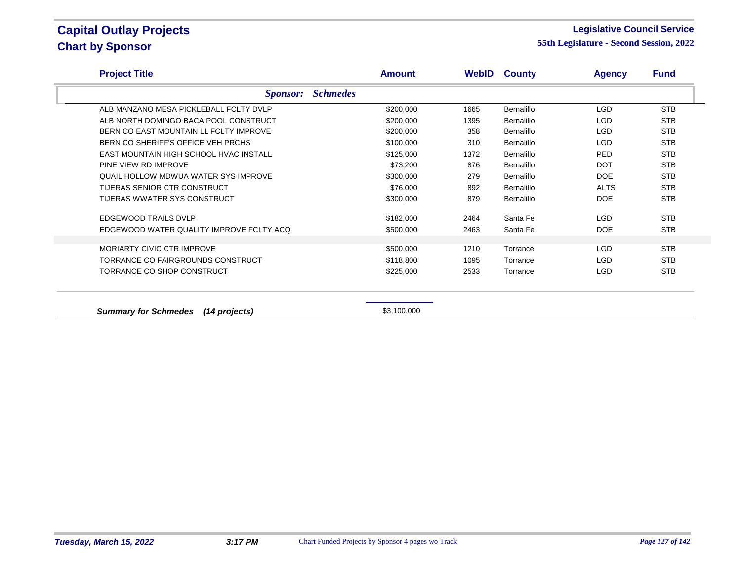#### **Legislative Council Service**

**55th Legislature - Second Session, 2022**

| <b>Project Title</b>                     | <b>Amount</b> |      | <b>WebID County</b> | <b>Agency</b> | <b>Fund</b> |
|------------------------------------------|---------------|------|---------------------|---------------|-------------|
| <b>Schmedes</b><br><i>Sponsor:</i>       |               |      |                     |               |             |
| ALB MANZANO MESA PICKLEBALL FCLTY DVLP   | \$200,000     | 1665 | Bernalillo          | <b>LGD</b>    | <b>STB</b>  |
| ALB NORTH DOMINGO BACA POOL CONSTRUCT    | \$200,000     | 1395 | Bernalillo          | LGD           | <b>STB</b>  |
| BERN CO EAST MOUNTAIN LL FCLTY IMPROVE   | \$200,000     | 358  | <b>Bernalillo</b>   | <b>LGD</b>    | <b>STB</b>  |
| BERN CO SHERIFF'S OFFICE VEH PRCHS       | \$100,000     | 310  | <b>Bernalillo</b>   | <b>LGD</b>    | <b>STB</b>  |
| EAST MOUNTAIN HIGH SCHOOL HVAC INSTALL   | \$125,000     | 1372 | Bernalillo          | <b>PED</b>    | <b>STB</b>  |
| PINE VIEW RD IMPROVE                     | \$73,200      | 876  | Bernalillo          | <b>DOT</b>    | <b>STB</b>  |
| QUAIL HOLLOW MDWUA WATER SYS IMPROVE     | \$300,000     | 279  | <b>Bernalillo</b>   | <b>DOE</b>    | <b>STB</b>  |
| TIJERAS SENIOR CTR CONSTRUCT             | \$76,000      | 892  | <b>Bernalillo</b>   | <b>ALTS</b>   | <b>STB</b>  |
| TIJERAS WWATER SYS CONSTRUCT             | \$300,000     | 879  | Bernalillo          | <b>DOE</b>    | <b>STB</b>  |
| <b>EDGEWOOD TRAILS DVLP</b>              | \$182,000     | 2464 | Santa Fe            | LGD           | <b>STB</b>  |
| EDGEWOOD WATER QUALITY IMPROVE FCLTY ACQ | \$500,000     | 2463 | Santa Fe            | <b>DOE</b>    | <b>STB</b>  |
|                                          |               |      |                     |               |             |
| <b>MORIARTY CIVIC CTR IMPROVE</b>        | \$500,000     | 1210 | Torrance            | LGD           | <b>STB</b>  |
| TORRANCE CO FAIRGROUNDS CONSTRUCT        | \$118,800     | 1095 | Torrance            | <b>LGD</b>    | <b>STB</b>  |
| TORRANCE CO SHOP CONSTRUCT               | \$225,000     | 2533 | Torrance            | <b>LGD</b>    | <b>STB</b>  |

**Summary for Schmedes (14 projects)**  $$3,100,000$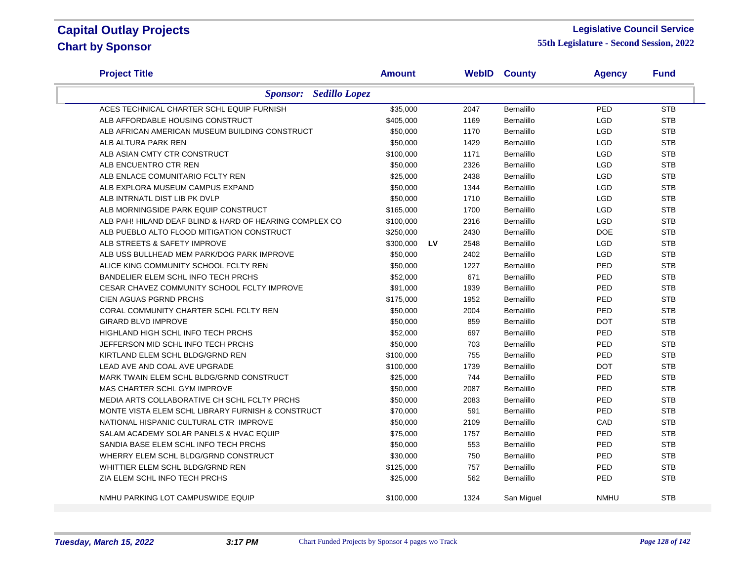#### **Legislative Council Service**

| <b>Project Title</b>                                    |                      | <b>Amount</b> |           |      | <b>WebID County</b> | <b>Agency</b> | <b>Fund</b> |
|---------------------------------------------------------|----------------------|---------------|-----------|------|---------------------|---------------|-------------|
| <b>Sponsor:</b>                                         | <b>Sedillo Lopez</b> |               |           |      |                     |               |             |
| ACES TECHNICAL CHARTER SCHL EQUIP FURNISH               |                      | \$35,000      |           | 2047 | Bernalillo          | PED           | <b>STB</b>  |
| ALB AFFORDABLE HOUSING CONSTRUCT                        |                      | \$405,000     |           | 1169 | Bernalillo          | <b>LGD</b>    | <b>STB</b>  |
| ALB AFRICAN AMERICAN MUSEUM BUILDING CONSTRUCT          |                      | \$50,000      |           | 1170 | <b>Bernalillo</b>   | <b>LGD</b>    | <b>STB</b>  |
| ALB ALTURA PARK REN                                     |                      | \$50,000      |           | 1429 | Bernalillo          | <b>LGD</b>    | <b>STB</b>  |
| ALB ASIAN CMTY CTR CONSTRUCT                            |                      | \$100,000     |           | 1171 | Bernalillo          | <b>LGD</b>    | <b>STB</b>  |
| ALB ENCUENTRO CTR REN                                   |                      | \$50,000      |           | 2326 | Bernalillo          | <b>LGD</b>    | <b>STB</b>  |
| ALB ENLACE COMUNITARIO FCLTY REN                        |                      | \$25,000      |           | 2438 | Bernalillo          | <b>LGD</b>    | <b>STB</b>  |
| ALB EXPLORA MUSEUM CAMPUS EXPAND                        |                      | \$50,000      |           | 1344 | Bernalillo          | <b>LGD</b>    | <b>STB</b>  |
| ALB INTRNATL DIST LIB PK DVLP                           |                      | \$50,000      |           | 1710 | Bernalillo          | LGD           | <b>STB</b>  |
| ALB MORNINGSIDE PARK EQUIP CONSTRUCT                    |                      | \$165,000     |           | 1700 | Bernalillo          | <b>LGD</b>    | <b>STB</b>  |
| ALB PAH! HILAND DEAF BLIND & HARD OF HEARING COMPLEX CO |                      | \$100,000     |           | 2316 | Bernalillo          | <b>LGD</b>    | <b>STB</b>  |
| ALB PUEBLO ALTO FLOOD MITIGATION CONSTRUCT              |                      | \$250,000     |           | 2430 | Bernalillo          | <b>DOE</b>    | <b>STB</b>  |
| ALB STREETS & SAFETY IMPROVE                            |                      | \$300,000     | <b>LV</b> | 2548 | Bernalillo          | <b>LGD</b>    | <b>STB</b>  |
| ALB USS BULLHEAD MEM PARK/DOG PARK IMPROVE              |                      | \$50,000      |           | 2402 | Bernalillo          | <b>LGD</b>    | <b>STB</b>  |
| ALICE KING COMMUNITY SCHOOL FCLTY REN                   |                      | \$50,000      |           | 1227 | Bernalillo          | PED           | <b>STB</b>  |
| BANDELIER ELEM SCHL INFO TECH PRCHS                     |                      | \$52,000      |           | 671  | Bernalillo          | PED           | <b>STB</b>  |
| CESAR CHAVEZ COMMUNITY SCHOOL FCLTY IMPROVE             |                      | \$91,000      |           | 1939 | Bernalillo          | PED           | <b>STB</b>  |
| CIEN AGUAS PGRND PRCHS                                  |                      | \$175,000     |           | 1952 | Bernalillo          | PED           | <b>STB</b>  |
| CORAL COMMUNITY CHARTER SCHL FCLTY REN                  |                      | \$50,000      |           | 2004 | Bernalillo          | PED           | <b>STB</b>  |
| <b>GIRARD BLVD IMPROVE</b>                              |                      | \$50,000      |           | 859  | Bernalillo          | <b>DOT</b>    | <b>STB</b>  |
| HIGHLAND HIGH SCHL INFO TECH PRCHS                      |                      | \$52,000      |           | 697  | Bernalillo          | PED           | <b>STB</b>  |
| JEFFERSON MID SCHL INFO TECH PRCHS                      |                      | \$50,000      |           | 703  | Bernalillo          | PED           | <b>STB</b>  |
| KIRTLAND ELEM SCHL BLDG/GRND REN                        |                      | \$100,000     |           | 755  | Bernalillo          | PED           | <b>STB</b>  |
| LEAD AVE AND COAL AVE UPGRADE                           |                      | \$100,000     |           | 1739 | Bernalillo          | <b>DOT</b>    | <b>STB</b>  |
| MARK TWAIN ELEM SCHL BLDG/GRND CONSTRUCT                |                      | \$25,000      |           | 744  | Bernalillo          | PED           | <b>STB</b>  |
| MAS CHARTER SCHL GYM IMPROVE                            |                      | \$50,000      |           | 2087 | Bernalillo          | PED           | <b>STB</b>  |
| MEDIA ARTS COLLABORATIVE CH SCHL FCLTY PRCHS            |                      | \$50,000      |           | 2083 | Bernalillo          | PED           | <b>STB</b>  |
| MONTE VISTA ELEM SCHL LIBRARY FURNISH & CONSTRUCT       |                      | \$70,000      |           | 591  | <b>Bernalillo</b>   | PED           | <b>STB</b>  |
| NATIONAL HISPANIC CULTURAL CTR IMPROVE                  |                      | \$50,000      |           | 2109 | Bernalillo          | CAD           | <b>STB</b>  |
| SALAM ACADEMY SOLAR PANELS & HVAC EQUIP                 |                      | \$75,000      |           | 1757 | Bernalillo          | PED           | <b>STB</b>  |
| SANDIA BASE ELEM SCHL INFO TECH PRCHS                   |                      | \$50,000      |           | 553  | Bernalillo          | PED           | <b>STB</b>  |
| WHERRY ELEM SCHL BLDG/GRND CONSTRUCT                    |                      | \$30,000      |           | 750  | Bernalillo          | PED           | <b>STB</b>  |
| WHITTIER ELEM SCHL BLDG/GRND REN                        |                      | \$125,000     |           | 757  | Bernalillo          | PED           | <b>STB</b>  |
| ZIA ELEM SCHL INFO TECH PRCHS                           |                      | \$25,000      |           | 562  | Bernalillo          | PED           | <b>STB</b>  |
| NMHU PARKING LOT CAMPUSWIDE EQUIP                       |                      | \$100,000     |           | 1324 | San Miguel          | <b>NMHU</b>   | <b>STB</b>  |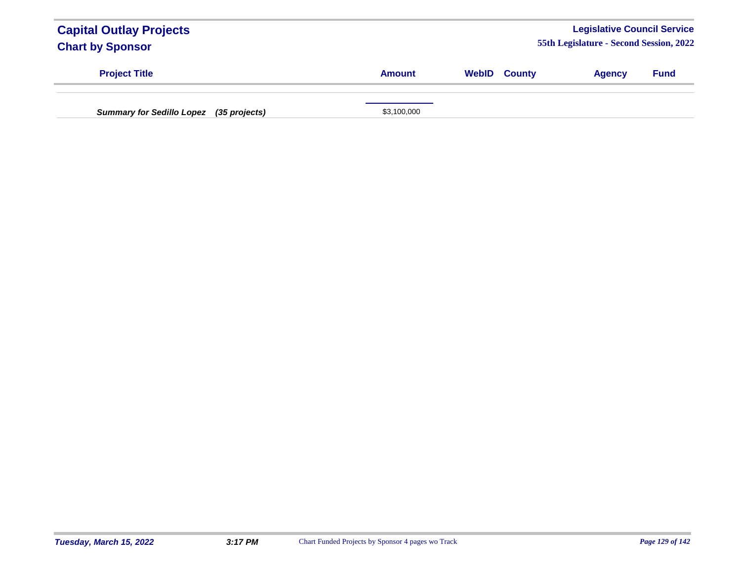| <b>Capital Outlay Projects</b><br><b>Chart by Sponsor</b> |               |                     | <b>Legislative Council Service</b><br>55th Legislature - Second Session, 2022 |             |
|-----------------------------------------------------------|---------------|---------------------|-------------------------------------------------------------------------------|-------------|
| <b>Project Title</b>                                      | <b>Amount</b> | <b>WebID County</b> | <b>Agency</b>                                                                 | <b>Fund</b> |
| <b>Summary for Sedillo Lopez</b><br>(35 projects)         | \$3,100,000   |                     |                                                                               |             |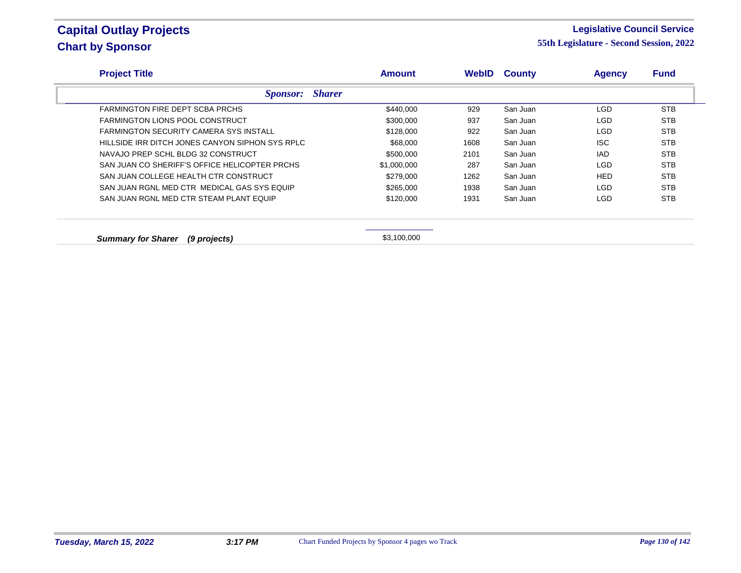#### **Legislative Council Service**

| <b>Project Title</b>                            | <b>Amount</b> | <b>WebID</b> | <b>County</b> | <b>Agency</b> | <b>Fund</b> |
|-------------------------------------------------|---------------|--------------|---------------|---------------|-------------|
| <b>Sponsor:</b> Sharer                          |               |              |               |               |             |
| FARMINGTON FIRE DEPT SCBA PRCHS                 | \$440,000     | 929          | San Juan      | <b>LGD</b>    | <b>STB</b>  |
| FARMINGTON LIONS POOL CONSTRUCT                 | \$300,000     | 937          | San Juan      | <b>LGD</b>    | <b>STB</b>  |
| <b>FARMINGTON SECURITY CAMERA SYS INSTALL</b>   | \$128,000     | 922          | San Juan      | <b>LGD</b>    | <b>STB</b>  |
| HILLSIDE IRR DITCH JONES CANYON SIPHON SYS RPLC | \$68,000      | 1608         | San Juan      | <b>ISC</b>    | <b>STB</b>  |
| NAVAJO PREP SCHL BLDG 32 CONSTRUCT              | \$500,000     | 2101         | San Juan      | IAD           | <b>STB</b>  |
| SAN JUAN CO SHERIFF'S OFFICE HELICOPTER PRCHS   | \$1,000,000   | 287          | San Juan      | <b>LGD</b>    | <b>STB</b>  |
| SAN JUAN COLLEGE HEALTH CTR CONSTRUCT           | \$279,000     | 1262         | San Juan      | <b>HED</b>    | <b>STB</b>  |
| SAN JUAN RGNL MED CTR MEDICAL GAS SYS EQUIP     | \$265,000     | 1938         | San Juan      | LGD           | <b>STB</b>  |
| SAN JUAN RGNL MED CTR STEAM PLANT EQUIP         | \$120,000     | 1931         | San Juan      | LGD           | <b>STB</b>  |
|                                                 |               |              |               |               |             |
| <b>Summary for Sharer</b><br>(9 projects)       | \$3,100,000   |              |               |               |             |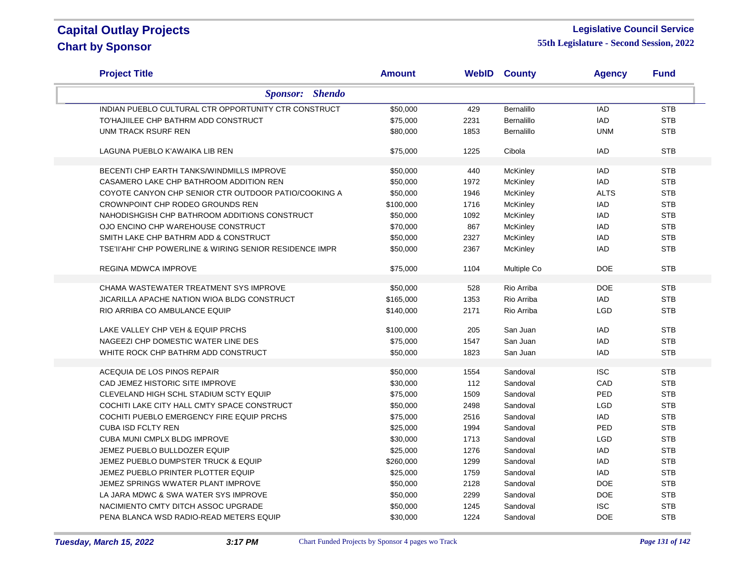#### **Legislative Council Service**

| <b>Project Title</b>                                     | Amount    |      | <b>WebID County</b> | <b>Agency</b> | <b>Fund</b> |
|----------------------------------------------------------|-----------|------|---------------------|---------------|-------------|
| <b>Sponsor:</b> Shendo                                   |           |      |                     |               |             |
| INDIAN PUEBLO CULTURAL CTR OPPORTUNITY CTR CONSTRUCT     | \$50,000  | 429  | Bernalillo          | IAD           | <b>STB</b>  |
| TO'HAJIILEE CHP BATHRM ADD CONSTRUCT                     | \$75,000  | 2231 | Bernalillo          | <b>IAD</b>    | <b>STB</b>  |
| UNM TRACK RSURF REN                                      | \$80,000  | 1853 | <b>Bernalillo</b>   | <b>UNM</b>    | <b>STB</b>  |
| LAGUNA PUEBLO K'AWAIKA LIB REN                           | \$75,000  | 1225 | Cibola              | <b>IAD</b>    | <b>STB</b>  |
| BECENTI CHP EARTH TANKS/WINDMILLS IMPROVE                | \$50,000  | 440  | McKinley            | IAD           | <b>STB</b>  |
| CASAMERO LAKE CHP BATHROOM ADDITION REN                  | \$50,000  | 1972 | McKinley            | <b>IAD</b>    | <b>STB</b>  |
| COYOTE CANYON CHP SENIOR CTR OUTDOOR PATIO/COOKING A     | \$50,000  | 1946 | <b>McKinley</b>     | <b>ALTS</b>   | <b>STB</b>  |
| CROWNPOINT CHP RODEO GROUNDS REN                         | \$100,000 | 1716 | McKinley            | <b>IAD</b>    | <b>STB</b>  |
| NAHODISHGISH CHP BATHROOM ADDITIONS CONSTRUCT            | \$50,000  | 1092 | McKinley            | IAD           | <b>STB</b>  |
| OJO ENCINO CHP WAREHOUSE CONSTRUCT                       | \$70,000  | 867  | <b>McKinley</b>     | <b>IAD</b>    | <b>STB</b>  |
| SMITH LAKE CHP BATHRM ADD & CONSTRUCT                    | \$50,000  | 2327 | <b>McKinley</b>     | IAD           | <b>STB</b>  |
| TSE'II'AHI' CHP POWERLINE & WIRING SENIOR RESIDENCE IMPR | \$50,000  | 2367 | <b>McKinley</b>     | <b>IAD</b>    | <b>STB</b>  |
|                                                          |           |      |                     |               |             |
| <b>REGINA MDWCA IMPROVE</b>                              | \$75,000  | 1104 | Multiple Co         | <b>DOE</b>    | <b>STB</b>  |
| CHAMA WASTEWATER TREATMENT SYS IMPROVE                   | \$50,000  | 528  | Rio Arriba          | <b>DOE</b>    | <b>STB</b>  |
| <b>JICARILLA APACHE NATION WIOA BLDG CONSTRUCT</b>       | \$165,000 | 1353 | Rio Arriba          | <b>IAD</b>    | <b>STB</b>  |
| RIO ARRIBA CO AMBULANCE EQUIP                            | \$140,000 | 2171 | Rio Arriba          | <b>LGD</b>    | <b>STB</b>  |
| LAKE VALLEY CHP VEH & EQUIP PRCHS                        | \$100,000 | 205  | San Juan            | <b>IAD</b>    | <b>STB</b>  |
| NAGEEZI CHP DOMESTIC WATER LINE DES                      | \$75,000  | 1547 | San Juan            | <b>IAD</b>    | <b>STB</b>  |
| WHITE ROCK CHP BATHRM ADD CONSTRUCT                      | \$50,000  | 1823 | San Juan            | <b>IAD</b>    | <b>STB</b>  |
|                                                          |           |      |                     |               |             |
| ACEQUIA DE LOS PINOS REPAIR                              | \$50,000  | 1554 | Sandoval            | <b>ISC</b>    | <b>STB</b>  |
| CAD JEMEZ HISTORIC SITE IMPROVE                          | \$30,000  | 112  | Sandoval            | CAD           | <b>STB</b>  |
| CLEVELAND HIGH SCHL STADIUM SCTY EQUIP                   | \$75,000  | 1509 | Sandoval            | PED           | <b>STB</b>  |
| COCHITI LAKE CITY HALL CMTY SPACE CONSTRUCT              | \$50,000  | 2498 | Sandoval            | LGD           | <b>STB</b>  |
| COCHITI PUEBLO EMERGENCY FIRE EQUIP PRCHS                | \$75,000  | 2516 | Sandoval            | IAD           | <b>STB</b>  |
| <b>CUBA ISD FCLTY REN</b>                                | \$25,000  | 1994 | Sandoval            | PED           | <b>STB</b>  |
| CUBA MUNI CMPLX BLDG IMPROVE                             | \$30,000  | 1713 | Sandoval            | <b>LGD</b>    | <b>STB</b>  |
| JEMEZ PUEBLO BULLDOZER EQUIP                             | \$25,000  | 1276 | Sandoval            | <b>IAD</b>    | <b>STB</b>  |
| JEMEZ PUEBLO DUMPSTER TRUCK & EQUIP                      | \$260,000 | 1299 | Sandoval            | <b>IAD</b>    | <b>STB</b>  |
| JEMEZ PUEBLO PRINTER PLOTTER EQUIP                       | \$25,000  | 1759 | Sandoval            | <b>IAD</b>    | <b>STB</b>  |
| JEMEZ SPRINGS WWATER PLANT IMPROVE                       | \$50,000  | 2128 | Sandoval            | <b>DOE</b>    | <b>STB</b>  |
| LA JARA MDWC & SWA WATER SYS IMPROVE                     | \$50,000  | 2299 | Sandoval            | <b>DOE</b>    | <b>STB</b>  |
| NACIMIENTO CMTY DITCH ASSOC UPGRADE                      | \$50,000  | 1245 | Sandoval            | <b>ISC</b>    | <b>STB</b>  |
| PENA BLANCA WSD RADIO-READ METERS EQUIP                  | \$30,000  | 1224 | Sandoval            | <b>DOE</b>    | <b>STB</b>  |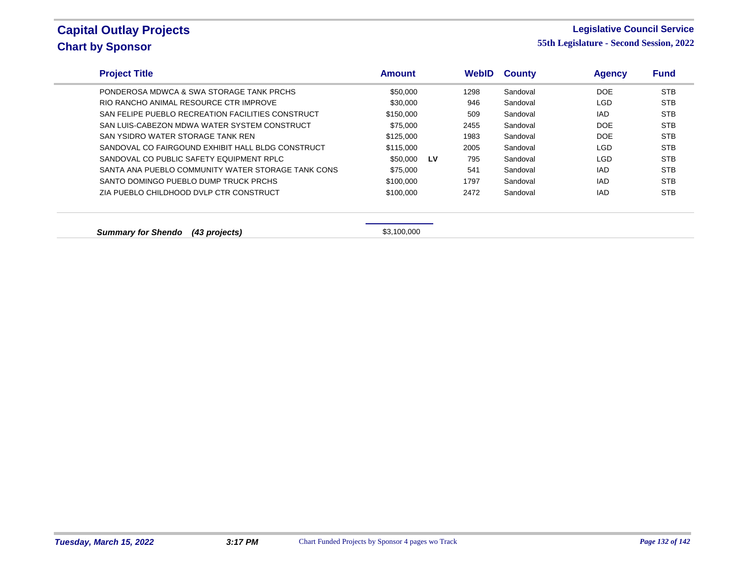### **Legislative Council Service**

| <b>Project Title</b>                               | <b>Amount</b> |    | <b>WebID</b> | <b>County</b> | <b>Agency</b> | <b>Fund</b> |
|----------------------------------------------------|---------------|----|--------------|---------------|---------------|-------------|
| PONDEROSA MDWCA & SWA STORAGE TANK PRCHS           | \$50,000      |    | 1298         | Sandoval      | <b>DOE</b>    | <b>STB</b>  |
| RIO RANCHO ANIMAL RESOURCE CTR IMPROVE             | \$30,000      |    | 946          | Sandoval      | LGD           | <b>STB</b>  |
| SAN FELIPE PUEBLO RECREATION FACILITIES CONSTRUCT  | \$150,000     |    | 509          | Sandoval      | IAD           | <b>STB</b>  |
| SAN LUIS-CABEZON MDWA WATER SYSTEM CONSTRUCT       | \$75,000      |    | 2455         | Sandoval      | DOE           | <b>STB</b>  |
| SAN YSIDRO WATER STORAGE TANK REN                  | \$125,000     |    | 1983         | Sandoval      | DOE           | <b>STB</b>  |
| SANDOVAL CO FAIRGOUND EXHIBIT HALL BLDG CONSTRUCT  | \$115,000     |    | 2005         | Sandoval      | <b>LGD</b>    | <b>STB</b>  |
| SANDOVAL CO PUBLIC SAFETY EQUIPMENT RPLC           | \$50.000      | LV | 795          | Sandoval      | LGD           | <b>STB</b>  |
| SANTA ANA PUEBLO COMMUNITY WATER STORAGE TANK CONS | \$75,000      |    | 541          | Sandoval      | <b>IAD</b>    | <b>STB</b>  |
| SANTO DOMINGO PUEBLO DUMP TRUCK PRCHS              | \$100,000     |    | 1797         | Sandoval      | <b>IAD</b>    | <b>STB</b>  |
| ZIA PUEBLO CHILDHOOD DVLP CTR CONSTRUCT            | \$100,000     |    | 2472         | Sandoval      | <b>IAD</b>    | <b>STB</b>  |
| <b>Summary for Shendo</b><br>(43 projects)         | \$3,100,000   |    |              |               |               |             |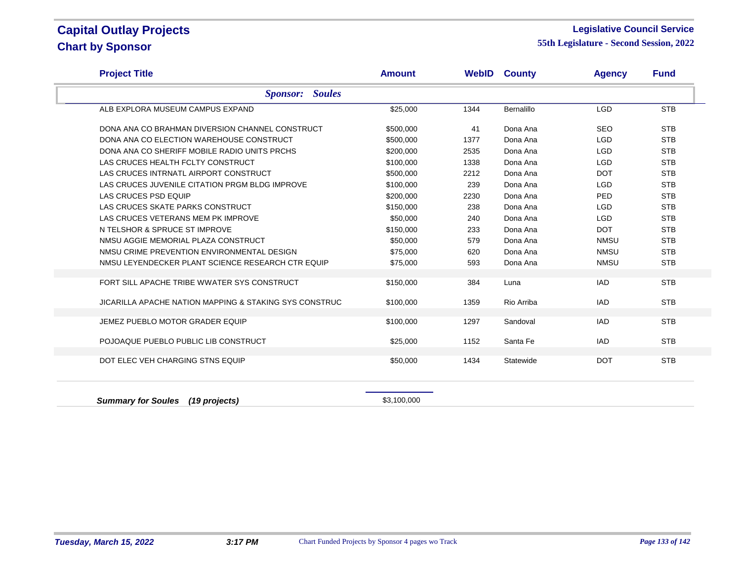#### **Legislative Council Service**

| <b>Project Title</b>                                              | <b>Amount</b> | WebID | <b>County</b> | <b>Agency</b> | <b>Fund</b> |  |  |  |
|-------------------------------------------------------------------|---------------|-------|---------------|---------------|-------------|--|--|--|
| <b>Soules</b><br><b>Sponsor:</b>                                  |               |       |               |               |             |  |  |  |
| ALB EXPLORA MUSEUM CAMPUS EXPAND                                  | \$25,000      | 1344  | Bernalillo    | <b>LGD</b>    | <b>STB</b>  |  |  |  |
| DONA ANA CO BRAHMAN DIVERSION CHANNEL CONSTRUCT                   | \$500,000     | 41    | Dona Ana      | <b>SEO</b>    | <b>STB</b>  |  |  |  |
| DONA ANA CO ELECTION WAREHOUSE CONSTRUCT                          | \$500,000     | 1377  | Dona Ana      | <b>LGD</b>    | <b>STB</b>  |  |  |  |
| DONA ANA CO SHERIFF MOBILE RADIO UNITS PRCHS                      | \$200,000     | 2535  | Dona Ana      | <b>LGD</b>    | <b>STB</b>  |  |  |  |
| LAS CRUCES HEALTH FCLTY CONSTRUCT                                 | \$100,000     | 1338  | Dona Ana      | <b>LGD</b>    | <b>STB</b>  |  |  |  |
| LAS CRUCES INTRNATL AIRPORT CONSTRUCT                             | \$500,000     | 2212  | Dona Ana      | <b>DOT</b>    | <b>STB</b>  |  |  |  |
| LAS CRUCES JUVENILE CITATION PRGM BLDG IMPROVE                    | \$100,000     | 239   | Dona Ana      | <b>LGD</b>    | <b>STB</b>  |  |  |  |
| LAS CRUCES PSD EQUIP                                              | \$200,000     | 2230  | Dona Ana      | PED           | <b>STB</b>  |  |  |  |
| LAS CRUCES SKATE PARKS CONSTRUCT                                  | \$150,000     | 238   | Dona Ana      | <b>LGD</b>    | <b>STB</b>  |  |  |  |
| LAS CRUCES VETERANS MEM PK IMPROVE                                | \$50,000      | 240   | Dona Ana      | <b>LGD</b>    | <b>STB</b>  |  |  |  |
| N TELSHOR & SPRUCE ST IMPROVE                                     | \$150,000     | 233   | Dona Ana      | <b>DOT</b>    | <b>STB</b>  |  |  |  |
| NMSU AGGIE MEMORIAL PLAZA CONSTRUCT                               | \$50,000      | 579   | Dona Ana      | <b>NMSU</b>   | <b>STB</b>  |  |  |  |
| NMSU CRIME PREVENTION ENVIRONMENTAL DESIGN                        | \$75,000      | 620   | Dona Ana      | <b>NMSU</b>   | <b>STB</b>  |  |  |  |
| NMSU LEYENDECKER PLANT SCIENCE RESEARCH CTR EQUIP                 | \$75,000      | 593   | Dona Ana      | <b>NMSU</b>   | <b>STB</b>  |  |  |  |
| FORT SILL APACHE TRIBE WWATER SYS CONSTRUCT                       | \$150,000     | 384   | Luna          | <b>IAD</b>    | <b>STB</b>  |  |  |  |
| <b>JICARILLA APACHE NATION MAPPING &amp; STAKING SYS CONSTRUC</b> | \$100,000     | 1359  | Rio Arriba    | <b>IAD</b>    | <b>STB</b>  |  |  |  |
| JEMEZ PUEBLO MOTOR GRADER EQUIP                                   | \$100,000     | 1297  | Sandoval      | <b>IAD</b>    | <b>STB</b>  |  |  |  |
| POJOAQUE PUEBLO PUBLIC LIB CONSTRUCT                              | \$25,000      | 1152  | Santa Fe      | <b>IAD</b>    | <b>STB</b>  |  |  |  |
| DOT ELEC VEH CHARGING STNS EQUIP                                  | \$50,000      | 1434  | Statewide     | <b>DOT</b>    | <b>STB</b>  |  |  |  |
| <b>Summary for Soules</b><br>(19 projects)                        | \$3,100,000   |       |               |               |             |  |  |  |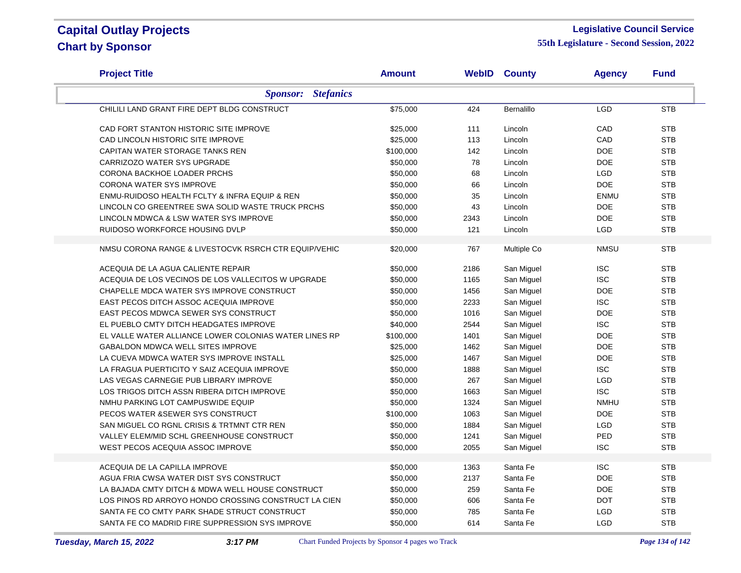### **Legislative Council Service**

| <b>Project Title</b>                                  | <b>Amount</b> |      | <b>WebID County</b> | <b>Agency</b> | <b>Fund</b> |
|-------------------------------------------------------|---------------|------|---------------------|---------------|-------------|
| <b>Stefanics</b><br><b>Sponsor:</b>                   |               |      |                     |               |             |
| CHILILI LAND GRANT FIRE DEPT BLDG CONSTRUCT           | \$75,000      | 424  | Bernalillo          | LGD           | <b>STB</b>  |
| CAD FORT STANTON HISTORIC SITE IMPROVE                | \$25,000      | 111  | Lincoln             | CAD           | <b>STB</b>  |
| CAD LINCOLN HISTORIC SITE IMPROVE                     | \$25,000      | 113  | Lincoln             | CAD           | <b>STB</b>  |
| CAPITAN WATER STORAGE TANKS REN                       | \$100,000     | 142  | Lincoln             | <b>DOE</b>    | <b>STB</b>  |
| CARRIZOZO WATER SYS UPGRADE                           | \$50,000      | 78   | Lincoln             | <b>DOE</b>    | <b>STB</b>  |
| CORONA BACKHOE LOADER PRCHS                           | \$50,000      | 68   | Lincoln             | <b>LGD</b>    | <b>STB</b>  |
| <b>CORONA WATER SYS IMPROVE</b>                       | \$50,000      | 66   | Lincoln             | <b>DOE</b>    | <b>STB</b>  |
| ENMU-RUIDOSO HEALTH FCLTY & INFRA EQUIP & REN         | \$50,000      | 35   | Lincoln             | <b>ENMU</b>   | <b>STB</b>  |
| LINCOLN CO GREENTREE SWA SOLID WASTE TRUCK PRCHS      | \$50,000      | 43   | Lincoln             | <b>DOE</b>    | <b>STB</b>  |
| LINCOLN MDWCA & LSW WATER SYS IMPROVE                 | \$50,000      | 2343 | Lincoln             | <b>DOE</b>    | <b>STB</b>  |
| RUIDOSO WORKFORCE HOUSING DVLP                        | \$50,000      | 121  | Lincoln             | LGD           | <b>STB</b>  |
| NMSU CORONA RANGE & LIVESTOCVK RSRCH CTR EQUIP/VEHIC  | \$20,000      | 767  | Multiple Co         | <b>NMSU</b>   | <b>STB</b>  |
| ACEQUIA DE LA AGUA CALIENTE REPAIR                    | \$50,000      | 2186 | San Miguel          | <b>ISC</b>    | <b>STB</b>  |
| ACEQUIA DE LOS VECINOS DE LOS VALLECITOS W UPGRADE    | \$50,000      | 1165 | San Miguel          | <b>ISC</b>    | <b>STB</b>  |
| CHAPELLE MDCA WATER SYS IMPROVE CONSTRUCT             | \$50,000      | 1456 | San Miguel          | <b>DOE</b>    | <b>STB</b>  |
| EAST PECOS DITCH ASSOC ACEQUIA IMPROVE                | \$50,000      | 2233 | San Miguel          | <b>ISC</b>    | <b>STB</b>  |
| EAST PECOS MDWCA SEWER SYS CONSTRUCT                  | \$50,000      | 1016 | San Miguel          | <b>DOE</b>    | <b>STB</b>  |
| EL PUEBLO CMTY DITCH HEADGATES IMPROVE                | \$40,000      | 2544 | San Miguel          | <b>ISC</b>    | <b>STB</b>  |
| EL VALLE WATER ALLIANCE LOWER COLONIAS WATER LINES RP | \$100,000     | 1401 | San Miguel          | <b>DOE</b>    | <b>STB</b>  |
| <b>GABALDON MDWCA WELL SITES IMPROVE</b>              | \$25,000      | 1462 | San Miguel          | <b>DOE</b>    | <b>STB</b>  |
| LA CUEVA MDWCA WATER SYS IMPROVE INSTALL              | \$25,000      | 1467 | San Miguel          | <b>DOE</b>    | <b>STB</b>  |
| LA FRAGUA PUERTICITO Y SAIZ ACEQUIA IMPROVE           | \$50,000      | 1888 | San Miguel          | <b>ISC</b>    | <b>STB</b>  |
| LAS VEGAS CARNEGIE PUB LIBRARY IMPROVE                | \$50,000      | 267  | San Miguel          | <b>LGD</b>    | <b>STB</b>  |
| LOS TRIGOS DITCH ASSN RIBERA DITCH IMPROVE            | \$50,000      | 1663 | San Miguel          | <b>ISC</b>    | <b>STB</b>  |
| NMHU PARKING LOT CAMPUSWIDE EQUIP                     | \$50,000      | 1324 | San Miguel          | <b>NMHU</b>   | <b>STB</b>  |
| PECOS WATER & SEWER SYS CONSTRUCT                     | \$100,000     | 1063 | San Miguel          | <b>DOE</b>    | <b>STB</b>  |
| SAN MIGUEL CO RGNL CRISIS & TRTMNT CTR REN            | \$50,000      | 1884 | San Miguel          | <b>LGD</b>    | <b>STB</b>  |
| VALLEY ELEM/MID SCHL GREENHOUSE CONSTRUCT             | \$50,000      | 1241 | San Miguel          | PED           | <b>STB</b>  |
| WEST PECOS ACEQUIA ASSOC IMPROVE                      | \$50,000      | 2055 | San Miguel          | <b>ISC</b>    | <b>STB</b>  |
|                                                       |               |      | Santa Fe            | <b>ISC</b>    | <b>STB</b>  |
| ACEQUIA DE LA CAPILLA IMPROVE                         | \$50,000      | 1363 | Santa Fe            |               |             |
| AGUA FRIA CWSA WATER DIST SYS CONSTRUCT               | \$50,000      | 2137 |                     | <b>DOE</b>    | <b>STB</b>  |
| LA BAJADA CMTY DITCH & MDWA WELL HOUSE CONSTRUCT      | \$50,000      | 259  | Santa Fe            | <b>DOE</b>    | <b>STB</b>  |
| LOS PINOS RD ARROYO HONDO CROSSING CONSTRUCT LA CIEN  | \$50,000      | 606  | Santa Fe            | <b>DOT</b>    | <b>STB</b>  |
| SANTA FE CO CMTY PARK SHADE STRUCT CONSTRUCT          | \$50,000      | 785  | Santa Fe            | LGD           | <b>STB</b>  |
| SANTA FE CO MADRID FIRE SUPPRESSION SYS IMPROVE       | \$50,000      | 614  | Santa Fe            | <b>LGD</b>    | <b>STB</b>  |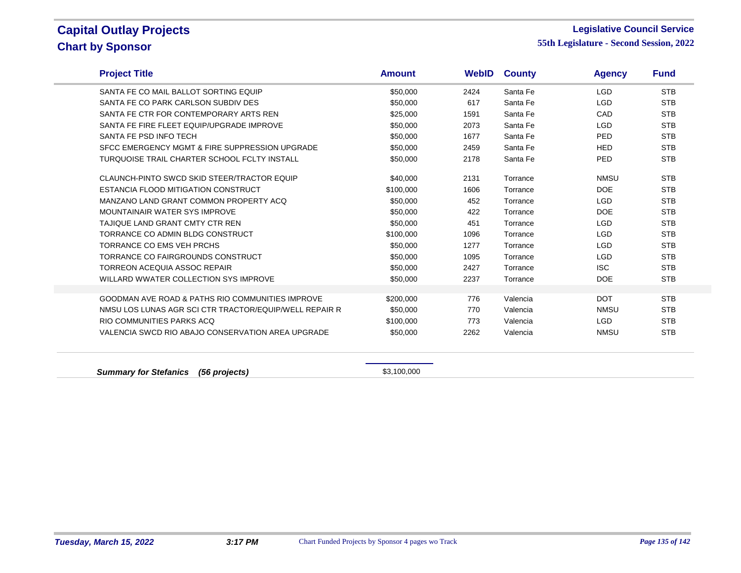$\overline{\phantom{a}}$ 

#### **Legislative Council Service**

| <b>Project Title</b>                                        | <b>Amount</b> | <b>WebID</b> | <b>County</b> | <b>Agency</b> | <b>Fund</b> |
|-------------------------------------------------------------|---------------|--------------|---------------|---------------|-------------|
| SANTA FE CO MAIL BALLOT SORTING EQUIP                       | \$50,000      | 2424         | Santa Fe      | <b>LGD</b>    | <b>STB</b>  |
| SANTA FE CO PARK CARLSON SUBDIV DES                         | \$50,000      | 617          | Santa Fe      | <b>LGD</b>    | <b>STB</b>  |
| SANTA FE CTR FOR CONTEMPORARY ARTS REN                      | \$25,000      | 1591         | Santa Fe      | CAD           | <b>STB</b>  |
| SANTA FE FIRE FLEET EQUIP/UPGRADE IMPROVE                   | \$50,000      | 2073         | Santa Fe      | <b>LGD</b>    | <b>STB</b>  |
| SANTA FE PSD INFO TECH                                      | \$50,000      | 1677         | Santa Fe      | <b>PED</b>    | <b>STB</b>  |
| SFCC EMERGENCY MGMT & FIRE SUPPRESSION UPGRADE              | \$50,000      | 2459         | Santa Fe      | <b>HED</b>    | <b>STB</b>  |
| TURQUOISE TRAIL CHARTER SCHOOL FCLTY INSTALL                | \$50,000      | 2178         | Santa Fe      | <b>PED</b>    | <b>STB</b>  |
| CLAUNCH-PINTO SWCD SKID STEER/TRACTOR EQUIP                 | \$40,000      | 2131         | Torrance      | <b>NMSU</b>   | <b>STB</b>  |
| ESTANCIA FLOOD MITIGATION CONSTRUCT                         | \$100,000     | 1606         | Torrance      | <b>DOE</b>    | <b>STB</b>  |
| MANZANO LAND GRANT COMMON PROPERTY ACQ                      | \$50,000      | 452          | Torrance      | <b>LGD</b>    | <b>STB</b>  |
| MOUNTAINAIR WATER SYS IMPROVE                               | \$50,000      | 422          | Torrance      | <b>DOE</b>    | <b>STB</b>  |
| TAJIQUE LAND GRANT CMTY CTR REN                             | \$50,000      | 451          | Torrance      | <b>LGD</b>    | <b>STB</b>  |
| TORRANCE CO ADMIN BLDG CONSTRUCT                            | \$100,000     | 1096         | Torrance      | <b>LGD</b>    | <b>STB</b>  |
| <b>TORRANCE CO EMS VEH PRCHS</b>                            | \$50,000      | 1277         | Torrance      | <b>LGD</b>    | <b>STB</b>  |
| TORRANCE CO FAIRGROUNDS CONSTRUCT                           | \$50,000      | 1095         | Torrance      | <b>LGD</b>    | <b>STB</b>  |
| TORREON ACEQUIA ASSOC REPAIR                                | \$50,000      | 2427         | Torrance      | <b>ISC</b>    | <b>STB</b>  |
| WILLARD WWATER COLLECTION SYS IMPROVE                       | \$50,000      | 2237         | Torrance      | <b>DOE</b>    | <b>STB</b>  |
| <b>GOODMAN AVE ROAD &amp; PATHS RIO COMMUNITIES IMPROVE</b> | \$200,000     | 776          | Valencia      | <b>DOT</b>    | <b>STB</b>  |
| NMSU LOS LUNAS AGR SCI CTR TRACTOR/EQUIP/WELL REPAIR R      | \$50,000      | 770          | Valencia      | <b>NMSU</b>   | <b>STB</b>  |
| RIO COMMUNITIES PARKS ACQ                                   | \$100,000     | 773          | Valencia      | <b>LGD</b>    | <b>STB</b>  |
| VALENCIA SWCD RIO ABAJO CONSERVATION AREA UPGRADE           | \$50,000      | 2262         | Valencia      | <b>NMSU</b>   | <b>STB</b>  |
|                                                             |               |              |               |               |             |
| <b>Summary for Stefanics</b><br>(56 projects)               | \$3,100,000   |              |               |               |             |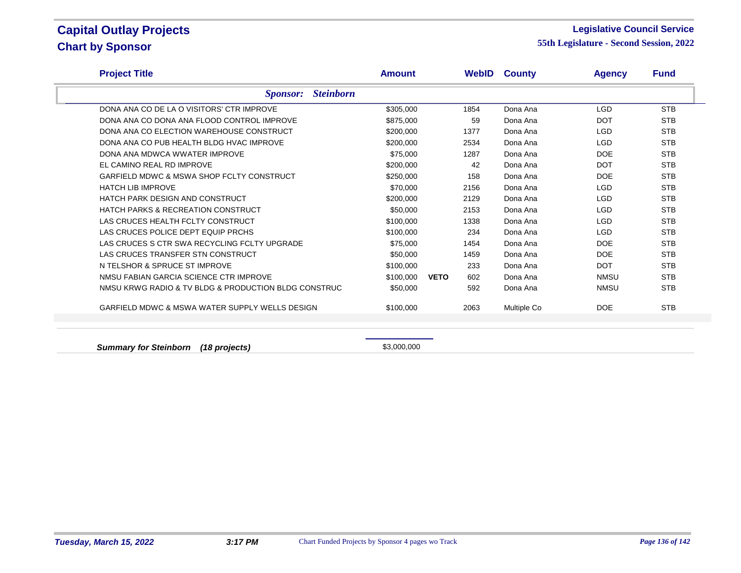#### **Legislative Council Service**

**55th Legislature - Second Session, 2022**

| <b>Project Title</b>                                 | <b>Amount</b>    |                    | <b>WebID County</b> | <b>Agency</b> | <b>Fund</b> |
|------------------------------------------------------|------------------|--------------------|---------------------|---------------|-------------|
| <b>Sponsor:</b>                                      | <b>Steinborn</b> |                    |                     |               |             |
| DONA ANA CO DE LA O VISITORS' CTR IMPROVE            | \$305,000        | 1854               | Dona Ana            | <b>LGD</b>    | <b>STB</b>  |
| DONA ANA CO DONA ANA FLOOD CONTROL IMPROVE           | \$875,000        | 59                 | Dona Ana            | <b>DOT</b>    | <b>STB</b>  |
| DONA ANA CO ELECTION WAREHOUSE CONSTRUCT             | \$200,000        | 1377               | Dona Ana            | <b>LGD</b>    | <b>STB</b>  |
| DONA ANA CO PUB HEALTH BLDG HVAC IMPROVE             | \$200,000        | 2534               | Dona Ana            | <b>LGD</b>    | <b>STB</b>  |
| DONA ANA MDWCA WWATER IMPROVE                        | \$75,000         | 1287               | Dona Ana            | <b>DOE</b>    | <b>STB</b>  |
| EL CAMINO REAL RD IMPROVE                            | \$200,000        | 42                 | Dona Ana            | <b>DOT</b>    | <b>STB</b>  |
| GARFIELD MDWC & MSWA SHOP FCLTY CONSTRUCT            | \$250,000        | 158                | Dona Ana            | <b>DOE</b>    | <b>STB</b>  |
| <b>HATCH LIB IMPROVE</b>                             | \$70,000         | 2156               | Dona Ana            | <b>LGD</b>    | <b>STB</b>  |
| HATCH PARK DESIGN AND CONSTRUCT                      | \$200,000        | 2129               | Dona Ana            | <b>LGD</b>    | <b>STB</b>  |
| <b>HATCH PARKS &amp; RECREATION CONSTRUCT</b>        | \$50,000         | 2153               | Dona Ana            | <b>LGD</b>    | <b>STB</b>  |
| LAS CRUCES HEALTH FCLTY CONSTRUCT                    | \$100,000        | 1338               | Dona Ana            | <b>LGD</b>    | <b>STB</b>  |
| LAS CRUCES POLICE DEPT EQUIP PRCHS                   | \$100,000        | 234                | Dona Ana            | <b>LGD</b>    | <b>STB</b>  |
| LAS CRUCES S CTR SWA RECYCLING FCLTY UPGRADE         | \$75,000         | 1454               | Dona Ana            | <b>DOE</b>    | <b>STB</b>  |
| LAS CRUCES TRANSFER STN CONSTRUCT                    | \$50,000         | 1459               | Dona Ana            | <b>DOE</b>    | <b>STB</b>  |
| N TELSHOR & SPRUCE ST IMPROVE                        | \$100,000        | 233                | Dona Ana            | <b>DOT</b>    | <b>STB</b>  |
| NMSU FABIAN GARCIA SCIENCE CTR IMPROVE               | \$100,000        | <b>VETO</b><br>602 | Dona Ana            | NMSU          | <b>STB</b>  |
| NMSU KRWG RADIO & TV BLDG & PRODUCTION BLDG CONSTRUC | \$50,000         | 592                | Dona Ana            | NMSU          | <b>STB</b>  |
| GARFIELD MDWC & MSWA WATER SUPPLY WELLS DESIGN       | \$100,000        | 2063               | Multiple Co         | <b>DOE</b>    | <b>STB</b>  |
|                                                      |                  |                    |                     |               |             |

**Summary for Steinborn (18 projects)**  $$3,000,000$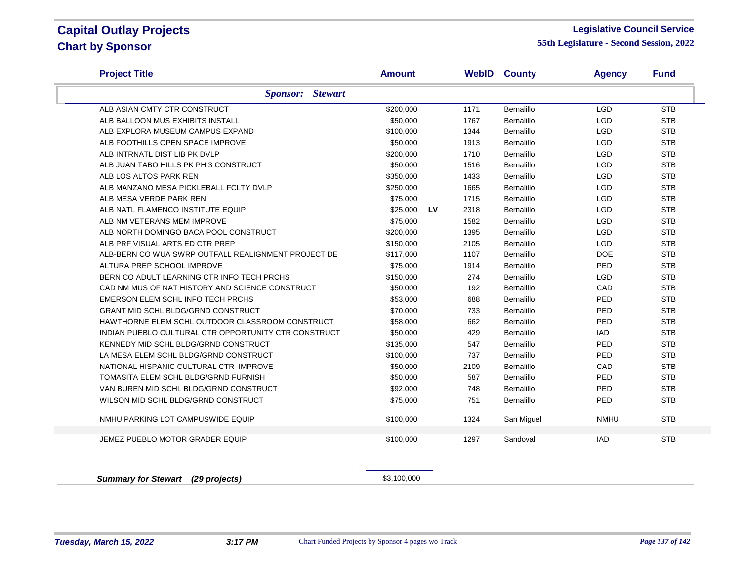#### **Legislative Council Service**

| <b>Project Title</b>                                 | <b>Amount</b> |                   | <b>WebID County</b> | <b>Agency</b> | <b>Fund</b> |
|------------------------------------------------------|---------------|-------------------|---------------------|---------------|-------------|
| <b>Sponsor:</b> Stewart                              |               |                   |                     |               |             |
| ALB ASIAN CMTY CTR CONSTRUCT                         | \$200,000     | 1171              | Bernalillo          | <b>LGD</b>    | <b>STB</b>  |
| ALB BALLOON MUS EXHIBITS INSTALL                     | \$50,000      | 1767              | <b>Bernalillo</b>   | <b>LGD</b>    | <b>STB</b>  |
| ALB EXPLORA MUSEUM CAMPUS EXPAND                     | \$100,000     | 1344              | <b>Bernalillo</b>   | <b>LGD</b>    | <b>STB</b>  |
| ALB FOOTHILLS OPEN SPACE IMPROVE                     | \$50,000      | 1913              | Bernalillo          | <b>LGD</b>    | <b>STB</b>  |
| ALB INTRNATL DIST LIB PK DVLP                        | \$200,000     | 1710              | Bernalillo          | <b>LGD</b>    | <b>STB</b>  |
| ALB JUAN TABO HILLS PK PH 3 CONSTRUCT                | \$50,000      | 1516              | Bernalillo          | <b>LGD</b>    | <b>STB</b>  |
| ALB LOS ALTOS PARK REN                               | \$350,000     | 1433              | Bernalillo          | <b>LGD</b>    | <b>STB</b>  |
| ALB MANZANO MESA PICKLEBALL FCLTY DVLP               | \$250,000     | 1665              | Bernalillo          | <b>LGD</b>    | <b>STB</b>  |
| ALB MESA VERDE PARK REN                              | \$75,000      | 1715              | Bernalillo          | <b>LGD</b>    | <b>STB</b>  |
| ALB NATL FLAMENCO INSTITUTE EQUIP                    | \$25,000      | <b>LV</b><br>2318 | Bernalillo          | <b>LGD</b>    | <b>STB</b>  |
| ALB NM VETERANS MEM IMPROVE                          | \$75,000      | 1582              | <b>Bernalillo</b>   | <b>LGD</b>    | <b>STB</b>  |
| ALB NORTH DOMINGO BACA POOL CONSTRUCT                | \$200,000     | 1395              | Bernalillo          | <b>LGD</b>    | <b>STB</b>  |
| ALB PRF VISUAL ARTS ED CTR PREP                      | \$150,000     | 2105              | Bernalillo          | <b>LGD</b>    | <b>STB</b>  |
| ALB-BERN CO WUA SWRP OUTFALL REALIGNMENT PROJECT DE  | \$117,000     | 1107              | Bernalillo          | <b>DOE</b>    | <b>STB</b>  |
| ALTURA PREP SCHOOL IMPROVE                           | \$75,000      | 1914              | Bernalillo          | PED           | <b>STB</b>  |
| BERN CO ADULT LEARNING CTR INFO TECH PRCHS           | \$150,000     | 274               | Bernalillo          | <b>LGD</b>    | <b>STB</b>  |
| CAD NM MUS OF NAT HISTORY AND SCIENCE CONSTRUCT      | \$50,000      | 192               | Bernalillo          | CAD           | <b>STB</b>  |
| EMERSON ELEM SCHL INFO TECH PRCHS                    | \$53,000      | 688               | Bernalillo          | PED           | <b>STB</b>  |
| <b>GRANT MID SCHL BLDG/GRND CONSTRUCT</b>            | \$70,000      | 733               | Bernalillo          | PED           | <b>STB</b>  |
| HAWTHORNE ELEM SCHL OUTDOOR CLASSROOM CONSTRUCT      | \$58,000      | 662               | Bernalillo          | PED           | <b>STB</b>  |
| INDIAN PUEBLO CULTURAL CTR OPPORTUNITY CTR CONSTRUCT | \$50,000      | 429               | Bernalillo          | <b>IAD</b>    | <b>STB</b>  |
| KENNEDY MID SCHL BLDG/GRND CONSTRUCT                 | \$135,000     | 547               | Bernalillo          | PED           | <b>STB</b>  |
| LA MESA ELEM SCHL BLDG/GRND CONSTRUCT                | \$100,000     | 737               | Bernalillo          | PED           | <b>STB</b>  |
| NATIONAL HISPANIC CULTURAL CTR IMPROVE               | \$50,000      | 2109              | Bernalillo          | CAD           | <b>STB</b>  |
| TOMASITA ELEM SCHL BLDG/GRND FURNISH                 | \$50,000      | 587               | Bernalillo          | PED           | <b>STB</b>  |
| VAN BUREN MID SCHL BLDG/GRND CONSTRUCT               | \$92,000      | 748               | <b>Bernalillo</b>   | PED           | <b>STB</b>  |
| WILSON MID SCHL BLDG/GRND CONSTRUCT                  | \$75,000      | 751               | <b>Bernalillo</b>   | PED           | <b>STB</b>  |
| NMHU PARKING LOT CAMPUSWIDE EQUIP                    | \$100,000     | 1324              | San Miguel          | <b>NMHU</b>   | <b>STB</b>  |
| JEMEZ PUEBLO MOTOR GRADER EQUIP                      | \$100,000     | 1297              | Sandoval            | <b>IAD</b>    | <b>STB</b>  |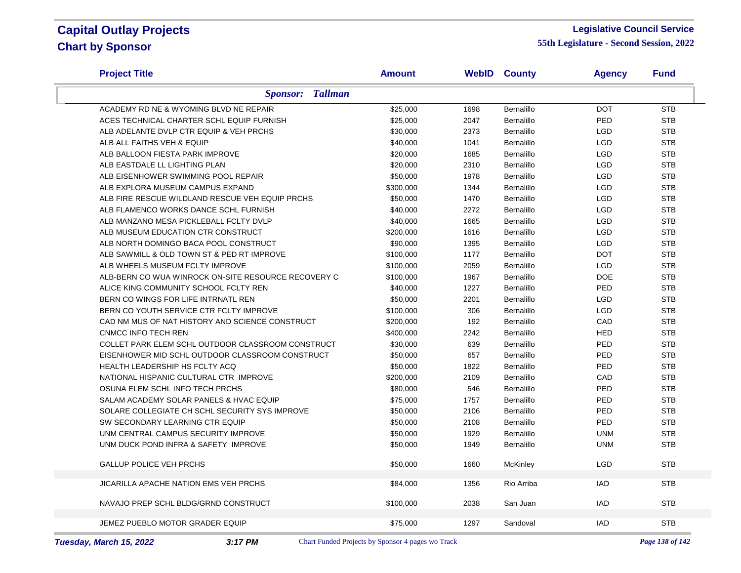#### **Legislative Council Service**

| <b>Project Title</b>                                | <b>Amount</b> |      | <b>WebID County</b> | <b>Agency</b> | <b>Fund</b> |
|-----------------------------------------------------|---------------|------|---------------------|---------------|-------------|
| <b>Sponsor: Tallman</b>                             |               |      |                     |               |             |
| ACADEMY RD NE & WYOMING BLVD NE REPAIR              | \$25,000      | 1698 | Bernalillo          | <b>DOT</b>    | <b>STB</b>  |
| ACES TECHNICAL CHARTER SCHL EQUIP FURNISH           | \$25,000      | 2047 | <b>Bernalillo</b>   | PED           | <b>STB</b>  |
| ALB ADELANTE DVLP CTR EQUIP & VEH PRCHS             | \$30,000      | 2373 | Bernalillo          | <b>LGD</b>    | <b>STB</b>  |
| ALB ALL FAITHS VEH & EQUIP                          | \$40,000      | 1041 | Bernalillo          | <b>LGD</b>    | <b>STB</b>  |
| ALB BALLOON FIESTA PARK IMPROVE                     | \$20,000      | 1685 | Bernalillo          | <b>LGD</b>    | <b>STB</b>  |
| ALB EASTDALE LL LIGHTING PLAN                       | \$20,000      | 2310 | Bernalillo          | <b>LGD</b>    | <b>STB</b>  |
| ALB EISENHOWER SWIMMING POOL REPAIR                 | \$50,000      | 1978 | Bernalillo          | <b>LGD</b>    | <b>STB</b>  |
| ALB EXPLORA MUSEUM CAMPUS EXPAND                    | \$300,000     | 1344 | Bernalillo          | <b>LGD</b>    | <b>STB</b>  |
| ALB FIRE RESCUE WILDLAND RESCUE VEH EQUIP PRCHS     | \$50,000      | 1470 | Bernalillo          | <b>LGD</b>    | <b>STB</b>  |
| ALB FLAMENCO WORKS DANCE SCHL FURNISH               | \$40,000      | 2272 | Bernalillo          | <b>LGD</b>    | <b>STB</b>  |
| ALB MANZANO MESA PICKLEBALL FCLTY DVLP              | \$40,000      | 1665 | Bernalillo          | <b>LGD</b>    | <b>STB</b>  |
| ALB MUSEUM EDUCATION CTR CONSTRUCT                  | \$200,000     | 1616 | Bernalillo          | <b>LGD</b>    | <b>STB</b>  |
| ALB NORTH DOMINGO BACA POOL CONSTRUCT               | \$90,000      | 1395 | Bernalillo          | <b>LGD</b>    | <b>STB</b>  |
| ALB SAWMILL & OLD TOWN ST & PED RT IMPROVE          | \$100,000     | 1177 | Bernalillo          | <b>DOT</b>    | <b>STB</b>  |
| ALB WHEELS MUSEUM FCLTY IMPROVE                     | \$100,000     | 2059 | Bernalillo          | <b>LGD</b>    | <b>STB</b>  |
| ALB-BERN CO WUA WINROCK ON-SITE RESOURCE RECOVERY C | \$100,000     | 1967 | Bernalillo          | <b>DOE</b>    | <b>STB</b>  |
| ALICE KING COMMUNITY SCHOOL FCLTY REN               | \$40,000      | 1227 | Bernalillo          | PED           | <b>STB</b>  |
| BERN CO WINGS FOR LIFE INTRNATL REN                 | \$50,000      | 2201 | Bernalillo          | <b>LGD</b>    | <b>STB</b>  |
| BERN CO YOUTH SERVICE CTR FCLTY IMPROVE             | \$100,000     | 306  | Bernalillo          | <b>LGD</b>    | <b>STB</b>  |
| CAD NM MUS OF NAT HISTORY AND SCIENCE CONSTRUCT     | \$200,000     | 192  | Bernalillo          | CAD           | <b>STB</b>  |
| <b>CNMCC INFO TECH REN</b>                          | \$400,000     | 2242 | Bernalillo          | <b>HED</b>    | <b>STB</b>  |
| COLLET PARK ELEM SCHL OUTDOOR CLASSROOM CONSTRUCT   | \$30,000      | 639  | Bernalillo          | PED           | <b>STB</b>  |
| EISENHOWER MID SCHL OUTDOOR CLASSROOM CONSTRUCT     | \$50,000      | 657  | Bernalillo          | PED           | <b>STB</b>  |
| HEALTH LEADERSHIP HS FCLTY ACQ                      | \$50,000      | 1822 | Bernalillo          | PED           | <b>STB</b>  |
| NATIONAL HISPANIC CULTURAL CTR IMPROVE              | \$200,000     | 2109 | <b>Bernalillo</b>   | CAD           | <b>STB</b>  |
| OSUNA ELEM SCHL INFO TECH PRCHS                     | \$80,000      | 546  | Bernalillo          | PED           | <b>STB</b>  |
| SALAM ACADEMY SOLAR PANELS & HVAC EQUIP             | \$75,000      | 1757 | Bernalillo          | PED           | <b>STB</b>  |
| SOLARE COLLEGIATE CH SCHL SECURITY SYS IMPROVE      | \$50,000      | 2106 | Bernalillo          | PED           | <b>STB</b>  |
| SW SECONDARY LEARNING CTR EQUIP                     | \$50,000      | 2108 | Bernalillo          | PED           | <b>STB</b>  |
| UNM CENTRAL CAMPUS SECURITY IMPROVE                 | \$50,000      | 1929 | Bernalillo          | <b>UNM</b>    | <b>STB</b>  |
| UNM DUCK POND INFRA & SAFETY IMPROVE                | \$50,000      | 1949 | Bernalillo          | <b>UNM</b>    | <b>STB</b>  |
| <b>GALLUP POLICE VEH PRCHS</b>                      | \$50,000      | 1660 | McKinley            | <b>LGD</b>    | <b>STB</b>  |
| <b>JICARILLA APACHE NATION EMS VEH PRCHS</b>        | \$84,000      | 1356 | Rio Arriba          | <b>IAD</b>    | <b>STB</b>  |
| NAVAJO PREP SCHL BLDG/GRND CONSTRUCT                | \$100,000     | 2038 | San Juan            | IAD           | <b>STB</b>  |
|                                                     |               |      |                     |               |             |
| JEMEZ PUEBLO MOTOR GRADER EQUIP                     | \$75,000      | 1297 | Sandoval            | <b>IAD</b>    | <b>STB</b>  |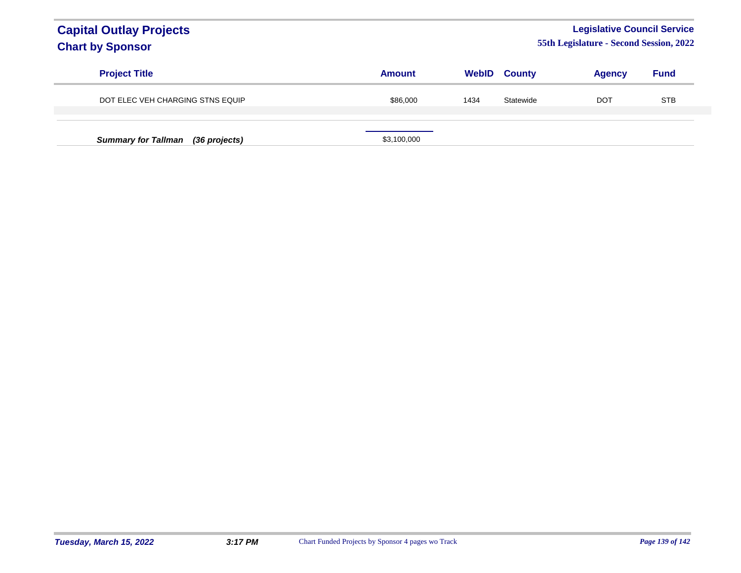### **Legislative Council Service**

| <b>Project Title</b>              | <b>Amount</b> | WebID | <b>County</b> | <b>Agency</b> | <b>Fund</b> |
|-----------------------------------|---------------|-------|---------------|---------------|-------------|
| DOT ELEC VEH CHARGING STNS EQUIP  | \$86,000      | 1434  | Statewide     | <b>DOT</b>    | <b>STB</b>  |
| Summary for Tallman (36 projects) | \$3,100,000   |       |               |               |             |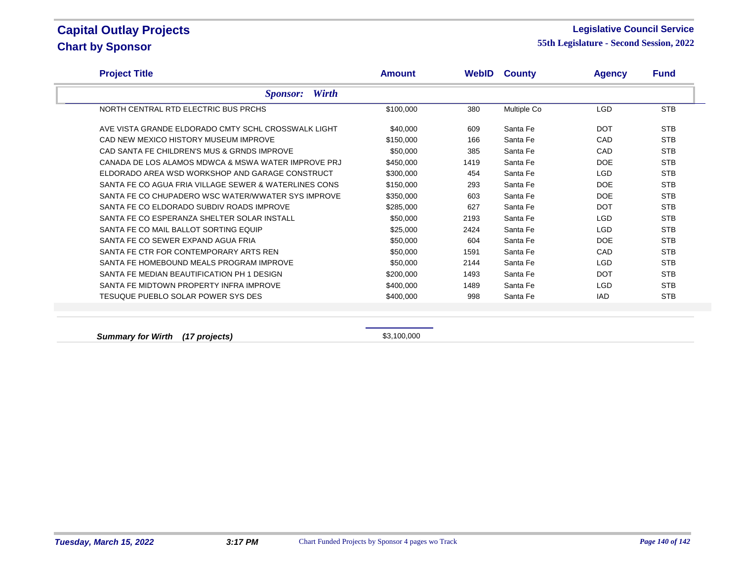#### **Legislative Council Service**

**55th Legislature - Second Session, 2022**

| <b>Project Title</b>                                  | <b>Amount</b> |      | <b>WebID County</b> | <b>Agency</b> | <b>Fund</b> |
|-------------------------------------------------------|---------------|------|---------------------|---------------|-------------|
| <b>Wirth</b><br><i>Sponsor:</i>                       |               |      |                     |               |             |
| NORTH CENTRAL RTD ELECTRIC BUS PRCHS                  | \$100,000     | 380  | Multiple Co         | <b>LGD</b>    | <b>STB</b>  |
| AVE VISTA GRANDE ELDORADO CMTY SCHI, CROSSWALK LIGHT  | \$40,000      | 609  | Santa Fe            | <b>DOT</b>    | <b>STB</b>  |
| CAD NEW MEXICO HISTORY MUSEUM IMPROVE                 | \$150,000     | 166  | Santa Fe            | CAD           | <b>STB</b>  |
| CAD SANTA FE CHILDREN'S MUS & GRNDS IMPROVE           | \$50,000      | 385  | Santa Fe            | CAD           | <b>STB</b>  |
| CANADA DE LOS ALAMOS MDWCA & MSWA WATER IMPROVE PRJ   | \$450,000     | 1419 | Santa Fe            | <b>DOE</b>    | <b>STB</b>  |
| ELDORADO AREA WSD WORKSHOP AND GARAGE CONSTRUCT       | \$300,000     | 454  | Santa Fe            | <b>LGD</b>    | <b>STB</b>  |
| SANTA FE CO AGUA FRIA VILLAGE SEWER & WATERLINES CONS | \$150.000     | 293  | Santa Fe            | <b>DOE</b>    | <b>STB</b>  |
| SANTA FE CO CHUPADERO WSC WATER/WWATER SYS IMPROVE    | \$350,000     | 603  | Santa Fe            | <b>DOE</b>    | <b>STB</b>  |
| SANTA FE CO ELDORADO SUBDIV ROADS IMPROVE             | \$285,000     | 627  | Santa Fe            | <b>DOT</b>    | <b>STB</b>  |
| SANTA FE CO ESPERANZA SHELTER SOLAR INSTALL           | \$50,000      | 2193 | Santa Fe            | <b>LGD</b>    | <b>STB</b>  |
| SANTA FE CO MAIL BALLOT SORTING EQUIP                 | \$25,000      | 2424 | Santa Fe            | <b>LGD</b>    | <b>STB</b>  |
| SANTA FE CO SEWER EXPAND AGUA FRIA                    | \$50,000      | 604  | Santa Fe            | <b>DOE</b>    | <b>STB</b>  |
| SANTA FE CTR FOR CONTEMPORARY ARTS REN                | \$50,000      | 1591 | Santa Fe            | CAD           | <b>STB</b>  |
| SANTA FE HOMEBOUND MEALS PROGRAM IMPROVE              | \$50,000      | 2144 | Santa Fe            | <b>LGD</b>    | <b>STB</b>  |
| SANTA FE MEDIAN BEAUTIFICATION PH 1 DESIGN            | \$200,000     | 1493 | Santa Fe            | <b>DOT</b>    | <b>STB</b>  |
| SANTA FE MIDTOWN PROPERTY INFRA IMPROVE               | \$400,000     | 1489 | Santa Fe            | <b>LGD</b>    | <b>STB</b>  |
| <b>TESUQUE PUEBLO SOLAR POWER SYS DES</b>             | \$400,000     | 998  | Santa Fe            | <b>IAD</b>    | <b>STB</b>  |

**Summary for Wirth (17 projects)**  $$3,100,000$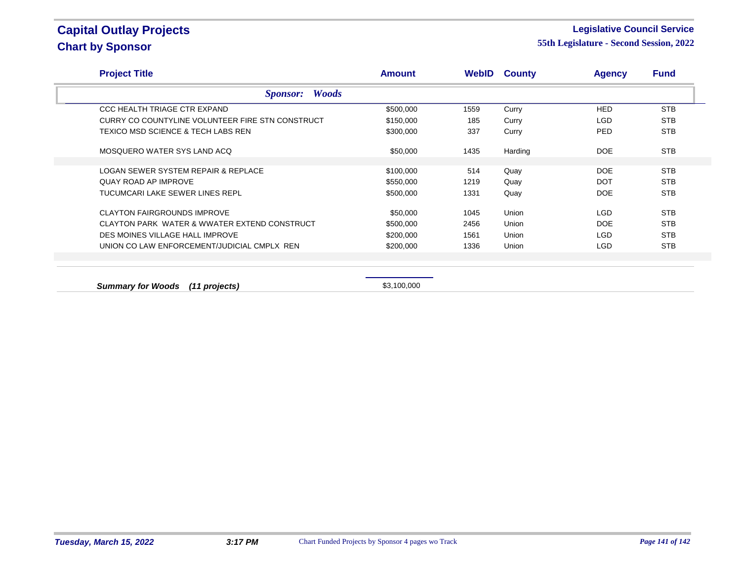### **Legislative Council Service**

| <b>Project Title</b>                             | <b>Amount</b> |      | <b>WebID County</b> | <b>Agency</b> | <b>Fund</b> |
|--------------------------------------------------|---------------|------|---------------------|---------------|-------------|
| <b>Woods</b><br><b>Sponsor:</b>                  |               |      |                     |               |             |
| CCC HEALTH TRIAGE CTR EXPAND                     | \$500,000     | 1559 | Curry               | <b>HED</b>    | <b>STB</b>  |
| CURRY CO COUNTYLINE VOLUNTEER FIRE STN CONSTRUCT | \$150,000     | 185  | Curry               | LGD           | <b>STB</b>  |
| TEXICO MSD SCIENCE & TECH LABS REN               | \$300,000     | 337  | Curry               | <b>PED</b>    | <b>STB</b>  |
| MOSQUERO WATER SYS LAND ACQ                      | \$50,000      | 1435 | Harding             | <b>DOE</b>    | <b>STB</b>  |
| LOGAN SEWER SYSTEM REPAIR & REPLACE              | \$100,000     | 514  | Quay                | <b>DOE</b>    | <b>STB</b>  |
| <b>QUAY ROAD AP IMPROVE</b>                      | \$550,000     | 1219 | Quay                | <b>DOT</b>    | <b>STB</b>  |
| TUCUMCARI LAKE SEWER LINES REPL                  | \$500,000     | 1331 | Quay                | <b>DOE</b>    | <b>STB</b>  |
| <b>CLAYTON FAIRGROUNDS IMPROVE</b>               | \$50,000      | 1045 | Union               | LGD           | <b>STB</b>  |
| CLAYTON PARK WATER & WWATER EXTEND CONSTRUCT     | \$500,000     | 2456 | Union               | DOE           | <b>STB</b>  |
| DES MOINES VILLAGE HALL IMPROVE                  | \$200,000     | 1561 | Union               | LGD           | <b>STB</b>  |
| UNION CO LAW ENFORCEMENT/JUDICIAL CMPLX REN      | \$200,000     | 1336 | Union               | <b>LGD</b>    | <b>STB</b>  |
|                                                  |               |      |                     |               |             |
| <b>Summary for Woods</b><br>(11 projects)        | \$3,100,000   |      |                     |               |             |